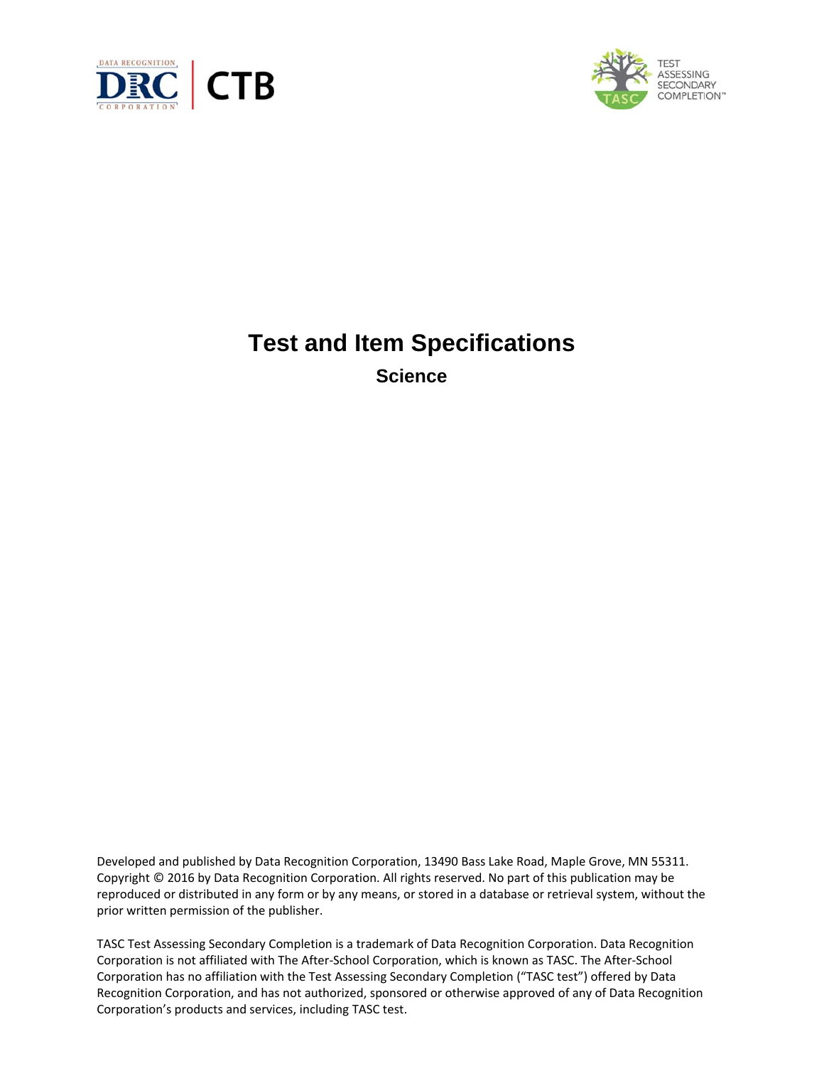



# **Test and Item Specifications Science**

Developed and published by Data Recognition Corporation, 13490 Bass Lake Road, Maple Grove, MN 55311. Copyright © 2016 by Data Recognition Corporation. All rights reserved. No part of this publication may be reproduced or distributed in any form or by any means, or stored in a database or retrieval system, without the prior written permission of the publisher.

TASC Test Assessing Secondary Completion is a trademark of Data Recognition Corporation. Data Recognition Corporation is not affiliated with The After‐School Corporation, which is known as TASC. The After‐School Corporation has no affiliation with the Test Assessing Secondary Completion ("TASC test") offered by Data Recognition Corporation, and has not authorized, sponsored or otherwise approved of any of Data Recognition Corporation's products and services, including TASC test.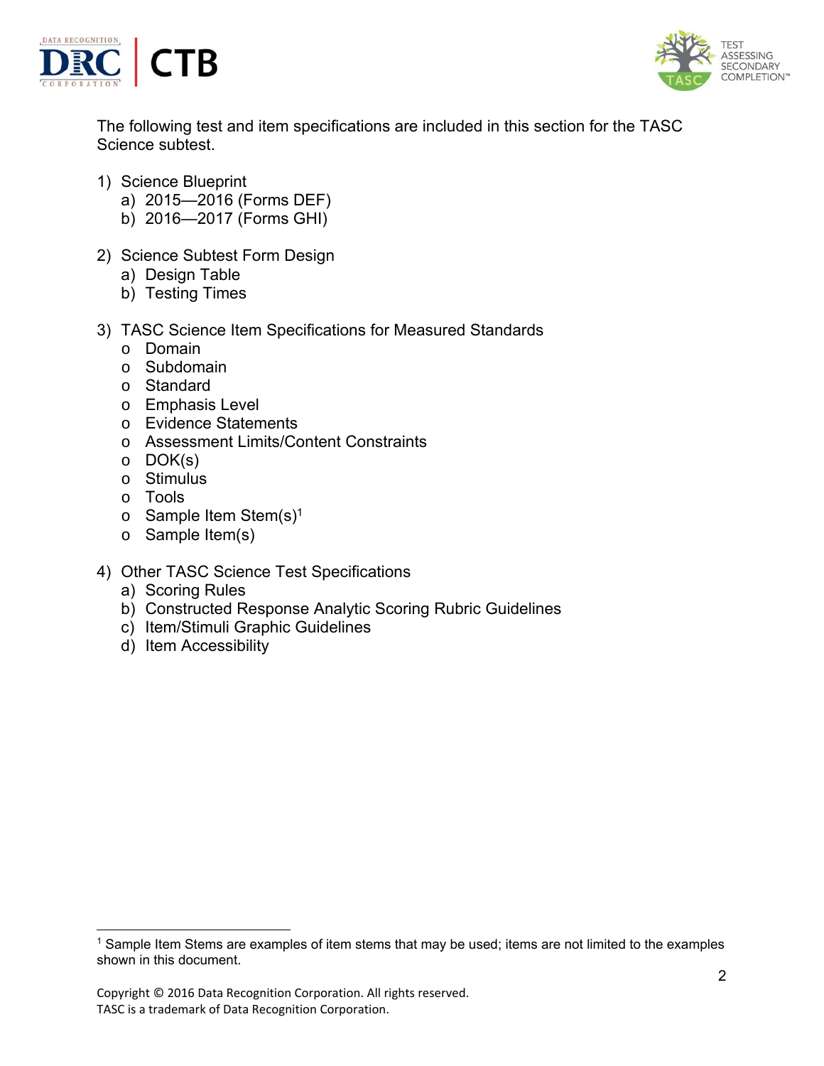



The following test and item specifications are included in this section for the TASC Science subtest.

- 1) Science Blueprint
	- a) 2015—2016 (Forms DEF)
	- b) 2016—2017 (Forms GHI)
- 2) Science Subtest Form Design
	- a) Design Table
	- b) Testing Times
- 3) TASC Science Item Specifications for Measured Standards
	- o Domain
	- o Subdomain
	- o Standard
	- o Emphasis Level
	- o Evidence Statements
	- o Assessment Limits/Content Constraints
	- o DOK(s)
	- o Stimulus
	- o Tools

- $\circ$  Sample Item Stem(s)<sup>1</sup>
- o Sample Item(s)
- 4) Other TASC Science Test Specifications
	- a) Scoring Rules
	- b) Constructed Response Analytic Scoring Rubric Guidelines
	- c) Item/Stimuli Graphic Guidelines
	- d) Item Accessibility

<sup>&</sup>lt;sup>1</sup> Sample Item Stems are examples of item stems that may be used; items are not limited to the examples shown in this document.

Copyright © 2016 Data Recognition Corporation. All rights reserved. TASC is a trademark of Data Recognition Corporation.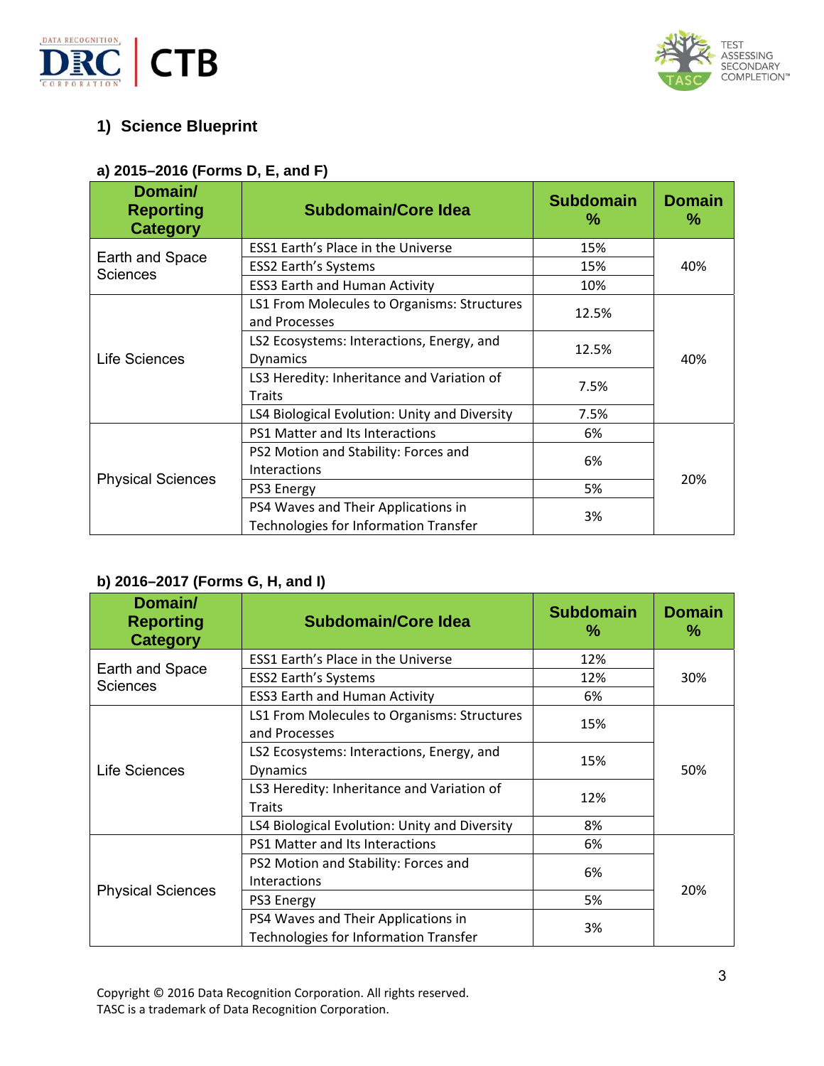



## **1) Science Blueprint**

## **a) 2015–2016 (Forms D, E, and F)**

| Domain/<br><b>Reporting</b><br><b>Category</b> | <b>Subdomain/Core Idea</b>                                                   | <b>Subdomain</b><br>$\%$ | <b>Domain</b><br>% |
|------------------------------------------------|------------------------------------------------------------------------------|--------------------------|--------------------|
|                                                | <b>ESS1 Earth's Place in the Universe</b>                                    | 15%                      |                    |
| Earth and Space<br><b>Sciences</b>             | <b>ESS2 Earth's Systems</b>                                                  | 15%                      | 40%                |
|                                                | <b>ESS3 Earth and Human Activity</b>                                         | 10%                      |                    |
|                                                | LS1 From Molecules to Organisms: Structures<br>and Processes                 | 12.5%                    |                    |
| Life Sciences                                  | LS2 Ecosystems: Interactions, Energy, and<br><b>Dynamics</b>                 | 12.5%                    | 40%                |
|                                                | LS3 Heredity: Inheritance and Variation of<br><b>Traits</b>                  | 7.5%                     |                    |
|                                                | LS4 Biological Evolution: Unity and Diversity                                | 7.5%                     |                    |
|                                                | PS1 Matter and Its Interactions                                              | 6%                       |                    |
|                                                | PS2 Motion and Stability: Forces and<br>Interactions                         | 6%                       |                    |
| <b>Physical Sciences</b>                       | PS3 Energy                                                                   | 5%                       | 20%                |
|                                                | PS4 Waves and Their Applications in<br>Technologies for Information Transfer | 3%                       |                    |

## **b) 2016–2017 (Forms G, H, and I)**

| Domain/<br><b>Reporting</b><br><b>Category</b> | <b>Subdomain/Core Idea</b>                                                   | <b>Subdomain</b><br>℅ | <b>Domain</b><br>% |
|------------------------------------------------|------------------------------------------------------------------------------|-----------------------|--------------------|
|                                                | <b>ESS1 Earth's Place in the Universe</b>                                    | 12%                   |                    |
| Earth and Space<br><b>Sciences</b>             | <b>ESS2 Earth's Systems</b>                                                  | 12%                   | 30%                |
|                                                | <b>ESS3 Earth and Human Activity</b>                                         | 6%                    |                    |
|                                                | LS1 From Molecules to Organisms: Structures<br>and Processes                 | 15%                   |                    |
| Life Sciences                                  | LS2 Ecosystems: Interactions, Energy, and<br><b>Dynamics</b>                 | 15%                   | 50%                |
|                                                | LS3 Heredity: Inheritance and Variation of<br><b>Traits</b>                  | 12%                   |                    |
|                                                | LS4 Biological Evolution: Unity and Diversity                                | 8%                    |                    |
|                                                | PS1 Matter and Its Interactions                                              | 6%                    |                    |
|                                                | PS2 Motion and Stability: Forces and<br>Interactions                         | 6%                    |                    |
| <b>Physical Sciences</b>                       | PS3 Energy                                                                   | 5%                    | 20%                |
|                                                | PS4 Waves and Their Applications in<br>Technologies for Information Transfer | 3%                    |                    |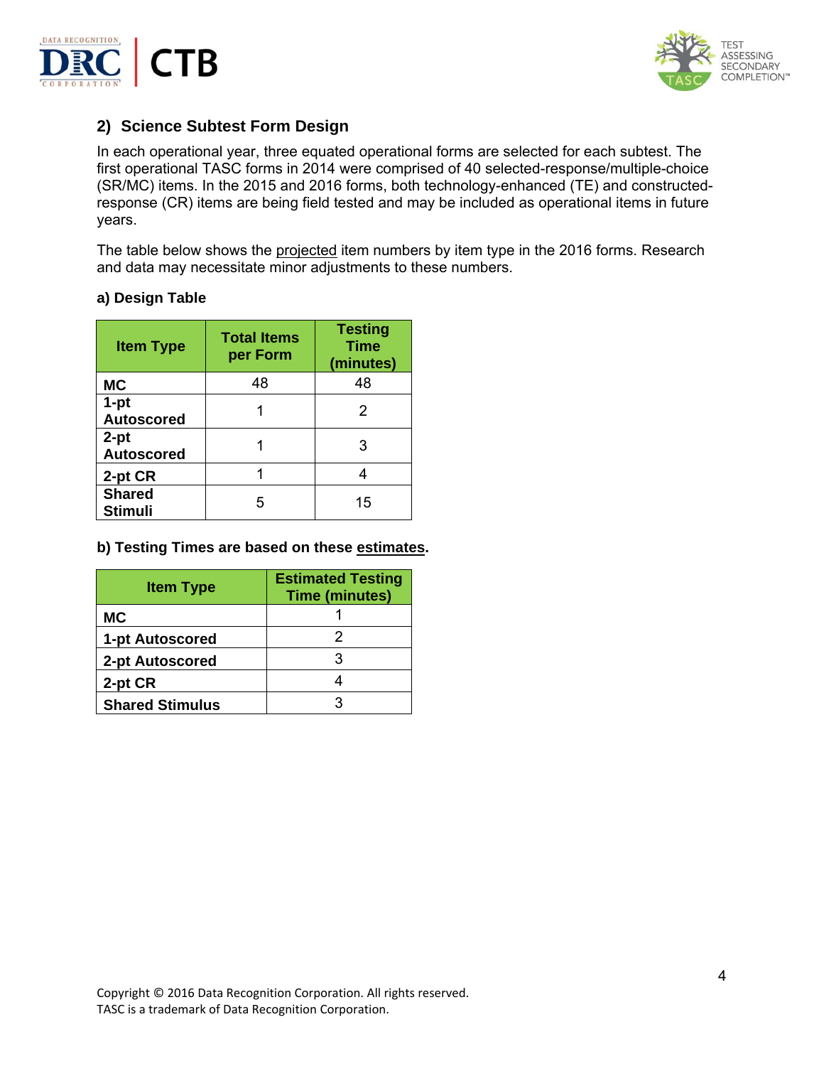



## **2) Science Subtest Form Design**

In each operational year, three equated operational forms are selected for each subtest. The first operational TASC forms in 2014 were comprised of 40 selected-response/multiple-choice (SR/MC) items. In the 2015 and 2016 forms, both technology-enhanced (TE) and constructedresponse (CR) items are being field tested and may be included as operational items in future years.

The table below shows the projected item numbers by item type in the 2016 forms. Research and data may necessitate minor adjustments to these numbers.

#### **a) Design Table**

| <b>Item Type</b>                | <b>Total Items</b><br>per Form | <b>Testing</b><br><b>Time</b><br>(minutes) |
|---------------------------------|--------------------------------|--------------------------------------------|
| <b>MC</b>                       | 48                             | 48                                         |
| $1-pt$<br><b>Autoscored</b>     |                                | 2                                          |
| $2-pt$<br><b>Autoscored</b>     |                                | 3                                          |
| 2-pt CR                         |                                |                                            |
| <b>Shared</b><br><b>Stimuli</b> | 5                              | 15                                         |

#### **b) Testing Times are based on these estimates.**

| <b>Item Type</b>       | <b>Estimated Testing</b><br><b>Time (minutes)</b> |
|------------------------|---------------------------------------------------|
| <b>MC</b>              |                                                   |
| 1-pt Autoscored        |                                                   |
| 2-pt Autoscored        |                                                   |
| 2-pt CR                |                                                   |
| <b>Shared Stimulus</b> |                                                   |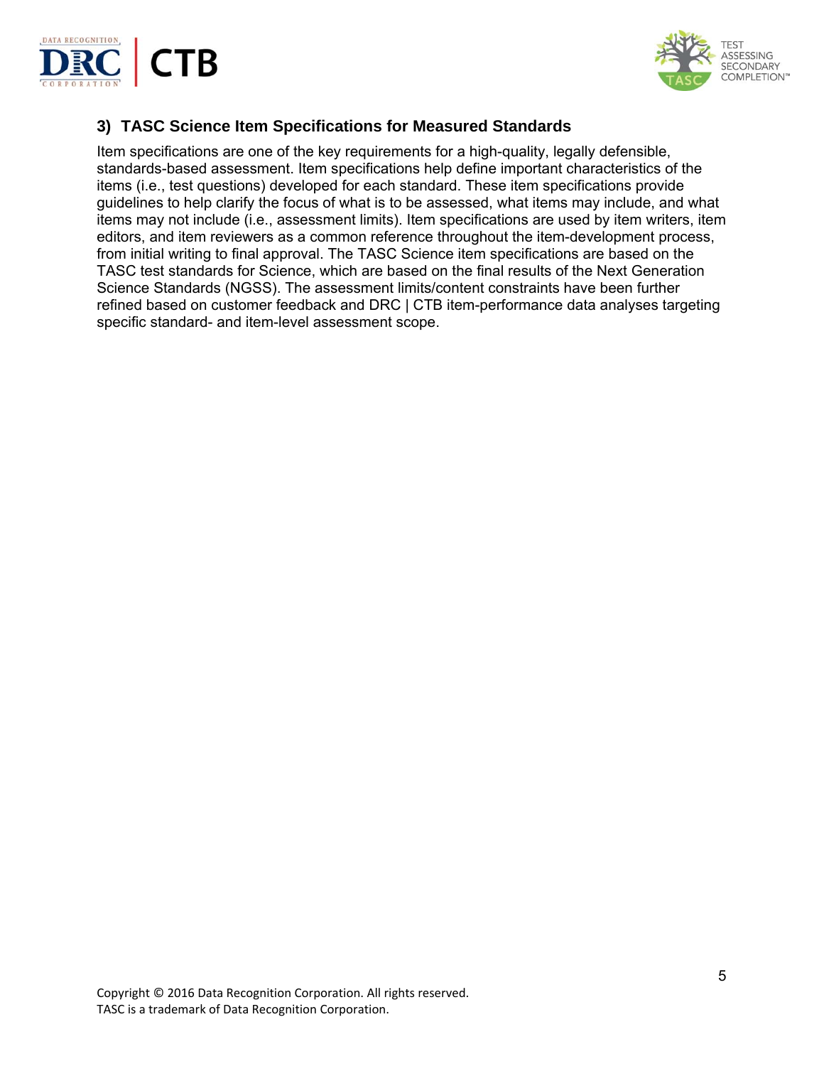



## **3) TASC Science Item Specifications for Measured Standards**

Item specifications are one of the key requirements for a high-quality, legally defensible, standards-based assessment. Item specifications help define important characteristics of the items (i.e., test questions) developed for each standard. These item specifications provide guidelines to help clarify the focus of what is to be assessed, what items may include, and what items may not include (i.e., assessment limits). Item specifications are used by item writers, item editors, and item reviewers as a common reference throughout the item-development process, from initial writing to final approval. The TASC Science item specifications are based on the TASC test standards for Science, which are based on the final results of the Next Generation Science Standards (NGSS). The assessment limits/content constraints have been further refined based on customer feedback and DRC | CTB item-performance data analyses targeting specific standard- and item-level assessment scope.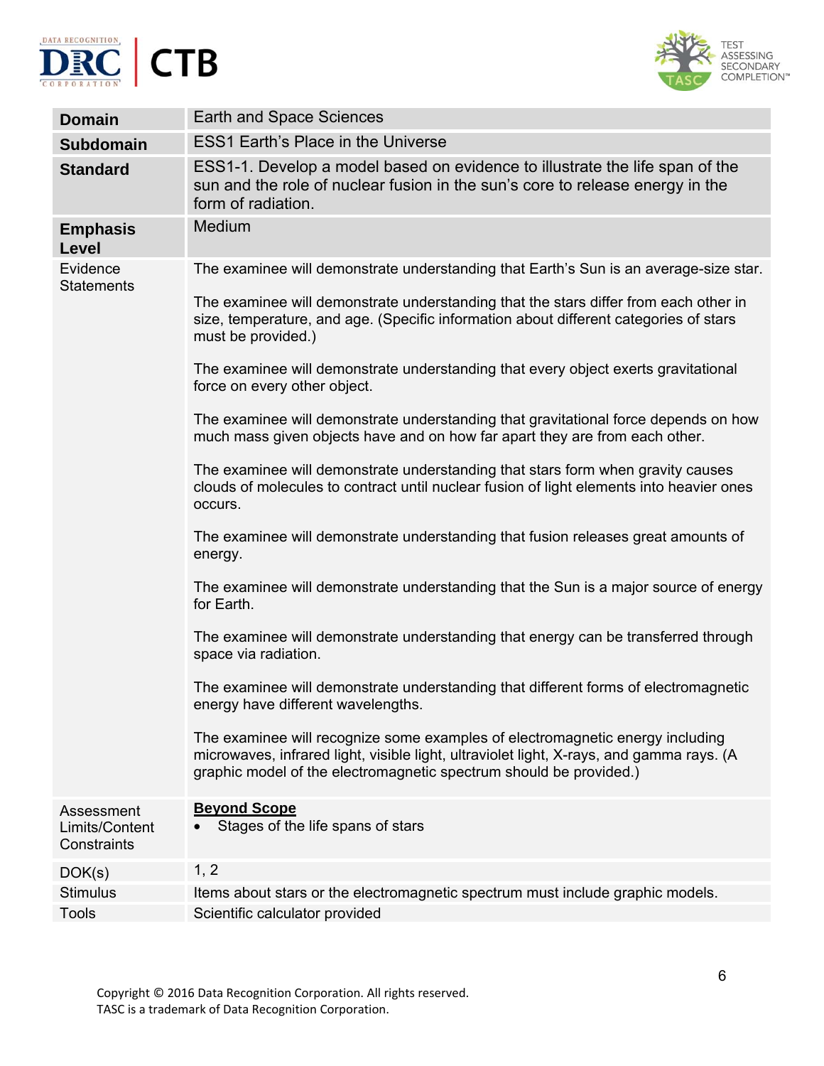



| <b>Domain</b>                               | Earth and Space Sciences                                                                                                                                                                                                                        |
|---------------------------------------------|-------------------------------------------------------------------------------------------------------------------------------------------------------------------------------------------------------------------------------------------------|
| <b>Subdomain</b>                            | <b>ESS1 Earth's Place in the Universe</b>                                                                                                                                                                                                       |
| <b>Standard</b>                             | ESS1-1. Develop a model based on evidence to illustrate the life span of the<br>sun and the role of nuclear fusion in the sun's core to release energy in the<br>form of radiation.                                                             |
| <b>Emphasis</b><br>Level                    | Medium                                                                                                                                                                                                                                          |
| Evidence<br><b>Statements</b>               | The examinee will demonstrate understanding that Earth's Sun is an average-size star.                                                                                                                                                           |
|                                             | The examinee will demonstrate understanding that the stars differ from each other in<br>size, temperature, and age. (Specific information about different categories of stars<br>must be provided.)                                             |
|                                             | The examinee will demonstrate understanding that every object exerts gravitational<br>force on every other object.                                                                                                                              |
|                                             | The examinee will demonstrate understanding that gravitational force depends on how<br>much mass given objects have and on how far apart they are from each other.                                                                              |
|                                             | The examinee will demonstrate understanding that stars form when gravity causes<br>clouds of molecules to contract until nuclear fusion of light elements into heavier ones<br>occurs.                                                          |
|                                             | The examinee will demonstrate understanding that fusion releases great amounts of<br>energy.                                                                                                                                                    |
|                                             | The examinee will demonstrate understanding that the Sun is a major source of energy<br>for Earth.                                                                                                                                              |
|                                             | The examinee will demonstrate understanding that energy can be transferred through<br>space via radiation.                                                                                                                                      |
|                                             | The examinee will demonstrate understanding that different forms of electromagnetic<br>energy have different wavelengths.                                                                                                                       |
|                                             | The examinee will recognize some examples of electromagnetic energy including<br>microwaves, infrared light, visible light, ultraviolet light, X-rays, and gamma rays. (A<br>graphic model of the electromagnetic spectrum should be provided.) |
| Assessment<br>Limits/Content<br>Constraints | <b>Beyond Scope</b><br>Stages of the life spans of stars                                                                                                                                                                                        |
| DOK(s)                                      | 1, 2                                                                                                                                                                                                                                            |
| <b>Stimulus</b>                             | Items about stars or the electromagnetic spectrum must include graphic models.                                                                                                                                                                  |
| <b>Tools</b>                                | Scientific calculator provided                                                                                                                                                                                                                  |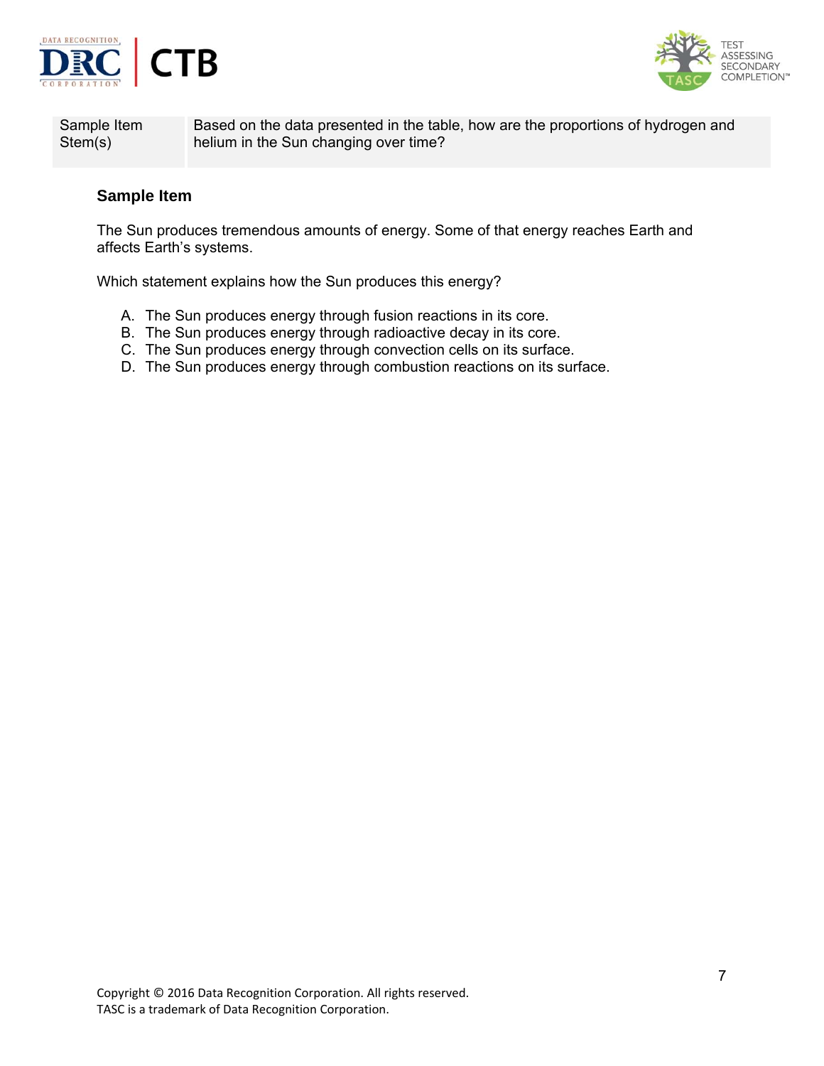



Sample Item Stem(s)

Based on the data presented in the table, how are the proportions of hydrogen and helium in the Sun changing over time?

#### **Sample Item**

The Sun produces tremendous amounts of energy. Some of that energy reaches Earth and affects Earth's systems.

Which statement explains how the Sun produces this energy?

- A. The Sun produces energy through fusion reactions in its core.
- B. The Sun produces energy through radioactive decay in its core.
- C. The Sun produces energy through convection cells on its surface.
- D. The Sun produces energy through combustion reactions on its surface.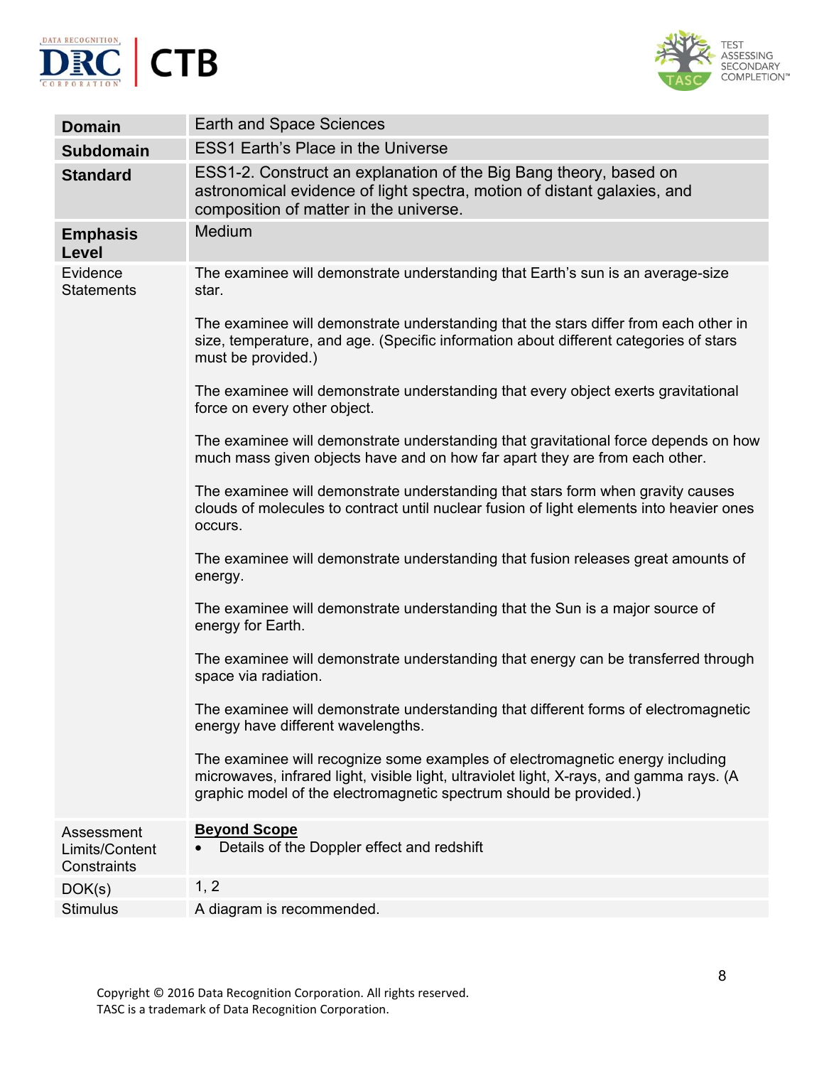



| <b>Domain</b>                               | <b>Earth and Space Sciences</b>                                                                                                                                                                                                                 |
|---------------------------------------------|-------------------------------------------------------------------------------------------------------------------------------------------------------------------------------------------------------------------------------------------------|
| <b>Subdomain</b>                            | <b>ESS1 Earth's Place in the Universe</b>                                                                                                                                                                                                       |
| <b>Standard</b>                             | ESS1-2. Construct an explanation of the Big Bang theory, based on<br>astronomical evidence of light spectra, motion of distant galaxies, and<br>composition of matter in the universe.                                                          |
| <b>Emphasis</b><br>Level                    | Medium                                                                                                                                                                                                                                          |
| Evidence<br><b>Statements</b>               | The examinee will demonstrate understanding that Earth's sun is an average-size<br>star.                                                                                                                                                        |
|                                             | The examinee will demonstrate understanding that the stars differ from each other in<br>size, temperature, and age. (Specific information about different categories of stars<br>must be provided.)                                             |
|                                             | The examinee will demonstrate understanding that every object exerts gravitational<br>force on every other object.                                                                                                                              |
|                                             | The examinee will demonstrate understanding that gravitational force depends on how<br>much mass given objects have and on how far apart they are from each other.                                                                              |
|                                             | The examinee will demonstrate understanding that stars form when gravity causes<br>clouds of molecules to contract until nuclear fusion of light elements into heavier ones<br>occurs.                                                          |
|                                             | The examinee will demonstrate understanding that fusion releases great amounts of<br>energy.                                                                                                                                                    |
|                                             | The examinee will demonstrate understanding that the Sun is a major source of<br>energy for Earth.                                                                                                                                              |
|                                             | The examinee will demonstrate understanding that energy can be transferred through<br>space via radiation.                                                                                                                                      |
|                                             | The examinee will demonstrate understanding that different forms of electromagnetic<br>energy have different wavelengths.                                                                                                                       |
|                                             | The examinee will recognize some examples of electromagnetic energy including<br>microwaves, infrared light, visible light, ultraviolet light, X-rays, and gamma rays. (A<br>graphic model of the electromagnetic spectrum should be provided.) |
| Assessment<br>Limits/Content<br>Constraints | <b>Beyond Scope</b><br>Details of the Doppler effect and redshift                                                                                                                                                                               |
| DOK(s)                                      | 1, 2                                                                                                                                                                                                                                            |
| <b>Stimulus</b>                             | A diagram is recommended.                                                                                                                                                                                                                       |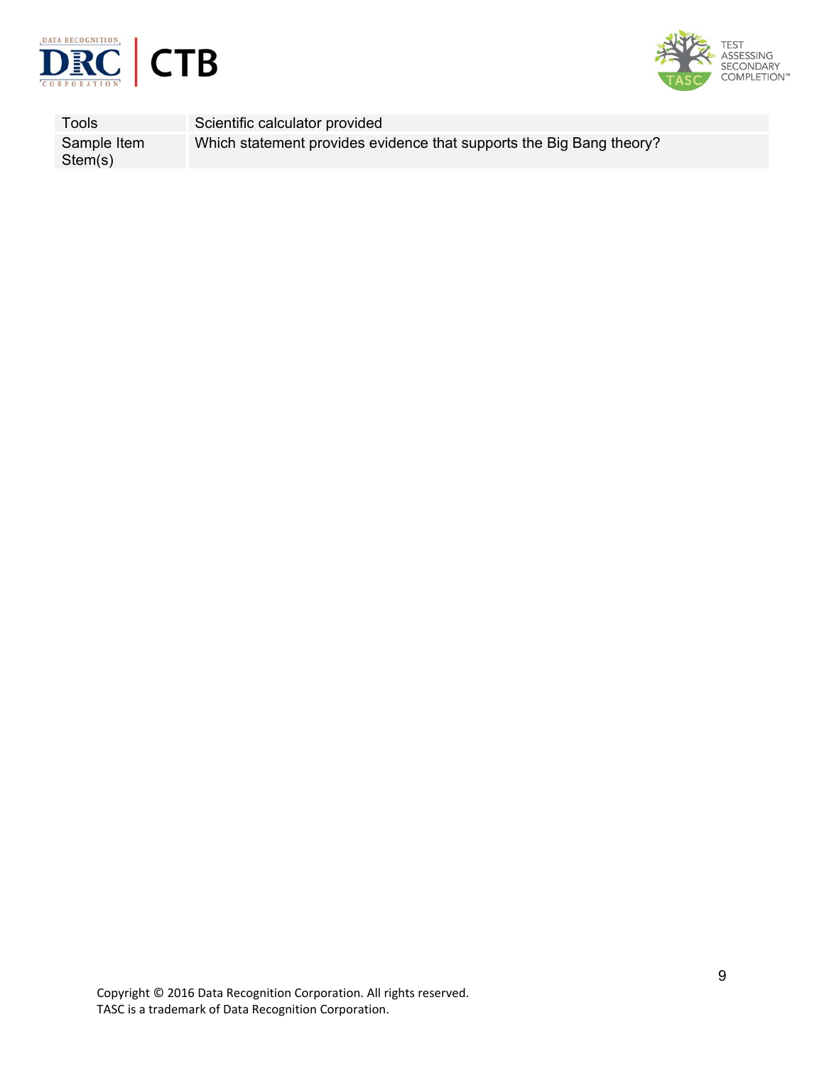



Tools Scientific calculator provided Sample Item Stem(s) Which statement provides evidence that supports the Big Bang theory?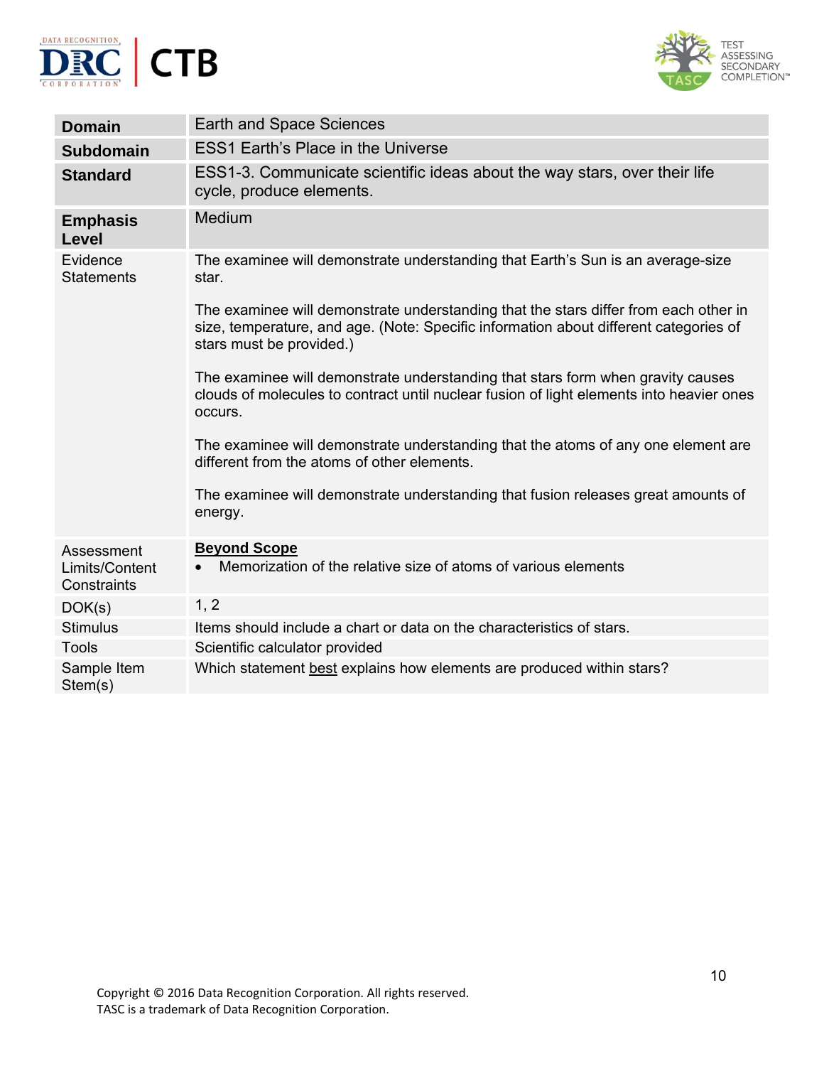



| <b>Domain</b>                               | Earth and Space Sciences                                                                                                                                                                                  |
|---------------------------------------------|-----------------------------------------------------------------------------------------------------------------------------------------------------------------------------------------------------------|
| <b>Subdomain</b>                            | <b>ESS1 Earth's Place in the Universe</b>                                                                                                                                                                 |
| <b>Standard</b>                             | ESS1-3. Communicate scientific ideas about the way stars, over their life<br>cycle, produce elements.                                                                                                     |
| <b>Emphasis</b><br><b>Level</b>             | Medium                                                                                                                                                                                                    |
| Evidence<br><b>Statements</b>               | The examinee will demonstrate understanding that Earth's Sun is an average-size<br>star.                                                                                                                  |
|                                             | The examinee will demonstrate understanding that the stars differ from each other in<br>size, temperature, and age. (Note: Specific information about different categories of<br>stars must be provided.) |
|                                             | The examinee will demonstrate understanding that stars form when gravity causes<br>clouds of molecules to contract until nuclear fusion of light elements into heavier ones<br>occurs.                    |
|                                             | The examinee will demonstrate understanding that the atoms of any one element are<br>different from the atoms of other elements.                                                                          |
|                                             | The examinee will demonstrate understanding that fusion releases great amounts of<br>energy.                                                                                                              |
| Assessment<br>Limits/Content<br>Constraints | <b>Beyond Scope</b><br>Memorization of the relative size of atoms of various elements                                                                                                                     |
| DOK(s)                                      | 1, 2                                                                                                                                                                                                      |
| <b>Stimulus</b>                             | Items should include a chart or data on the characteristics of stars.                                                                                                                                     |
| <b>Tools</b>                                | Scientific calculator provided                                                                                                                                                                            |
| Sample Item<br>Stem(s)                      | Which statement best explains how elements are produced within stars?                                                                                                                                     |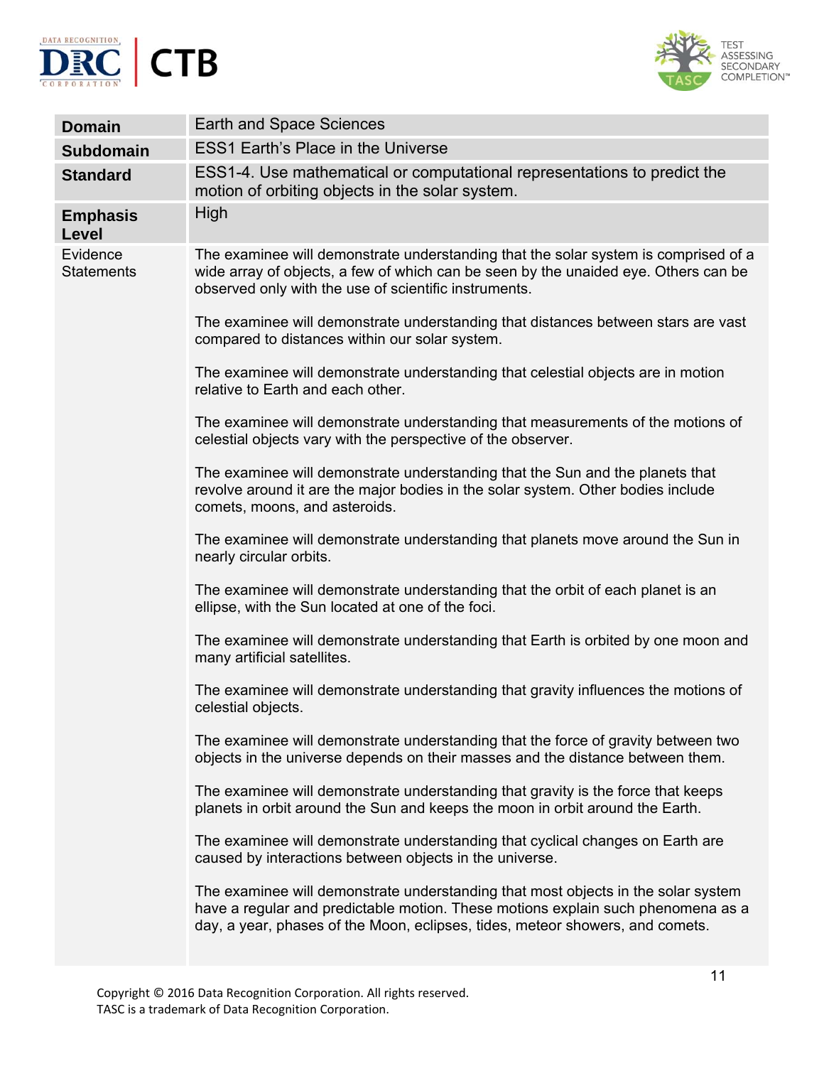



| <b>Domain</b>                 | Earth and Space Sciences                                                                                                                                                                                                                               |
|-------------------------------|--------------------------------------------------------------------------------------------------------------------------------------------------------------------------------------------------------------------------------------------------------|
| <b>Subdomain</b>              | <b>ESS1 Earth's Place in the Universe</b>                                                                                                                                                                                                              |
| <b>Standard</b>               | ESS1-4. Use mathematical or computational representations to predict the<br>motion of orbiting objects in the solar system.                                                                                                                            |
| <b>Emphasis</b><br>Level      | High                                                                                                                                                                                                                                                   |
| Evidence<br><b>Statements</b> | The examinee will demonstrate understanding that the solar system is comprised of a<br>wide array of objects, a few of which can be seen by the unaided eye. Others can be<br>observed only with the use of scientific instruments.                    |
|                               | The examinee will demonstrate understanding that distances between stars are vast<br>compared to distances within our solar system.                                                                                                                    |
|                               | The examinee will demonstrate understanding that celestial objects are in motion<br>relative to Earth and each other.                                                                                                                                  |
|                               | The examinee will demonstrate understanding that measurements of the motions of<br>celestial objects vary with the perspective of the observer.                                                                                                        |
|                               | The examinee will demonstrate understanding that the Sun and the planets that<br>revolve around it are the major bodies in the solar system. Other bodies include<br>comets, moons, and asteroids.                                                     |
|                               | The examinee will demonstrate understanding that planets move around the Sun in<br>nearly circular orbits.                                                                                                                                             |
|                               | The examinee will demonstrate understanding that the orbit of each planet is an<br>ellipse, with the Sun located at one of the foci.                                                                                                                   |
|                               | The examinee will demonstrate understanding that Earth is orbited by one moon and<br>many artificial satellites.                                                                                                                                       |
|                               | The examinee will demonstrate understanding that gravity influences the motions of<br>celestial objects.                                                                                                                                               |
|                               | The examinee will demonstrate understanding that the force of gravity between two<br>objects in the universe depends on their masses and the distance between them.                                                                                    |
|                               | The examinee will demonstrate understanding that gravity is the force that keeps<br>planets in orbit around the Sun and keeps the moon in orbit around the Earth.                                                                                      |
|                               | The examinee will demonstrate understanding that cyclical changes on Earth are<br>caused by interactions between objects in the universe.                                                                                                              |
|                               | The examinee will demonstrate understanding that most objects in the solar system<br>have a regular and predictable motion. These motions explain such phenomena as a<br>day, a year, phases of the Moon, eclipses, tides, meteor showers, and comets. |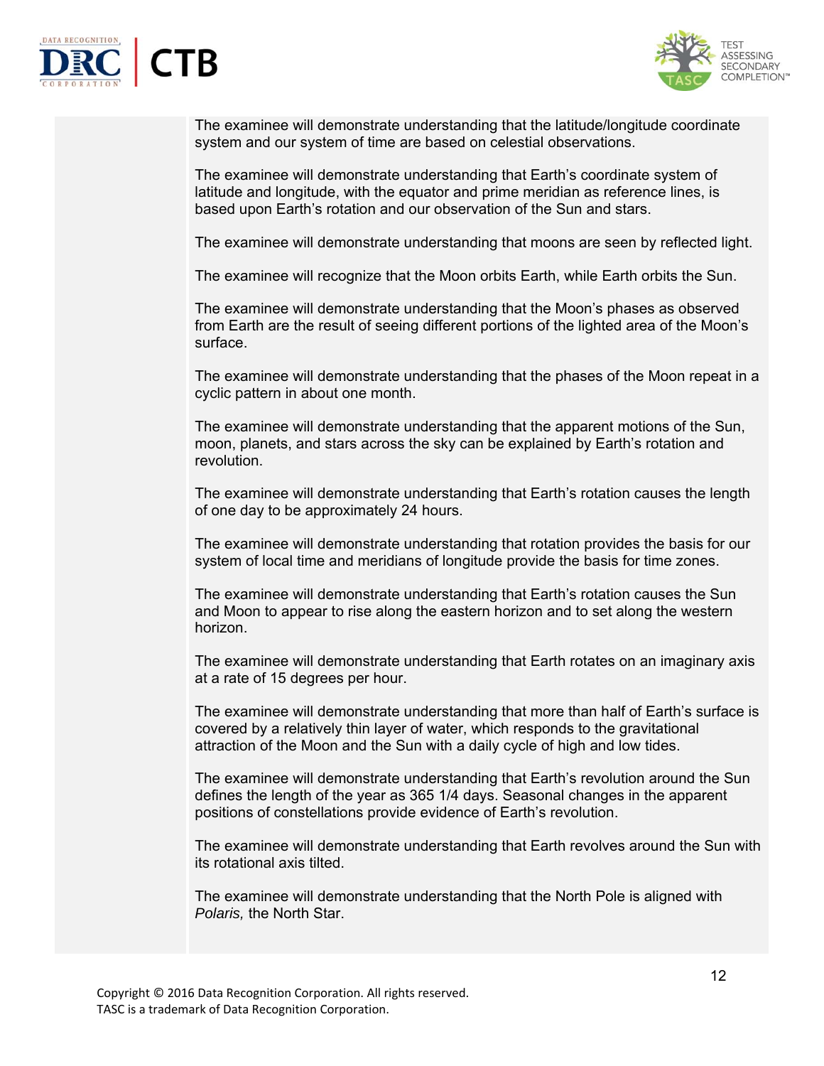



The examinee will demonstrate understanding that the latitude/longitude coordinate system and our system of time are based on celestial observations.

The examinee will demonstrate understanding that Earth's coordinate system of latitude and longitude, with the equator and prime meridian as reference lines, is based upon Earth's rotation and our observation of the Sun and stars.

The examinee will demonstrate understanding that moons are seen by reflected light.

The examinee will recognize that the Moon orbits Earth, while Earth orbits the Sun.

The examinee will demonstrate understanding that the Moon's phases as observed from Earth are the result of seeing different portions of the lighted area of the Moon's surface.

The examinee will demonstrate understanding that the phases of the Moon repeat in a cyclic pattern in about one month.

The examinee will demonstrate understanding that the apparent motions of the Sun, moon, planets, and stars across the sky can be explained by Earth's rotation and revolution.

The examinee will demonstrate understanding that Earth's rotation causes the length of one day to be approximately 24 hours.

The examinee will demonstrate understanding that rotation provides the basis for our system of local time and meridians of longitude provide the basis for time zones.

The examinee will demonstrate understanding that Earth's rotation causes the Sun and Moon to appear to rise along the eastern horizon and to set along the western horizon.

The examinee will demonstrate understanding that Earth rotates on an imaginary axis at a rate of 15 degrees per hour.

The examinee will demonstrate understanding that more than half of Earth's surface is covered by a relatively thin layer of water, which responds to the gravitational attraction of the Moon and the Sun with a daily cycle of high and low tides.

The examinee will demonstrate understanding that Earth's revolution around the Sun defines the length of the year as 365 1/4 days. Seasonal changes in the apparent positions of constellations provide evidence of Earth's revolution.

The examinee will demonstrate understanding that Earth revolves around the Sun with its rotational axis tilted.

The examinee will demonstrate understanding that the North Pole is aligned with *Polaris,* the North Star.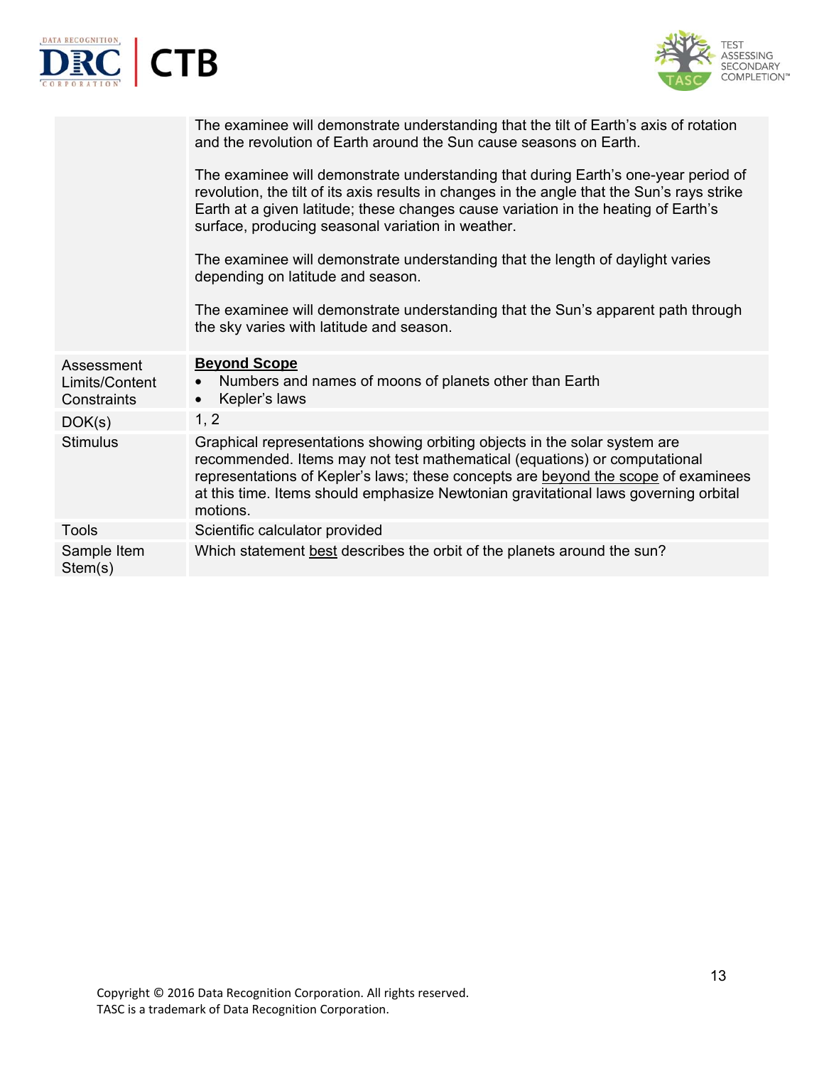|                                             | ГB                                                                                                                                                                                                                                                                                                                                               |
|---------------------------------------------|--------------------------------------------------------------------------------------------------------------------------------------------------------------------------------------------------------------------------------------------------------------------------------------------------------------------------------------------------|
|                                             | The examinee will demonstrate understanding that the tilt of Earth's axis of rotation<br>and the revolution of Earth around the Sun cause seasons on Earth.                                                                                                                                                                                      |
|                                             | The examinee will demonstrate understanding that during Earth's one-year period of<br>revolution, the tilt of its axis results in changes in the angle that the Sun's rays strike<br>Earth at a given latitude; these changes cause variation in the heating of Earth's<br>surface, producing seasonal variation in weather.                     |
|                                             | The examinee will demonstrate understanding that the length of daylight varies<br>depending on latitude and season.                                                                                                                                                                                                                              |
|                                             | The examinee will demonstrate understanding that the Sun's apparent path through<br>the sky varies with latitude and season.                                                                                                                                                                                                                     |
| Assessment<br>Limits/Content<br>Constraints | <b>Beyond Scope</b><br>Numbers and names of moons of planets other than Earth<br>Kepler's laws<br>$\bullet$                                                                                                                                                                                                                                      |
| DOK(s)                                      | 1, 2                                                                                                                                                                                                                                                                                                                                             |
| <b>Stimulus</b>                             | Graphical representations showing orbiting objects in the solar system are<br>recommended. Items may not test mathematical (equations) or computational<br>representations of Kepler's laws; these concepts are beyond the scope of examinees<br>at this time. Items should emphasize Newtonian gravitational laws governing orbital<br>motions. |
| <b>Tools</b>                                | Scientific calculator provided                                                                                                                                                                                                                                                                                                                   |
| Sample Item<br>Stem(s)                      | Which statement best describes the orbit of the planets around the sun?                                                                                                                                                                                                                                                                          |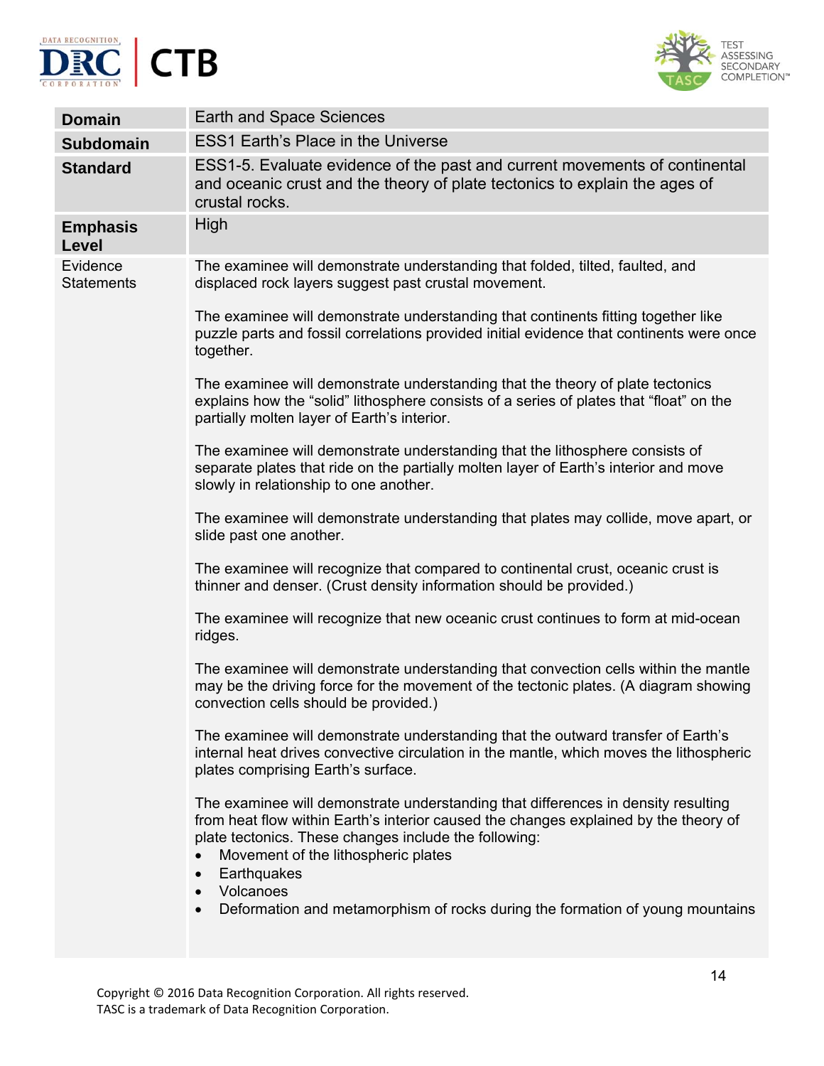



| <b>Domain</b>                 | <b>Earth and Space Sciences</b>                                                                                                                                                                                                                                                                                                                                                                     |
|-------------------------------|-----------------------------------------------------------------------------------------------------------------------------------------------------------------------------------------------------------------------------------------------------------------------------------------------------------------------------------------------------------------------------------------------------|
| <b>Subdomain</b>              | <b>ESS1 Earth's Place in the Universe</b>                                                                                                                                                                                                                                                                                                                                                           |
| <b>Standard</b>               | ESS1-5. Evaluate evidence of the past and current movements of continental<br>and oceanic crust and the theory of plate tectonics to explain the ages of<br>crustal rocks.                                                                                                                                                                                                                          |
| <b>Emphasis</b><br>Level      | High                                                                                                                                                                                                                                                                                                                                                                                                |
| Evidence<br><b>Statements</b> | The examinee will demonstrate understanding that folded, tilted, faulted, and<br>displaced rock layers suggest past crustal movement.                                                                                                                                                                                                                                                               |
|                               | The examinee will demonstrate understanding that continents fitting together like<br>puzzle parts and fossil correlations provided initial evidence that continents were once<br>together.                                                                                                                                                                                                          |
|                               | The examinee will demonstrate understanding that the theory of plate tectonics<br>explains how the "solid" lithosphere consists of a series of plates that "float" on the<br>partially molten layer of Earth's interior.                                                                                                                                                                            |
|                               | The examinee will demonstrate understanding that the lithosphere consists of<br>separate plates that ride on the partially molten layer of Earth's interior and move<br>slowly in relationship to one another.                                                                                                                                                                                      |
|                               | The examinee will demonstrate understanding that plates may collide, move apart, or<br>slide past one another.                                                                                                                                                                                                                                                                                      |
|                               | The examinee will recognize that compared to continental crust, oceanic crust is<br>thinner and denser. (Crust density information should be provided.)                                                                                                                                                                                                                                             |
|                               | The examinee will recognize that new oceanic crust continues to form at mid-ocean<br>ridges.                                                                                                                                                                                                                                                                                                        |
|                               | The examinee will demonstrate understanding that convection cells within the mantle<br>may be the driving force for the movement of the tectonic plates. (A diagram showing<br>convection cells should be provided.)                                                                                                                                                                                |
|                               | The examinee will demonstrate understanding that the outward transfer of Earth's<br>internal heat drives convective circulation in the mantle, which moves the lithospheric<br>plates comprising Earth's surface.                                                                                                                                                                                   |
|                               | The examinee will demonstrate understanding that differences in density resulting<br>from heat flow within Earth's interior caused the changes explained by the theory of<br>plate tectonics. These changes include the following:<br>Movement of the lithospheric plates<br>Earthquakes<br>$\bullet$<br>Volcanoes<br>Deformation and metamorphism of rocks during the formation of young mountains |
|                               |                                                                                                                                                                                                                                                                                                                                                                                                     |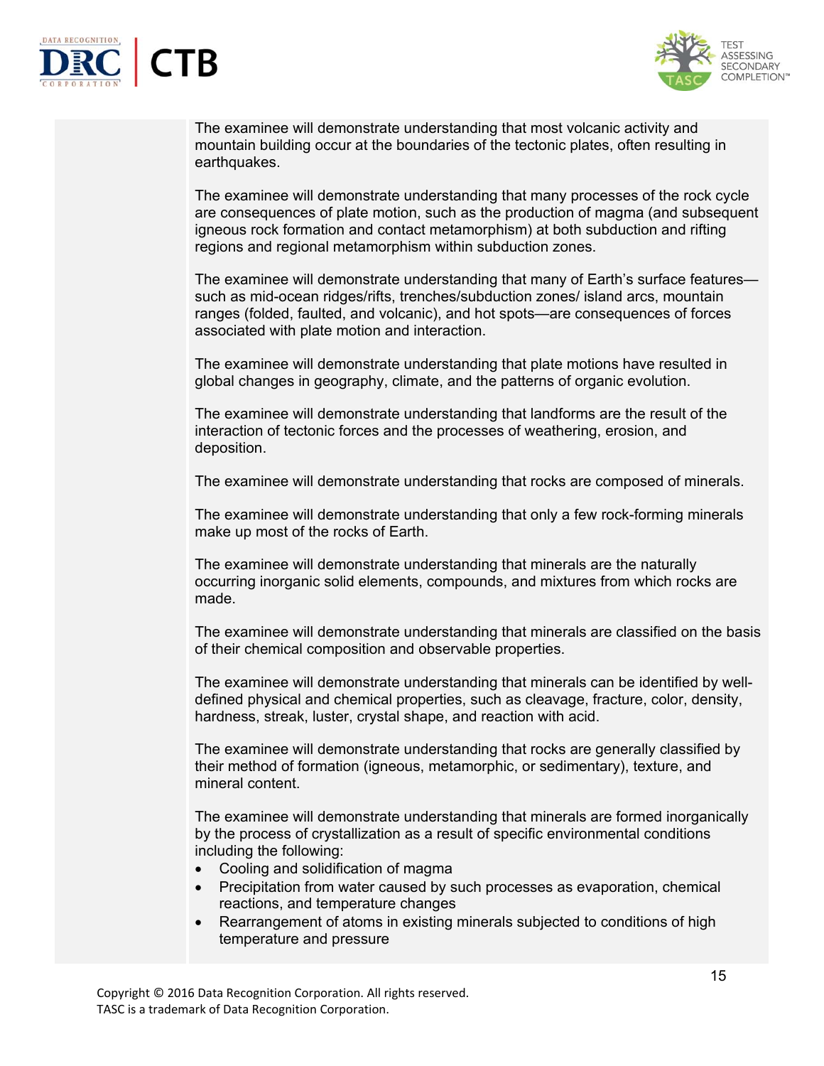



The examinee will demonstrate understanding that most volcanic activity and mountain building occur at the boundaries of the tectonic plates, often resulting in earthquakes.

The examinee will demonstrate understanding that many processes of the rock cycle are consequences of plate motion, such as the production of magma (and subsequent igneous rock formation and contact metamorphism) at both subduction and rifting regions and regional metamorphism within subduction zones.

The examinee will demonstrate understanding that many of Earth's surface features such as mid-ocean ridges/rifts, trenches/subduction zones/ island arcs, mountain ranges (folded, faulted, and volcanic), and hot spots—are consequences of forces associated with plate motion and interaction.

The examinee will demonstrate understanding that plate motions have resulted in global changes in geography, climate, and the patterns of organic evolution.

The examinee will demonstrate understanding that landforms are the result of the interaction of tectonic forces and the processes of weathering, erosion, and deposition.

The examinee will demonstrate understanding that rocks are composed of minerals.

The examinee will demonstrate understanding that only a few rock-forming minerals make up most of the rocks of Earth.

The examinee will demonstrate understanding that minerals are the naturally occurring inorganic solid elements, compounds, and mixtures from which rocks are made.

The examinee will demonstrate understanding that minerals are classified on the basis of their chemical composition and observable properties.

The examinee will demonstrate understanding that minerals can be identified by welldefined physical and chemical properties, such as cleavage, fracture, color, density, hardness, streak, luster, crystal shape, and reaction with acid.

The examinee will demonstrate understanding that rocks are generally classified by their method of formation (igneous, metamorphic, or sedimentary), texture, and mineral content.

The examinee will demonstrate understanding that minerals are formed inorganically by the process of crystallization as a result of specific environmental conditions including the following:

- Cooling and solidification of magma
- Precipitation from water caused by such processes as evaporation, chemical reactions, and temperature changes
- Rearrangement of atoms in existing minerals subjected to conditions of high temperature and pressure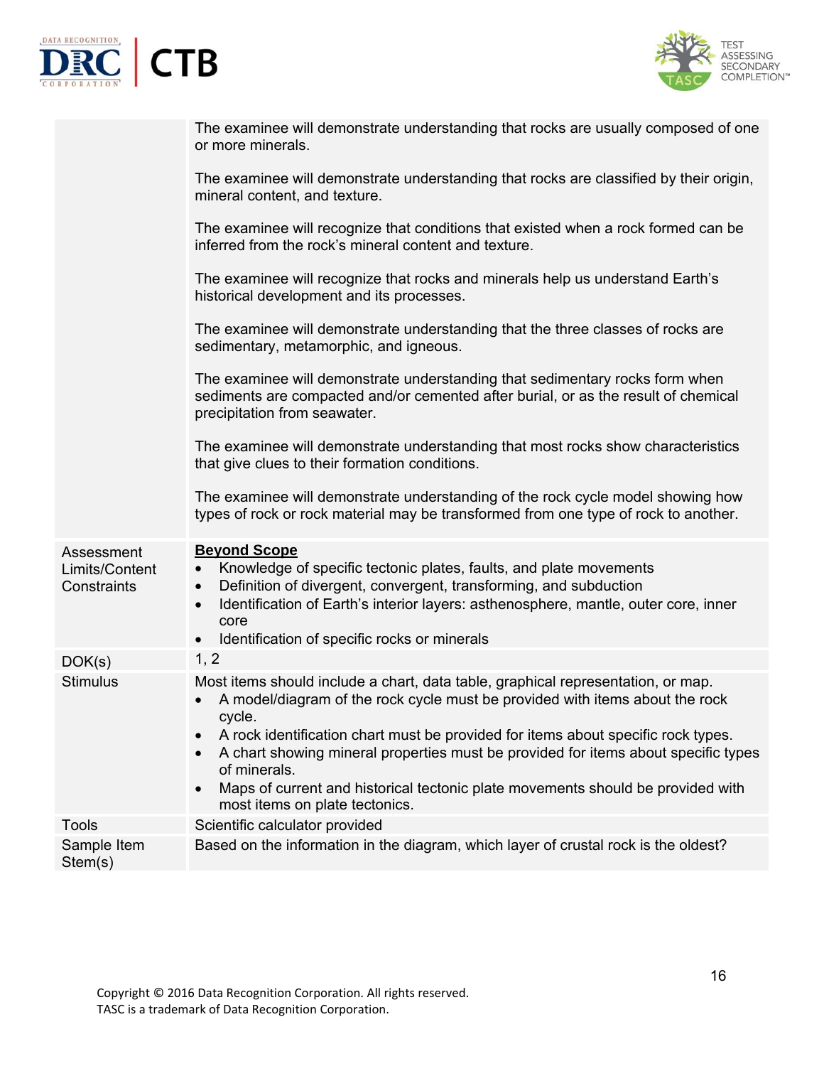



|                               | The examinee will demonstrate understanding that rocks are usually composed of one<br>or more minerals.                                                                                            |
|-------------------------------|----------------------------------------------------------------------------------------------------------------------------------------------------------------------------------------------------|
|                               | The examinee will demonstrate understanding that rocks are classified by their origin,<br>mineral content, and texture.                                                                            |
|                               | The examinee will recognize that conditions that existed when a rock formed can be<br>inferred from the rock's mineral content and texture.                                                        |
|                               | The examinee will recognize that rocks and minerals help us understand Earth's<br>historical development and its processes.                                                                        |
|                               | The examinee will demonstrate understanding that the three classes of rocks are<br>sedimentary, metamorphic, and igneous.                                                                          |
|                               | The examinee will demonstrate understanding that sedimentary rocks form when<br>sediments are compacted and/or cemented after burial, or as the result of chemical<br>precipitation from seawater. |
|                               | The examinee will demonstrate understanding that most rocks show characteristics<br>that give clues to their formation conditions.                                                                 |
|                               | The examinee will demonstrate understanding of the rock cycle model showing how<br>types of rock or rock material may be transformed from one type of rock to another.                             |
| Assessment                    | <b>Beyond Scope</b>                                                                                                                                                                                |
| Limits/Content<br>Constraints | Knowledge of specific tectonic plates, faults, and plate movements<br>$\bullet$<br>Definition of divergent, convergent, transforming, and subduction<br>$\bullet$                                  |
|                               | Identification of Earth's interior layers: asthenosphere, mantle, outer core, inner<br>$\bullet$                                                                                                   |
|                               | core                                                                                                                                                                                               |
|                               | Identification of specific rocks or minerals<br>$\bullet$                                                                                                                                          |
| DOK(s)                        | 1, 2                                                                                                                                                                                               |
| <b>Stimulus</b>               | Most items should include a chart, data table, graphical representation, or map.<br>A model/diagram of the rock cycle must be provided with items about the rock<br>cycle.                         |
|                               | A rock identification chart must be provided for items about specific rock types.                                                                                                                  |
|                               | A chart showing mineral properties must be provided for items about specific types<br>of minerals.                                                                                                 |
|                               | Maps of current and historical tectonic plate movements should be provided with<br>$\bullet$<br>most items on plate tectonics.                                                                     |
| <b>Tools</b>                  | Scientific calculator provided                                                                                                                                                                     |
| Sample Item<br>Stem(s)        | Based on the information in the diagram, which layer of crustal rock is the oldest?                                                                                                                |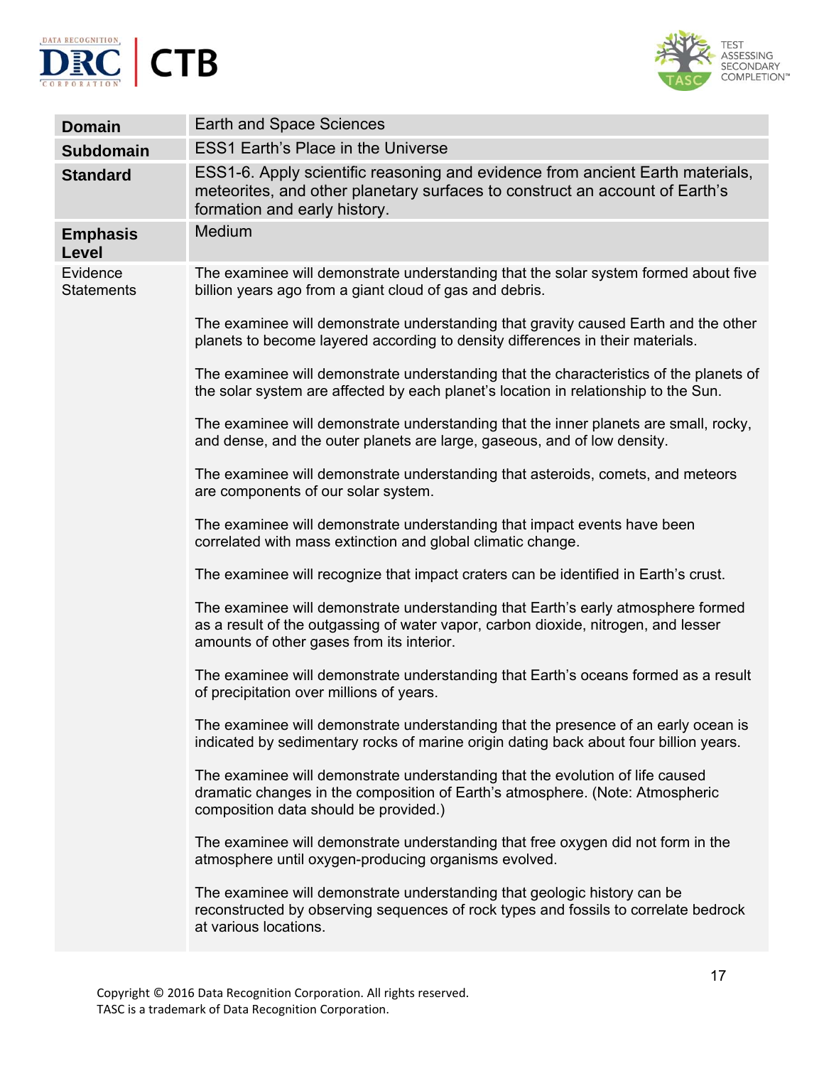



| <b>Domain</b>                 | <b>Earth and Space Sciences</b>                                                                                                                                                                                     |
|-------------------------------|---------------------------------------------------------------------------------------------------------------------------------------------------------------------------------------------------------------------|
| <b>Subdomain</b>              | <b>ESS1 Earth's Place in the Universe</b>                                                                                                                                                                           |
| <b>Standard</b>               | ESS1-6. Apply scientific reasoning and evidence from ancient Earth materials,<br>meteorites, and other planetary surfaces to construct an account of Earth's<br>formation and early history.                        |
| <b>Emphasis</b><br>Level      | Medium                                                                                                                                                                                                              |
| Evidence<br><b>Statements</b> | The examinee will demonstrate understanding that the solar system formed about five<br>billion years ago from a giant cloud of gas and debris.                                                                      |
|                               | The examinee will demonstrate understanding that gravity caused Earth and the other<br>planets to become layered according to density differences in their materials.                                               |
|                               | The examinee will demonstrate understanding that the characteristics of the planets of<br>the solar system are affected by each planet's location in relationship to the Sun.                                       |
|                               | The examinee will demonstrate understanding that the inner planets are small, rocky,<br>and dense, and the outer planets are large, gaseous, and of low density.                                                    |
|                               | The examinee will demonstrate understanding that asteroids, comets, and meteors<br>are components of our solar system.                                                                                              |
|                               | The examinee will demonstrate understanding that impact events have been<br>correlated with mass extinction and global climatic change.                                                                             |
|                               | The examinee will recognize that impact craters can be identified in Earth's crust.                                                                                                                                 |
|                               | The examinee will demonstrate understanding that Earth's early atmosphere formed<br>as a result of the outgassing of water vapor, carbon dioxide, nitrogen, and lesser<br>amounts of other gases from its interior. |
|                               | The examinee will demonstrate understanding that Earth's oceans formed as a result<br>of precipitation over millions of years.                                                                                      |
|                               | The examinee will demonstrate understanding that the presence of an early ocean is<br>indicated by sedimentary rocks of marine origin dating back about four billion years.                                         |
|                               | The examinee will demonstrate understanding that the evolution of life caused<br>dramatic changes in the composition of Earth's atmosphere. (Note: Atmospheric<br>composition data should be provided.)             |
|                               | The examinee will demonstrate understanding that free oxygen did not form in the<br>atmosphere until oxygen-producing organisms evolved.                                                                            |
|                               | The examinee will demonstrate understanding that geologic history can be<br>reconstructed by observing sequences of rock types and fossils to correlate bedrock<br>at various locations.                            |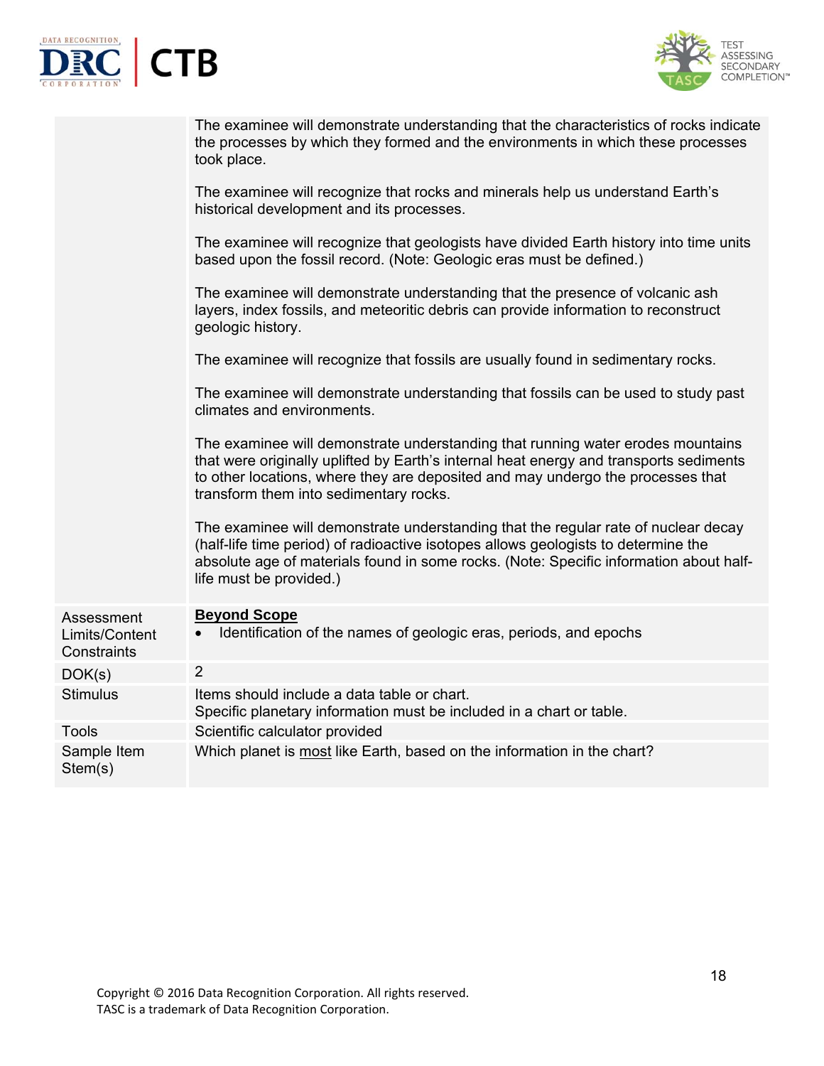



|                                             | The examinee will demonstrate understanding that the characteristics of rocks indicate<br>the processes by which they formed and the environments in which these processes<br>took place.                                                                                                              |
|---------------------------------------------|--------------------------------------------------------------------------------------------------------------------------------------------------------------------------------------------------------------------------------------------------------------------------------------------------------|
|                                             | The examinee will recognize that rocks and minerals help us understand Earth's<br>historical development and its processes.                                                                                                                                                                            |
|                                             | The examinee will recognize that geologists have divided Earth history into time units<br>based upon the fossil record. (Note: Geologic eras must be defined.)                                                                                                                                         |
|                                             | The examinee will demonstrate understanding that the presence of volcanic ash<br>layers, index fossils, and meteoritic debris can provide information to reconstruct<br>geologic history.                                                                                                              |
|                                             | The examinee will recognize that fossils are usually found in sedimentary rocks.                                                                                                                                                                                                                       |
|                                             | The examinee will demonstrate understanding that fossils can be used to study past<br>climates and environments.                                                                                                                                                                                       |
|                                             | The examinee will demonstrate understanding that running water erodes mountains<br>that were originally uplifted by Earth's internal heat energy and transports sediments<br>to other locations, where they are deposited and may undergo the processes that<br>transform them into sedimentary rocks. |
|                                             | The examinee will demonstrate understanding that the regular rate of nuclear decay<br>(half-life time period) of radioactive isotopes allows geologists to determine the<br>absolute age of materials found in some rocks. (Note: Specific information about half-<br>life must be provided.)          |
| Assessment<br>Limits/Content<br>Constraints | <b>Beyond Scope</b><br>Identification of the names of geologic eras, periods, and epochs                                                                                                                                                                                                               |
| DOK(s)                                      | $\overline{2}$                                                                                                                                                                                                                                                                                         |
| <b>Stimulus</b>                             | Items should include a data table or chart.<br>Specific planetary information must be included in a chart or table.                                                                                                                                                                                    |
| <b>Tools</b>                                | Scientific calculator provided                                                                                                                                                                                                                                                                         |
| Sample Item<br>Stem(s)                      | Which planet is most like Earth, based on the information in the chart?                                                                                                                                                                                                                                |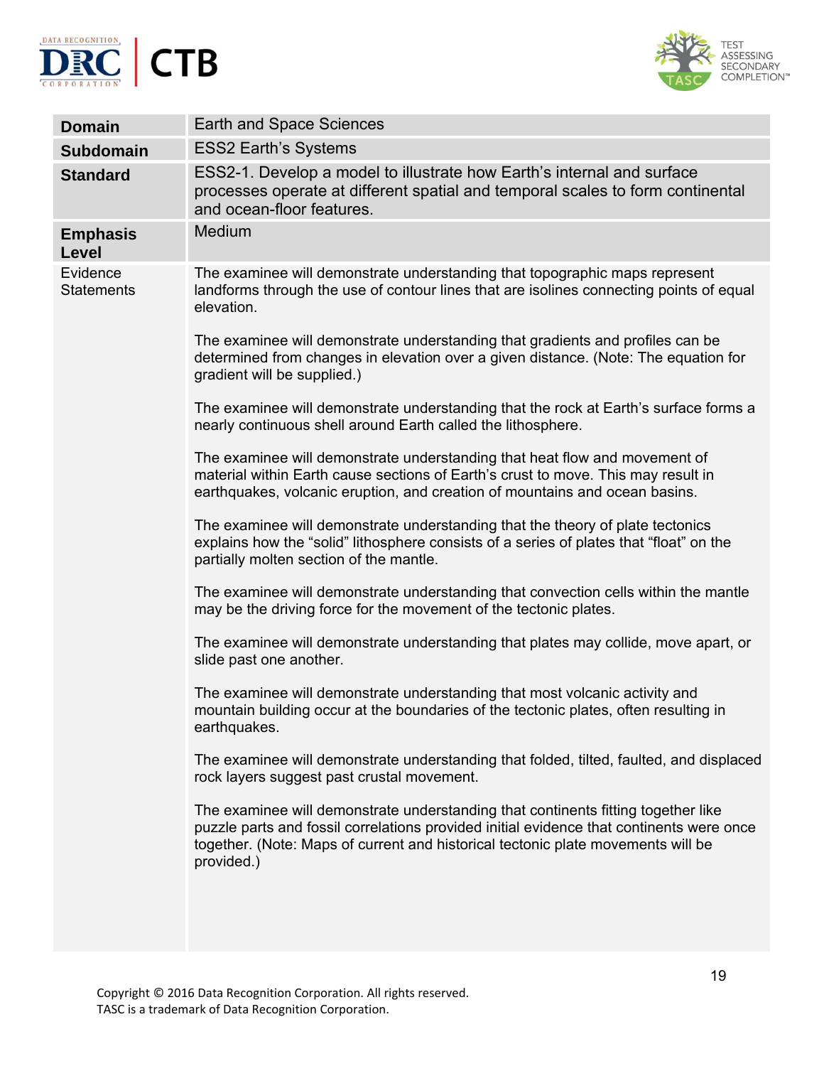



| <b>Domain</b>                 | Earth and Space Sciences                                                                                                                                                                                                                                                        |
|-------------------------------|---------------------------------------------------------------------------------------------------------------------------------------------------------------------------------------------------------------------------------------------------------------------------------|
| <b>Subdomain</b>              | <b>ESS2 Earth's Systems</b>                                                                                                                                                                                                                                                     |
| <b>Standard</b>               | ESS2-1. Develop a model to illustrate how Earth's internal and surface<br>processes operate at different spatial and temporal scales to form continental<br>and ocean-floor features.                                                                                           |
| <b>Emphasis</b><br>Level      | Medium                                                                                                                                                                                                                                                                          |
| Evidence<br><b>Statements</b> | The examinee will demonstrate understanding that topographic maps represent<br>landforms through the use of contour lines that are isolines connecting points of equal<br>elevation.                                                                                            |
|                               | The examinee will demonstrate understanding that gradients and profiles can be<br>determined from changes in elevation over a given distance. (Note: The equation for<br>gradient will be supplied.)                                                                            |
|                               | The examinee will demonstrate understanding that the rock at Earth's surface forms a<br>nearly continuous shell around Earth called the lithosphere.                                                                                                                            |
|                               | The examinee will demonstrate understanding that heat flow and movement of<br>material within Earth cause sections of Earth's crust to move. This may result in<br>earthquakes, volcanic eruption, and creation of mountains and ocean basins.                                  |
|                               | The examinee will demonstrate understanding that the theory of plate tectonics<br>explains how the "solid" lithosphere consists of a series of plates that "float" on the<br>partially molten section of the mantle.                                                            |
|                               | The examinee will demonstrate understanding that convection cells within the mantle<br>may be the driving force for the movement of the tectonic plates.                                                                                                                        |
|                               | The examinee will demonstrate understanding that plates may collide, move apart, or<br>slide past one another.                                                                                                                                                                  |
|                               | The examinee will demonstrate understanding that most volcanic activity and<br>mountain building occur at the boundaries of the tectonic plates, often resulting in<br>earthquakes.                                                                                             |
|                               | The examinee will demonstrate understanding that folded, tilted, faulted, and displaced<br>rock layers suggest past crustal movement.                                                                                                                                           |
|                               | The examinee will demonstrate understanding that continents fitting together like<br>puzzle parts and fossil correlations provided initial evidence that continents were once<br>together. (Note: Maps of current and historical tectonic plate movements will be<br>provided.) |
|                               |                                                                                                                                                                                                                                                                                 |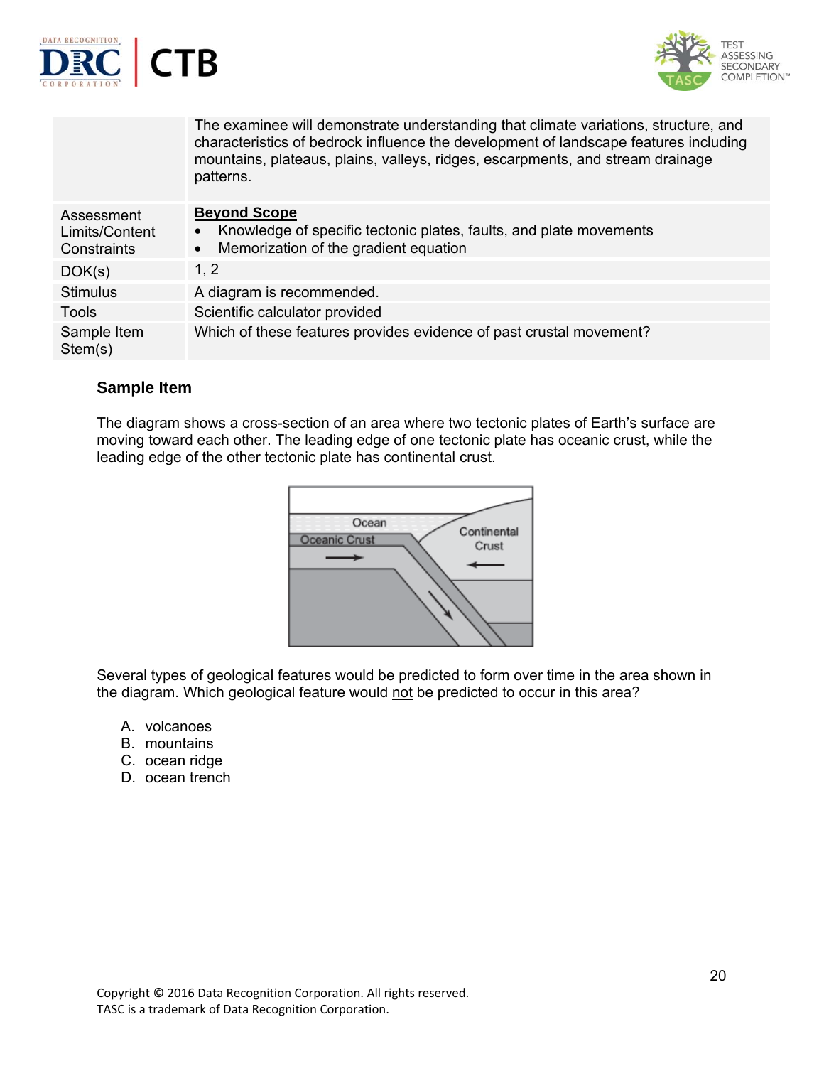



|                                             | The examinee will demonstrate understanding that climate variations, structure, and<br>characteristics of bedrock influence the development of landscape features including<br>mountains, plateaus, plains, valleys, ridges, escarpments, and stream drainage<br>patterns. |
|---------------------------------------------|----------------------------------------------------------------------------------------------------------------------------------------------------------------------------------------------------------------------------------------------------------------------------|
| Assessment<br>Limits/Content<br>Constraints | <b>Beyond Scope</b><br>Knowledge of specific tectonic plates, faults, and plate movements<br>Memorization of the gradient equation<br>$\bullet$                                                                                                                            |
| DOK(s)                                      | 1, 2                                                                                                                                                                                                                                                                       |
| <b>Stimulus</b>                             | A diagram is recommended.                                                                                                                                                                                                                                                  |
| <b>Tools</b>                                | Scientific calculator provided                                                                                                                                                                                                                                             |
| Sample Item<br>Stem(s)                      | Which of these features provides evidence of past crustal movement?                                                                                                                                                                                                        |

## **Sample Item**

The diagram shows a cross-section of an area where two tectonic plates of Earth's surface are moving toward each other. The leading edge of one tectonic plate has oceanic crust, while the leading edge of the other tectonic plate has continental crust.



Several types of geological features would be predicted to form over time in the area shown in the diagram. Which geological feature would not be predicted to occur in this area?

- A. volcanoes
- B. mountains
- C. ocean ridge
- D. ocean trench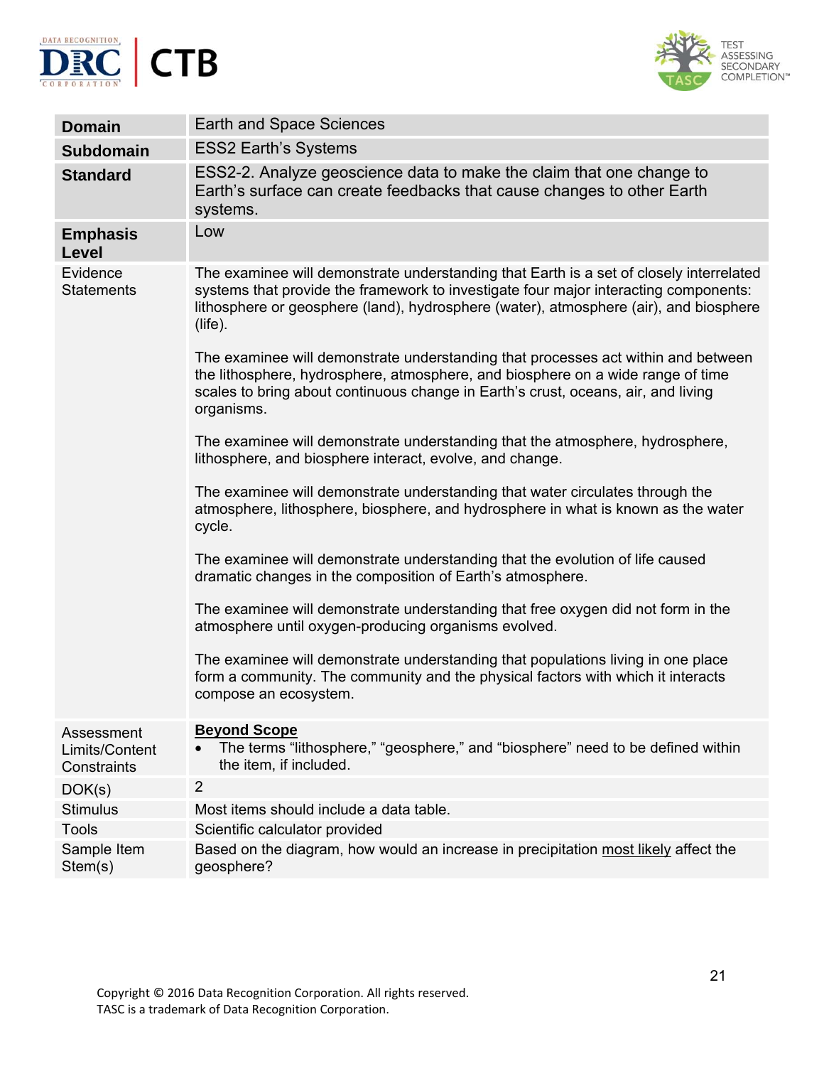



| <b>Domain</b>                               | <b>Earth and Space Sciences</b>                                                                                                                                                                                                                                                        |
|---------------------------------------------|----------------------------------------------------------------------------------------------------------------------------------------------------------------------------------------------------------------------------------------------------------------------------------------|
| <b>Subdomain</b>                            | <b>ESS2 Earth's Systems</b>                                                                                                                                                                                                                                                            |
| <b>Standard</b>                             | ESS2-2. Analyze geoscience data to make the claim that one change to<br>Earth's surface can create feedbacks that cause changes to other Earth<br>systems.                                                                                                                             |
| <b>Emphasis</b><br>Level                    | Low                                                                                                                                                                                                                                                                                    |
| Evidence<br><b>Statements</b>               | The examinee will demonstrate understanding that Earth is a set of closely interrelated<br>systems that provide the framework to investigate four major interacting components:<br>lithosphere or geosphere (land), hydrosphere (water), atmosphere (air), and biosphere<br>$(life)$ . |
|                                             | The examinee will demonstrate understanding that processes act within and between<br>the lithosphere, hydrosphere, atmosphere, and biosphere on a wide range of time<br>scales to bring about continuous change in Earth's crust, oceans, air, and living<br>organisms.                |
|                                             | The examinee will demonstrate understanding that the atmosphere, hydrosphere,<br>lithosphere, and biosphere interact, evolve, and change.                                                                                                                                              |
|                                             | The examinee will demonstrate understanding that water circulates through the<br>atmosphere, lithosphere, biosphere, and hydrosphere in what is known as the water<br>cycle.                                                                                                           |
|                                             | The examinee will demonstrate understanding that the evolution of life caused<br>dramatic changes in the composition of Earth's atmosphere.                                                                                                                                            |
|                                             | The examinee will demonstrate understanding that free oxygen did not form in the<br>atmosphere until oxygen-producing organisms evolved.                                                                                                                                               |
|                                             | The examinee will demonstrate understanding that populations living in one place<br>form a community. The community and the physical factors with which it interacts<br>compose an ecosystem.                                                                                          |
| Assessment<br>Limits/Content<br>Constraints | <b>Beyond Scope</b><br>The terms "lithosphere," "geosphere," and "biosphere" need to be defined within<br>the item, if included.                                                                                                                                                       |
| DOK(s)                                      | $\overline{2}$                                                                                                                                                                                                                                                                         |
| <b>Stimulus</b>                             | Most items should include a data table.                                                                                                                                                                                                                                                |
| <b>Tools</b>                                | Scientific calculator provided                                                                                                                                                                                                                                                         |
| Sample Item<br>Stem(s)                      | Based on the diagram, how would an increase in precipitation most likely affect the<br>geosphere?                                                                                                                                                                                      |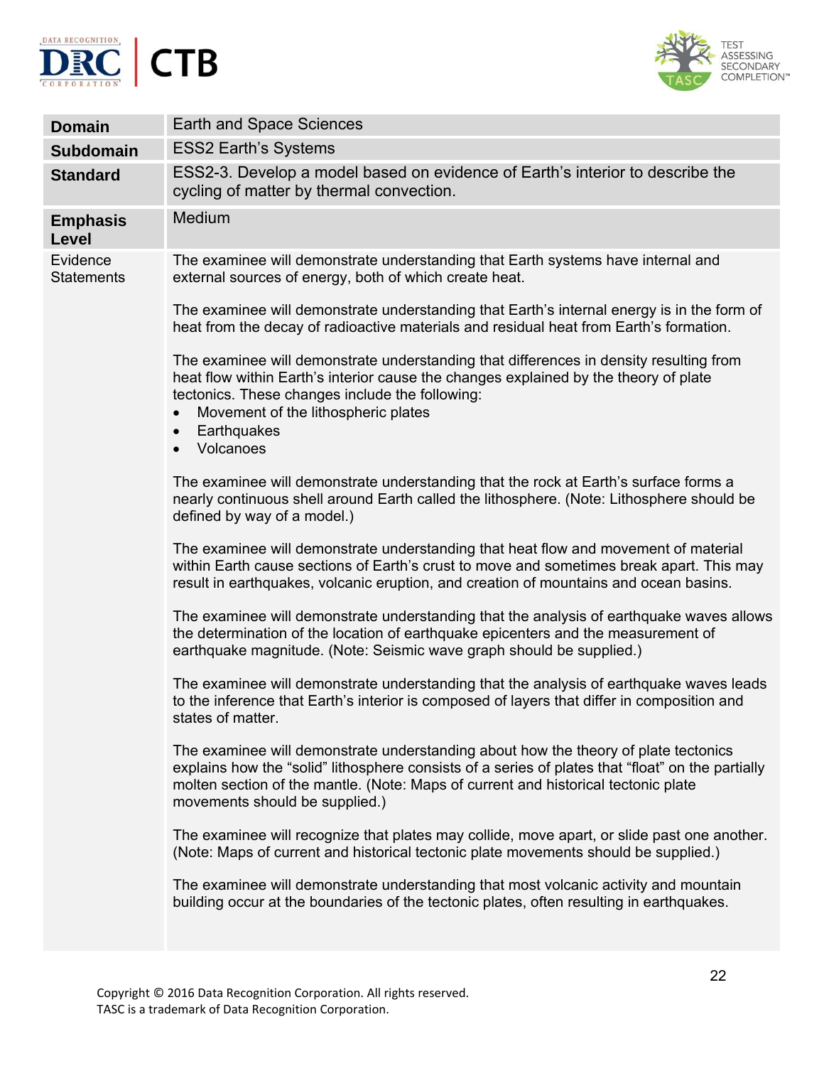



| <b>Domain</b>                 | Earth and Space Sciences                                                                                                                                                                                                                                                                                          |
|-------------------------------|-------------------------------------------------------------------------------------------------------------------------------------------------------------------------------------------------------------------------------------------------------------------------------------------------------------------|
| <b>Subdomain</b>              | <b>ESS2 Earth's Systems</b>                                                                                                                                                                                                                                                                                       |
| <b>Standard</b>               | ESS2-3. Develop a model based on evidence of Earth's interior to describe the<br>cycling of matter by thermal convection.                                                                                                                                                                                         |
| <b>Emphasis</b><br>Level      | Medium                                                                                                                                                                                                                                                                                                            |
| Evidence<br><b>Statements</b> | The examinee will demonstrate understanding that Earth systems have internal and<br>external sources of energy, both of which create heat.                                                                                                                                                                        |
|                               | The examinee will demonstrate understanding that Earth's internal energy is in the form of<br>heat from the decay of radioactive materials and residual heat from Earth's formation.                                                                                                                              |
|                               | The examinee will demonstrate understanding that differences in density resulting from<br>heat flow within Earth's interior cause the changes explained by the theory of plate<br>tectonics. These changes include the following:<br>Movement of the lithospheric plates<br>Earthquakes<br>$\bullet$<br>Volcanoes |
|                               | The examinee will demonstrate understanding that the rock at Earth's surface forms a<br>nearly continuous shell around Earth called the lithosphere. (Note: Lithosphere should be<br>defined by way of a model.)                                                                                                  |
|                               | The examinee will demonstrate understanding that heat flow and movement of material<br>within Earth cause sections of Earth's crust to move and sometimes break apart. This may<br>result in earthquakes, volcanic eruption, and creation of mountains and ocean basins.                                          |
|                               | The examinee will demonstrate understanding that the analysis of earthquake waves allows<br>the determination of the location of earthquake epicenters and the measurement of<br>earthquake magnitude. (Note: Seismic wave graph should be supplied.)                                                             |
|                               | The examinee will demonstrate understanding that the analysis of earthquake waves leads<br>to the inference that Earth's interior is composed of layers that differ in composition and<br>states of matter.                                                                                                       |
|                               | The examinee will demonstrate understanding about how the theory of plate tectonics<br>explains how the "solid" lithosphere consists of a series of plates that "float" on the partially<br>molten section of the mantle. (Note: Maps of current and historical tectonic plate<br>movements should be supplied.)  |
|                               | The examinee will recognize that plates may collide, move apart, or slide past one another.<br>(Note: Maps of current and historical tectonic plate movements should be supplied.)                                                                                                                                |
|                               | The examinee will demonstrate understanding that most volcanic activity and mountain<br>building occur at the boundaries of the tectonic plates, often resulting in earthquakes.                                                                                                                                  |
|                               |                                                                                                                                                                                                                                                                                                                   |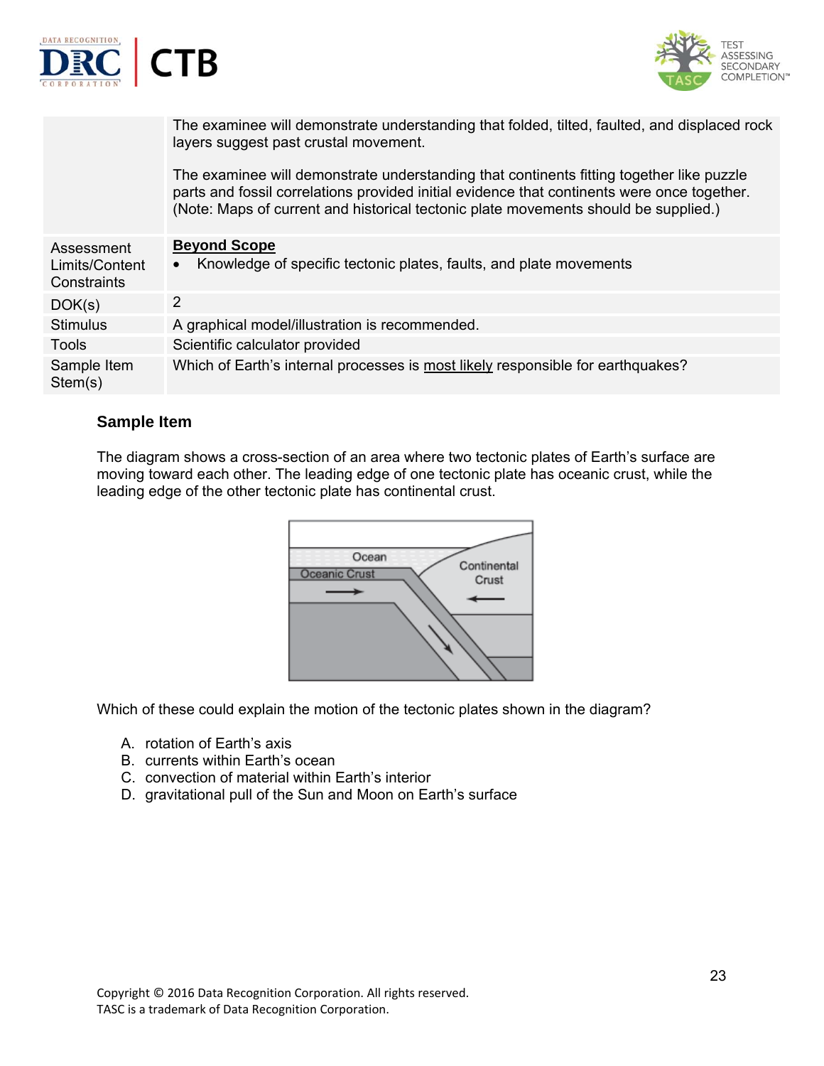



|                                             | The examinee will demonstrate understanding that folded, tilted, faulted, and displaced rock<br>layers suggest past crustal movement.                                                                                                                                          |
|---------------------------------------------|--------------------------------------------------------------------------------------------------------------------------------------------------------------------------------------------------------------------------------------------------------------------------------|
|                                             | The examinee will demonstrate understanding that continents fitting together like puzzle<br>parts and fossil correlations provided initial evidence that continents were once together.<br>(Note: Maps of current and historical tectonic plate movements should be supplied.) |
| Assessment<br>Limits/Content<br>Constraints | <b>Beyond Scope</b><br>Knowledge of specific tectonic plates, faults, and plate movements<br>$\bullet$                                                                                                                                                                         |
| DOK(s)                                      | 2                                                                                                                                                                                                                                                                              |
| <b>Stimulus</b>                             | A graphical model/illustration is recommended.                                                                                                                                                                                                                                 |
| <b>Tools</b>                                | Scientific calculator provided                                                                                                                                                                                                                                                 |
| Sample Item<br>Stem(s)                      | Which of Earth's internal processes is most likely responsible for earthquakes?                                                                                                                                                                                                |

## **Sample Item**

The diagram shows a cross-section of an area where two tectonic plates of Earth's surface are moving toward each other. The leading edge of one tectonic plate has oceanic crust, while the leading edge of the other tectonic plate has continental crust.



Which of these could explain the motion of the tectonic plates shown in the diagram?

- A. rotation of Earth's axis
- B. currents within Earth's ocean
- C. convection of material within Earth's interior
- D. gravitational pull of the Sun and Moon on Earth's surface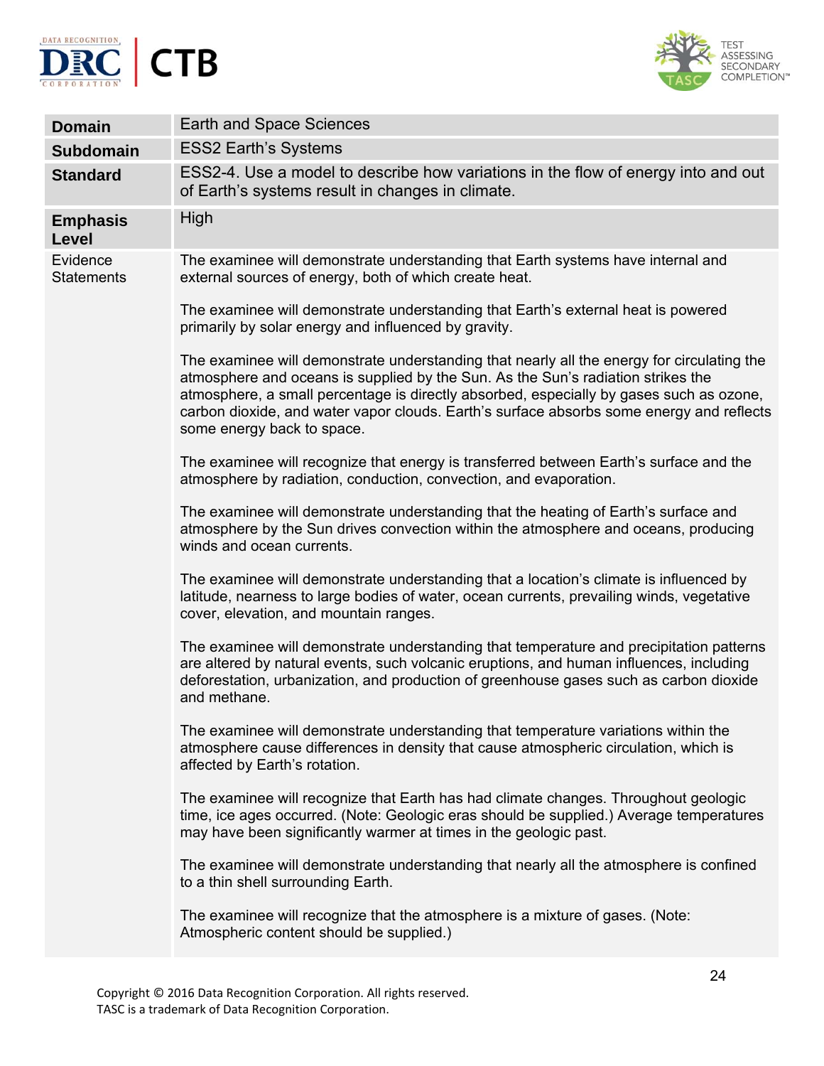



| <b>Domain</b>                 | <b>Earth and Space Sciences</b>                                                                                                                                                                                                                                                                                                                                                                     |
|-------------------------------|-----------------------------------------------------------------------------------------------------------------------------------------------------------------------------------------------------------------------------------------------------------------------------------------------------------------------------------------------------------------------------------------------------|
| <b>Subdomain</b>              | <b>ESS2 Earth's Systems</b>                                                                                                                                                                                                                                                                                                                                                                         |
| <b>Standard</b>               | ESS2-4. Use a model to describe how variations in the flow of energy into and out<br>of Earth's systems result in changes in climate.                                                                                                                                                                                                                                                               |
| <b>Emphasis</b><br>Level      | High                                                                                                                                                                                                                                                                                                                                                                                                |
| Evidence<br><b>Statements</b> | The examinee will demonstrate understanding that Earth systems have internal and<br>external sources of energy, both of which create heat.                                                                                                                                                                                                                                                          |
|                               | The examinee will demonstrate understanding that Earth's external heat is powered<br>primarily by solar energy and influenced by gravity.                                                                                                                                                                                                                                                           |
|                               | The examinee will demonstrate understanding that nearly all the energy for circulating the<br>atmosphere and oceans is supplied by the Sun. As the Sun's radiation strikes the<br>atmosphere, a small percentage is directly absorbed, especially by gases such as ozone,<br>carbon dioxide, and water vapor clouds. Earth's surface absorbs some energy and reflects<br>some energy back to space. |
|                               | The examinee will recognize that energy is transferred between Earth's surface and the<br>atmosphere by radiation, conduction, convection, and evaporation.                                                                                                                                                                                                                                         |
|                               | The examinee will demonstrate understanding that the heating of Earth's surface and<br>atmosphere by the Sun drives convection within the atmosphere and oceans, producing<br>winds and ocean currents.                                                                                                                                                                                             |
|                               | The examinee will demonstrate understanding that a location's climate is influenced by<br>latitude, nearness to large bodies of water, ocean currents, prevailing winds, vegetative<br>cover, elevation, and mountain ranges.                                                                                                                                                                       |
|                               | The examinee will demonstrate understanding that temperature and precipitation patterns<br>are altered by natural events, such volcanic eruptions, and human influences, including<br>deforestation, urbanization, and production of greenhouse gases such as carbon dioxide<br>and methane.                                                                                                        |
|                               | The examinee will demonstrate understanding that temperature variations within the<br>atmosphere cause differences in density that cause atmospheric circulation, which is<br>affected by Earth's rotation.                                                                                                                                                                                         |
|                               | The examinee will recognize that Earth has had climate changes. Throughout geologic<br>time, ice ages occurred. (Note: Geologic eras should be supplied.) Average temperatures<br>may have been significantly warmer at times in the geologic past.                                                                                                                                                 |
|                               | The examinee will demonstrate understanding that nearly all the atmosphere is confined<br>to a thin shell surrounding Earth.                                                                                                                                                                                                                                                                        |
|                               | The examinee will recognize that the atmosphere is a mixture of gases. (Note:<br>Atmospheric content should be supplied.)                                                                                                                                                                                                                                                                           |
|                               | O <sub>A</sub>                                                                                                                                                                                                                                                                                                                                                                                      |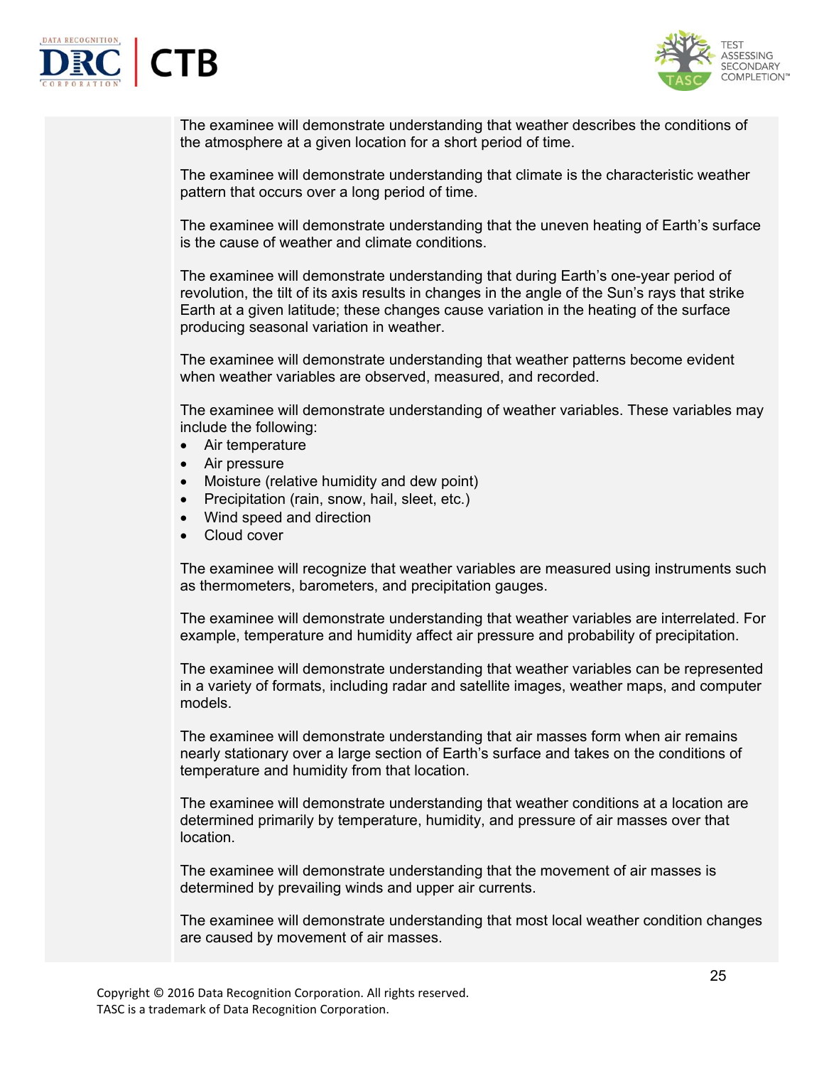



The examinee will demonstrate understanding that weather describes the conditions of the atmosphere at a given location for a short period of time.

The examinee will demonstrate understanding that climate is the characteristic weather pattern that occurs over a long period of time.

The examinee will demonstrate understanding that the uneven heating of Earth's surface is the cause of weather and climate conditions.

The examinee will demonstrate understanding that during Earth's one-year period of revolution, the tilt of its axis results in changes in the angle of the Sun's rays that strike Earth at a given latitude; these changes cause variation in the heating of the surface producing seasonal variation in weather.

The examinee will demonstrate understanding that weather patterns become evident when weather variables are observed, measured, and recorded.

The examinee will demonstrate understanding of weather variables. These variables may include the following:

- Air temperature
- Air pressure
- Moisture (relative humidity and dew point)
- Precipitation (rain, snow, hail, sleet, etc.)
- Wind speed and direction
- Cloud cover

The examinee will recognize that weather variables are measured using instruments such as thermometers, barometers, and precipitation gauges.

The examinee will demonstrate understanding that weather variables are interrelated. For example, temperature and humidity affect air pressure and probability of precipitation.

The examinee will demonstrate understanding that weather variables can be represented in a variety of formats, including radar and satellite images, weather maps, and computer models.

The examinee will demonstrate understanding that air masses form when air remains nearly stationary over a large section of Earth's surface and takes on the conditions of temperature and humidity from that location.

The examinee will demonstrate understanding that weather conditions at a location are determined primarily by temperature, humidity, and pressure of air masses over that location.

The examinee will demonstrate understanding that the movement of air masses is determined by prevailing winds and upper air currents.

The examinee will demonstrate understanding that most local weather condition changes are caused by movement of air masses.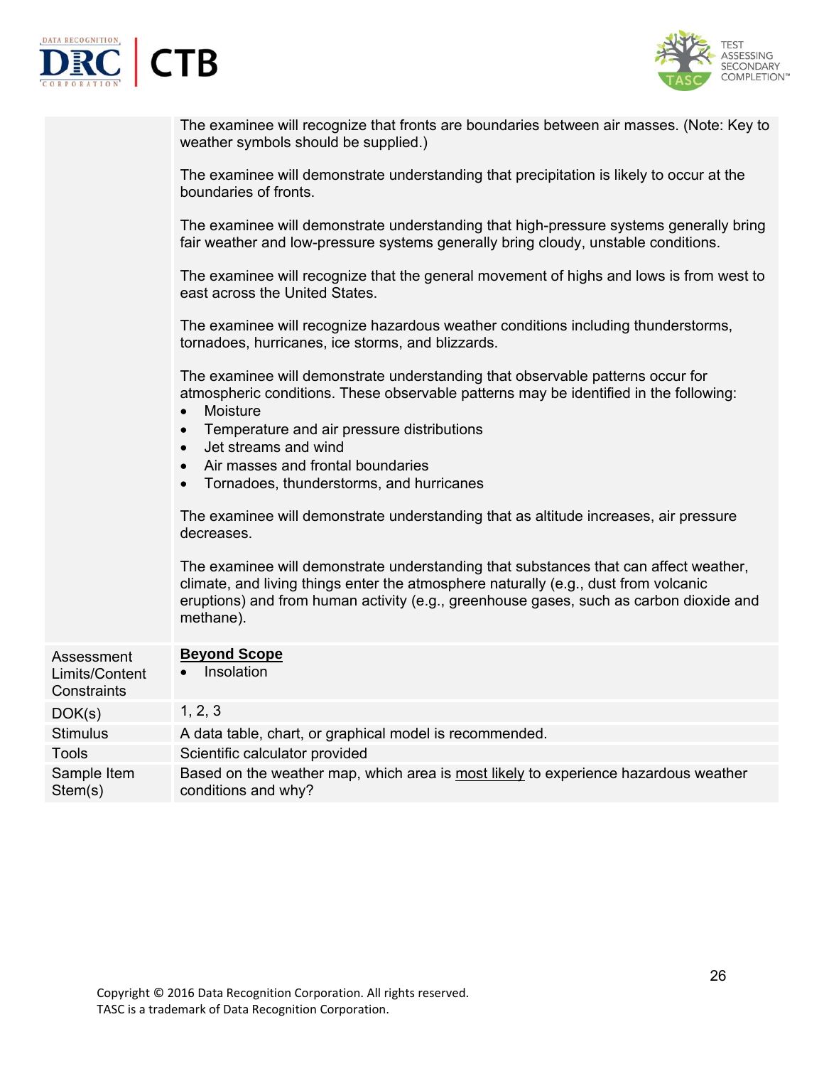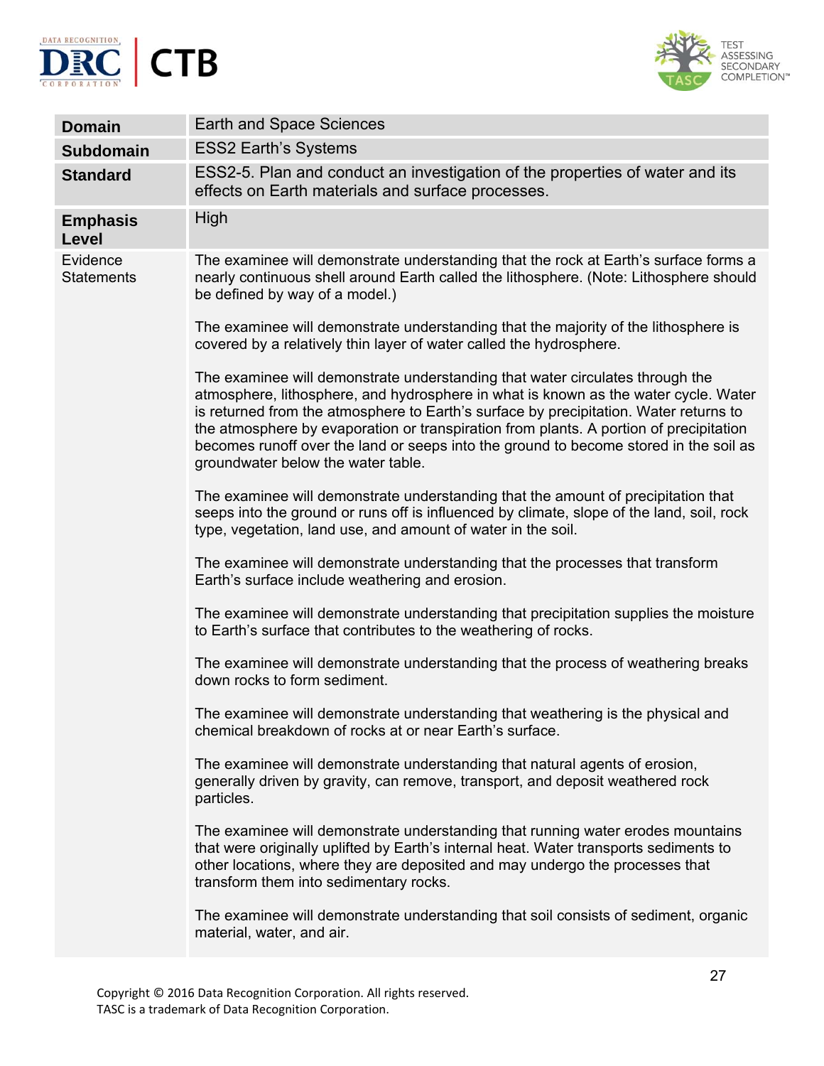



| <b>Domain</b>                 | Earth and Space Sciences                                                                                                                                                                                                                                                                                                                                                                                                                                                               |
|-------------------------------|----------------------------------------------------------------------------------------------------------------------------------------------------------------------------------------------------------------------------------------------------------------------------------------------------------------------------------------------------------------------------------------------------------------------------------------------------------------------------------------|
| <b>Subdomain</b>              | <b>ESS2 Earth's Systems</b>                                                                                                                                                                                                                                                                                                                                                                                                                                                            |
| <b>Standard</b>               | ESS2-5. Plan and conduct an investigation of the properties of water and its<br>effects on Earth materials and surface processes.                                                                                                                                                                                                                                                                                                                                                      |
| <b>Emphasis</b><br>Level      | High                                                                                                                                                                                                                                                                                                                                                                                                                                                                                   |
| Evidence<br><b>Statements</b> | The examinee will demonstrate understanding that the rock at Earth's surface forms a<br>nearly continuous shell around Earth called the lithosphere. (Note: Lithosphere should<br>be defined by way of a model.)                                                                                                                                                                                                                                                                       |
|                               | The examinee will demonstrate understanding that the majority of the lithosphere is<br>covered by a relatively thin layer of water called the hydrosphere.                                                                                                                                                                                                                                                                                                                             |
|                               | The examinee will demonstrate understanding that water circulates through the<br>atmosphere, lithosphere, and hydrosphere in what is known as the water cycle. Water<br>is returned from the atmosphere to Earth's surface by precipitation. Water returns to<br>the atmosphere by evaporation or transpiration from plants. A portion of precipitation<br>becomes runoff over the land or seeps into the ground to become stored in the soil as<br>groundwater below the water table. |
|                               | The examinee will demonstrate understanding that the amount of precipitation that<br>seeps into the ground or runs off is influenced by climate, slope of the land, soil, rock<br>type, vegetation, land use, and amount of water in the soil.                                                                                                                                                                                                                                         |
|                               | The examinee will demonstrate understanding that the processes that transform<br>Earth's surface include weathering and erosion.                                                                                                                                                                                                                                                                                                                                                       |
|                               | The examinee will demonstrate understanding that precipitation supplies the moisture<br>to Earth's surface that contributes to the weathering of rocks.                                                                                                                                                                                                                                                                                                                                |
|                               | The examinee will demonstrate understanding that the process of weathering breaks<br>down rocks to form sediment.                                                                                                                                                                                                                                                                                                                                                                      |
|                               | The examinee will demonstrate understanding that weathering is the physical and<br>chemical breakdown of rocks at or near Earth's surface.                                                                                                                                                                                                                                                                                                                                             |
|                               | The examinee will demonstrate understanding that natural agents of erosion,<br>generally driven by gravity, can remove, transport, and deposit weathered rock<br>particles.                                                                                                                                                                                                                                                                                                            |
|                               | The examinee will demonstrate understanding that running water erodes mountains<br>that were originally uplifted by Earth's internal heat. Water transports sediments to<br>other locations, where they are deposited and may undergo the processes that<br>transform them into sedimentary rocks.                                                                                                                                                                                     |
|                               | The examinee will demonstrate understanding that soil consists of sediment, organic<br>material, water, and air.                                                                                                                                                                                                                                                                                                                                                                       |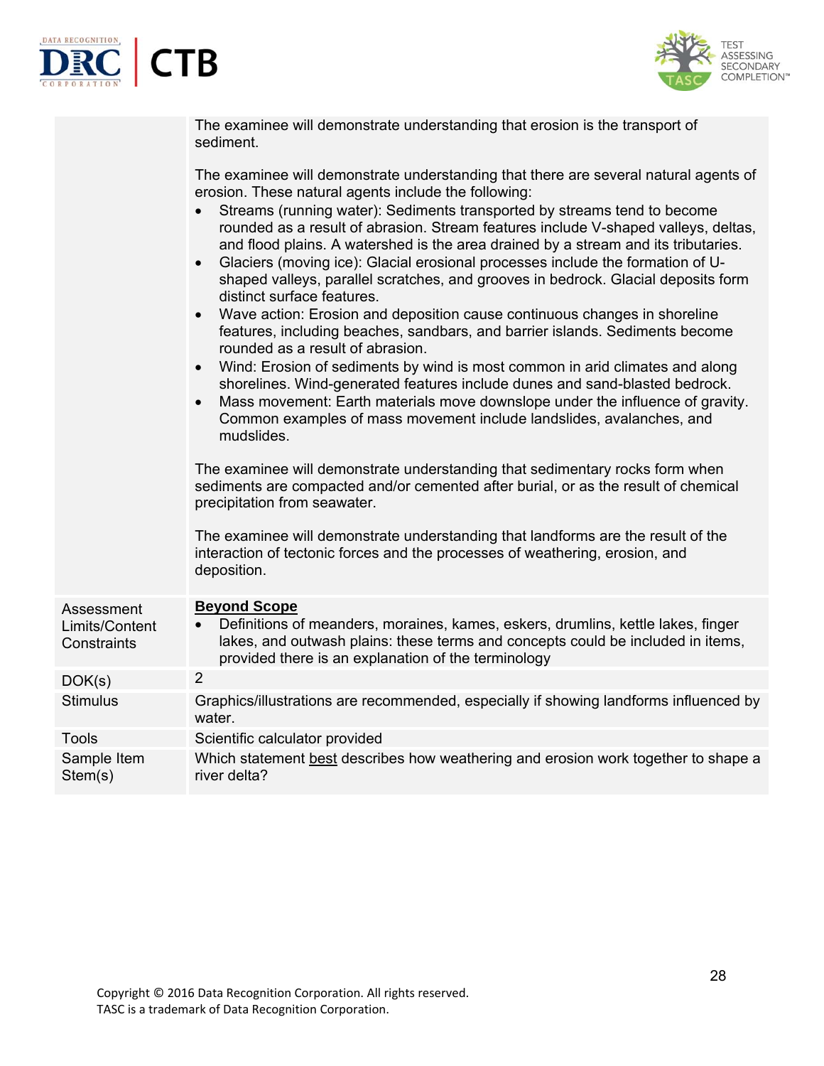



|                                             | The examinee will demonstrate understanding that erosion is the transport of<br>sediment.                                                                                                                                                                                                                                                                                                                                                                                                                                                                        |
|---------------------------------------------|------------------------------------------------------------------------------------------------------------------------------------------------------------------------------------------------------------------------------------------------------------------------------------------------------------------------------------------------------------------------------------------------------------------------------------------------------------------------------------------------------------------------------------------------------------------|
|                                             | The examinee will demonstrate understanding that there are several natural agents of<br>erosion. These natural agents include the following:                                                                                                                                                                                                                                                                                                                                                                                                                     |
|                                             | Streams (running water): Sediments transported by streams tend to become<br>rounded as a result of abrasion. Stream features include V-shaped valleys, deltas,<br>and flood plains. A watershed is the area drained by a stream and its tributaries.<br>Glaciers (moving ice): Glacial erosional processes include the formation of U-<br>$\bullet$<br>shaped valleys, parallel scratches, and grooves in bedrock. Glacial deposits form<br>distinct surface features.<br>Wave action: Erosion and deposition cause continuous changes in shoreline<br>$\bullet$ |
|                                             | features, including beaches, sandbars, and barrier islands. Sediments become<br>rounded as a result of abrasion.                                                                                                                                                                                                                                                                                                                                                                                                                                                 |
|                                             | Wind: Erosion of sediments by wind is most common in arid climates and along<br>$\bullet$<br>shorelines. Wind-generated features include dunes and sand-blasted bedrock.<br>Mass movement: Earth materials move downslope under the influence of gravity.<br>$\bullet$<br>Common examples of mass movement include landslides, avalanches, and<br>mudslides.                                                                                                                                                                                                     |
|                                             | The examinee will demonstrate understanding that sedimentary rocks form when<br>sediments are compacted and/or cemented after burial, or as the result of chemical<br>precipitation from seawater.                                                                                                                                                                                                                                                                                                                                                               |
|                                             | The examinee will demonstrate understanding that landforms are the result of the<br>interaction of tectonic forces and the processes of weathering, erosion, and<br>deposition.                                                                                                                                                                                                                                                                                                                                                                                  |
| Assessment<br>Limits/Content<br>Constraints | <b>Beyond Scope</b><br>Definitions of meanders, moraines, kames, eskers, drumlins, kettle lakes, finger<br>lakes, and outwash plains: these terms and concepts could be included in items,<br>provided there is an explanation of the terminology                                                                                                                                                                                                                                                                                                                |
| DOK(s)                                      | $\overline{2}$                                                                                                                                                                                                                                                                                                                                                                                                                                                                                                                                                   |
| <b>Stimulus</b>                             | Graphics/illustrations are recommended, especially if showing landforms influenced by<br>water.                                                                                                                                                                                                                                                                                                                                                                                                                                                                  |
| <b>Tools</b>                                | Scientific calculator provided                                                                                                                                                                                                                                                                                                                                                                                                                                                                                                                                   |
| Sample Item<br>Stem(s)                      | Which statement best describes how weathering and erosion work together to shape a<br>river delta?                                                                                                                                                                                                                                                                                                                                                                                                                                                               |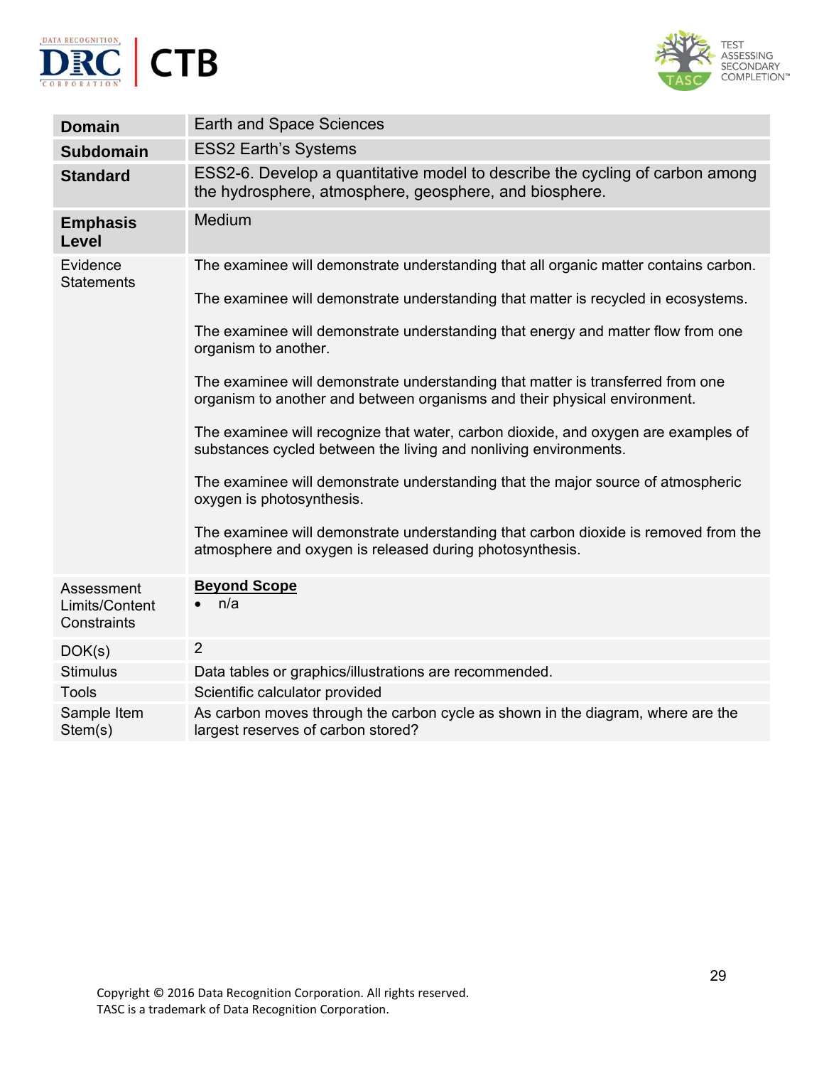



| <b>Domain</b>                               | <b>Earth and Space Sciences</b>                                                                                                                              |
|---------------------------------------------|--------------------------------------------------------------------------------------------------------------------------------------------------------------|
| <b>Subdomain</b>                            | <b>ESS2 Earth's Systems</b>                                                                                                                                  |
| <b>Standard</b>                             | ESS2-6. Develop a quantitative model to describe the cycling of carbon among<br>the hydrosphere, atmosphere, geosphere, and biosphere.                       |
| <b>Emphasis</b><br>Level                    | Medium                                                                                                                                                       |
| Evidence                                    | The examinee will demonstrate understanding that all organic matter contains carbon.                                                                         |
| <b>Statements</b>                           | The examinee will demonstrate understanding that matter is recycled in ecosystems.                                                                           |
|                                             | The examinee will demonstrate understanding that energy and matter flow from one<br>organism to another.                                                     |
|                                             | The examinee will demonstrate understanding that matter is transferred from one<br>organism to another and between organisms and their physical environment. |
|                                             | The examinee will recognize that water, carbon dioxide, and oxygen are examples of<br>substances cycled between the living and nonliving environments.       |
|                                             | The examinee will demonstrate understanding that the major source of atmospheric<br>oxygen is photosynthesis.                                                |
|                                             | The examinee will demonstrate understanding that carbon dioxide is removed from the<br>atmosphere and oxygen is released during photosynthesis.              |
| Assessment<br>Limits/Content<br>Constraints | <b>Beyond Scope</b><br>n/a                                                                                                                                   |
| DOK(s)                                      | $\overline{2}$                                                                                                                                               |
| <b>Stimulus</b>                             | Data tables or graphics/illustrations are recommended.                                                                                                       |
| <b>Tools</b>                                | Scientific calculator provided                                                                                                                               |
| Sample Item<br>Stem(s)                      | As carbon moves through the carbon cycle as shown in the diagram, where are the<br>largest reserves of carbon stored?                                        |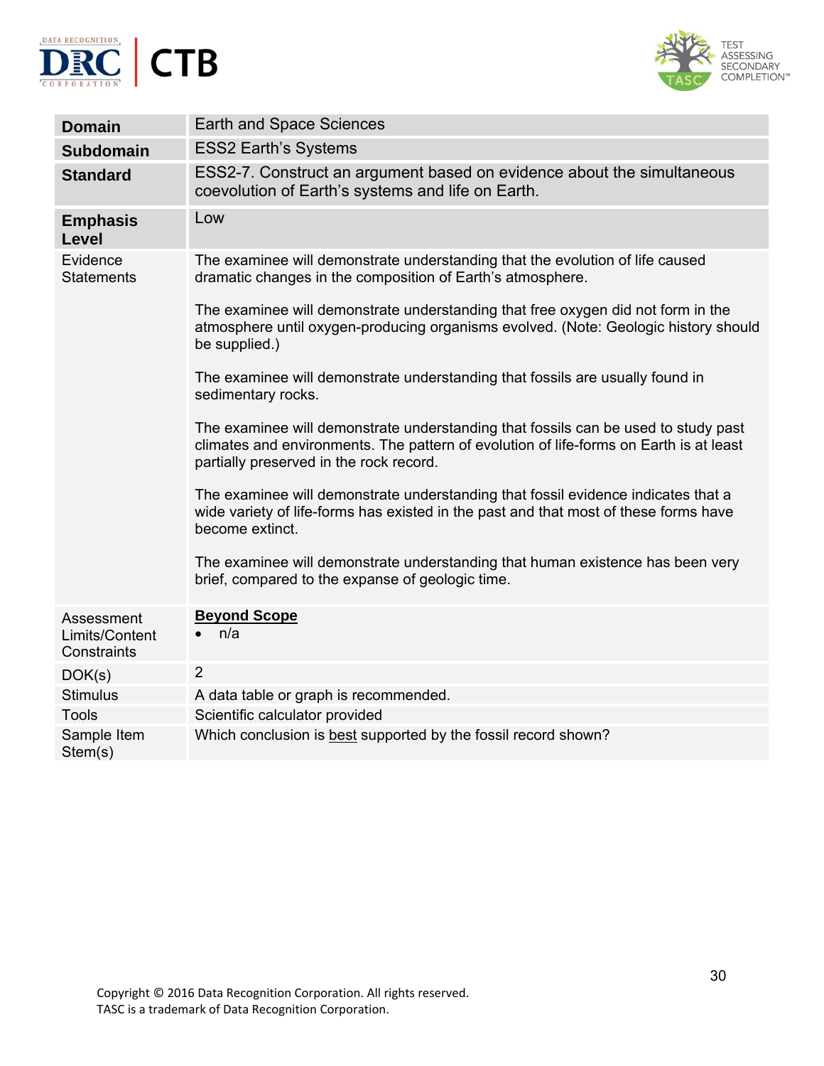



| <b>Domain</b>                               | <b>Earth and Space Sciences</b>                                                                                                                                                                                         |
|---------------------------------------------|-------------------------------------------------------------------------------------------------------------------------------------------------------------------------------------------------------------------------|
| <b>Subdomain</b>                            | <b>ESS2 Earth's Systems</b>                                                                                                                                                                                             |
| <b>Standard</b>                             | ESS2-7. Construct an argument based on evidence about the simultaneous<br>coevolution of Earth's systems and life on Earth.                                                                                             |
| <b>Emphasis</b><br>Level                    | Low                                                                                                                                                                                                                     |
| Evidence<br><b>Statements</b>               | The examinee will demonstrate understanding that the evolution of life caused<br>dramatic changes in the composition of Earth's atmosphere.                                                                             |
|                                             | The examinee will demonstrate understanding that free oxygen did not form in the<br>atmosphere until oxygen-producing organisms evolved. (Note: Geologic history should<br>be supplied.)                                |
|                                             | The examinee will demonstrate understanding that fossils are usually found in<br>sedimentary rocks.                                                                                                                     |
|                                             | The examinee will demonstrate understanding that fossils can be used to study past<br>climates and environments. The pattern of evolution of life-forms on Earth is at least<br>partially preserved in the rock record. |
|                                             | The examinee will demonstrate understanding that fossil evidence indicates that a<br>wide variety of life-forms has existed in the past and that most of these forms have<br>become extinct.                            |
|                                             | The examinee will demonstrate understanding that human existence has been very<br>brief, compared to the expanse of geologic time.                                                                                      |
| Assessment<br>Limits/Content<br>Constraints | <b>Beyond Scope</b><br>n/a                                                                                                                                                                                              |
| DOK(s)                                      | $\overline{2}$                                                                                                                                                                                                          |
| <b>Stimulus</b>                             | A data table or graph is recommended.                                                                                                                                                                                   |
| <b>Tools</b>                                | Scientific calculator provided                                                                                                                                                                                          |
| Sample Item<br>Stem(s)                      | Which conclusion is best supported by the fossil record shown?                                                                                                                                                          |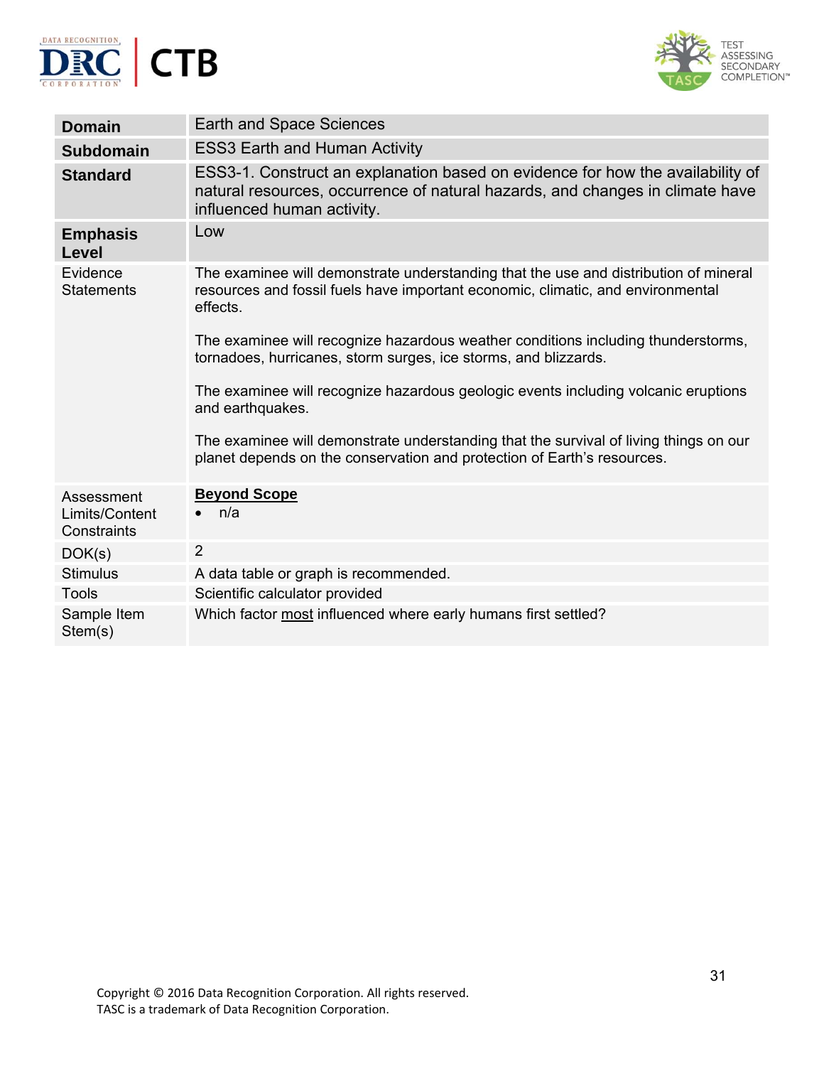



| <b>Domain</b>                               | Earth and Space Sciences                                                                                                                                                                      |
|---------------------------------------------|-----------------------------------------------------------------------------------------------------------------------------------------------------------------------------------------------|
| <b>Subdomain</b>                            | <b>ESS3 Earth and Human Activity</b>                                                                                                                                                          |
| <b>Standard</b>                             | ESS3-1. Construct an explanation based on evidence for how the availability of<br>natural resources, occurrence of natural hazards, and changes in climate have<br>influenced human activity. |
| <b>Emphasis</b><br><b>Level</b>             | Low                                                                                                                                                                                           |
| Evidence<br><b>Statements</b>               | The examinee will demonstrate understanding that the use and distribution of mineral<br>resources and fossil fuels have important economic, climatic, and environmental<br>effects.           |
|                                             | The examinee will recognize hazardous weather conditions including thunderstorms,<br>tornadoes, hurricanes, storm surges, ice storms, and blizzards.                                          |
|                                             | The examinee will recognize hazardous geologic events including volcanic eruptions<br>and earthquakes.                                                                                        |
|                                             | The examinee will demonstrate understanding that the survival of living things on our<br>planet depends on the conservation and protection of Earth's resources.                              |
| Assessment<br>Limits/Content<br>Constraints | <b>Beyond Scope</b><br>n/a                                                                                                                                                                    |
| DOK(s)                                      | $\overline{2}$                                                                                                                                                                                |
| <b>Stimulus</b>                             | A data table or graph is recommended.                                                                                                                                                         |
| <b>Tools</b>                                | Scientific calculator provided                                                                                                                                                                |
| Sample Item<br>Stem(s)                      | Which factor most influenced where early humans first settled?                                                                                                                                |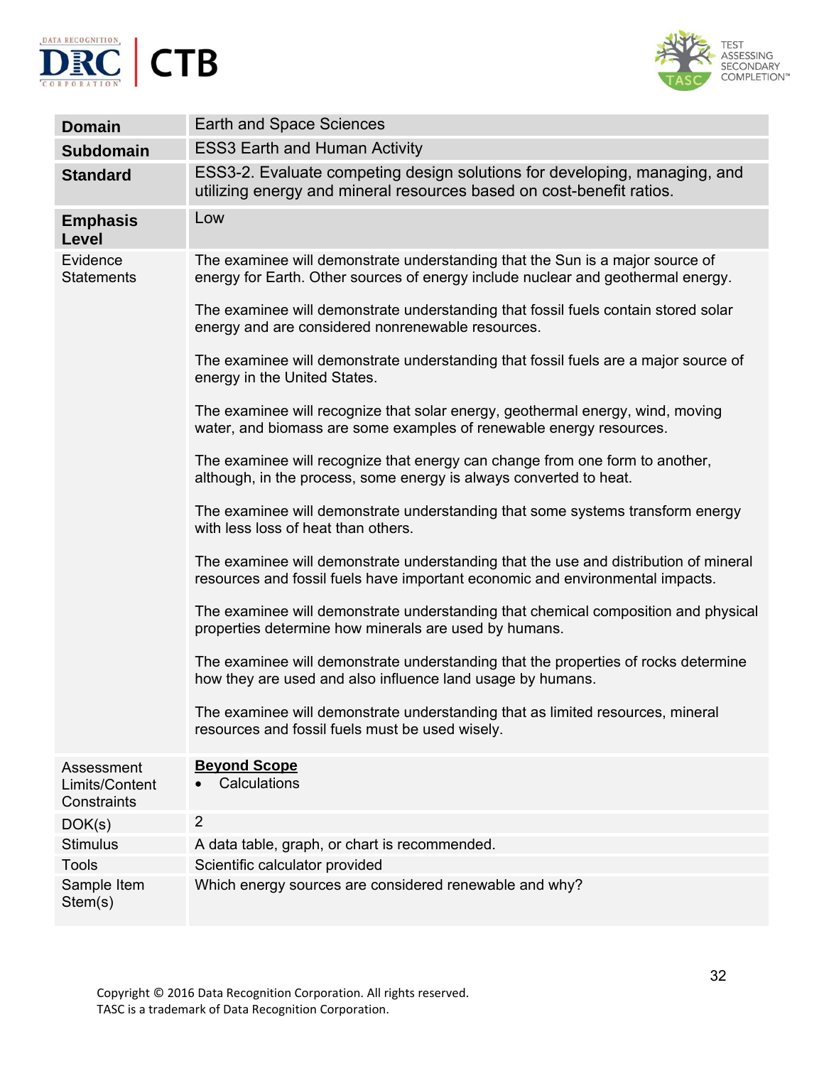



| <b>Domain</b>                               | <b>Earth and Space Sciences</b>                                                                                                                                       |
|---------------------------------------------|-----------------------------------------------------------------------------------------------------------------------------------------------------------------------|
| <b>Subdomain</b>                            | <b>ESS3 Earth and Human Activity</b>                                                                                                                                  |
| <b>Standard</b>                             | ESS3-2. Evaluate competing design solutions for developing, managing, and<br>utilizing energy and mineral resources based on cost-benefit ratios.                     |
| <b>Emphasis</b><br>Level                    | Low                                                                                                                                                                   |
| Evidence<br><b>Statements</b>               | The examinee will demonstrate understanding that the Sun is a major source of<br>energy for Earth. Other sources of energy include nuclear and geothermal energy.     |
|                                             | The examinee will demonstrate understanding that fossil fuels contain stored solar<br>energy and are considered nonrenewable resources.                               |
|                                             | The examinee will demonstrate understanding that fossil fuels are a major source of<br>energy in the United States.                                                   |
|                                             | The examinee will recognize that solar energy, geothermal energy, wind, moving<br>water, and biomass are some examples of renewable energy resources.                 |
|                                             | The examinee will recognize that energy can change from one form to another,<br>although, in the process, some energy is always converted to heat.                    |
|                                             | The examinee will demonstrate understanding that some systems transform energy<br>with less loss of heat than others.                                                 |
|                                             | The examinee will demonstrate understanding that the use and distribution of mineral<br>resources and fossil fuels have important economic and environmental impacts. |
|                                             | The examinee will demonstrate understanding that chemical composition and physical<br>properties determine how minerals are used by humans.                           |
|                                             | The examinee will demonstrate understanding that the properties of rocks determine<br>how they are used and also influence land usage by humans.                      |
|                                             | The examinee will demonstrate understanding that as limited resources, mineral<br>resources and fossil fuels must be used wisely.                                     |
| Assessment<br>Limits/Content<br>Constraints | <b>Beyond Scope</b><br>Calculations                                                                                                                                   |
| DOK(s)                                      | $\overline{2}$                                                                                                                                                        |
| <b>Stimulus</b>                             | A data table, graph, or chart is recommended.                                                                                                                         |
| <b>Tools</b>                                | Scientific calculator provided                                                                                                                                        |
| Sample Item<br>Stem(s)                      | Which energy sources are considered renewable and why?                                                                                                                |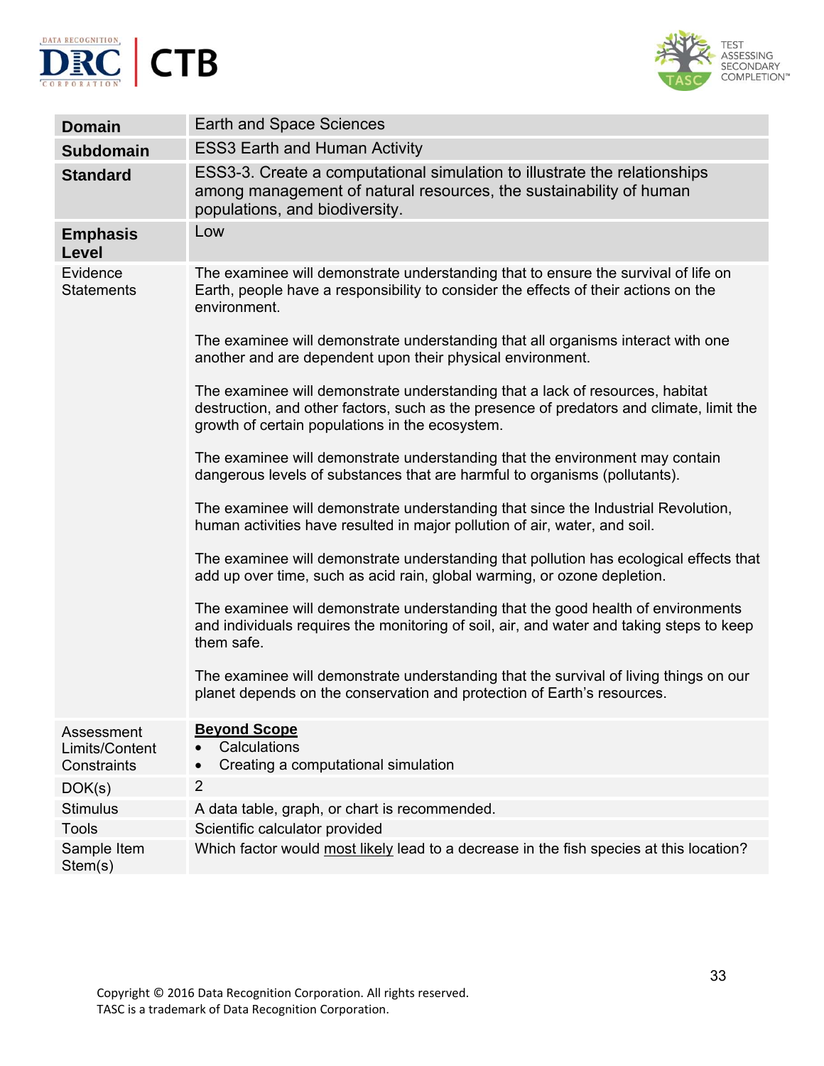



| <b>Domain</b>                               | <b>Earth and Space Sciences</b>                                                                                                                                                                                              |
|---------------------------------------------|------------------------------------------------------------------------------------------------------------------------------------------------------------------------------------------------------------------------------|
| <b>Subdomain</b>                            | <b>ESS3 Earth and Human Activity</b>                                                                                                                                                                                         |
| <b>Standard</b>                             | ESS3-3. Create a computational simulation to illustrate the relationships<br>among management of natural resources, the sustainability of human<br>populations, and biodiversity.                                            |
| <b>Emphasis</b><br>Level                    | Low                                                                                                                                                                                                                          |
| Evidence<br><b>Statements</b>               | The examinee will demonstrate understanding that to ensure the survival of life on<br>Earth, people have a responsibility to consider the effects of their actions on the<br>environment.                                    |
|                                             | The examinee will demonstrate understanding that all organisms interact with one<br>another and are dependent upon their physical environment.                                                                               |
|                                             | The examinee will demonstrate understanding that a lack of resources, habitat<br>destruction, and other factors, such as the presence of predators and climate, limit the<br>growth of certain populations in the ecosystem. |
|                                             | The examinee will demonstrate understanding that the environment may contain<br>dangerous levels of substances that are harmful to organisms (pollutants).                                                                   |
|                                             | The examinee will demonstrate understanding that since the Industrial Revolution,<br>human activities have resulted in major pollution of air, water, and soil.                                                              |
|                                             | The examinee will demonstrate understanding that pollution has ecological effects that<br>add up over time, such as acid rain, global warming, or ozone depletion.                                                           |
|                                             | The examinee will demonstrate understanding that the good health of environments<br>and individuals requires the monitoring of soil, air, and water and taking steps to keep<br>them safe.                                   |
|                                             | The examinee will demonstrate understanding that the survival of living things on our<br>planet depends on the conservation and protection of Earth's resources.                                                             |
| Assessment<br>Limits/Content<br>Constraints | <b>Beyond Scope</b><br>Calculations<br>$\bullet$<br>Creating a computational simulation<br>$\bullet$                                                                                                                         |
| DOK(s)                                      | $\overline{2}$                                                                                                                                                                                                               |
| <b>Stimulus</b>                             | A data table, graph, or chart is recommended.                                                                                                                                                                                |
| <b>Tools</b>                                | Scientific calculator provided                                                                                                                                                                                               |
| Sample Item<br>Stem(s)                      | Which factor would most likely lead to a decrease in the fish species at this location?                                                                                                                                      |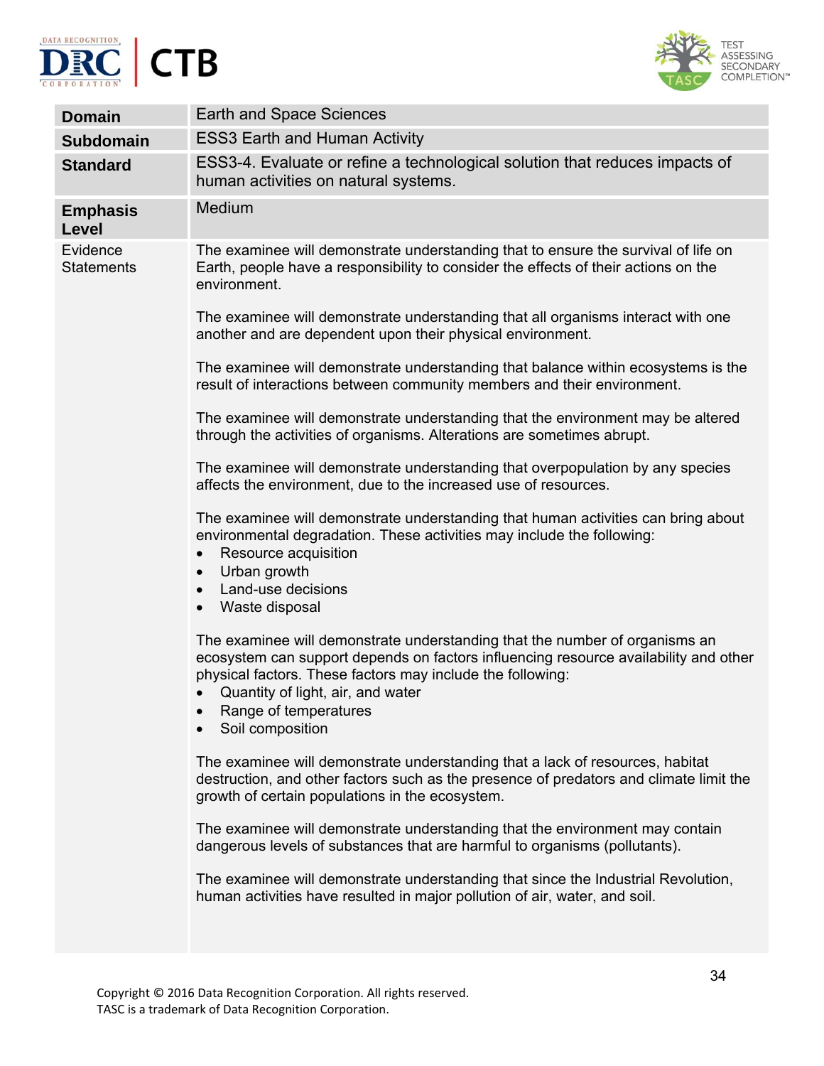



| <b>Domain</b>                 | <b>Earth and Space Sciences</b>                                                                                                                                                                                                                                                                                                                                                                                                                                                                                                                                                                                                                                                                                                                                                                                                                                                                                                                                                                                                   |
|-------------------------------|-----------------------------------------------------------------------------------------------------------------------------------------------------------------------------------------------------------------------------------------------------------------------------------------------------------------------------------------------------------------------------------------------------------------------------------------------------------------------------------------------------------------------------------------------------------------------------------------------------------------------------------------------------------------------------------------------------------------------------------------------------------------------------------------------------------------------------------------------------------------------------------------------------------------------------------------------------------------------------------------------------------------------------------|
| <b>Subdomain</b>              | <b>ESS3 Earth and Human Activity</b>                                                                                                                                                                                                                                                                                                                                                                                                                                                                                                                                                                                                                                                                                                                                                                                                                                                                                                                                                                                              |
| <b>Standard</b>               | ESS3-4. Evaluate or refine a technological solution that reduces impacts of<br>human activities on natural systems.                                                                                                                                                                                                                                                                                                                                                                                                                                                                                                                                                                                                                                                                                                                                                                                                                                                                                                               |
| <b>Emphasis</b><br>Level      | Medium                                                                                                                                                                                                                                                                                                                                                                                                                                                                                                                                                                                                                                                                                                                                                                                                                                                                                                                                                                                                                            |
| Evidence<br><b>Statements</b> | The examinee will demonstrate understanding that to ensure the survival of life on<br>Earth, people have a responsibility to consider the effects of their actions on the<br>environment.<br>The examinee will demonstrate understanding that all organisms interact with one<br>another and are dependent upon their physical environment.<br>The examinee will demonstrate understanding that balance within ecosystems is the<br>result of interactions between community members and their environment.<br>The examinee will demonstrate understanding that the environment may be altered<br>through the activities of organisms. Alterations are sometimes abrupt.<br>The examinee will demonstrate understanding that overpopulation by any species<br>affects the environment, due to the increased use of resources.<br>The examinee will demonstrate understanding that human activities can bring about<br>environmental degradation. These activities may include the following:<br>Resource acquisition<br>$\bullet$ |
|                               | Urban growth<br>$\bullet$<br>Land-use decisions<br>$\bullet$<br>Waste disposal<br>$\bullet$<br>The examinee will demonstrate understanding that the number of organisms an<br>ecosystem can support depends on factors influencing resource availability and other<br>physical factors. These factors may include the following:<br>Quantity of light, air, and water<br>Range of temperatures<br>$\bullet$<br>Soil composition<br>The examinee will demonstrate understanding that a lack of resources, habitat<br>destruction, and other factors such as the presence of predators and climate limit the<br>growth of certain populations in the ecosystem.<br>The examinee will demonstrate understanding that the environment may contain<br>dangerous levels of substances that are harmful to organisms (pollutants).<br>The examinee will demonstrate understanding that since the Industrial Revolution,<br>human activities have resulted in major pollution of air, water, and soil.                                    |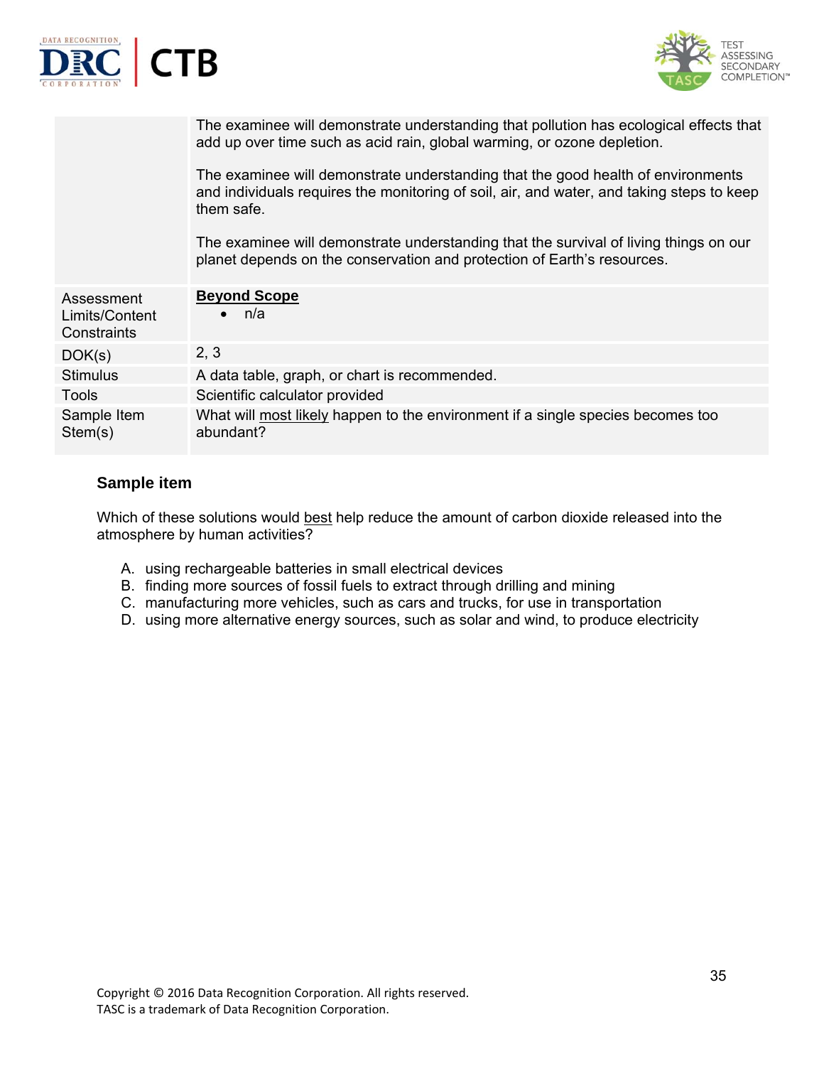

## **Sample item**

Which of these solutions would best help reduce the amount of carbon dioxide released into the atmosphere by human activities?

- A. using rechargeable batteries in small electrical devices
- B. finding more sources of fossil fuels to extract through drilling and mining
- C. manufacturing more vehicles, such as cars and trucks, for use in transportation
- D. using more alternative energy sources, such as solar and wind, to produce electricity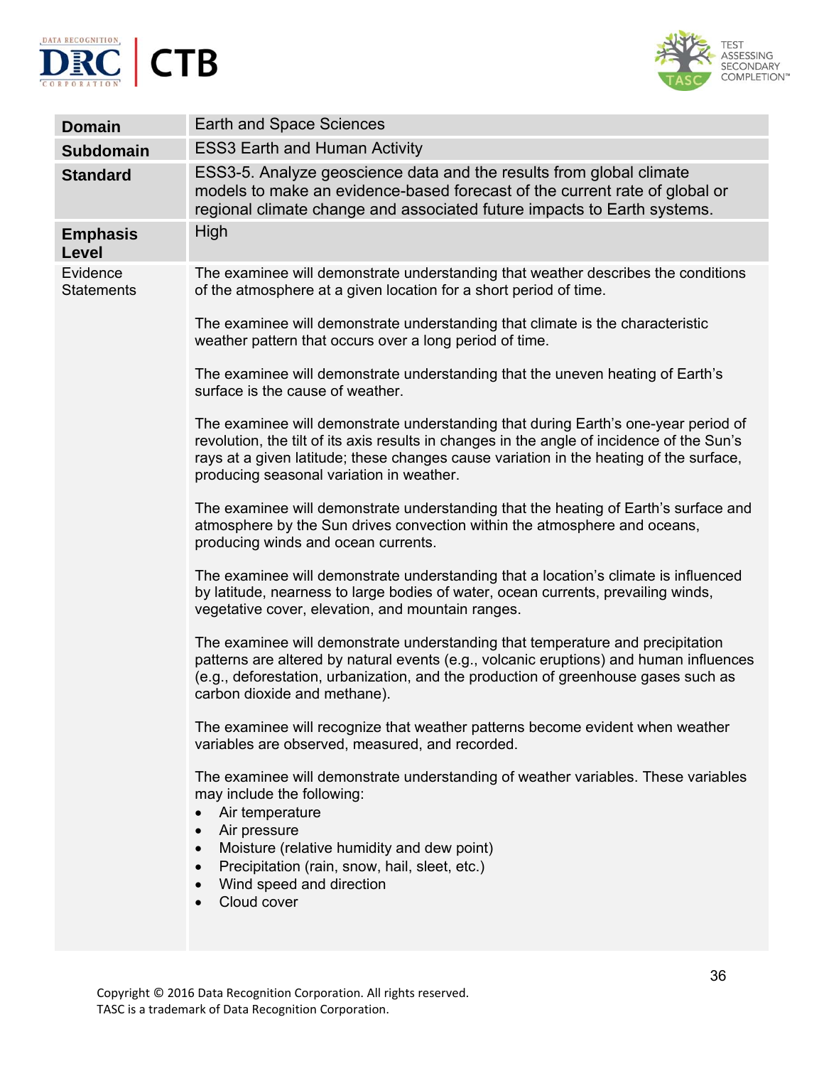



| <b>Domain</b>                   | Earth and Space Sciences                                                                                                                                                                                                                                                                                               |
|---------------------------------|------------------------------------------------------------------------------------------------------------------------------------------------------------------------------------------------------------------------------------------------------------------------------------------------------------------------|
| <b>Subdomain</b>                | <b>ESS3 Earth and Human Activity</b>                                                                                                                                                                                                                                                                                   |
| <b>Standard</b>                 | ESS3-5. Analyze geoscience data and the results from global climate<br>models to make an evidence-based forecast of the current rate of global or<br>regional climate change and associated future impacts to Earth systems.                                                                                           |
| <b>Emphasis</b><br><b>Level</b> | High                                                                                                                                                                                                                                                                                                                   |
| Evidence<br><b>Statements</b>   | The examinee will demonstrate understanding that weather describes the conditions<br>of the atmosphere at a given location for a short period of time.                                                                                                                                                                 |
|                                 | The examinee will demonstrate understanding that climate is the characteristic<br>weather pattern that occurs over a long period of time.                                                                                                                                                                              |
|                                 | The examinee will demonstrate understanding that the uneven heating of Earth's<br>surface is the cause of weather.                                                                                                                                                                                                     |
|                                 | The examinee will demonstrate understanding that during Earth's one-year period of<br>revolution, the tilt of its axis results in changes in the angle of incidence of the Sun's<br>rays at a given latitude; these changes cause variation in the heating of the surface,<br>producing seasonal variation in weather. |
|                                 | The examinee will demonstrate understanding that the heating of Earth's surface and<br>atmosphere by the Sun drives convection within the atmosphere and oceans,<br>producing winds and ocean currents.                                                                                                                |
|                                 | The examinee will demonstrate understanding that a location's climate is influenced<br>by latitude, nearness to large bodies of water, ocean currents, prevailing winds,<br>vegetative cover, elevation, and mountain ranges.                                                                                          |
|                                 | The examinee will demonstrate understanding that temperature and precipitation<br>patterns are altered by natural events (e.g., volcanic eruptions) and human influences<br>(e.g., deforestation, urbanization, and the production of greenhouse gases such as<br>carbon dioxide and methane).                         |
|                                 | The examinee will recognize that weather patterns become evident when weather<br>variables are observed, measured, and recorded.                                                                                                                                                                                       |
|                                 | The examinee will demonstrate understanding of weather variables. These variables<br>may include the following:<br>Air temperature<br>Air pressure<br>$\bullet$<br>Moisture (relative humidity and dew point)<br>$\bullet$<br>Precipitation (rain, snow, hail, sleet, etc.)<br>Wind speed and direction<br>Cloud cover |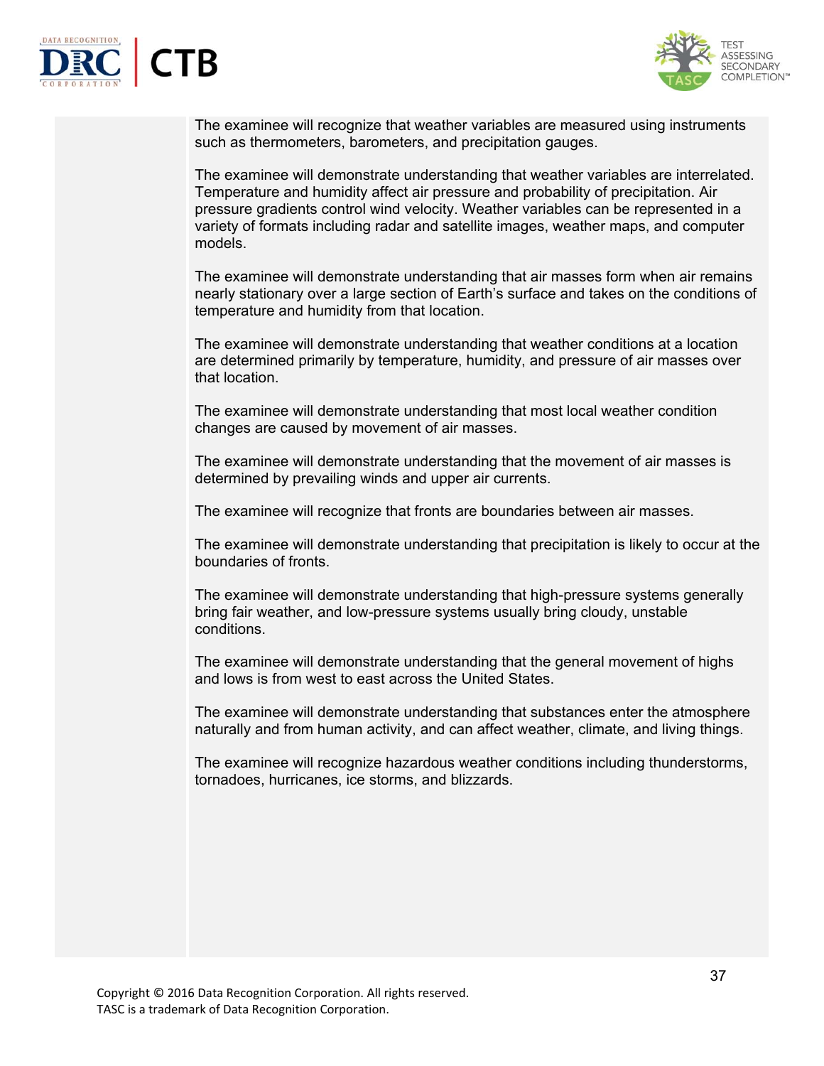



The examinee will recognize that weather variables are measured using instruments such as thermometers, barometers, and precipitation gauges.

The examinee will demonstrate understanding that weather variables are interrelated. Temperature and humidity affect air pressure and probability of precipitation. Air pressure gradients control wind velocity. Weather variables can be represented in a variety of formats including radar and satellite images, weather maps, and computer models.

The examinee will demonstrate understanding that air masses form when air remains nearly stationary over a large section of Earth's surface and takes on the conditions of temperature and humidity from that location.

The examinee will demonstrate understanding that weather conditions at a location are determined primarily by temperature, humidity, and pressure of air masses over that location.

The examinee will demonstrate understanding that most local weather condition changes are caused by movement of air masses.

The examinee will demonstrate understanding that the movement of air masses is determined by prevailing winds and upper air currents.

The examinee will recognize that fronts are boundaries between air masses.

The examinee will demonstrate understanding that precipitation is likely to occur at the boundaries of fronts.

The examinee will demonstrate understanding that high-pressure systems generally bring fair weather, and low-pressure systems usually bring cloudy, unstable conditions.

The examinee will demonstrate understanding that the general movement of highs and lows is from west to east across the United States.

The examinee will demonstrate understanding that substances enter the atmosphere naturally and from human activity, and can affect weather, climate, and living things.

The examinee will recognize hazardous weather conditions including thunderstorms, tornadoes, hurricanes, ice storms, and blizzards.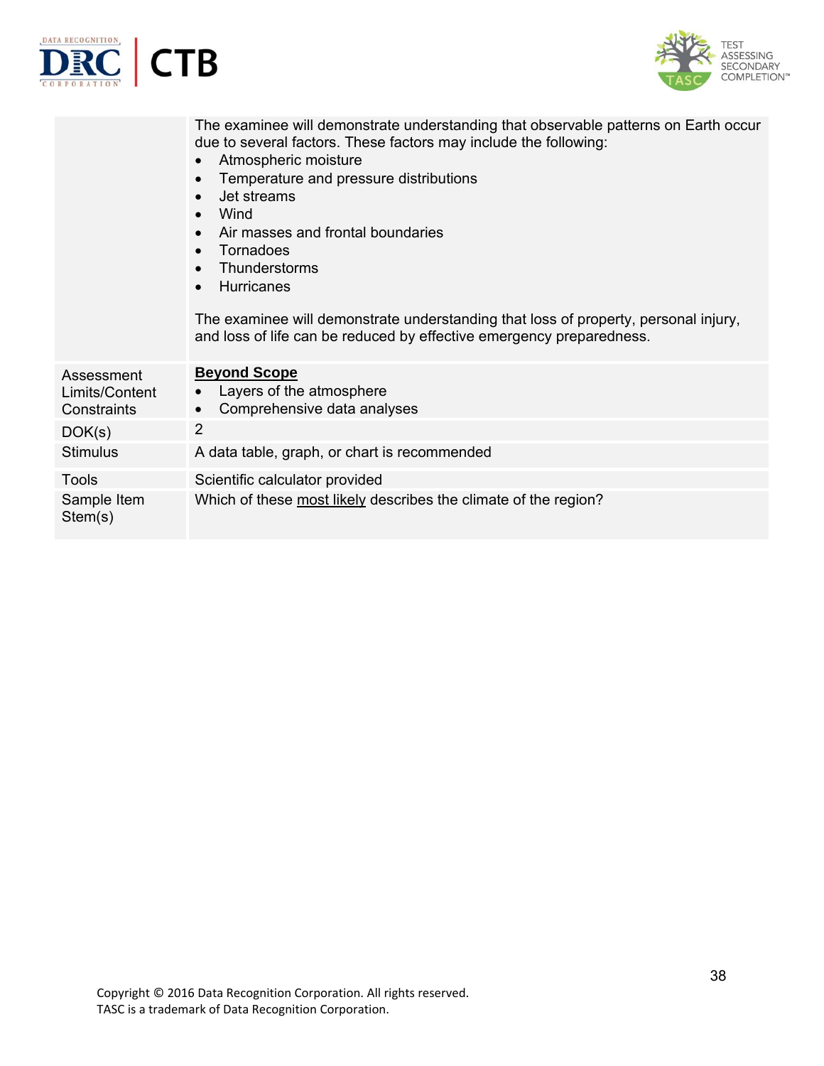



|                                             | The examinee will demonstrate understanding that observable patterns on Earth occur<br>due to several factors. These factors may include the following:<br>Atmospheric moisture<br>$\bullet$<br>Temperature and pressure distributions<br>Jet streams<br>$\bullet$<br>Wind<br>Air masses and frontal boundaries<br>Tornadoes<br>Thunderstorms<br><b>Hurricanes</b><br>The examinee will demonstrate understanding that loss of property, personal injury,<br>and loss of life can be reduced by effective emergency preparedness. |
|---------------------------------------------|-----------------------------------------------------------------------------------------------------------------------------------------------------------------------------------------------------------------------------------------------------------------------------------------------------------------------------------------------------------------------------------------------------------------------------------------------------------------------------------------------------------------------------------|
| Assessment<br>Limits/Content<br>Constraints | <b>Beyond Scope</b><br>Layers of the atmosphere<br>Comprehensive data analyses                                                                                                                                                                                                                                                                                                                                                                                                                                                    |
| DOK(s)                                      | $\overline{2}$                                                                                                                                                                                                                                                                                                                                                                                                                                                                                                                    |
| <b>Stimulus</b>                             | A data table, graph, or chart is recommended                                                                                                                                                                                                                                                                                                                                                                                                                                                                                      |
| Tools                                       | Scientific calculator provided                                                                                                                                                                                                                                                                                                                                                                                                                                                                                                    |
| Sample Item<br>Stem(s)                      | Which of these most likely describes the climate of the region?                                                                                                                                                                                                                                                                                                                                                                                                                                                                   |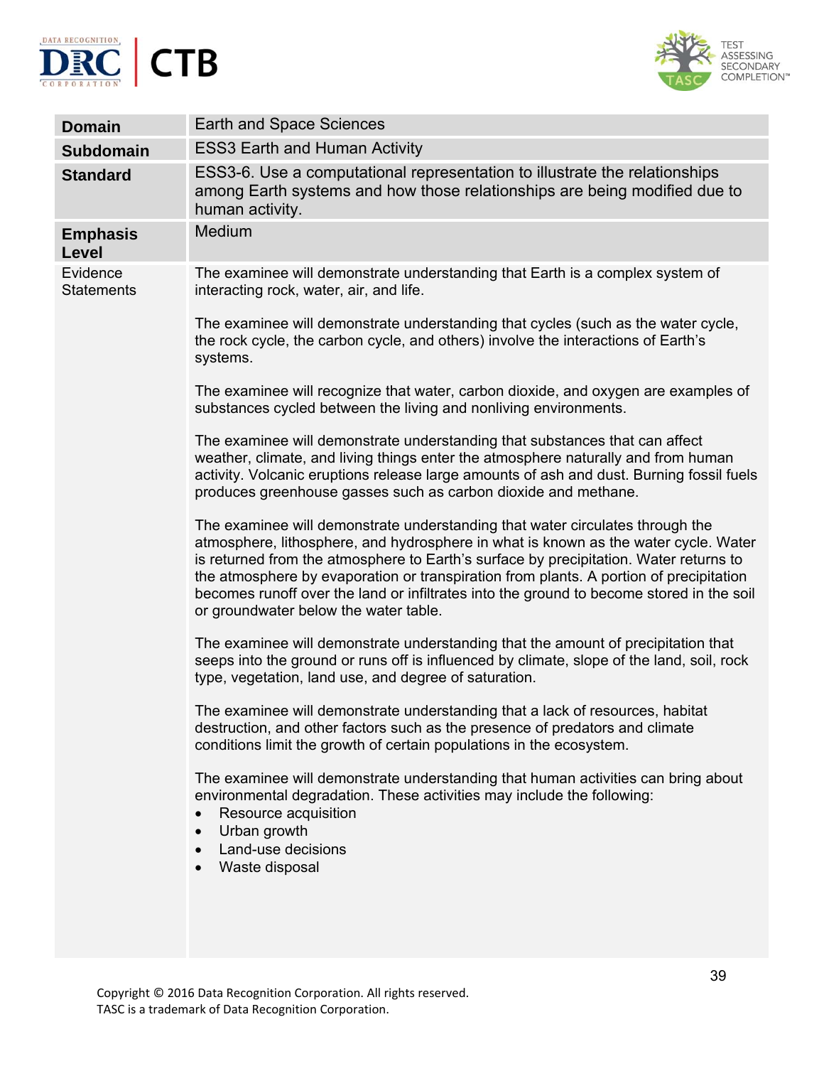



| <b>Domain</b>                 | Earth and Space Sciences                                                                                                                                                                                                                                                                                                                                                                                                                                                                     |
|-------------------------------|----------------------------------------------------------------------------------------------------------------------------------------------------------------------------------------------------------------------------------------------------------------------------------------------------------------------------------------------------------------------------------------------------------------------------------------------------------------------------------------------|
| <b>Subdomain</b>              | <b>ESS3 Earth and Human Activity</b>                                                                                                                                                                                                                                                                                                                                                                                                                                                         |
| <b>Standard</b>               | ESS3-6. Use a computational representation to illustrate the relationships<br>among Earth systems and how those relationships are being modified due to<br>human activity.                                                                                                                                                                                                                                                                                                                   |
| <b>Emphasis</b><br>Level      | Medium                                                                                                                                                                                                                                                                                                                                                                                                                                                                                       |
| Evidence<br><b>Statements</b> | The examinee will demonstrate understanding that Earth is a complex system of<br>interacting rock, water, air, and life.<br>The examinee will demonstrate understanding that cycles (such as the water cycle,                                                                                                                                                                                                                                                                                |
|                               | the rock cycle, the carbon cycle, and others) involve the interactions of Earth's<br>systems.                                                                                                                                                                                                                                                                                                                                                                                                |
|                               | The examinee will recognize that water, carbon dioxide, and oxygen are examples of<br>substances cycled between the living and nonliving environments.                                                                                                                                                                                                                                                                                                                                       |
|                               | The examinee will demonstrate understanding that substances that can affect<br>weather, climate, and living things enter the atmosphere naturally and from human<br>activity. Volcanic eruptions release large amounts of ash and dust. Burning fossil fuels<br>produces greenhouse gasses such as carbon dioxide and methane.                                                                                                                                                               |
|                               | The examinee will demonstrate understanding that water circulates through the<br>atmosphere, lithosphere, and hydrosphere in what is known as the water cycle. Water<br>is returned from the atmosphere to Earth's surface by precipitation. Water returns to<br>the atmosphere by evaporation or transpiration from plants. A portion of precipitation<br>becomes runoff over the land or infiltrates into the ground to become stored in the soil<br>or groundwater below the water table. |
|                               | The examinee will demonstrate understanding that the amount of precipitation that<br>seeps into the ground or runs off is influenced by climate, slope of the land, soil, rock<br>type, vegetation, land use, and degree of saturation.                                                                                                                                                                                                                                                      |
|                               | The examinee will demonstrate understanding that a lack of resources, habitat<br>destruction, and other factors such as the presence of predators and climate<br>conditions limit the growth of certain populations in the ecosystem.                                                                                                                                                                                                                                                        |
|                               | The examinee will demonstrate understanding that human activities can bring about<br>environmental degradation. These activities may include the following:<br>Resource acquisition<br>Urban growth<br>Land-use decisions<br>Waste disposal                                                                                                                                                                                                                                                  |
|                               |                                                                                                                                                                                                                                                                                                                                                                                                                                                                                              |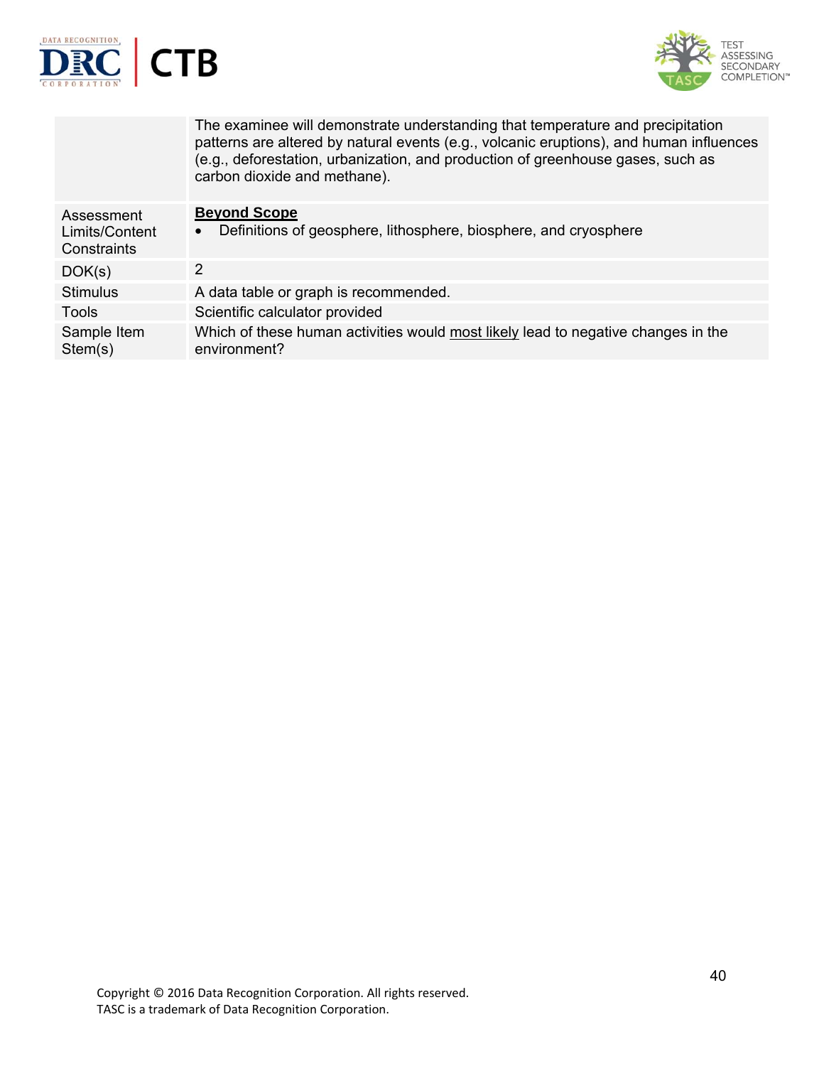



|                                             | The examinee will demonstrate understanding that temperature and precipitation<br>patterns are altered by natural events (e.g., volcanic eruptions), and human influences<br>(e.g., deforestation, urbanization, and production of greenhouse gases, such as<br>carbon dioxide and methane). |
|---------------------------------------------|----------------------------------------------------------------------------------------------------------------------------------------------------------------------------------------------------------------------------------------------------------------------------------------------|
| Assessment<br>Limits/Content<br>Constraints | <b>Beyond Scope</b><br>Definitions of geosphere, lithosphere, biosphere, and cryosphere                                                                                                                                                                                                      |
| DOK(s)                                      | 2                                                                                                                                                                                                                                                                                            |
| <b>Stimulus</b>                             | A data table or graph is recommended.                                                                                                                                                                                                                                                        |
| <b>Tools</b>                                | Scientific calculator provided                                                                                                                                                                                                                                                               |
| Sample Item<br>Stem(s)                      | Which of these human activities would most likely lead to negative changes in the<br>environment?                                                                                                                                                                                            |
|                                             |                                                                                                                                                                                                                                                                                              |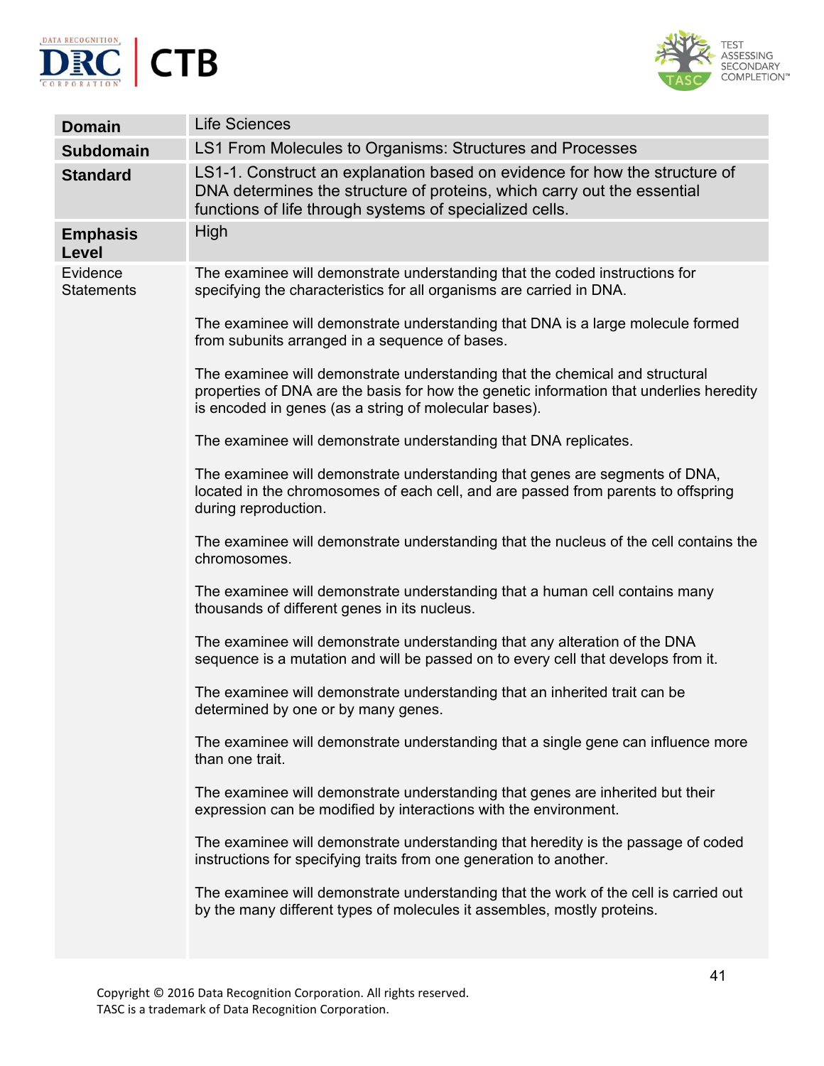



| <b>Domain</b>                 | <b>Life Sciences</b>                                                                                                                                                                                                             |
|-------------------------------|----------------------------------------------------------------------------------------------------------------------------------------------------------------------------------------------------------------------------------|
| <b>Subdomain</b>              | LS1 From Molecules to Organisms: Structures and Processes                                                                                                                                                                        |
| <b>Standard</b>               | LS1-1. Construct an explanation based on evidence for how the structure of<br>DNA determines the structure of proteins, which carry out the essential<br>functions of life through systems of specialized cells.                 |
| <b>Emphasis</b><br>Level      | High                                                                                                                                                                                                                             |
| Evidence<br><b>Statements</b> | The examinee will demonstrate understanding that the coded instructions for<br>specifying the characteristics for all organisms are carried in DNA.                                                                              |
|                               | The examinee will demonstrate understanding that DNA is a large molecule formed<br>from subunits arranged in a sequence of bases.                                                                                                |
|                               | The examinee will demonstrate understanding that the chemical and structural<br>properties of DNA are the basis for how the genetic information that underlies heredity<br>is encoded in genes (as a string of molecular bases). |
|                               | The examinee will demonstrate understanding that DNA replicates.                                                                                                                                                                 |
|                               | The examinee will demonstrate understanding that genes are segments of DNA,<br>located in the chromosomes of each cell, and are passed from parents to offspring<br>during reproduction.                                         |
|                               | The examinee will demonstrate understanding that the nucleus of the cell contains the<br>chromosomes.                                                                                                                            |
|                               | The examinee will demonstrate understanding that a human cell contains many<br>thousands of different genes in its nucleus.                                                                                                      |
|                               | The examinee will demonstrate understanding that any alteration of the DNA<br>sequence is a mutation and will be passed on to every cell that develops from it.                                                                  |
|                               | The examinee will demonstrate understanding that an inherited trait can be<br>determined by one or by many genes.                                                                                                                |
|                               | The examinee will demonstrate understanding that a single gene can influence more<br>than one trait.                                                                                                                             |
|                               | The examinee will demonstrate understanding that genes are inherited but their<br>expression can be modified by interactions with the environment.                                                                               |
|                               | The examinee will demonstrate understanding that heredity is the passage of coded<br>instructions for specifying traits from one generation to another.                                                                          |
|                               | The examinee will demonstrate understanding that the work of the cell is carried out<br>by the many different types of molecules it assembles, mostly proteins.                                                                  |
|                               |                                                                                                                                                                                                                                  |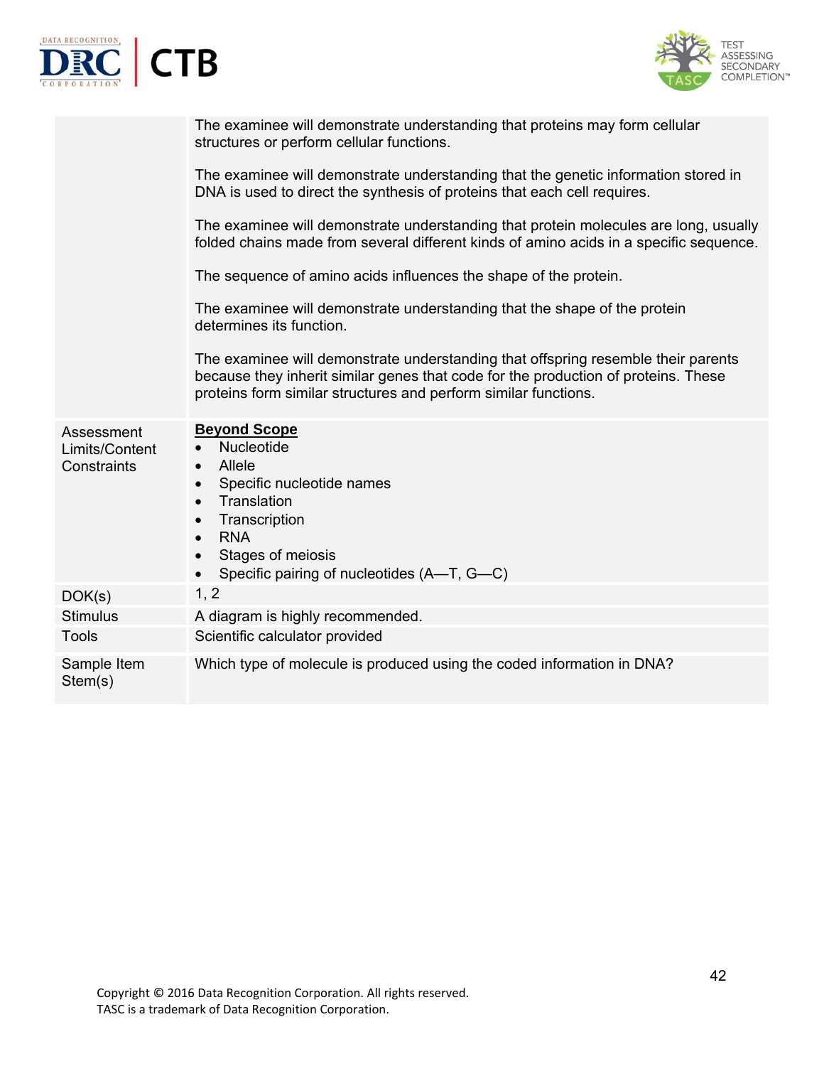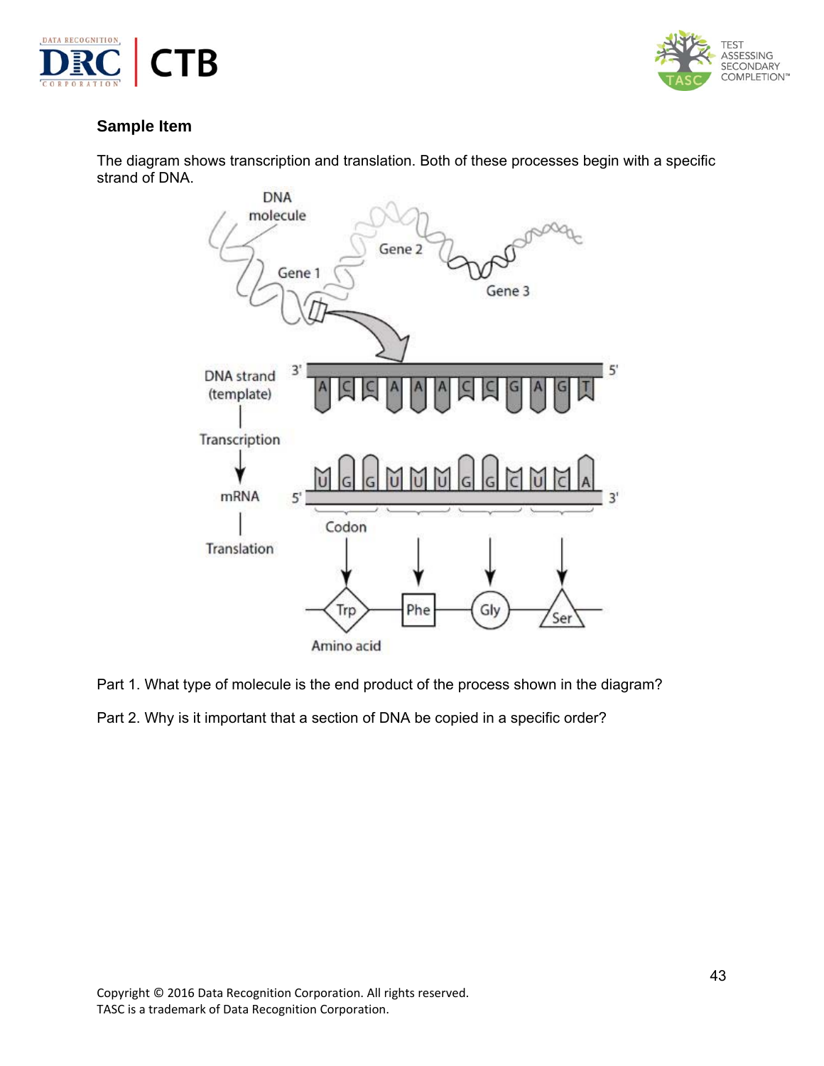



## **Sample Item**

The diagram shows transcription and translation. Both of these processes begin with a specific strand of DNA.



Part 1. What type of molecule is the end product of the process shown in the diagram?

Part 2. Why is it important that a section of DNA be copied in a specific order?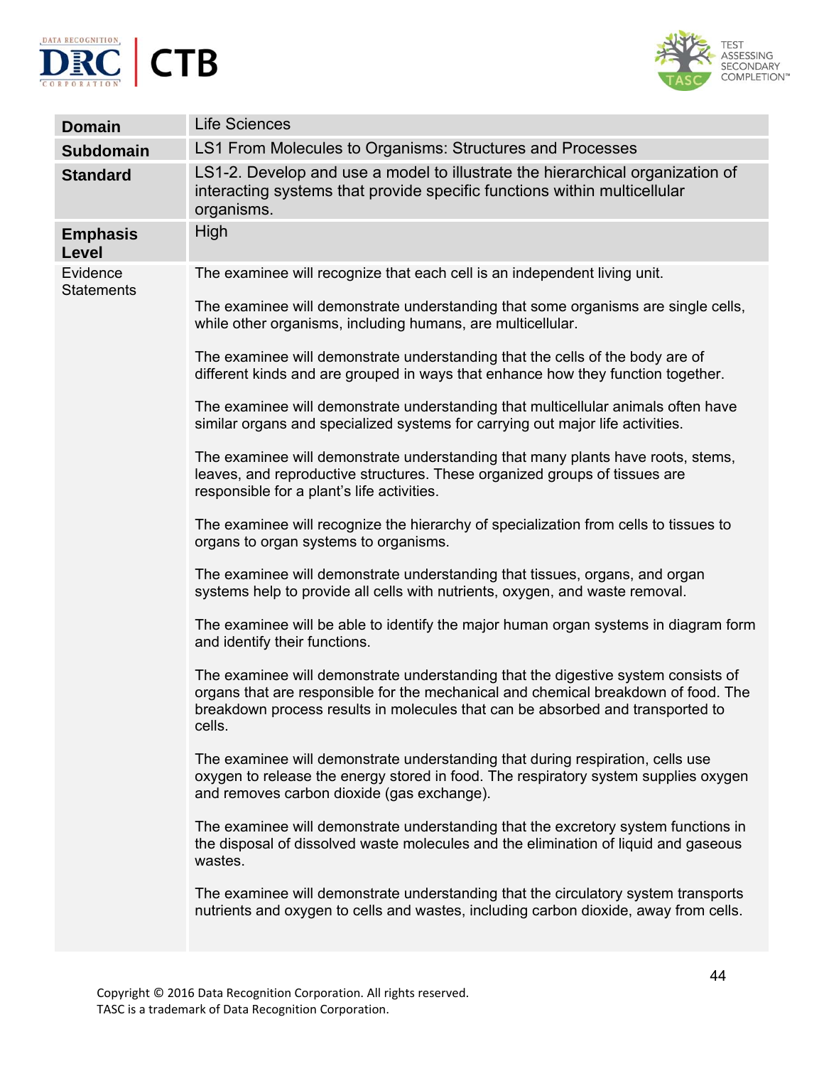



| <b>Domain</b>                 | <b>Life Sciences</b>                                                                                                                                                                                                                                                |
|-------------------------------|---------------------------------------------------------------------------------------------------------------------------------------------------------------------------------------------------------------------------------------------------------------------|
| <b>Subdomain</b>              | LS1 From Molecules to Organisms: Structures and Processes                                                                                                                                                                                                           |
| <b>Standard</b>               | LS1-2. Develop and use a model to illustrate the hierarchical organization of<br>interacting systems that provide specific functions within multicellular<br>organisms.                                                                                             |
| <b>Emphasis</b><br>Level      | High                                                                                                                                                                                                                                                                |
| Evidence<br><b>Statements</b> | The examinee will recognize that each cell is an independent living unit.                                                                                                                                                                                           |
|                               | The examinee will demonstrate understanding that some organisms are single cells,<br>while other organisms, including humans, are multicellular.                                                                                                                    |
|                               | The examinee will demonstrate understanding that the cells of the body are of<br>different kinds and are grouped in ways that enhance how they function together.                                                                                                   |
|                               | The examinee will demonstrate understanding that multicellular animals often have<br>similar organs and specialized systems for carrying out major life activities.                                                                                                 |
|                               | The examinee will demonstrate understanding that many plants have roots, stems,<br>leaves, and reproductive structures. These organized groups of tissues are<br>responsible for a plant's life activities.                                                         |
|                               | The examinee will recognize the hierarchy of specialization from cells to tissues to<br>organs to organ systems to organisms.                                                                                                                                       |
|                               | The examinee will demonstrate understanding that tissues, organs, and organ<br>systems help to provide all cells with nutrients, oxygen, and waste removal.                                                                                                         |
|                               | The examinee will be able to identify the major human organ systems in diagram form<br>and identify their functions.                                                                                                                                                |
|                               | The examinee will demonstrate understanding that the digestive system consists of<br>organs that are responsible for the mechanical and chemical breakdown of food. The<br>breakdown process results in molecules that can be absorbed and transported to<br>cells. |
|                               | The examinee will demonstrate understanding that during respiration, cells use<br>oxygen to release the energy stored in food. The respiratory system supplies oxygen<br>and removes carbon dioxide (gas exchange).                                                 |
|                               | The examinee will demonstrate understanding that the excretory system functions in<br>the disposal of dissolved waste molecules and the elimination of liquid and gaseous<br>wastes.                                                                                |
|                               | The examinee will demonstrate understanding that the circulatory system transports<br>nutrients and oxygen to cells and wastes, including carbon dioxide, away from cells.                                                                                          |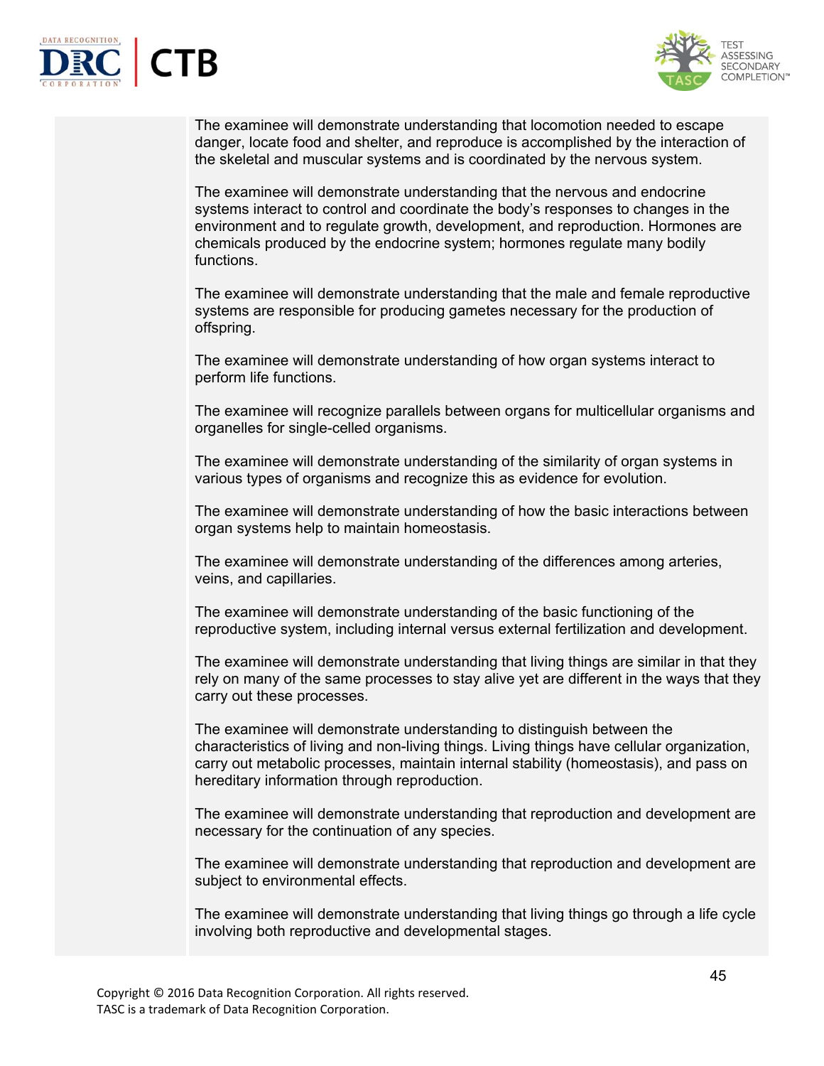



The examinee will demonstrate understanding that locomotion needed to escape danger, locate food and shelter, and reproduce is accomplished by the interaction of the skeletal and muscular systems and is coordinated by the nervous system.

The examinee will demonstrate understanding that the nervous and endocrine systems interact to control and coordinate the body's responses to changes in the environment and to regulate growth, development, and reproduction. Hormones are chemicals produced by the endocrine system; hormones regulate many bodily functions.

The examinee will demonstrate understanding that the male and female reproductive systems are responsible for producing gametes necessary for the production of offspring.

The examinee will demonstrate understanding of how organ systems interact to perform life functions.

The examinee will recognize parallels between organs for multicellular organisms and organelles for single-celled organisms.

The examinee will demonstrate understanding of the similarity of organ systems in various types of organisms and recognize this as evidence for evolution.

The examinee will demonstrate understanding of how the basic interactions between organ systems help to maintain homeostasis.

The examinee will demonstrate understanding of the differences among arteries, veins, and capillaries.

The examinee will demonstrate understanding of the basic functioning of the reproductive system, including internal versus external fertilization and development.

The examinee will demonstrate understanding that living things are similar in that they rely on many of the same processes to stay alive yet are different in the ways that they carry out these processes.

The examinee will demonstrate understanding to distinguish between the characteristics of living and non-living things. Living things have cellular organization, carry out metabolic processes, maintain internal stability (homeostasis), and pass on hereditary information through reproduction.

The examinee will demonstrate understanding that reproduction and development are necessary for the continuation of any species.

The examinee will demonstrate understanding that reproduction and development are subject to environmental effects.

The examinee will demonstrate understanding that living things go through a life cycle involving both reproductive and developmental stages.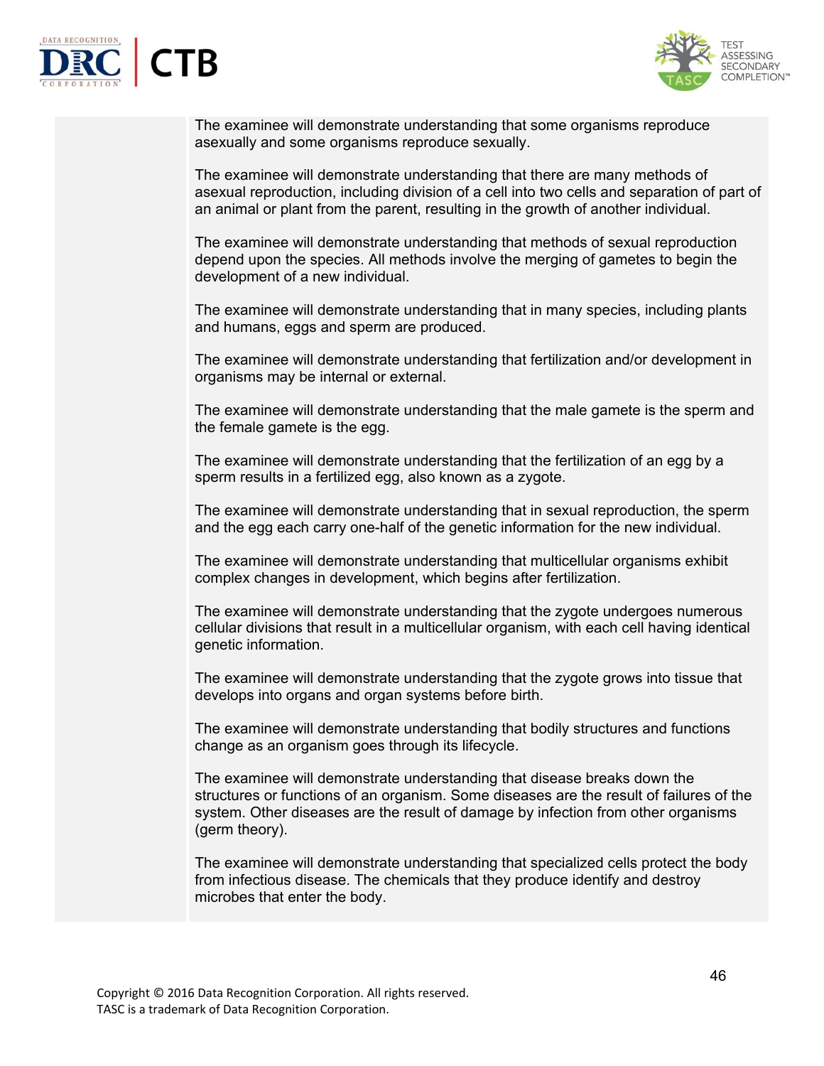



The examinee will demonstrate understanding that some organisms reproduce asexually and some organisms reproduce sexually.

The examinee will demonstrate understanding that there are many methods of asexual reproduction, including division of a cell into two cells and separation of part of an animal or plant from the parent, resulting in the growth of another individual.

The examinee will demonstrate understanding that methods of sexual reproduction depend upon the species. All methods involve the merging of gametes to begin the development of a new individual.

The examinee will demonstrate understanding that in many species, including plants and humans, eggs and sperm are produced.

The examinee will demonstrate understanding that fertilization and/or development in organisms may be internal or external.

The examinee will demonstrate understanding that the male gamete is the sperm and the female gamete is the egg.

The examinee will demonstrate understanding that the fertilization of an egg by a sperm results in a fertilized egg, also known as a zygote.

The examinee will demonstrate understanding that in sexual reproduction, the sperm and the egg each carry one-half of the genetic information for the new individual.

The examinee will demonstrate understanding that multicellular organisms exhibit complex changes in development, which begins after fertilization.

The examinee will demonstrate understanding that the zygote undergoes numerous cellular divisions that result in a multicellular organism, with each cell having identical genetic information.

The examinee will demonstrate understanding that the zygote grows into tissue that develops into organs and organ systems before birth.

The examinee will demonstrate understanding that bodily structures and functions change as an organism goes through its lifecycle.

The examinee will demonstrate understanding that disease breaks down the structures or functions of an organism. Some diseases are the result of failures of the system. Other diseases are the result of damage by infection from other organisms (germ theory).

The examinee will demonstrate understanding that specialized cells protect the body from infectious disease. The chemicals that they produce identify and destroy microbes that enter the body.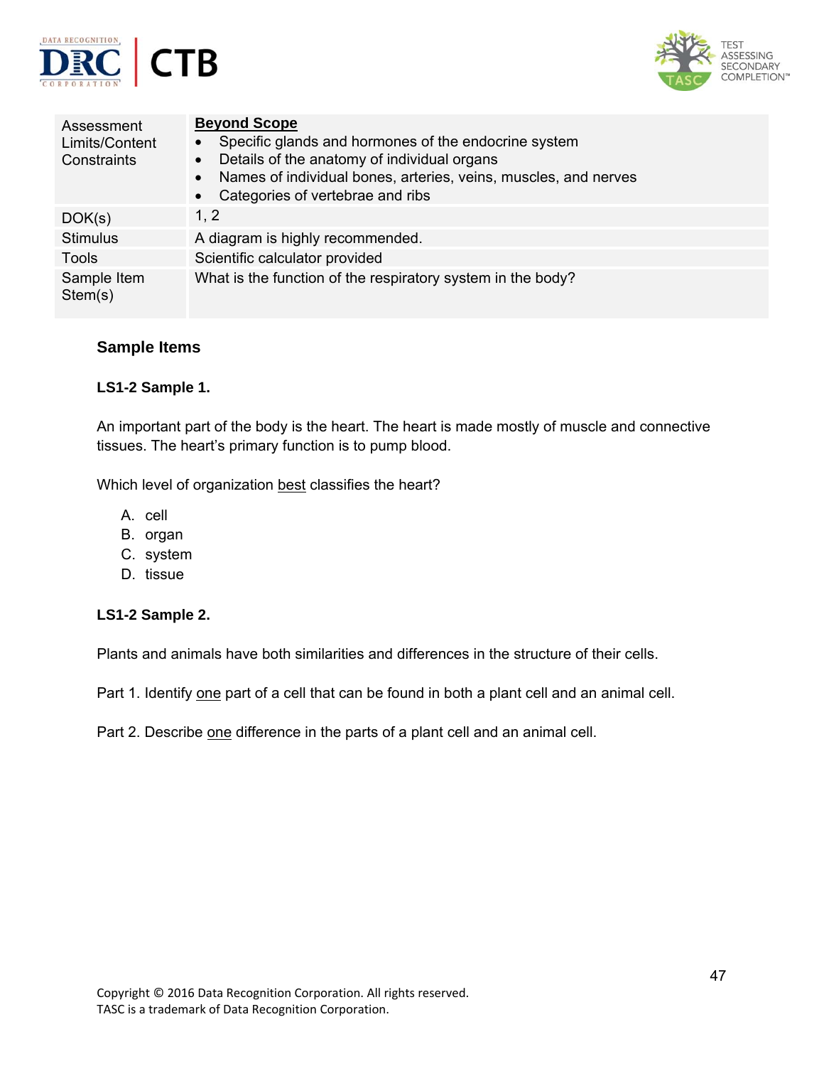



| Assessment<br>Limits/Content<br>Constraints | <b>Beyond Scope</b><br>Specific glands and hormones of the endocrine system<br>$\bullet$<br>Details of the anatomy of individual organs<br>$\bullet$<br>Names of individual bones, arteries, veins, muscles, and nerves<br>$\bullet$<br>Categories of vertebrae and ribs<br>$\bullet$ |
|---------------------------------------------|---------------------------------------------------------------------------------------------------------------------------------------------------------------------------------------------------------------------------------------------------------------------------------------|
| DOK(s)                                      | 1, 2                                                                                                                                                                                                                                                                                  |
| <b>Stimulus</b>                             | A diagram is highly recommended.                                                                                                                                                                                                                                                      |
| Tools                                       | Scientific calculator provided                                                                                                                                                                                                                                                        |
| Sample Item<br>Stem(s)                      | What is the function of the respiratory system in the body?                                                                                                                                                                                                                           |

### **Sample Items**

### **LS1-2 Sample 1.**

An important part of the body is the heart. The heart is made mostly of muscle and connective tissues. The heart's primary function is to pump blood.

Which level of organization best classifies the heart?

- A. cell
- B. organ
- C. system
- D. tissue

### **LS1-2 Sample 2.**

Plants and animals have both similarities and differences in the structure of their cells.

Part 1. Identify one part of a cell that can be found in both a plant cell and an animal cell.

Part 2. Describe one difference in the parts of a plant cell and an animal cell.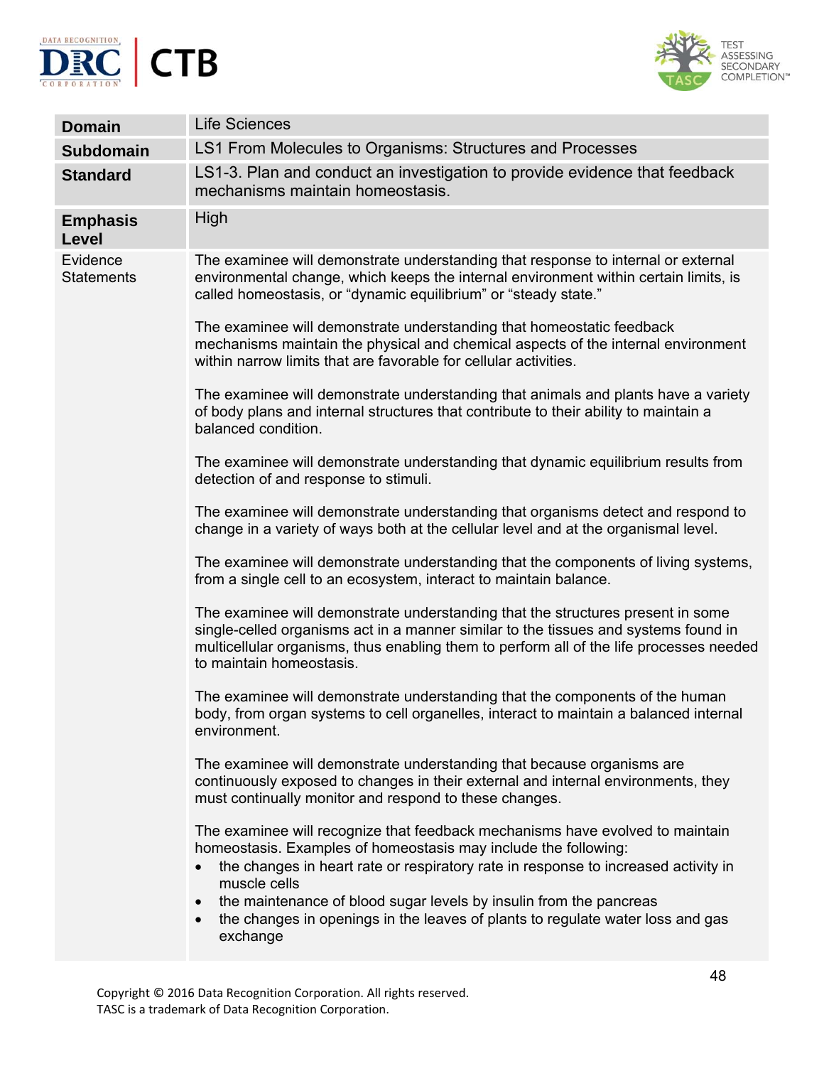



| <b>Domain</b>                 | <b>Life Sciences</b>                                                                                                                                                                                                                                                                                                                                                                                                                    |
|-------------------------------|-----------------------------------------------------------------------------------------------------------------------------------------------------------------------------------------------------------------------------------------------------------------------------------------------------------------------------------------------------------------------------------------------------------------------------------------|
| <b>Subdomain</b>              | LS1 From Molecules to Organisms: Structures and Processes                                                                                                                                                                                                                                                                                                                                                                               |
| <b>Standard</b>               | LS1-3. Plan and conduct an investigation to provide evidence that feedback<br>mechanisms maintain homeostasis.                                                                                                                                                                                                                                                                                                                          |
| <b>Emphasis</b><br>Level      | High                                                                                                                                                                                                                                                                                                                                                                                                                                    |
| Evidence<br><b>Statements</b> | The examinee will demonstrate understanding that response to internal or external<br>environmental change, which keeps the internal environment within certain limits, is<br>called homeostasis, or "dynamic equilibrium" or "steady state."                                                                                                                                                                                            |
|                               | The examinee will demonstrate understanding that homeostatic feedback<br>mechanisms maintain the physical and chemical aspects of the internal environment<br>within narrow limits that are favorable for cellular activities.                                                                                                                                                                                                          |
|                               | The examinee will demonstrate understanding that animals and plants have a variety<br>of body plans and internal structures that contribute to their ability to maintain a<br>balanced condition.                                                                                                                                                                                                                                       |
|                               | The examinee will demonstrate understanding that dynamic equilibrium results from<br>detection of and response to stimuli.                                                                                                                                                                                                                                                                                                              |
|                               | The examinee will demonstrate understanding that organisms detect and respond to<br>change in a variety of ways both at the cellular level and at the organismal level.                                                                                                                                                                                                                                                                 |
|                               | The examinee will demonstrate understanding that the components of living systems,<br>from a single cell to an ecosystem, interact to maintain balance.                                                                                                                                                                                                                                                                                 |
|                               | The examinee will demonstrate understanding that the structures present in some<br>single-celled organisms act in a manner similar to the tissues and systems found in<br>multicellular organisms, thus enabling them to perform all of the life processes needed<br>to maintain homeostasis.                                                                                                                                           |
|                               | The examinee will demonstrate understanding that the components of the human<br>body, from organ systems to cell organelles, interact to maintain a balanced internal<br>environment.                                                                                                                                                                                                                                                   |
|                               | The examinee will demonstrate understanding that because organisms are<br>continuously exposed to changes in their external and internal environments, they<br>must continually monitor and respond to these changes.                                                                                                                                                                                                                   |
|                               | The examinee will recognize that feedback mechanisms have evolved to maintain<br>homeostasis. Examples of homeostasis may include the following:<br>the changes in heart rate or respiratory rate in response to increased activity in<br>muscle cells<br>the maintenance of blood sugar levels by insulin from the pancreas<br>$\bullet$<br>the changes in openings in the leaves of plants to regulate water loss and gas<br>exchange |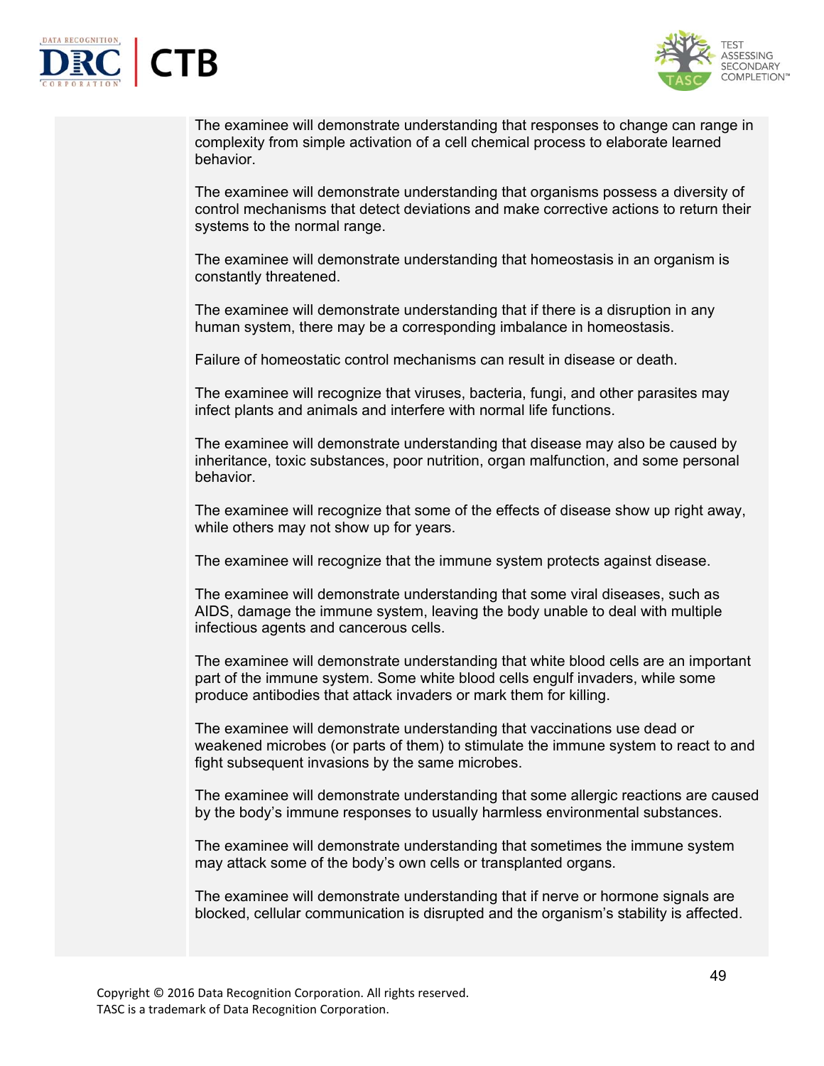



The examinee will demonstrate understanding that responses to change can range in complexity from simple activation of a cell chemical process to elaborate learned behavior.

The examinee will demonstrate understanding that organisms possess a diversity of control mechanisms that detect deviations and make corrective actions to return their systems to the normal range.

The examinee will demonstrate understanding that homeostasis in an organism is constantly threatened.

The examinee will demonstrate understanding that if there is a disruption in any human system, there may be a corresponding imbalance in homeostasis.

Failure of homeostatic control mechanisms can result in disease or death.

The examinee will recognize that viruses, bacteria, fungi, and other parasites may infect plants and animals and interfere with normal life functions.

The examinee will demonstrate understanding that disease may also be caused by inheritance, toxic substances, poor nutrition, organ malfunction, and some personal behavior.

The examinee will recognize that some of the effects of disease show up right away, while others may not show up for years.

The examinee will recognize that the immune system protects against disease.

The examinee will demonstrate understanding that some viral diseases, such as AIDS, damage the immune system, leaving the body unable to deal with multiple infectious agents and cancerous cells.

The examinee will demonstrate understanding that white blood cells are an important part of the immune system. Some white blood cells engulf invaders, while some produce antibodies that attack invaders or mark them for killing.

The examinee will demonstrate understanding that vaccinations use dead or weakened microbes (or parts of them) to stimulate the immune system to react to and fight subsequent invasions by the same microbes.

The examinee will demonstrate understanding that some allergic reactions are caused by the body's immune responses to usually harmless environmental substances.

The examinee will demonstrate understanding that sometimes the immune system may attack some of the body's own cells or transplanted organs.

The examinee will demonstrate understanding that if nerve or hormone signals are blocked, cellular communication is disrupted and the organism's stability is affected.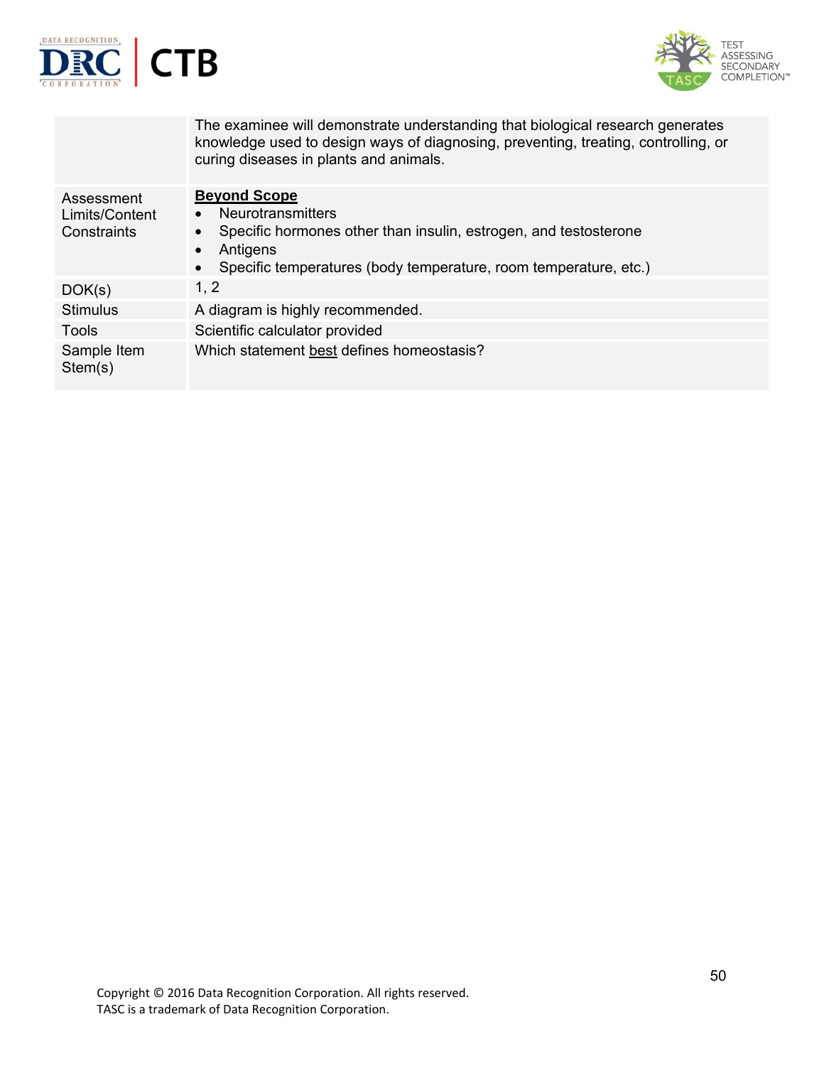



|                                             | The examinee will demonstrate understanding that biological research generates<br>knowledge used to design ways of diagnosing, preventing, treating, controlling, or<br>curing diseases in plants and animals. |
|---------------------------------------------|----------------------------------------------------------------------------------------------------------------------------------------------------------------------------------------------------------------|
| Assessment<br>Limits/Content<br>Constraints | <b>Beyond Scope</b><br><b>Neurotransmitters</b><br>Specific hormones other than insulin, estrogen, and testosterone<br>Antigens<br>Specific temperatures (body temperature, room temperature, etc.)            |
| DOK(s)                                      | 1, 2                                                                                                                                                                                                           |
| <b>Stimulus</b>                             | A diagram is highly recommended.                                                                                                                                                                               |
| Tools                                       | Scientific calculator provided                                                                                                                                                                                 |
| Sample Item<br>Stem(s)                      | Which statement best defines homeostasis?                                                                                                                                                                      |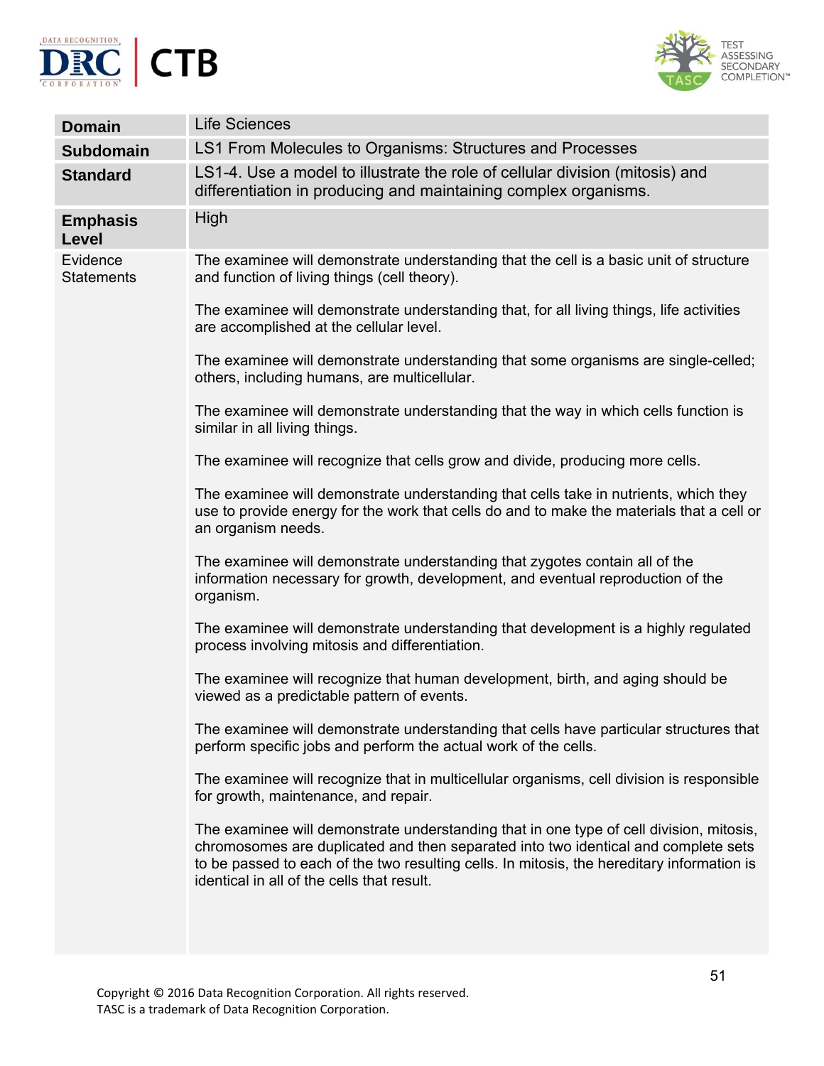



| <b>Domain</b>                 | <b>Life Sciences</b>                                                                                                                                                                                                                                                                                                      |
|-------------------------------|---------------------------------------------------------------------------------------------------------------------------------------------------------------------------------------------------------------------------------------------------------------------------------------------------------------------------|
| <b>Subdomain</b>              | LS1 From Molecules to Organisms: Structures and Processes                                                                                                                                                                                                                                                                 |
| <b>Standard</b>               | LS1-4. Use a model to illustrate the role of cellular division (mitosis) and<br>differentiation in producing and maintaining complex organisms.                                                                                                                                                                           |
| <b>Emphasis</b><br>Level      | High                                                                                                                                                                                                                                                                                                                      |
| Evidence<br><b>Statements</b> | The examinee will demonstrate understanding that the cell is a basic unit of structure<br>and function of living things (cell theory).                                                                                                                                                                                    |
|                               | The examinee will demonstrate understanding that, for all living things, life activities<br>are accomplished at the cellular level.                                                                                                                                                                                       |
|                               | The examinee will demonstrate understanding that some organisms are single-celled;<br>others, including humans, are multicellular.                                                                                                                                                                                        |
|                               | The examinee will demonstrate understanding that the way in which cells function is<br>similar in all living things.                                                                                                                                                                                                      |
|                               | The examinee will recognize that cells grow and divide, producing more cells.                                                                                                                                                                                                                                             |
|                               | The examinee will demonstrate understanding that cells take in nutrients, which they<br>use to provide energy for the work that cells do and to make the materials that a cell or<br>an organism needs.                                                                                                                   |
|                               | The examinee will demonstrate understanding that zygotes contain all of the<br>information necessary for growth, development, and eventual reproduction of the<br>organism.                                                                                                                                               |
|                               | The examinee will demonstrate understanding that development is a highly regulated<br>process involving mitosis and differentiation.                                                                                                                                                                                      |
|                               | The examinee will recognize that human development, birth, and aging should be<br>viewed as a predictable pattern of events.                                                                                                                                                                                              |
|                               | The examinee will demonstrate understanding that cells have particular structures that<br>perform specific jobs and perform the actual work of the cells.                                                                                                                                                                 |
|                               | The examinee will recognize that in multicellular organisms, cell division is responsible<br>for growth, maintenance, and repair.                                                                                                                                                                                         |
|                               | The examinee will demonstrate understanding that in one type of cell division, mitosis,<br>chromosomes are duplicated and then separated into two identical and complete sets<br>to be passed to each of the two resulting cells. In mitosis, the hereditary information is<br>identical in all of the cells that result. |
|                               |                                                                                                                                                                                                                                                                                                                           |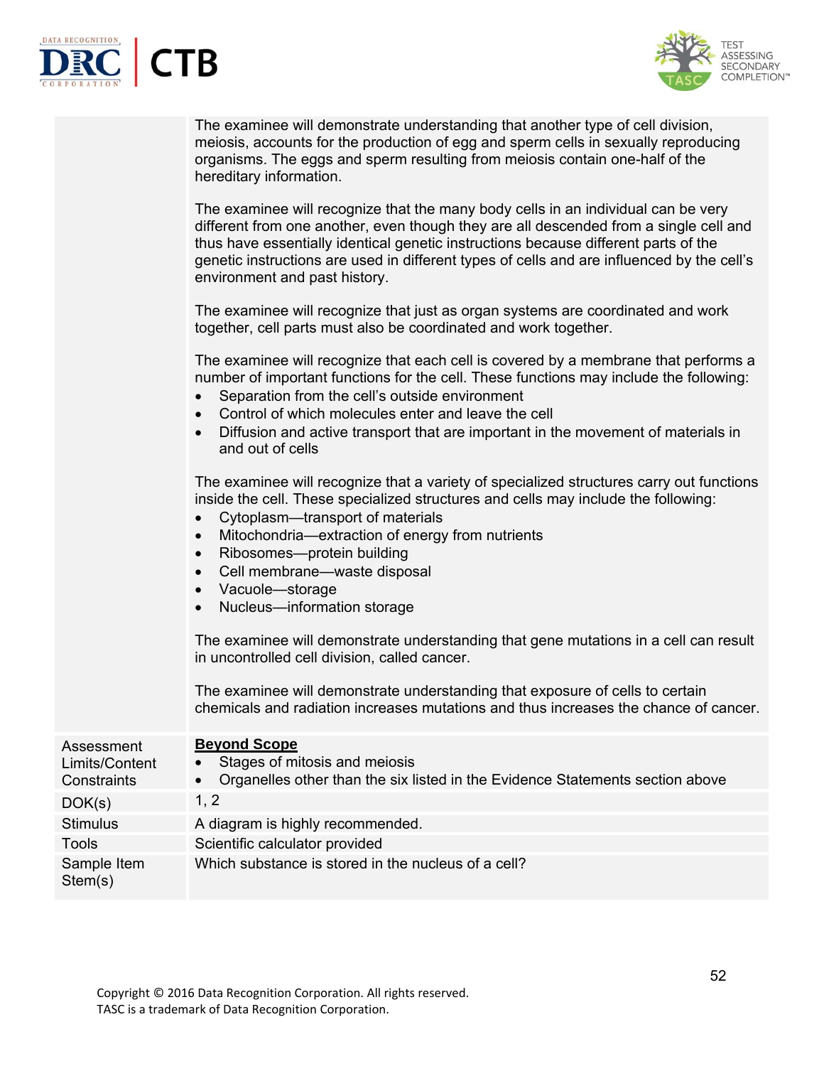

Sample Item Stem(s)



|                              | The examinee will demonstrate understanding that another type of cell division,<br>meiosis, accounts for the production of egg and sperm cells in sexually reproducing<br>organisms. The eggs and sperm resulting from meiosis contain one-half of the<br>hereditary information.<br>The examinee will recognize that the many body cells in an individual can be very<br>different from one another, even though they are all descended from a single cell and<br>thus have essentially identical genetic instructions because different parts of the<br>genetic instructions are used in different types of cells and are influenced by the cell's<br>environment and past history.<br>The examinee will recognize that just as organ systems are coordinated and work<br>together, cell parts must also be coordinated and work together.<br>The examinee will recognize that each cell is covered by a membrane that performs a<br>number of important functions for the cell. These functions may include the following:<br>Separation from the cell's outside environment<br>Control of which molecules enter and leave the cell<br>Diffusion and active transport that are important in the movement of materials in<br>and out of cells<br>The examinee will recognize that a variety of specialized structures carry out functions<br>inside the cell. These specialized structures and cells may include the following:<br>Cytoplasm-transport of materials<br>$\bullet$<br>Mitochondria-extraction of energy from nutrients<br>$\bullet$<br>Ribosomes-protein building<br>$\bullet$<br>Cell membrane-waste disposal<br>$\bullet$<br>Vacuole-storage<br>$\bullet$<br>Nucleus-information storage<br>The examinee will demonstrate understanding that gene mutations in a cell can result<br>in uncontrolled cell division, called cancer.<br>The examinee will demonstrate understanding that exposure of cells to certain<br>chemicals and radiation increases mutations and thus increases the chance of cancer. |
|------------------------------|------------------------------------------------------------------------------------------------------------------------------------------------------------------------------------------------------------------------------------------------------------------------------------------------------------------------------------------------------------------------------------------------------------------------------------------------------------------------------------------------------------------------------------------------------------------------------------------------------------------------------------------------------------------------------------------------------------------------------------------------------------------------------------------------------------------------------------------------------------------------------------------------------------------------------------------------------------------------------------------------------------------------------------------------------------------------------------------------------------------------------------------------------------------------------------------------------------------------------------------------------------------------------------------------------------------------------------------------------------------------------------------------------------------------------------------------------------------------------------------------------------------------------------------------------------------------------------------------------------------------------------------------------------------------------------------------------------------------------------------------------------------------------------------------------------------------------------------------------------------------------------------------------------------------------------------------------------------------------------------------------------------------------|
| Assessment<br>Limits/Content | <b>Beyond Scope</b><br>Stages of mitosis and meiosis                                                                                                                                                                                                                                                                                                                                                                                                                                                                                                                                                                                                                                                                                                                                                                                                                                                                                                                                                                                                                                                                                                                                                                                                                                                                                                                                                                                                                                                                                                                                                                                                                                                                                                                                                                                                                                                                                                                                                                         |
| Constraints                  | Organelles other than the six listed in the Evidence Statements section above                                                                                                                                                                                                                                                                                                                                                                                                                                                                                                                                                                                                                                                                                                                                                                                                                                                                                                                                                                                                                                                                                                                                                                                                                                                                                                                                                                                                                                                                                                                                                                                                                                                                                                                                                                                                                                                                                                                                                |
| DOK(s)                       | 1, 2                                                                                                                                                                                                                                                                                                                                                                                                                                                                                                                                                                                                                                                                                                                                                                                                                                                                                                                                                                                                                                                                                                                                                                                                                                                                                                                                                                                                                                                                                                                                                                                                                                                                                                                                                                                                                                                                                                                                                                                                                         |
| <b>Stimulus</b>              | A diagram is highly recommended.                                                                                                                                                                                                                                                                                                                                                                                                                                                                                                                                                                                                                                                                                                                                                                                                                                                                                                                                                                                                                                                                                                                                                                                                                                                                                                                                                                                                                                                                                                                                                                                                                                                                                                                                                                                                                                                                                                                                                                                             |
| <b>Tools</b>                 | Scientific calculator provided                                                                                                                                                                                                                                                                                                                                                                                                                                                                                                                                                                                                                                                                                                                                                                                                                                                                                                                                                                                                                                                                                                                                                                                                                                                                                                                                                                                                                                                                                                                                                                                                                                                                                                                                                                                                                                                                                                                                                                                               |

Which substance is stored in the nucleus of a cell?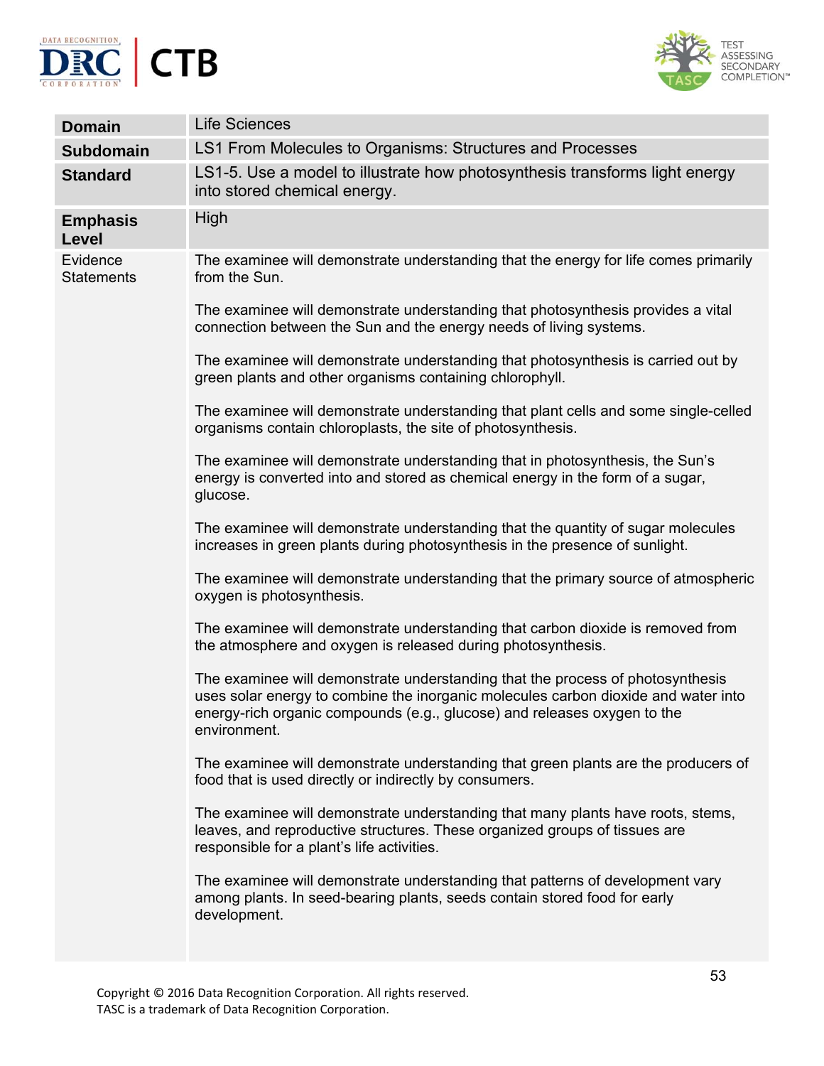



| <b>Domain</b>                   | <b>Life Sciences</b>                                                                                                                                                                                                                                             |
|---------------------------------|------------------------------------------------------------------------------------------------------------------------------------------------------------------------------------------------------------------------------------------------------------------|
| <b>Subdomain</b>                | LS1 From Molecules to Organisms: Structures and Processes                                                                                                                                                                                                        |
| <b>Standard</b>                 | LS1-5. Use a model to illustrate how photosynthesis transforms light energy<br>into stored chemical energy.                                                                                                                                                      |
| <b>Emphasis</b><br><b>Level</b> | High                                                                                                                                                                                                                                                             |
| Evidence<br><b>Statements</b>   | The examinee will demonstrate understanding that the energy for life comes primarily<br>from the Sun.                                                                                                                                                            |
|                                 | The examinee will demonstrate understanding that photosynthesis provides a vital<br>connection between the Sun and the energy needs of living systems.                                                                                                           |
|                                 | The examinee will demonstrate understanding that photosynthesis is carried out by<br>green plants and other organisms containing chlorophyll.                                                                                                                    |
|                                 | The examinee will demonstrate understanding that plant cells and some single-celled<br>organisms contain chloroplasts, the site of photosynthesis.                                                                                                               |
|                                 | The examinee will demonstrate understanding that in photosynthesis, the Sun's<br>energy is converted into and stored as chemical energy in the form of a sugar,<br>glucose.                                                                                      |
|                                 | The examinee will demonstrate understanding that the quantity of sugar molecules<br>increases in green plants during photosynthesis in the presence of sunlight.                                                                                                 |
|                                 | The examinee will demonstrate understanding that the primary source of atmospheric<br>oxygen is photosynthesis.                                                                                                                                                  |
|                                 | The examinee will demonstrate understanding that carbon dioxide is removed from<br>the atmosphere and oxygen is released during photosynthesis.                                                                                                                  |
|                                 | The examinee will demonstrate understanding that the process of photosynthesis<br>uses solar energy to combine the inorganic molecules carbon dioxide and water into<br>energy-rich organic compounds (e.g., glucose) and releases oxygen to the<br>environment. |
|                                 | The examinee will demonstrate understanding that green plants are the producers of<br>food that is used directly or indirectly by consumers.                                                                                                                     |
|                                 | The examinee will demonstrate understanding that many plants have roots, stems,<br>leaves, and reproductive structures. These organized groups of tissues are<br>responsible for a plant's life activities.                                                      |
|                                 | The examinee will demonstrate understanding that patterns of development vary<br>among plants. In seed-bearing plants, seeds contain stored food for early<br>development.                                                                                       |
|                                 |                                                                                                                                                                                                                                                                  |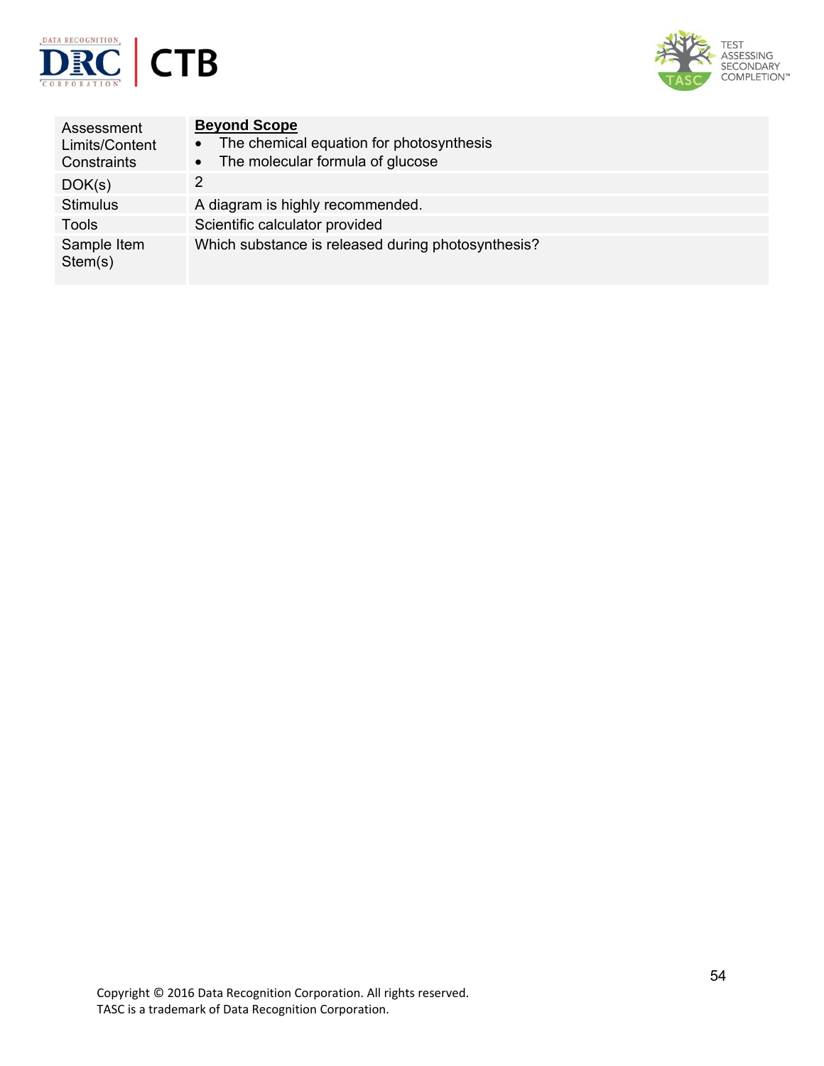



| Assessment<br>Limits/Content<br>Constraints | <b>Beyond Scope</b><br>The chemical equation for photosynthesis<br>$\bullet$<br>The molecular formula of glucose<br>$\bullet$ |
|---------------------------------------------|-------------------------------------------------------------------------------------------------------------------------------|
| DOK(s)                                      | 2                                                                                                                             |
| <b>Stimulus</b>                             | A diagram is highly recommended.                                                                                              |
| Tools                                       | Scientific calculator provided                                                                                                |
| Sample Item<br>Stem(s)                      | Which substance is released during photosynthesis?                                                                            |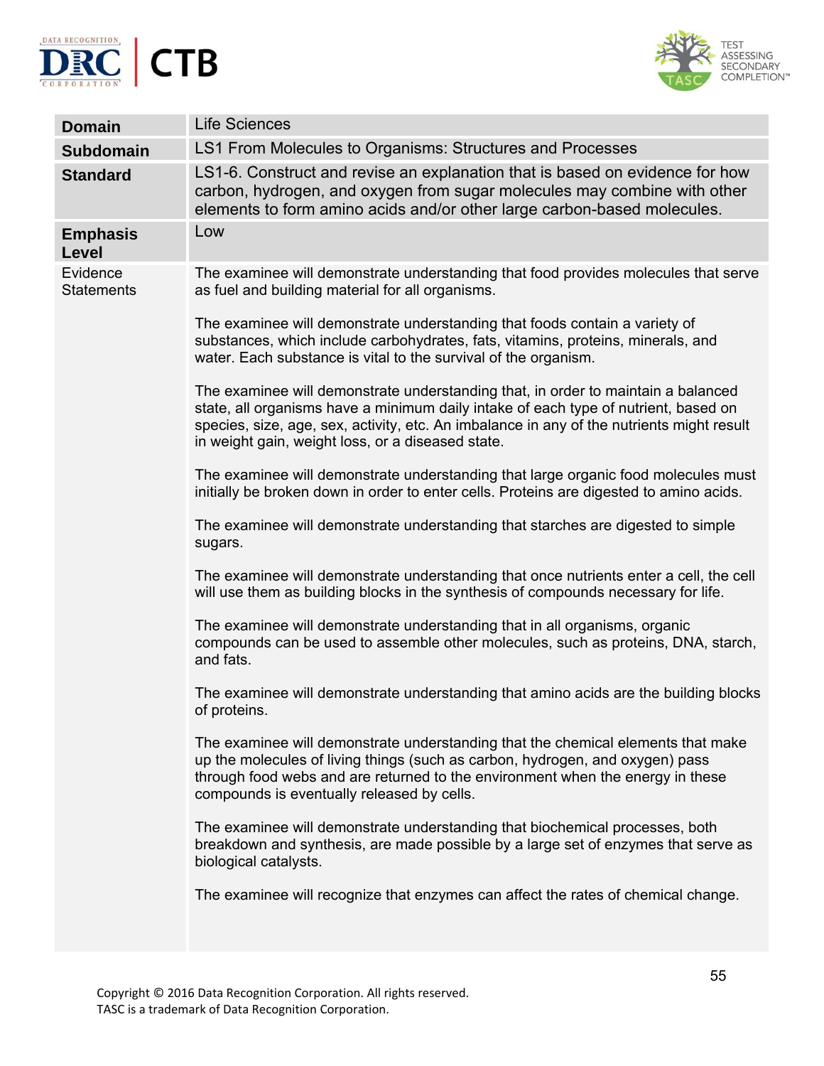



| <b>Domain</b>                   | <b>Life Sciences</b>                                                                                                                                                                                                                                                                                                       |
|---------------------------------|----------------------------------------------------------------------------------------------------------------------------------------------------------------------------------------------------------------------------------------------------------------------------------------------------------------------------|
| <b>Subdomain</b>                | LS1 From Molecules to Organisms: Structures and Processes                                                                                                                                                                                                                                                                  |
| <b>Standard</b>                 | LS1-6. Construct and revise an explanation that is based on evidence for how<br>carbon, hydrogen, and oxygen from sugar molecules may combine with other<br>elements to form amino acids and/or other large carbon-based molecules.                                                                                        |
| <b>Emphasis</b><br><b>Level</b> | Low                                                                                                                                                                                                                                                                                                                        |
| Evidence<br><b>Statements</b>   | The examinee will demonstrate understanding that food provides molecules that serve<br>as fuel and building material for all organisms.                                                                                                                                                                                    |
|                                 | The examinee will demonstrate understanding that foods contain a variety of<br>substances, which include carbohydrates, fats, vitamins, proteins, minerals, and<br>water. Each substance is vital to the survival of the organism.                                                                                         |
|                                 | The examinee will demonstrate understanding that, in order to maintain a balanced<br>state, all organisms have a minimum daily intake of each type of nutrient, based on<br>species, size, age, sex, activity, etc. An imbalance in any of the nutrients might result<br>in weight gain, weight loss, or a diseased state. |
|                                 | The examinee will demonstrate understanding that large organic food molecules must<br>initially be broken down in order to enter cells. Proteins are digested to amino acids.                                                                                                                                              |
|                                 | The examinee will demonstrate understanding that starches are digested to simple<br>sugars.                                                                                                                                                                                                                                |
|                                 | The examinee will demonstrate understanding that once nutrients enter a cell, the cell<br>will use them as building blocks in the synthesis of compounds necessary for life.                                                                                                                                               |
|                                 | The examinee will demonstrate understanding that in all organisms, organic<br>compounds can be used to assemble other molecules, such as proteins, DNA, starch,<br>and fats.                                                                                                                                               |
|                                 | The examinee will demonstrate understanding that amino acids are the building blocks<br>of proteins.                                                                                                                                                                                                                       |
|                                 | The examinee will demonstrate understanding that the chemical elements that make<br>up the molecules of living things (such as carbon, hydrogen, and oxygen) pass<br>through food webs and are returned to the environment when the energy in these<br>compounds is eventually released by cells.                          |
|                                 | The examinee will demonstrate understanding that biochemical processes, both<br>breakdown and synthesis, are made possible by a large set of enzymes that serve as<br>biological catalysts.                                                                                                                                |
|                                 | The examinee will recognize that enzymes can affect the rates of chemical change.                                                                                                                                                                                                                                          |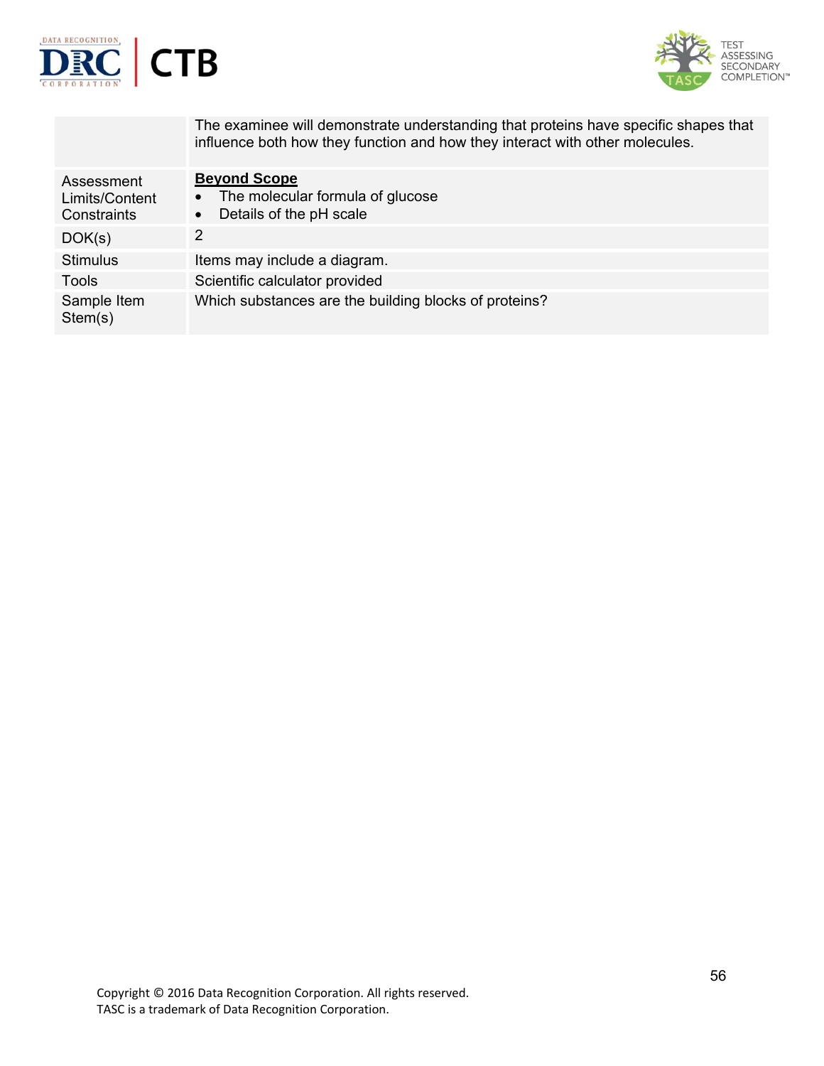



|                                             | The examinee will demonstrate understanding that proteins have specific shapes that<br>influence both how they function and how they interact with other molecules. |
|---------------------------------------------|---------------------------------------------------------------------------------------------------------------------------------------------------------------------|
| Assessment<br>Limits/Content<br>Constraints | <b>Beyond Scope</b><br>The molecular formula of glucose<br>$\bullet$<br>Details of the pH scale                                                                     |
| DOK(s)                                      | 2                                                                                                                                                                   |
| Stimulus                                    | Items may include a diagram.                                                                                                                                        |
| Tools                                       | Scientific calculator provided                                                                                                                                      |
| Sample Item<br>Stem(s)                      | Which substances are the building blocks of proteins?                                                                                                               |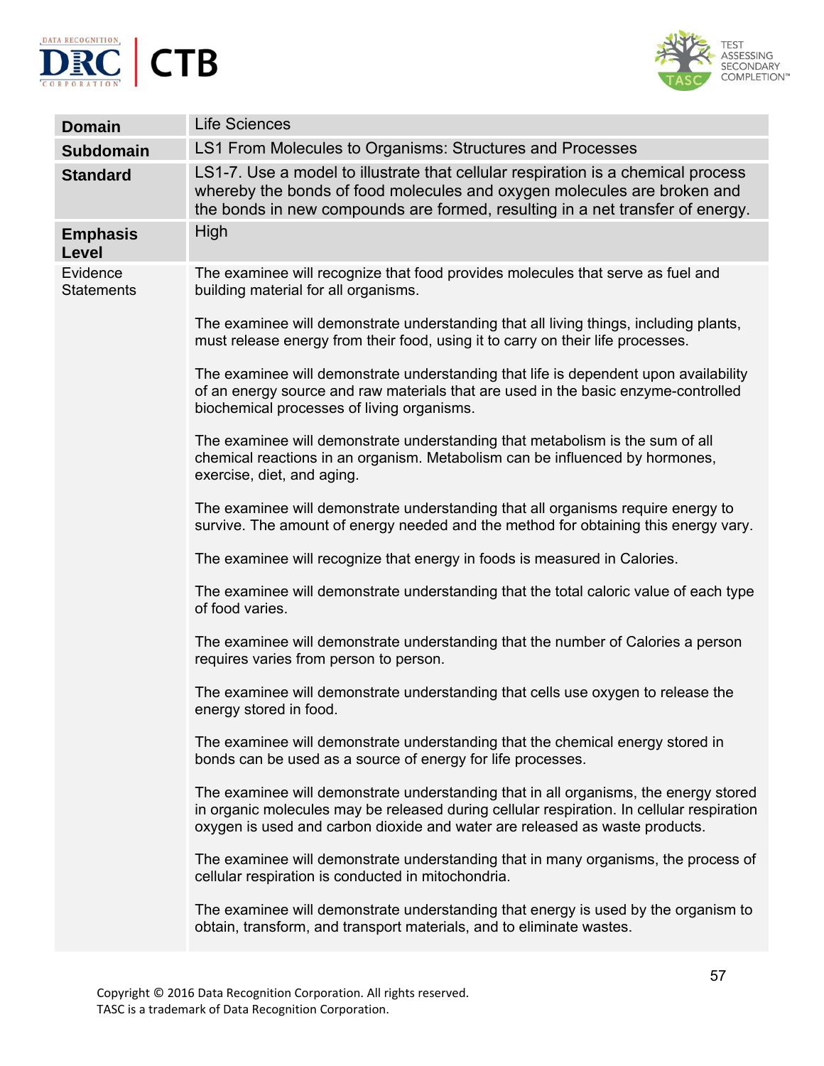



| <b>Domain</b>                 | <b>Life Sciences</b>                                                                                                                                                                                                                                             |
|-------------------------------|------------------------------------------------------------------------------------------------------------------------------------------------------------------------------------------------------------------------------------------------------------------|
| <b>Subdomain</b>              | LS1 From Molecules to Organisms: Structures and Processes                                                                                                                                                                                                        |
| <b>Standard</b>               | LS1-7. Use a model to illustrate that cellular respiration is a chemical process<br>whereby the bonds of food molecules and oxygen molecules are broken and<br>the bonds in new compounds are formed, resulting in a net transfer of energy.                     |
| <b>Emphasis</b><br>Level      | High                                                                                                                                                                                                                                                             |
| Evidence<br><b>Statements</b> | The examinee will recognize that food provides molecules that serve as fuel and<br>building material for all organisms.                                                                                                                                          |
|                               | The examinee will demonstrate understanding that all living things, including plants,<br>must release energy from their food, using it to carry on their life processes.                                                                                         |
|                               | The examinee will demonstrate understanding that life is dependent upon availability<br>of an energy source and raw materials that are used in the basic enzyme-controlled<br>biochemical processes of living organisms.                                         |
|                               | The examinee will demonstrate understanding that metabolism is the sum of all<br>chemical reactions in an organism. Metabolism can be influenced by hormones,<br>exercise, diet, and aging.                                                                      |
|                               | The examinee will demonstrate understanding that all organisms require energy to<br>survive. The amount of energy needed and the method for obtaining this energy vary.                                                                                          |
|                               | The examinee will recognize that energy in foods is measured in Calories.                                                                                                                                                                                        |
|                               | The examinee will demonstrate understanding that the total caloric value of each type<br>of food varies.                                                                                                                                                         |
|                               | The examinee will demonstrate understanding that the number of Calories a person<br>requires varies from person to person.                                                                                                                                       |
|                               | The examinee will demonstrate understanding that cells use oxygen to release the<br>energy stored in food.                                                                                                                                                       |
|                               | The examinee will demonstrate understanding that the chemical energy stored in<br>bonds can be used as a source of energy for life processes.                                                                                                                    |
|                               | The examinee will demonstrate understanding that in all organisms, the energy stored<br>in organic molecules may be released during cellular respiration. In cellular respiration<br>oxygen is used and carbon dioxide and water are released as waste products. |
|                               | The examinee will demonstrate understanding that in many organisms, the process of<br>cellular respiration is conducted in mitochondria.                                                                                                                         |
|                               | The examinee will demonstrate understanding that energy is used by the organism to<br>obtain, transform, and transport materials, and to eliminate wastes.                                                                                                       |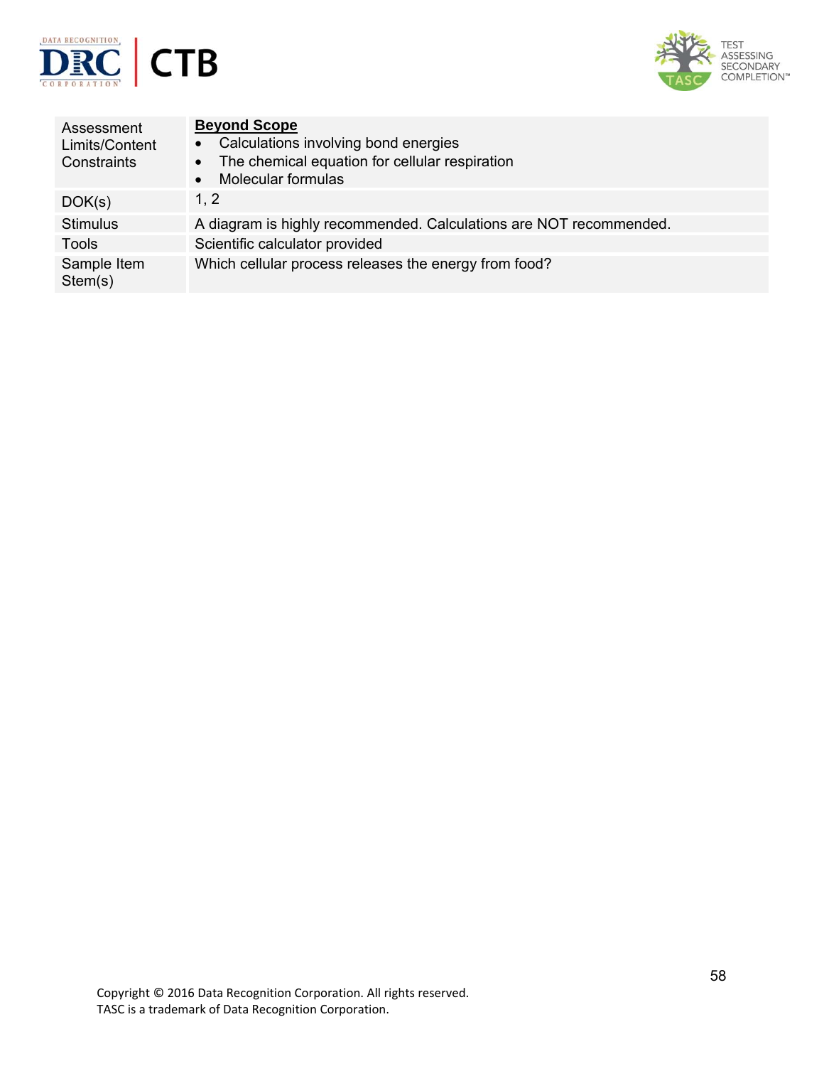



| Assessment<br>Limits/Content<br>Constraints | <b>Beyond Scope</b><br>Calculations involving bond energies<br>$\bullet$<br>The chemical equation for cellular respiration<br>$\bullet$<br><b>Molecular formulas</b> |
|---------------------------------------------|----------------------------------------------------------------------------------------------------------------------------------------------------------------------|
| DOK(s)                                      | 1, 2                                                                                                                                                                 |
| Stimulus                                    | A diagram is highly recommended. Calculations are NOT recommended.                                                                                                   |
| Tools                                       | Scientific calculator provided                                                                                                                                       |
| Sample Item<br>Stem(s)                      | Which cellular process releases the energy from food?                                                                                                                |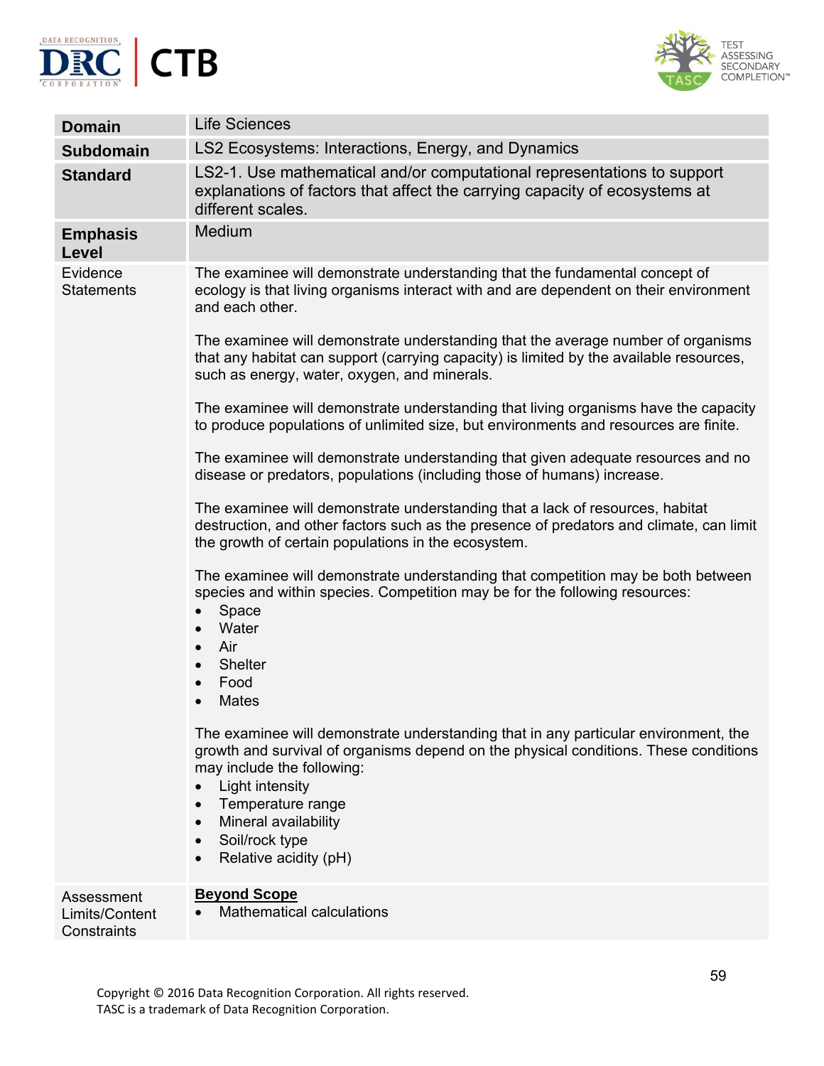



| <b>Domain</b>                               | <b>Life Sciences</b>                                                                                                                                                                                                                                                                                                 |
|---------------------------------------------|----------------------------------------------------------------------------------------------------------------------------------------------------------------------------------------------------------------------------------------------------------------------------------------------------------------------|
| <b>Subdomain</b>                            | LS2 Ecosystems: Interactions, Energy, and Dynamics                                                                                                                                                                                                                                                                   |
| <b>Standard</b>                             | LS2-1. Use mathematical and/or computational representations to support<br>explanations of factors that affect the carrying capacity of ecosystems at<br>different scales.                                                                                                                                           |
| <b>Emphasis</b><br><b>Level</b>             | Medium                                                                                                                                                                                                                                                                                                               |
| Evidence<br><b>Statements</b>               | The examinee will demonstrate understanding that the fundamental concept of<br>ecology is that living organisms interact with and are dependent on their environment<br>and each other.                                                                                                                              |
|                                             | The examinee will demonstrate understanding that the average number of organisms<br>that any habitat can support (carrying capacity) is limited by the available resources,<br>such as energy, water, oxygen, and minerals.                                                                                          |
|                                             | The examinee will demonstrate understanding that living organisms have the capacity<br>to produce populations of unlimited size, but environments and resources are finite.                                                                                                                                          |
|                                             | The examinee will demonstrate understanding that given adequate resources and no<br>disease or predators, populations (including those of humans) increase.                                                                                                                                                          |
|                                             | The examinee will demonstrate understanding that a lack of resources, habitat<br>destruction, and other factors such as the presence of predators and climate, can limit<br>the growth of certain populations in the ecosystem.                                                                                      |
|                                             | The examinee will demonstrate understanding that competition may be both between<br>species and within species. Competition may be for the following resources:<br>Space<br>Water<br>Air<br><b>Shelter</b><br>Food<br><b>Mates</b>                                                                                   |
|                                             | The examinee will demonstrate understanding that in any particular environment, the<br>growth and survival of organisms depend on the physical conditions. These conditions<br>may include the following:<br>Light intensity<br>Temperature range<br>Mineral availability<br>Soil/rock type<br>Relative acidity (pH) |
| Assessment<br>Limits/Content<br>Constraints | <b>Beyond Scope</b><br><b>Mathematical calculations</b>                                                                                                                                                                                                                                                              |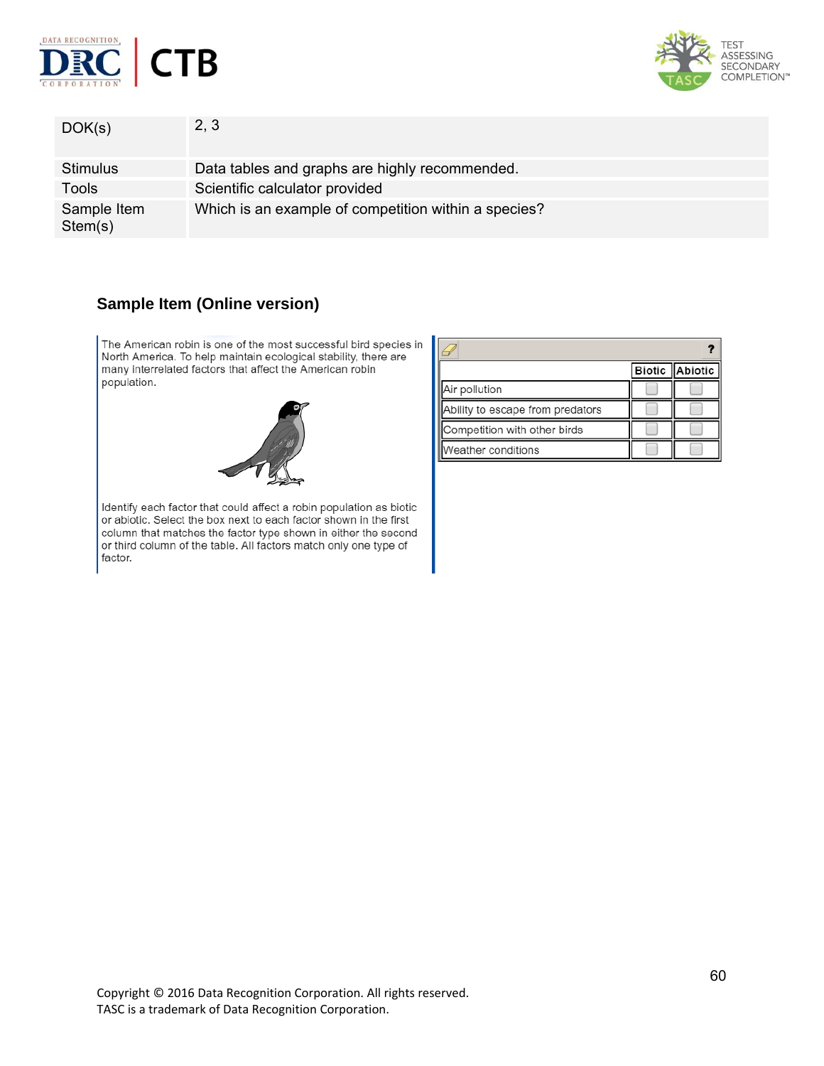



| DOK(s)                 | 2, 3                                                 |
|------------------------|------------------------------------------------------|
| <b>Stimulus</b>        | Data tables and graphs are highly recommended.       |
| Tools                  | Scientific calculator provided                       |
| Sample Item<br>Stem(s) | Which is an example of competition within a species? |

# **Sample Item (Online version)**

The American robin is one of the most successful bird species in North America. To help maintain ecological stability, there are many interrelated factors that affect the American robin population.



Identify each factor that could affect a robin population as biotic or abiotic. Select the box next to each factor shown in the first column that matches the factor type shown in either the second or third column of the table. All factors match only one type of factor.

|                                  |  | Biotic Abiotic |
|----------------------------------|--|----------------|
| Air pollution                    |  |                |
| Ability to escape from predators |  |                |
| Competition with other birds     |  |                |
| Weather conditions               |  |                |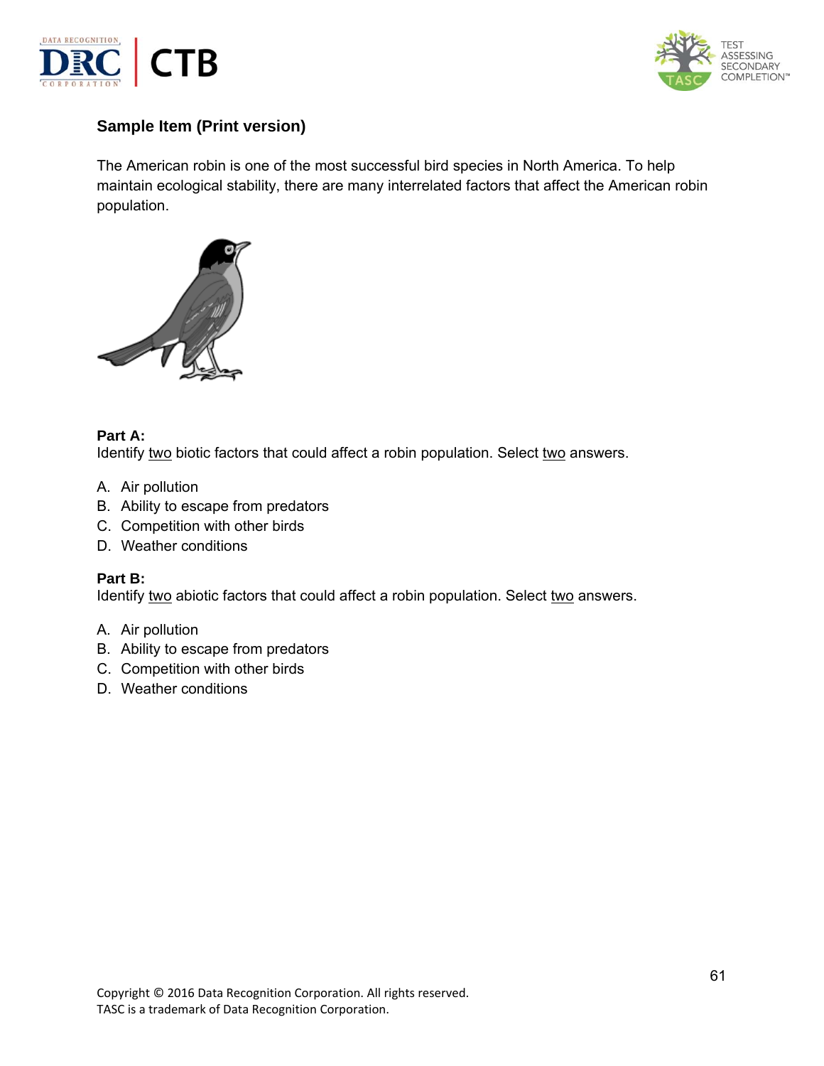



# **Sample Item (Print version)**

The American robin is one of the most successful bird species in North America. To help maintain ecological stability, there are many interrelated factors that affect the American robin population.



### **Part A:**

Identify two biotic factors that could affect a robin population. Select two answers.

- A. Air pollution
- B. Ability to escape from predators
- C. Competition with other birds
- D. Weather conditions

### **Part B:**

Identify two abiotic factors that could affect a robin population. Select two answers.

- A. Air pollution
- B. Ability to escape from predators
- C. Competition with other birds
- D. Weather conditions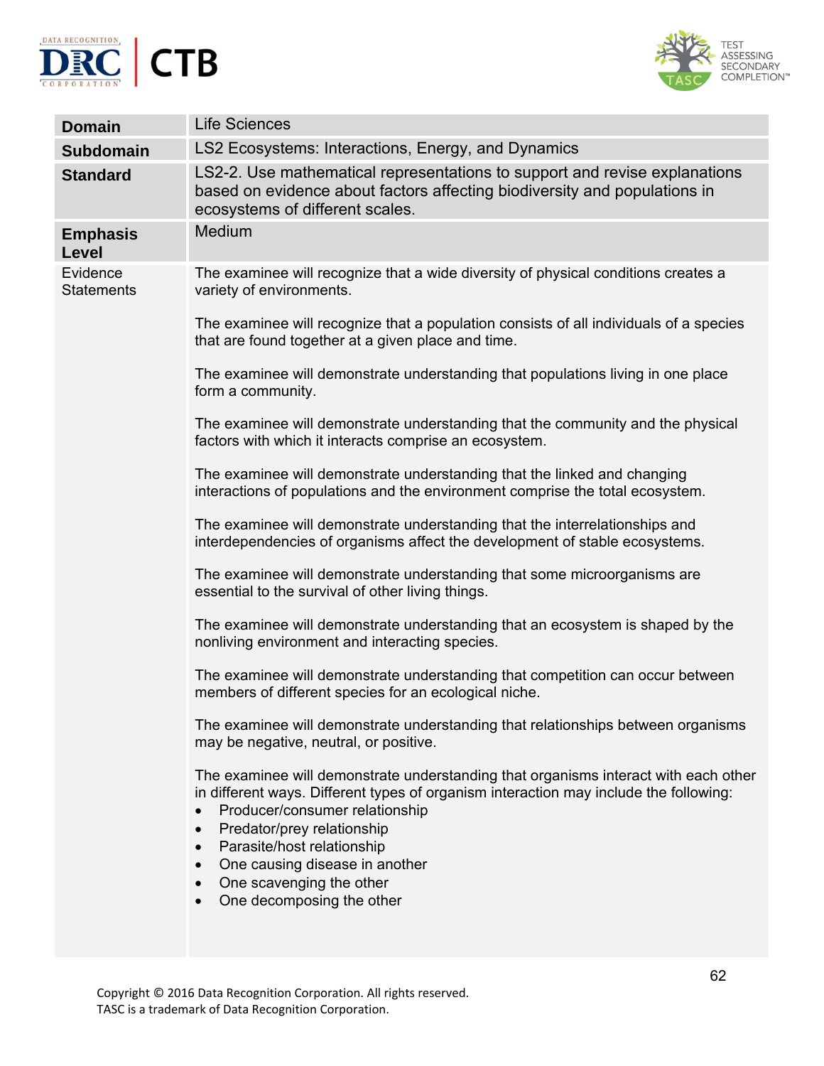



| <b>Domain</b>                   | <b>Life Sciences</b>                                                                                                                                                                                                                                                                                                                                                  |
|---------------------------------|-----------------------------------------------------------------------------------------------------------------------------------------------------------------------------------------------------------------------------------------------------------------------------------------------------------------------------------------------------------------------|
| <b>Subdomain</b>                | LS2 Ecosystems: Interactions, Energy, and Dynamics                                                                                                                                                                                                                                                                                                                    |
| <b>Standard</b>                 | LS2-2. Use mathematical representations to support and revise explanations<br>based on evidence about factors affecting biodiversity and populations in<br>ecosystems of different scales.                                                                                                                                                                            |
| <b>Emphasis</b><br><b>Level</b> | Medium                                                                                                                                                                                                                                                                                                                                                                |
| Evidence<br><b>Statements</b>   | The examinee will recognize that a wide diversity of physical conditions creates a<br>variety of environments.                                                                                                                                                                                                                                                        |
|                                 | The examinee will recognize that a population consists of all individuals of a species<br>that are found together at a given place and time.                                                                                                                                                                                                                          |
|                                 | The examinee will demonstrate understanding that populations living in one place<br>form a community.                                                                                                                                                                                                                                                                 |
|                                 | The examinee will demonstrate understanding that the community and the physical<br>factors with which it interacts comprise an ecosystem.                                                                                                                                                                                                                             |
|                                 | The examinee will demonstrate understanding that the linked and changing<br>interactions of populations and the environment comprise the total ecosystem.                                                                                                                                                                                                             |
|                                 | The examinee will demonstrate understanding that the interrelationships and<br>interdependencies of organisms affect the development of stable ecosystems.                                                                                                                                                                                                            |
|                                 | The examinee will demonstrate understanding that some microorganisms are<br>essential to the survival of other living things.                                                                                                                                                                                                                                         |
|                                 | The examinee will demonstrate understanding that an ecosystem is shaped by the<br>nonliving environment and interacting species.                                                                                                                                                                                                                                      |
|                                 | The examinee will demonstrate understanding that competition can occur between<br>members of different species for an ecological niche.                                                                                                                                                                                                                               |
|                                 | The examinee will demonstrate understanding that relationships between organisms<br>may be negative, neutral, or positive.                                                                                                                                                                                                                                            |
|                                 | The examinee will demonstrate understanding that organisms interact with each other<br>in different ways. Different types of organism interaction may include the following:<br>Producer/consumer relationship<br>Predator/prey relationship<br>Parasite/host relationship<br>One causing disease in another<br>One scavenging the other<br>One decomposing the other |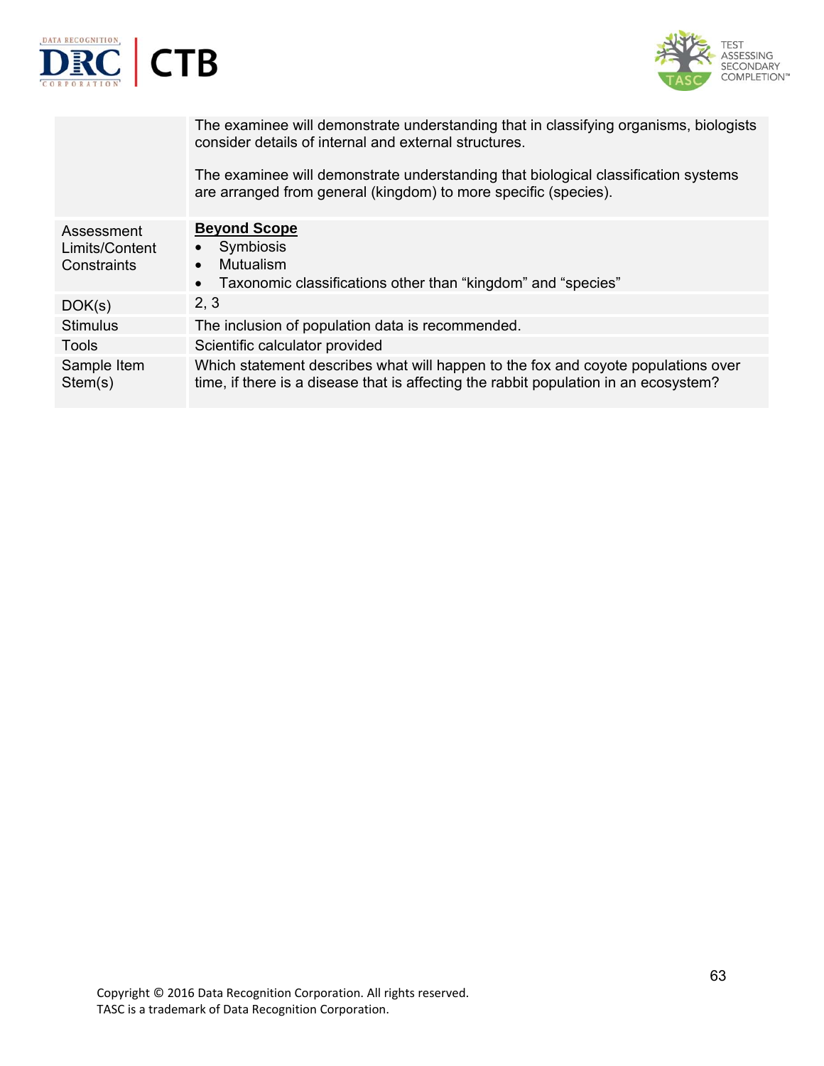



|                                             | The examinee will demonstrate understanding that in classifying organisms, biologists<br>consider details of internal and external structures.<br>The examinee will demonstrate understanding that biological classification systems<br>are arranged from general (kingdom) to more specific (species). |
|---------------------------------------------|---------------------------------------------------------------------------------------------------------------------------------------------------------------------------------------------------------------------------------------------------------------------------------------------------------|
| Assessment<br>Limits/Content<br>Constraints | <b>Beyond Scope</b><br>• Symbiosis<br><b>Mutualism</b><br>Taxonomic classifications other than "kingdom" and "species"<br>$\bullet$                                                                                                                                                                     |
| DOK(s)                                      | 2, 3                                                                                                                                                                                                                                                                                                    |
| <b>Stimulus</b>                             | The inclusion of population data is recommended.                                                                                                                                                                                                                                                        |
| Tools                                       | Scientific calculator provided                                                                                                                                                                                                                                                                          |
| Sample Item<br>Stem(s)                      | Which statement describes what will happen to the fox and coyote populations over<br>time, if there is a disease that is affecting the rabbit population in an ecosystem?                                                                                                                               |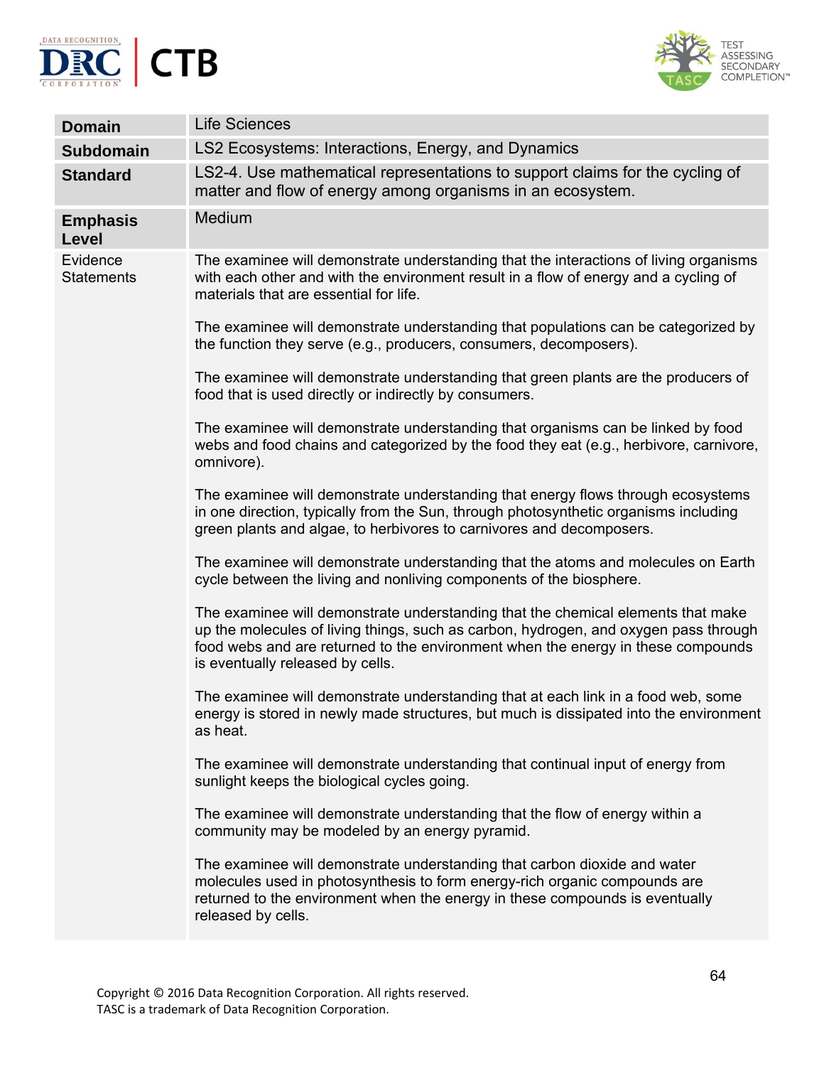



| <b>Domain</b>                 | <b>Life Sciences</b>                                                                                                                                                                                                                                                                             |  |
|-------------------------------|--------------------------------------------------------------------------------------------------------------------------------------------------------------------------------------------------------------------------------------------------------------------------------------------------|--|
| <b>Subdomain</b>              | LS2 Ecosystems: Interactions, Energy, and Dynamics                                                                                                                                                                                                                                               |  |
| <b>Standard</b>               | LS2-4. Use mathematical representations to support claims for the cycling of<br>matter and flow of energy among organisms in an ecosystem.                                                                                                                                                       |  |
| <b>Emphasis</b><br>Level      | Medium                                                                                                                                                                                                                                                                                           |  |
| Evidence<br><b>Statements</b> | The examinee will demonstrate understanding that the interactions of living organisms<br>with each other and with the environment result in a flow of energy and a cycling of<br>materials that are essential for life.                                                                          |  |
|                               | The examinee will demonstrate understanding that populations can be categorized by<br>the function they serve (e.g., producers, consumers, decomposers).                                                                                                                                         |  |
|                               | The examinee will demonstrate understanding that green plants are the producers of<br>food that is used directly or indirectly by consumers.                                                                                                                                                     |  |
|                               | The examinee will demonstrate understanding that organisms can be linked by food<br>webs and food chains and categorized by the food they eat (e.g., herbivore, carnivore,<br>omnivore).                                                                                                         |  |
|                               | The examinee will demonstrate understanding that energy flows through ecosystems<br>in one direction, typically from the Sun, through photosynthetic organisms including<br>green plants and algae, to herbivores to carnivores and decomposers.                                                 |  |
|                               | The examinee will demonstrate understanding that the atoms and molecules on Earth<br>cycle between the living and nonliving components of the biosphere.                                                                                                                                         |  |
|                               | The examinee will demonstrate understanding that the chemical elements that make<br>up the molecules of living things, such as carbon, hydrogen, and oxygen pass through<br>food webs and are returned to the environment when the energy in these compounds<br>is eventually released by cells. |  |
|                               | The examinee will demonstrate understanding that at each link in a food web, some<br>energy is stored in newly made structures, but much is dissipated into the environment<br>as heat.                                                                                                          |  |
|                               | The examinee will demonstrate understanding that continual input of energy from<br>sunlight keeps the biological cycles going.                                                                                                                                                                   |  |
|                               | The examinee will demonstrate understanding that the flow of energy within a<br>community may be modeled by an energy pyramid.                                                                                                                                                                   |  |
|                               | The examinee will demonstrate understanding that carbon dioxide and water<br>molecules used in photosynthesis to form energy-rich organic compounds are<br>returned to the environment when the energy in these compounds is eventually<br>released by cells.                                    |  |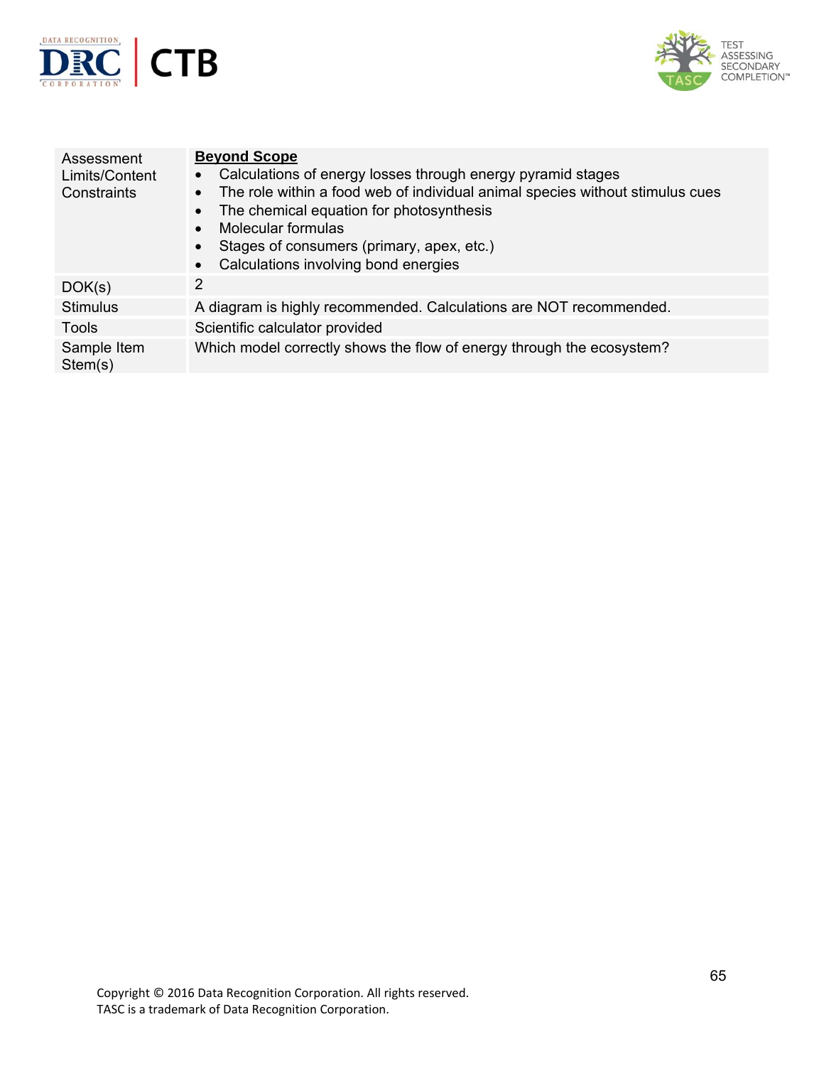



| Assessment<br>Limits/Content<br>Constraints | <b>Beyond Scope</b><br>Calculations of energy losses through energy pyramid stages<br>$\bullet$<br>The role within a food web of individual animal species without stimulus cues<br>The chemical equation for photosynthesis<br>Molecular formulas<br>Stages of consumers (primary, apex, etc.)<br>Calculations involving bond energies |
|---------------------------------------------|-----------------------------------------------------------------------------------------------------------------------------------------------------------------------------------------------------------------------------------------------------------------------------------------------------------------------------------------|
| DOK(s)                                      | 2                                                                                                                                                                                                                                                                                                                                       |
| <b>Stimulus</b>                             | A diagram is highly recommended. Calculations are NOT recommended.                                                                                                                                                                                                                                                                      |
| Tools                                       | Scientific calculator provided                                                                                                                                                                                                                                                                                                          |
| Sample Item<br>Stem(s)                      | Which model correctly shows the flow of energy through the ecosystem?                                                                                                                                                                                                                                                                   |
|                                             |                                                                                                                                                                                                                                                                                                                                         |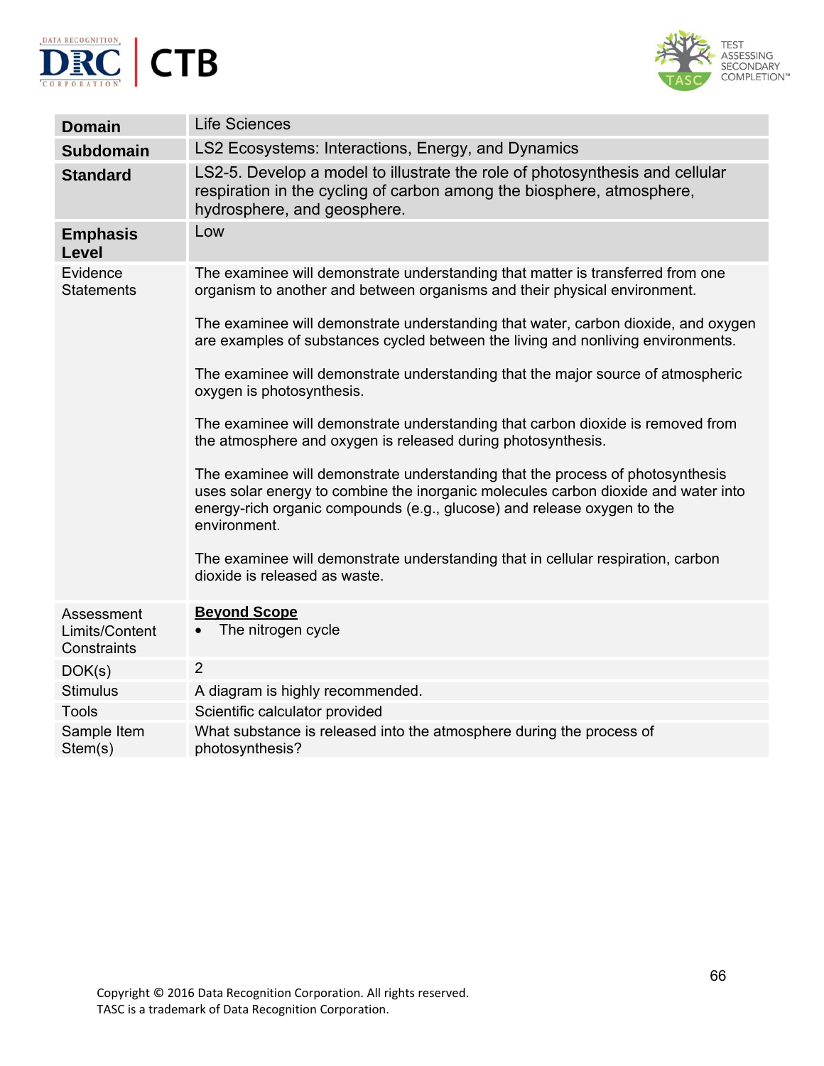



| <b>Life Sciences</b>                                                                                                                                                                                                                                            |
|-----------------------------------------------------------------------------------------------------------------------------------------------------------------------------------------------------------------------------------------------------------------|
| LS2 Ecosystems: Interactions, Energy, and Dynamics                                                                                                                                                                                                              |
| LS2-5. Develop a model to illustrate the role of photosynthesis and cellular<br>respiration in the cycling of carbon among the biosphere, atmosphere,<br>hydrosphere, and geosphere.                                                                            |
| Low                                                                                                                                                                                                                                                             |
| The examinee will demonstrate understanding that matter is transferred from one<br>organism to another and between organisms and their physical environment.                                                                                                    |
| The examinee will demonstrate understanding that water, carbon dioxide, and oxygen<br>are examples of substances cycled between the living and nonliving environments.                                                                                          |
| The examinee will demonstrate understanding that the major source of atmospheric<br>oxygen is photosynthesis.                                                                                                                                                   |
| The examinee will demonstrate understanding that carbon dioxide is removed from<br>the atmosphere and oxygen is released during photosynthesis.                                                                                                                 |
| The examinee will demonstrate understanding that the process of photosynthesis<br>uses solar energy to combine the inorganic molecules carbon dioxide and water into<br>energy-rich organic compounds (e.g., glucose) and release oxygen to the<br>environment. |
| The examinee will demonstrate understanding that in cellular respiration, carbon<br>dioxide is released as waste.                                                                                                                                               |
| <b>Beyond Scope</b><br>The nitrogen cycle                                                                                                                                                                                                                       |
| $\overline{2}$                                                                                                                                                                                                                                                  |
| A diagram is highly recommended.                                                                                                                                                                                                                                |
| Scientific calculator provided                                                                                                                                                                                                                                  |
| What substance is released into the atmosphere during the process of<br>photosynthesis?                                                                                                                                                                         |
|                                                                                                                                                                                                                                                                 |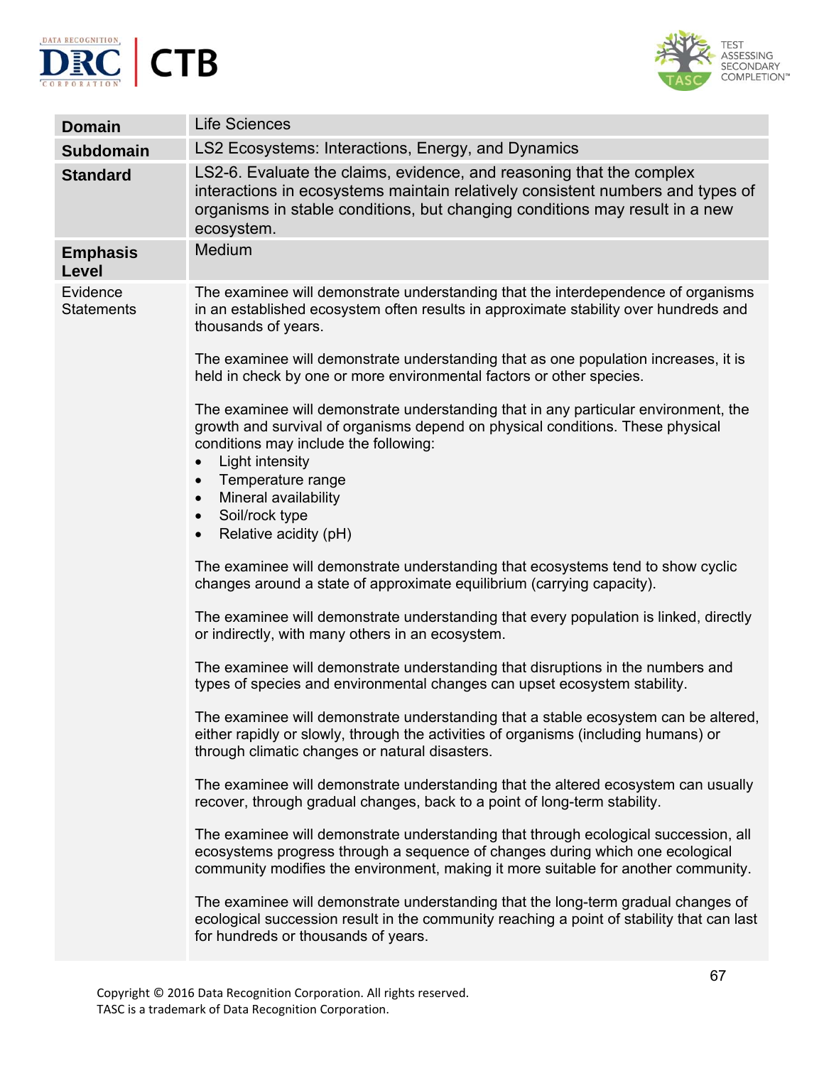



| <b>Domain</b>                 | <b>Life Sciences</b>                                                                                                                                                                                                                                                                                                                                             |
|-------------------------------|------------------------------------------------------------------------------------------------------------------------------------------------------------------------------------------------------------------------------------------------------------------------------------------------------------------------------------------------------------------|
| <b>Subdomain</b>              | LS2 Ecosystems: Interactions, Energy, and Dynamics                                                                                                                                                                                                                                                                                                               |
| <b>Standard</b>               | LS2-6. Evaluate the claims, evidence, and reasoning that the complex<br>interactions in ecosystems maintain relatively consistent numbers and types of<br>organisms in stable conditions, but changing conditions may result in a new<br>ecosystem.                                                                                                              |
| <b>Emphasis</b><br>Level      | Medium                                                                                                                                                                                                                                                                                                                                                           |
| Evidence<br><b>Statements</b> | The examinee will demonstrate understanding that the interdependence of organisms<br>in an established ecosystem often results in approximate stability over hundreds and<br>thousands of years.                                                                                                                                                                 |
|                               | The examinee will demonstrate understanding that as one population increases, it is<br>held in check by one or more environmental factors or other species.                                                                                                                                                                                                      |
|                               | The examinee will demonstrate understanding that in any particular environment, the<br>growth and survival of organisms depend on physical conditions. These physical<br>conditions may include the following:<br>Light intensity<br>Temperature range<br>$\bullet$<br>Mineral availability<br>$\bullet$<br>Soil/rock type<br>$\bullet$<br>Relative acidity (pH) |
|                               | The examinee will demonstrate understanding that ecosystems tend to show cyclic<br>changes around a state of approximate equilibrium (carrying capacity).                                                                                                                                                                                                        |
|                               | The examinee will demonstrate understanding that every population is linked, directly<br>or indirectly, with many others in an ecosystem.                                                                                                                                                                                                                        |
|                               | The examinee will demonstrate understanding that disruptions in the numbers and<br>types of species and environmental changes can upset ecosystem stability.                                                                                                                                                                                                     |
|                               | The examinee will demonstrate understanding that a stable ecosystem can be altered,<br>either rapidly or slowly, through the activities of organisms (including humans) or<br>through climatic changes or natural disasters.                                                                                                                                     |
|                               | The examinee will demonstrate understanding that the altered ecosystem can usually<br>recover, through gradual changes, back to a point of long-term stability.                                                                                                                                                                                                  |
|                               | The examinee will demonstrate understanding that through ecological succession, all<br>ecosystems progress through a sequence of changes during which one ecological<br>community modifies the environment, making it more suitable for another community.                                                                                                       |
|                               | The examinee will demonstrate understanding that the long-term gradual changes of<br>ecological succession result in the community reaching a point of stability that can last<br>for hundreds or thousands of years.                                                                                                                                            |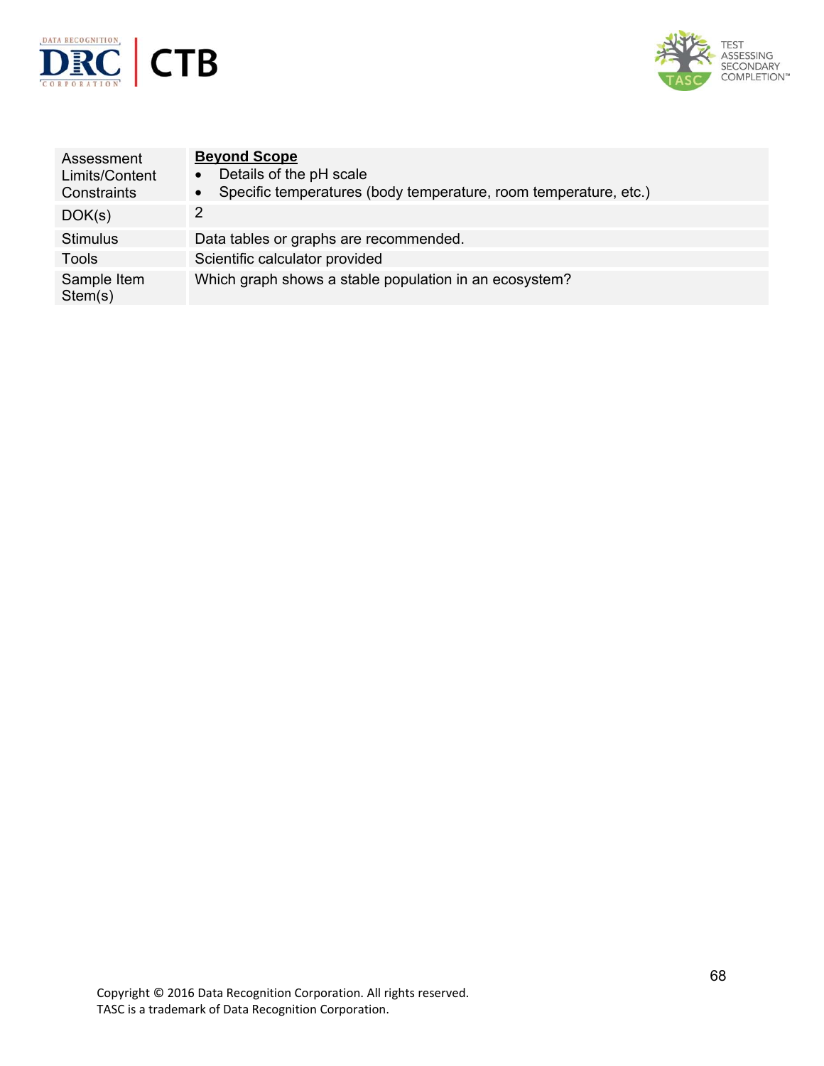



| Assessment<br>Limits/Content<br>Constraints | <b>Beyond Scope</b><br>Details of the pH scale<br>$\bullet$<br>Specific temperatures (body temperature, room temperature, etc.)<br>$\bullet$ |
|---------------------------------------------|----------------------------------------------------------------------------------------------------------------------------------------------|
| DOK(s)                                      | 2                                                                                                                                            |
| <b>Stimulus</b>                             | Data tables or graphs are recommended.                                                                                                       |
| <b>Tools</b>                                | Scientific calculator provided                                                                                                               |
| Sample Item<br>Stem(s)                      | Which graph shows a stable population in an ecosystem?                                                                                       |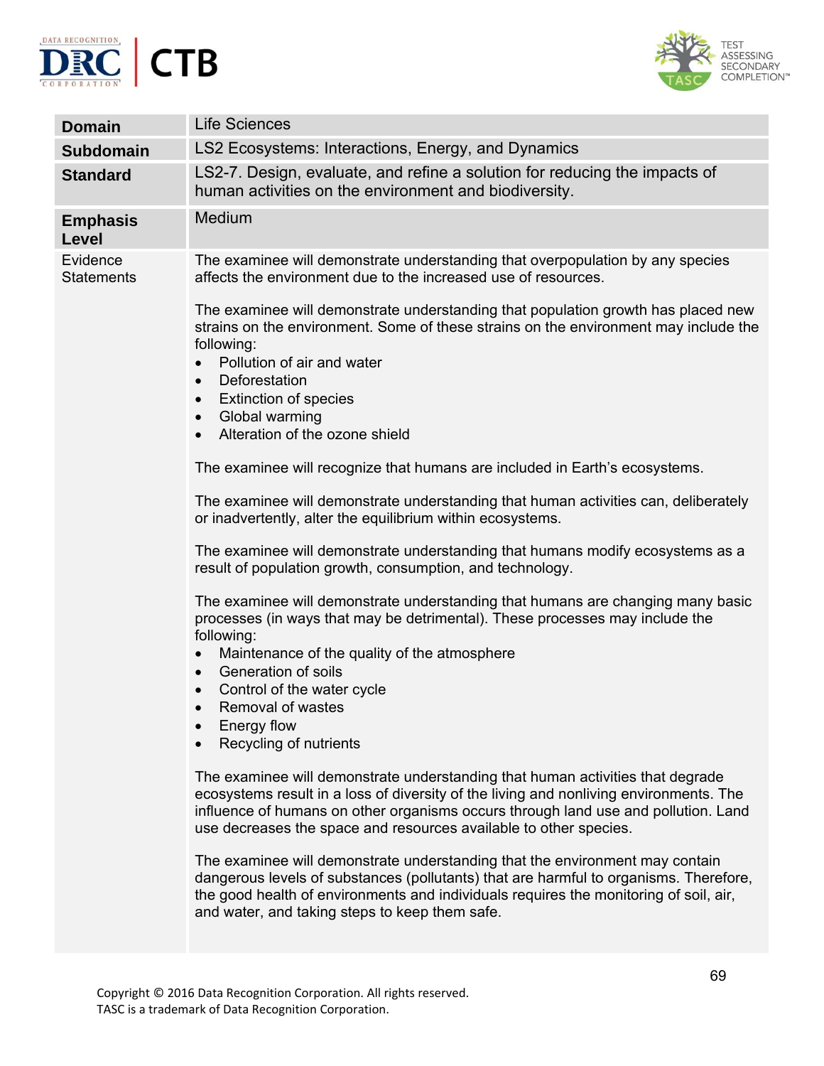



| <b>Domain</b>                 | <b>Life Sciences</b>                                                                                                                                                                                                                                                                                                                                              |
|-------------------------------|-------------------------------------------------------------------------------------------------------------------------------------------------------------------------------------------------------------------------------------------------------------------------------------------------------------------------------------------------------------------|
| <b>Subdomain</b>              | LS2 Ecosystems: Interactions, Energy, and Dynamics                                                                                                                                                                                                                                                                                                                |
| <b>Standard</b>               | LS2-7. Design, evaluate, and refine a solution for reducing the impacts of<br>human activities on the environment and biodiversity.                                                                                                                                                                                                                               |
| <b>Emphasis</b><br>Level      | Medium                                                                                                                                                                                                                                                                                                                                                            |
| Evidence<br><b>Statements</b> | The examinee will demonstrate understanding that overpopulation by any species<br>affects the environment due to the increased use of resources.                                                                                                                                                                                                                  |
|                               | The examinee will demonstrate understanding that population growth has placed new<br>strains on the environment. Some of these strains on the environment may include the<br>following:<br>Pollution of air and water<br>Deforestation<br>$\bullet$<br><b>Extinction of species</b><br>$\bullet$<br>Global warming<br>$\bullet$<br>Alteration of the ozone shield |
|                               | The examinee will recognize that humans are included in Earth's ecosystems.                                                                                                                                                                                                                                                                                       |
|                               | The examinee will demonstrate understanding that human activities can, deliberately<br>or inadvertently, alter the equilibrium within ecosystems.                                                                                                                                                                                                                 |
|                               | The examinee will demonstrate understanding that humans modify ecosystems as a<br>result of population growth, consumption, and technology.                                                                                                                                                                                                                       |
|                               | The examinee will demonstrate understanding that humans are changing many basic<br>processes (in ways that may be detrimental). These processes may include the<br>following:<br>Maintenance of the quality of the atmosphere<br>Generation of soils<br>$\bullet$<br>Control of the water cycle<br>Removal of wastes<br>Energy flow<br>Recycling of nutrients     |
|                               | The examinee will demonstrate understanding that human activities that degrade<br>ecosystems result in a loss of diversity of the living and nonliving environments. The<br>influence of humans on other organisms occurs through land use and pollution. Land<br>use decreases the space and resources available to other species.                               |
|                               | The examinee will demonstrate understanding that the environment may contain<br>dangerous levels of substances (pollutants) that are harmful to organisms. Therefore,<br>the good health of environments and individuals requires the monitoring of soil, air,<br>and water, and taking steps to keep them safe.                                                  |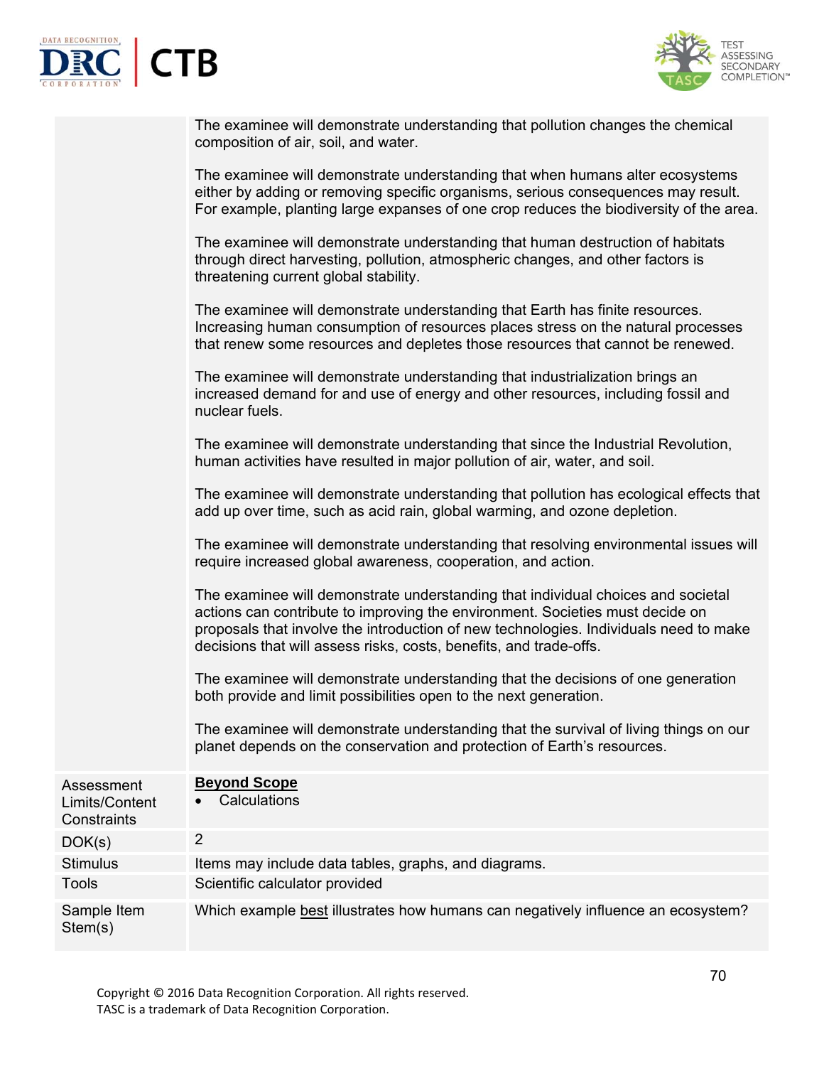



| The examinee will demonstrate understanding that pollution changes the chemical<br>composition of air, soil, and water.                                            |
|--------------------------------------------------------------------------------------------------------------------------------------------------------------------|
| The examinee will demonstrate understanding that when humans alter ecosystems<br>either by adding or removing specific organisms, serious consequences may result. |

For example, planting large expanses of one crop reduces the biodiversity of the area. The examinee will demonstrate understanding that human destruction of habitats

through direct harvesting, pollution, atmospheric changes, and other factors is threatening current global stability.

The examinee will demonstrate understanding that Earth has finite resources. Increasing human consumption of resources places stress on the natural processes that renew some resources and depletes those resources that cannot be renewed.

The examinee will demonstrate understanding that industrialization brings an increased demand for and use of energy and other resources, including fossil and nuclear fuels.

The examinee will demonstrate understanding that since the Industrial Revolution, human activities have resulted in major pollution of air, water, and soil.

The examinee will demonstrate understanding that pollution has ecological effects that add up over time, such as acid rain, global warming, and ozone depletion.

The examinee will demonstrate understanding that resolving environmental issues will require increased global awareness, cooperation, and action.

The examinee will demonstrate understanding that individual choices and societal actions can contribute to improving the environment. Societies must decide on proposals that involve the introduction of new technologies. Individuals need to make decisions that will assess risks, costs, benefits, and trade-offs.

The examinee will demonstrate understanding that the decisions of one generation both provide and limit possibilities open to the next generation.

The examinee will demonstrate understanding that the survival of living things on our planet depends on the conservation and protection of Earth's resources.

| Assessment<br>Limits/Content<br>Constraints | <b>Beyond Scope</b><br>Calculations                                              |
|---------------------------------------------|----------------------------------------------------------------------------------|
| DOK(s)                                      | 2                                                                                |
| Stimulus                                    | Items may include data tables, graphs, and diagrams.                             |
| <b>Tools</b>                                | Scientific calculator provided                                                   |
| Sample Item<br>Stem(s)                      | Which example best illustrates how humans can negatively influence an ecosystem? |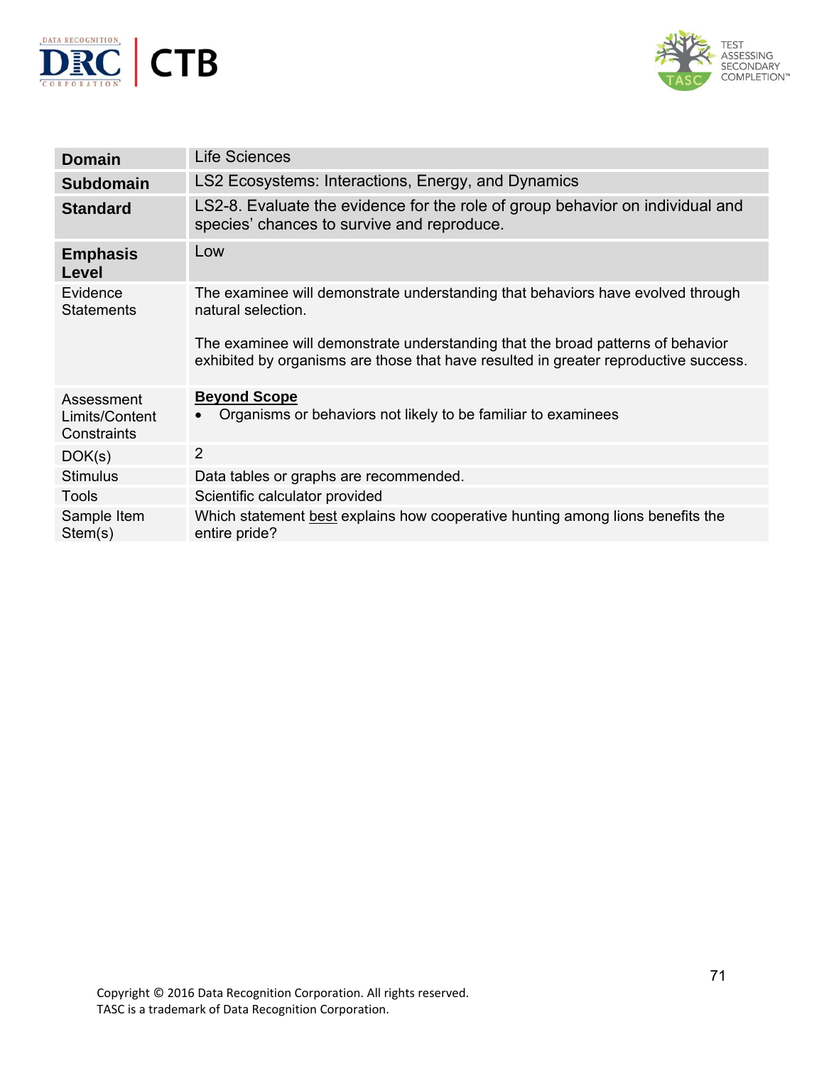



| <b>Domain</b>                               | <b>Life Sciences</b>                                                                                                                                                    |
|---------------------------------------------|-------------------------------------------------------------------------------------------------------------------------------------------------------------------------|
| <b>Subdomain</b>                            | LS2 Ecosystems: Interactions, Energy, and Dynamics                                                                                                                      |
| <b>Standard</b>                             | LS2-8. Evaluate the evidence for the role of group behavior on individual and<br>species' chances to survive and reproduce.                                             |
| <b>Emphasis</b><br>Level                    | Low                                                                                                                                                                     |
| Evidence<br><b>Statements</b>               | The examinee will demonstrate understanding that behaviors have evolved through<br>natural selection.                                                                   |
|                                             | The examinee will demonstrate understanding that the broad patterns of behavior<br>exhibited by organisms are those that have resulted in greater reproductive success. |
| Assessment<br>Limits/Content<br>Constraints | <b>Beyond Scope</b><br>Organisms or behaviors not likely to be familiar to examinees                                                                                    |
| DOK(s)                                      | 2                                                                                                                                                                       |
| <b>Stimulus</b>                             | Data tables or graphs are recommended.                                                                                                                                  |
| <b>Tools</b>                                | Scientific calculator provided                                                                                                                                          |
| Sample Item<br>Stem(s)                      | Which statement best explains how cooperative hunting among lions benefits the<br>entire pride?                                                                         |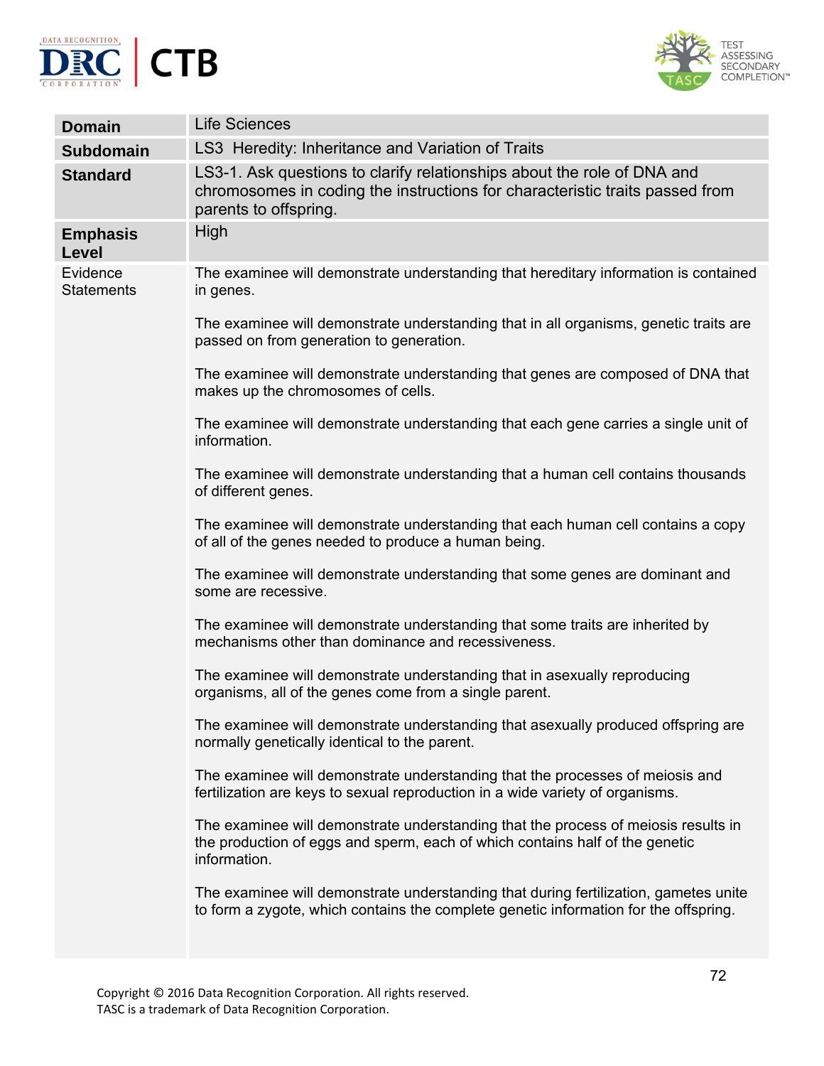



| <b>Domain</b>                 | <b>Life Sciences</b>                                                                                                                                                               |
|-------------------------------|------------------------------------------------------------------------------------------------------------------------------------------------------------------------------------|
| <b>Subdomain</b>              | LS3 Heredity: Inheritance and Variation of Traits                                                                                                                                  |
| <b>Standard</b>               | LS3-1. Ask questions to clarify relationships about the role of DNA and<br>chromosomes in coding the instructions for characteristic traits passed from<br>parents to offspring.   |
| <b>Emphasis</b><br>Level      | High                                                                                                                                                                               |
| Evidence<br><b>Statements</b> | The examinee will demonstrate understanding that hereditary information is contained<br>in genes.                                                                                  |
|                               | The examinee will demonstrate understanding that in all organisms, genetic traits are<br>passed on from generation to generation.                                                  |
|                               | The examinee will demonstrate understanding that genes are composed of DNA that<br>makes up the chromosomes of cells.                                                              |
|                               | The examinee will demonstrate understanding that each gene carries a single unit of<br>information.                                                                                |
|                               | The examinee will demonstrate understanding that a human cell contains thousands<br>of different genes.                                                                            |
|                               | The examinee will demonstrate understanding that each human cell contains a copy<br>of all of the genes needed to produce a human being.                                           |
|                               | The examinee will demonstrate understanding that some genes are dominant and<br>some are recessive.                                                                                |
|                               | The examinee will demonstrate understanding that some traits are inherited by<br>mechanisms other than dominance and recessiveness.                                                |
|                               | The examinee will demonstrate understanding that in asexually reproducing<br>organisms, all of the genes come from a single parent.                                                |
|                               | The examinee will demonstrate understanding that asexually produced offspring are<br>normally genetically identical to the parent.                                                 |
|                               | The examinee will demonstrate understanding that the processes of meiosis and<br>fertilization are keys to sexual reproduction in a wide variety of organisms.                     |
|                               | The examinee will demonstrate understanding that the process of meiosis results in<br>the production of eggs and sperm, each of which contains half of the genetic<br>information. |
|                               | The examinee will demonstrate understanding that during fertilization, gametes unite<br>to form a zygote, which contains the complete genetic information for the offspring.       |
|                               |                                                                                                                                                                                    |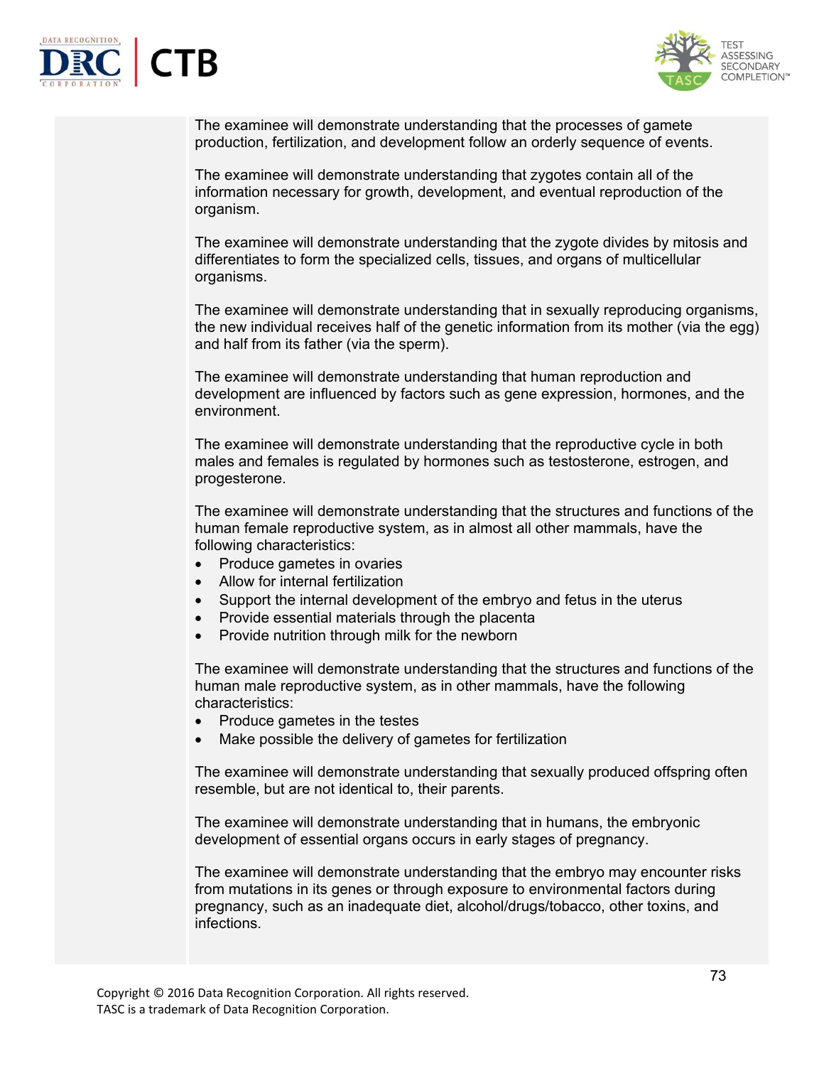



The examinee will demonstrate understanding that the processes of gamete production, fertilization, and development follow an orderly sequence of events.

The examinee will demonstrate understanding that zygotes contain all of the information necessary for growth, development, and eventual reproduction of the organism.

The examinee will demonstrate understanding that the zygote divides by mitosis and differentiates to form the specialized cells, tissues, and organs of multicellular organisms.

The examinee will demonstrate understanding that in sexually reproducing organisms, the new individual receives half of the genetic information from its mother (via the egg) and half from its father (via the sperm).

The examinee will demonstrate understanding that human reproduction and development are influenced by factors such as gene expression, hormones, and the environment.

The examinee will demonstrate understanding that the reproductive cycle in both males and females is regulated by hormones such as testosterone, estrogen, and progesterone.

The examinee will demonstrate understanding that the structures and functions of the human female reproductive system, as in almost all other mammals, have the following characteristics:

- Produce gametes in ovaries
- Allow for internal fertilization
- Support the internal development of the embryo and fetus in the uterus
- Provide essential materials through the placenta
- Provide nutrition through milk for the newborn

The examinee will demonstrate understanding that the structures and functions of the human male reproductive system, as in other mammals, have the following characteristics:

- Produce gametes in the testes
- Make possible the delivery of gametes for fertilization

The examinee will demonstrate understanding that sexually produced offspring often resemble, but are not identical to, their parents.

The examinee will demonstrate understanding that in humans, the embryonic development of essential organs occurs in early stages of pregnancy.

The examinee will demonstrate understanding that the embryo may encounter risks from mutations in its genes or through exposure to environmental factors during pregnancy, such as an inadequate diet, alcohol/drugs/tobacco, other toxins, and infections.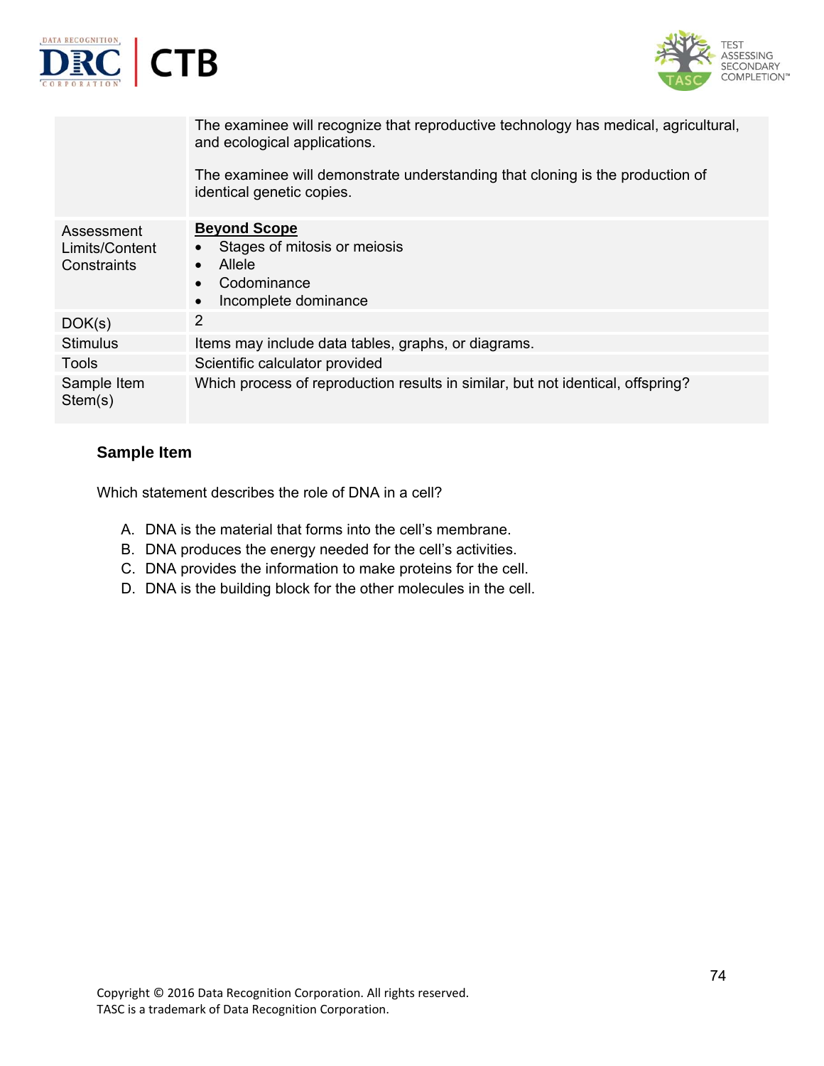

Which statement describes the role of DNA in a cell?

- A. DNA is the material that forms into the cell's membrane.
- B. DNA produces the energy needed for the cell's activities.
- C. DNA provides the information to make proteins for the cell.
- D. DNA is the building block for the other molecules in the cell.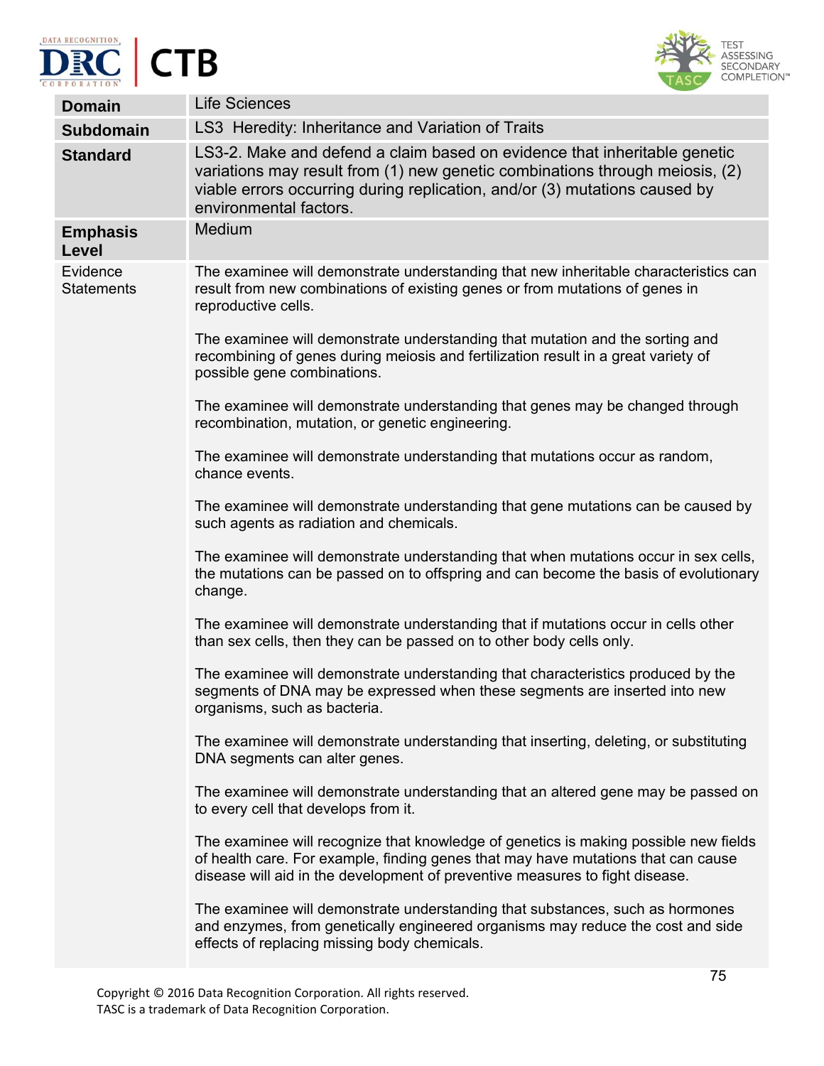



| <b>Domain</b>                 | <b>Life Sciences</b>                                                                                                                                                                                                                                              |
|-------------------------------|-------------------------------------------------------------------------------------------------------------------------------------------------------------------------------------------------------------------------------------------------------------------|
| <b>Subdomain</b>              | LS3 Heredity: Inheritance and Variation of Traits                                                                                                                                                                                                                 |
| <b>Standard</b>               | LS3-2. Make and defend a claim based on evidence that inheritable genetic<br>variations may result from (1) new genetic combinations through meiosis, (2)<br>viable errors occurring during replication, and/or (3) mutations caused by<br>environmental factors. |
| <b>Emphasis</b><br>Level      | Medium                                                                                                                                                                                                                                                            |
| Evidence<br><b>Statements</b> | The examinee will demonstrate understanding that new inheritable characteristics can<br>result from new combinations of existing genes or from mutations of genes in<br>reproductive cells.                                                                       |
|                               | The examinee will demonstrate understanding that mutation and the sorting and<br>recombining of genes during meiosis and fertilization result in a great variety of<br>possible gene combinations.                                                                |
|                               | The examinee will demonstrate understanding that genes may be changed through<br>recombination, mutation, or genetic engineering.                                                                                                                                 |
|                               | The examinee will demonstrate understanding that mutations occur as random,<br>chance events.                                                                                                                                                                     |
|                               | The examinee will demonstrate understanding that gene mutations can be caused by<br>such agents as radiation and chemicals.                                                                                                                                       |
|                               | The examinee will demonstrate understanding that when mutations occur in sex cells,<br>the mutations can be passed on to offspring and can become the basis of evolutionary<br>change.                                                                            |
|                               | The examinee will demonstrate understanding that if mutations occur in cells other<br>than sex cells, then they can be passed on to other body cells only.                                                                                                        |
|                               | The examinee will demonstrate understanding that characteristics produced by the<br>segments of DNA may be expressed when these segments are inserted into new<br>organisms, such as bacteria.                                                                    |
|                               | The examinee will demonstrate understanding that inserting, deleting, or substituting<br>DNA segments can alter genes.                                                                                                                                            |
|                               | The examinee will demonstrate understanding that an altered gene may be passed on<br>to every cell that develops from it.                                                                                                                                         |
|                               | The examinee will recognize that knowledge of genetics is making possible new fields<br>of health care. For example, finding genes that may have mutations that can cause<br>disease will aid in the development of preventive measures to fight disease.         |
|                               | The examinee will demonstrate understanding that substances, such as hormones<br>and enzymes, from genetically engineered organisms may reduce the cost and side<br>effects of replacing missing body chemicals.                                                  |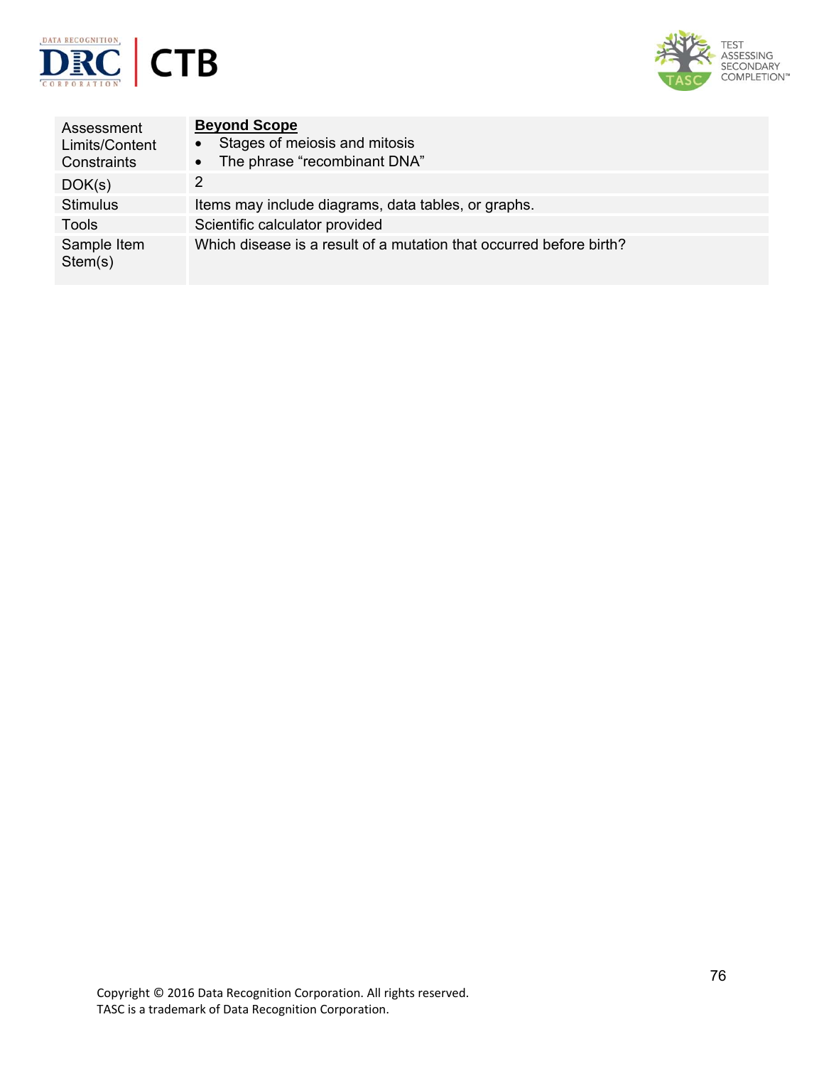



| Assessment<br>Limits/Content<br>Constraints | <b>Beyond Scope</b><br>Stages of meiosis and mitosis<br>$\bullet$<br>The phrase "recombinant DNA"<br>$\bullet$ |
|---------------------------------------------|----------------------------------------------------------------------------------------------------------------|
| DOK(s)                                      | $\mathcal{P}$                                                                                                  |
| <b>Stimulus</b>                             | Items may include diagrams, data tables, or graphs.                                                            |
| Tools                                       | Scientific calculator provided                                                                                 |
| Sample Item<br>Stem(s)                      | Which disease is a result of a mutation that occurred before birth?                                            |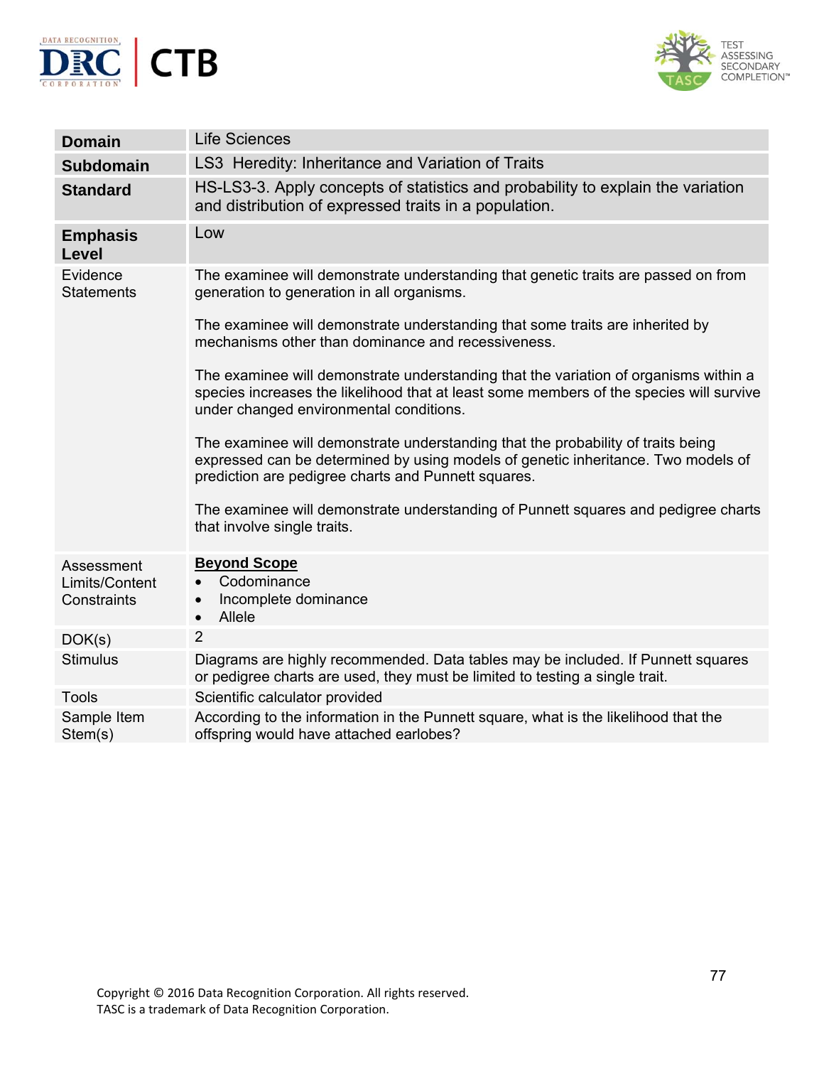



| <b>Domain</b>                               | <b>Life Sciences</b>                                                                                                                                                                                                         |
|---------------------------------------------|------------------------------------------------------------------------------------------------------------------------------------------------------------------------------------------------------------------------------|
| <b>Subdomain</b>                            | LS3 Heredity: Inheritance and Variation of Traits                                                                                                                                                                            |
| <b>Standard</b>                             | HS-LS3-3. Apply concepts of statistics and probability to explain the variation<br>and distribution of expressed traits in a population.                                                                                     |
| <b>Emphasis</b><br>Level                    | Low                                                                                                                                                                                                                          |
| Evidence<br><b>Statements</b>               | The examinee will demonstrate understanding that genetic traits are passed on from<br>generation to generation in all organisms.                                                                                             |
|                                             | The examinee will demonstrate understanding that some traits are inherited by<br>mechanisms other than dominance and recessiveness.                                                                                          |
|                                             | The examinee will demonstrate understanding that the variation of organisms within a<br>species increases the likelihood that at least some members of the species will survive<br>under changed environmental conditions.   |
|                                             | The examinee will demonstrate understanding that the probability of traits being<br>expressed can be determined by using models of genetic inheritance. Two models of<br>prediction are pedigree charts and Punnett squares. |
|                                             | The examinee will demonstrate understanding of Punnett squares and pedigree charts<br>that involve single traits.                                                                                                            |
| Assessment<br>Limits/Content<br>Constraints | <b>Beyond Scope</b><br>Codominance<br>$\bullet$<br>Incomplete dominance<br>$\bullet$<br>Allele<br>$\bullet$                                                                                                                  |
| DOK(s)                                      | $\overline{2}$                                                                                                                                                                                                               |
| <b>Stimulus</b>                             | Diagrams are highly recommended. Data tables may be included. If Punnett squares<br>or pedigree charts are used, they must be limited to testing a single trait.                                                             |
| <b>Tools</b>                                | Scientific calculator provided                                                                                                                                                                                               |
| Sample Item<br>Stem(s)                      | According to the information in the Punnett square, what is the likelihood that the<br>offspring would have attached earlobes?                                                                                               |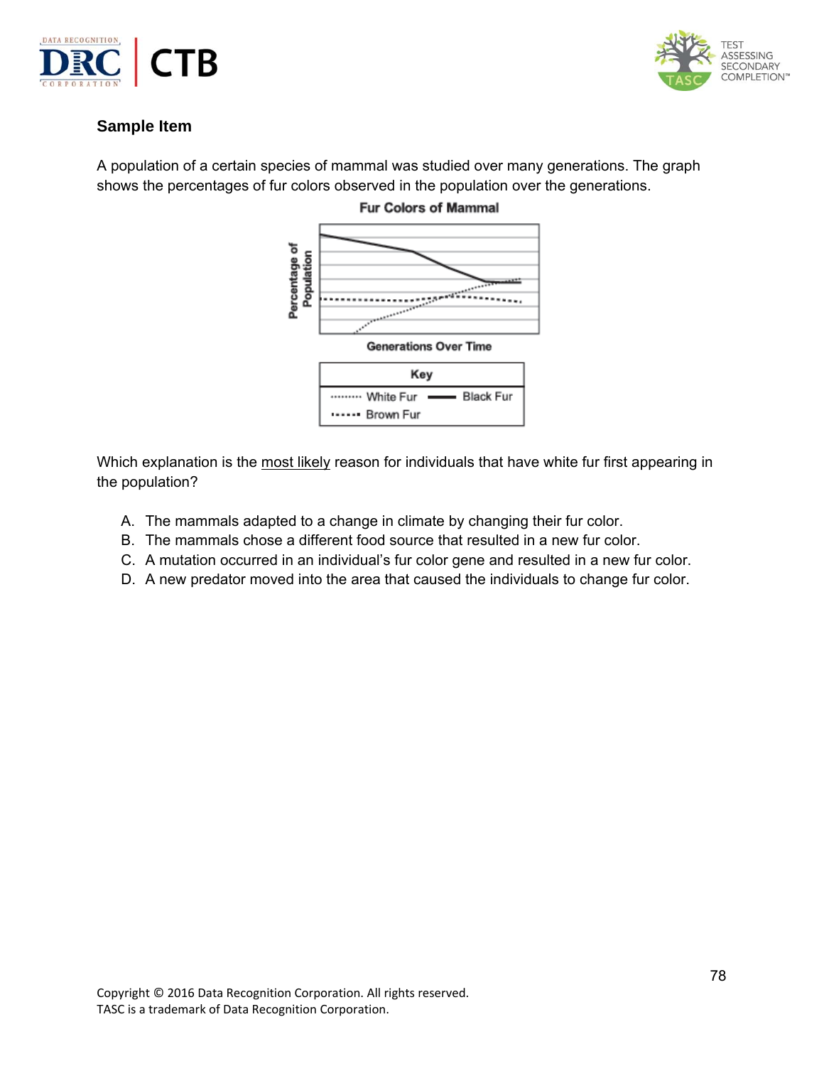



A population of a certain species of mammal was studied over many generations. The graph shows the percentages of fur colors observed in the population over the generations.



Which explanation is the most likely reason for individuals that have white fur first appearing in the population?

- A. The mammals adapted to a change in climate by changing their fur color.
- B. The mammals chose a different food source that resulted in a new fur color.
- C. A mutation occurred in an individual's fur color gene and resulted in a new fur color.
- D. A new predator moved into the area that caused the individuals to change fur color.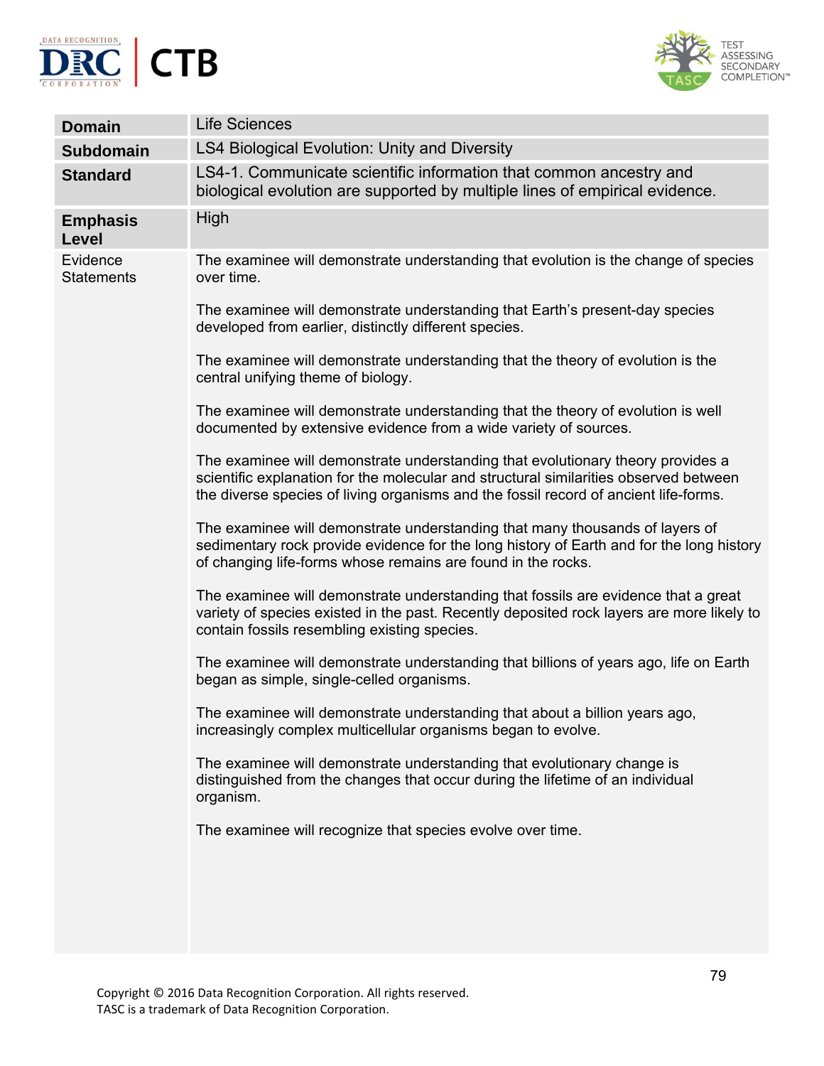



| <b>Domain</b>                 | <b>Life Sciences</b>                                                                                                                                                                                                                                             |
|-------------------------------|------------------------------------------------------------------------------------------------------------------------------------------------------------------------------------------------------------------------------------------------------------------|
| <b>Subdomain</b>              | <b>LS4 Biological Evolution: Unity and Diversity</b>                                                                                                                                                                                                             |
| <b>Standard</b>               | LS4-1. Communicate scientific information that common ancestry and<br>biological evolution are supported by multiple lines of empirical evidence.                                                                                                                |
| <b>Emphasis</b><br>Level      | High                                                                                                                                                                                                                                                             |
| Evidence<br><b>Statements</b> | The examinee will demonstrate understanding that evolution is the change of species<br>over time.<br>The examinee will demonstrate understanding that Earth's present-day species                                                                                |
|                               | developed from earlier, distinctly different species.                                                                                                                                                                                                            |
|                               | The examinee will demonstrate understanding that the theory of evolution is the<br>central unifying theme of biology.                                                                                                                                            |
|                               | The examinee will demonstrate understanding that the theory of evolution is well<br>documented by extensive evidence from a wide variety of sources.                                                                                                             |
|                               | The examinee will demonstrate understanding that evolutionary theory provides a<br>scientific explanation for the molecular and structural similarities observed between<br>the diverse species of living organisms and the fossil record of ancient life-forms. |
|                               | The examinee will demonstrate understanding that many thousands of layers of<br>sedimentary rock provide evidence for the long history of Earth and for the long history<br>of changing life-forms whose remains are found in the rocks.                         |
|                               | The examinee will demonstrate understanding that fossils are evidence that a great<br>variety of species existed in the past. Recently deposited rock layers are more likely to<br>contain fossils resembling existing species.                                  |
|                               | The examinee will demonstrate understanding that billions of years ago, life on Earth<br>began as simple, single-celled organisms.                                                                                                                               |
|                               | The examinee will demonstrate understanding that about a billion years ago,<br>increasingly complex multicellular organisms began to evolve.                                                                                                                     |
|                               | The examinee will demonstrate understanding that evolutionary change is<br>distinguished from the changes that occur during the lifetime of an individual<br>organism.                                                                                           |
|                               | The examinee will recognize that species evolve over time.                                                                                                                                                                                                       |
|                               |                                                                                                                                                                                                                                                                  |
|                               |                                                                                                                                                                                                                                                                  |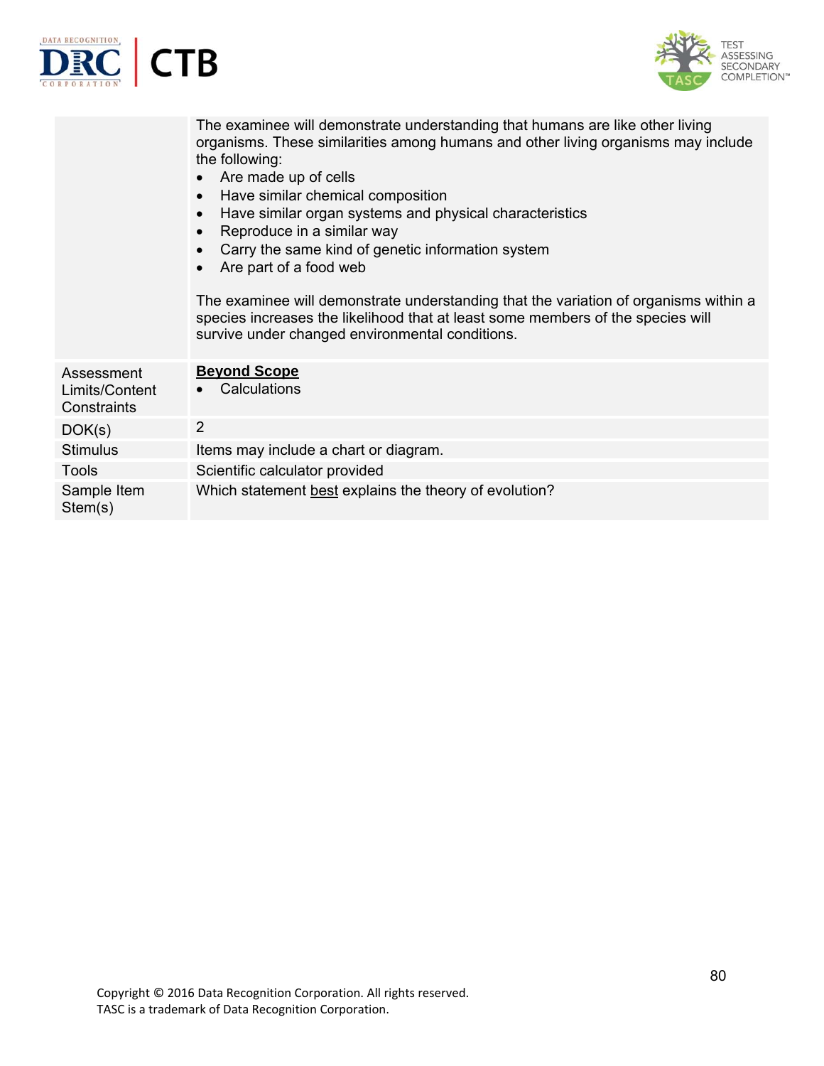



|                                             | The examinee will demonstrate understanding that humans are like other living<br>organisms. These similarities among humans and other living organisms may include<br>the following:<br>Are made up of cells<br>Have similar chemical composition<br>$\bullet$<br>Have similar organ systems and physical characteristics<br>$\bullet$<br>Reproduce in a similar way<br>$\bullet$<br>Carry the same kind of genetic information system<br>Are part of a food web<br>The examinee will demonstrate understanding that the variation of organisms within a<br>species increases the likelihood that at least some members of the species will<br>survive under changed environmental conditions. |
|---------------------------------------------|------------------------------------------------------------------------------------------------------------------------------------------------------------------------------------------------------------------------------------------------------------------------------------------------------------------------------------------------------------------------------------------------------------------------------------------------------------------------------------------------------------------------------------------------------------------------------------------------------------------------------------------------------------------------------------------------|
| Assessment<br>Limits/Content<br>Constraints | <b>Beyond Scope</b><br>Calculations                                                                                                                                                                                                                                                                                                                                                                                                                                                                                                                                                                                                                                                            |
| DOK(s)                                      | $\overline{2}$                                                                                                                                                                                                                                                                                                                                                                                                                                                                                                                                                                                                                                                                                 |
| <b>Stimulus</b>                             | Items may include a chart or diagram.                                                                                                                                                                                                                                                                                                                                                                                                                                                                                                                                                                                                                                                          |
| <b>Tools</b>                                | Scientific calculator provided                                                                                                                                                                                                                                                                                                                                                                                                                                                                                                                                                                                                                                                                 |
| Sample Item<br>Stem(s)                      | Which statement best explains the theory of evolution?                                                                                                                                                                                                                                                                                                                                                                                                                                                                                                                                                                                                                                         |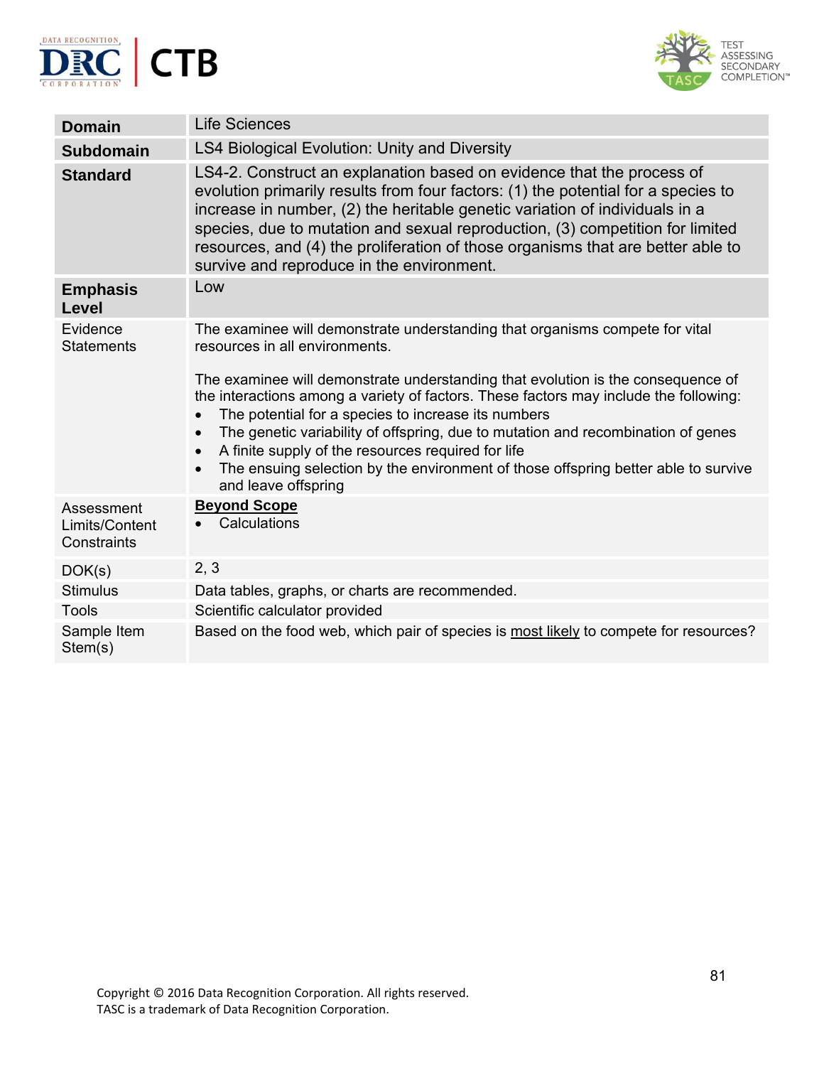



| <b>Domain</b>                               | <b>Life Sciences</b>                                                                                                                                                                                                                                                                                                                                                                                                                                                                                                                                                                                      |
|---------------------------------------------|-----------------------------------------------------------------------------------------------------------------------------------------------------------------------------------------------------------------------------------------------------------------------------------------------------------------------------------------------------------------------------------------------------------------------------------------------------------------------------------------------------------------------------------------------------------------------------------------------------------|
| <b>Subdomain</b>                            | LS4 Biological Evolution: Unity and Diversity                                                                                                                                                                                                                                                                                                                                                                                                                                                                                                                                                             |
| <b>Standard</b>                             | LS4-2. Construct an explanation based on evidence that the process of<br>evolution primarily results from four factors: (1) the potential for a species to<br>increase in number, (2) the heritable genetic variation of individuals in a<br>species, due to mutation and sexual reproduction, (3) competition for limited<br>resources, and (4) the proliferation of those organisms that are better able to<br>survive and reproduce in the environment.                                                                                                                                                |
| <b>Emphasis</b><br><b>Level</b>             | Low                                                                                                                                                                                                                                                                                                                                                                                                                                                                                                                                                                                                       |
| Evidence<br><b>Statements</b>               | The examinee will demonstrate understanding that organisms compete for vital<br>resources in all environments.<br>The examinee will demonstrate understanding that evolution is the consequence of<br>the interactions among a variety of factors. These factors may include the following:<br>The potential for a species to increase its numbers<br>The genetic variability of offspring, due to mutation and recombination of genes<br>A finite supply of the resources required for life<br>The ensuing selection by the environment of those offspring better able to survive<br>and leave offspring |
| Assessment<br>Limits/Content<br>Constraints | <b>Beyond Scope</b><br>Calculations                                                                                                                                                                                                                                                                                                                                                                                                                                                                                                                                                                       |
| DOK(s)                                      | 2, 3                                                                                                                                                                                                                                                                                                                                                                                                                                                                                                                                                                                                      |
| <b>Stimulus</b>                             | Data tables, graphs, or charts are recommended.                                                                                                                                                                                                                                                                                                                                                                                                                                                                                                                                                           |
| <b>Tools</b>                                | Scientific calculator provided                                                                                                                                                                                                                                                                                                                                                                                                                                                                                                                                                                            |
| Sample Item<br>Stem(s)                      | Based on the food web, which pair of species is most likely to compete for resources?                                                                                                                                                                                                                                                                                                                                                                                                                                                                                                                     |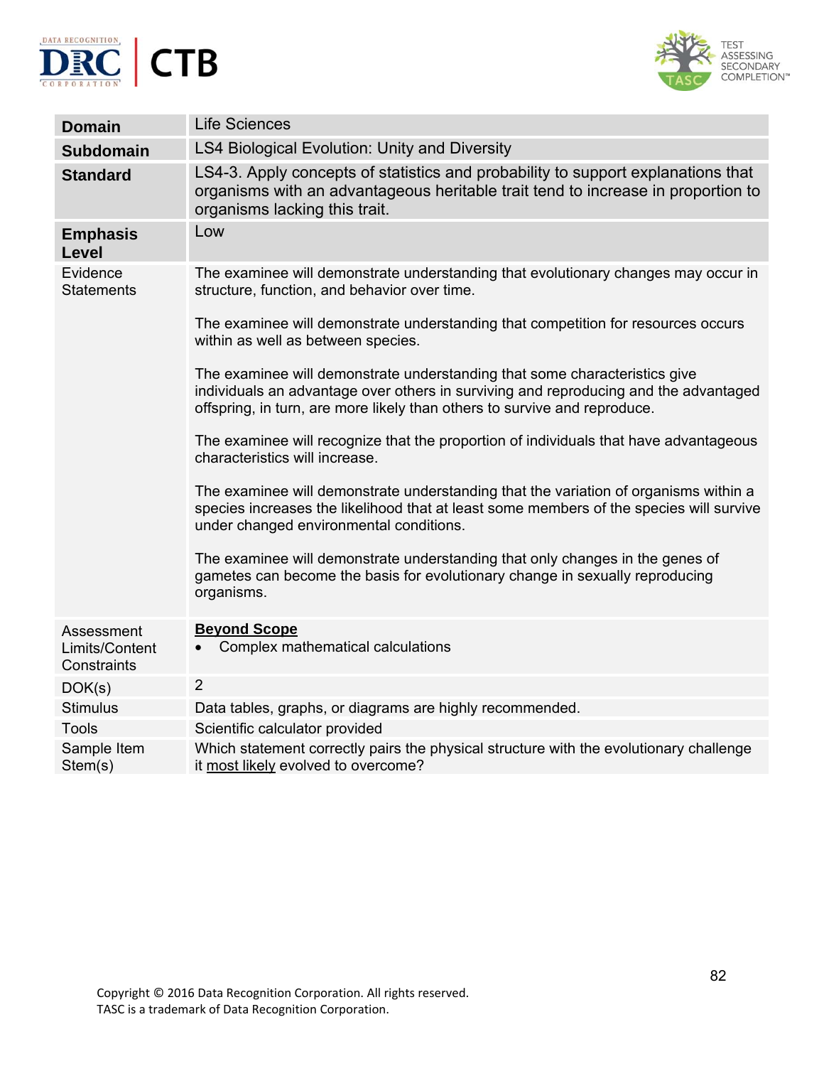



| <b>Domain</b>                               | <b>Life Sciences</b>                                                                                                                                                                                                                            |
|---------------------------------------------|-------------------------------------------------------------------------------------------------------------------------------------------------------------------------------------------------------------------------------------------------|
| <b>Subdomain</b>                            | LS4 Biological Evolution: Unity and Diversity                                                                                                                                                                                                   |
| <b>Standard</b>                             | LS4-3. Apply concepts of statistics and probability to support explanations that<br>organisms with an advantageous heritable trait tend to increase in proportion to<br>organisms lacking this trait.                                           |
| <b>Emphasis</b><br>Level                    | Low                                                                                                                                                                                                                                             |
| Evidence<br><b>Statements</b>               | The examinee will demonstrate understanding that evolutionary changes may occur in<br>structure, function, and behavior over time.                                                                                                              |
|                                             | The examinee will demonstrate understanding that competition for resources occurs<br>within as well as between species.                                                                                                                         |
|                                             | The examinee will demonstrate understanding that some characteristics give<br>individuals an advantage over others in surviving and reproducing and the advantaged<br>offspring, in turn, are more likely than others to survive and reproduce. |
|                                             | The examinee will recognize that the proportion of individuals that have advantageous<br>characteristics will increase.                                                                                                                         |
|                                             | The examinee will demonstrate understanding that the variation of organisms within a<br>species increases the likelihood that at least some members of the species will survive<br>under changed environmental conditions.                      |
|                                             | The examinee will demonstrate understanding that only changes in the genes of<br>gametes can become the basis for evolutionary change in sexually reproducing<br>organisms.                                                                     |
| Assessment<br>Limits/Content<br>Constraints | <b>Beyond Scope</b><br>Complex mathematical calculations                                                                                                                                                                                        |
| DOK(s)                                      | $\overline{2}$                                                                                                                                                                                                                                  |
| <b>Stimulus</b>                             | Data tables, graphs, or diagrams are highly recommended.                                                                                                                                                                                        |
| <b>Tools</b>                                | Scientific calculator provided                                                                                                                                                                                                                  |
| Sample Item<br>Stem(s)                      | Which statement correctly pairs the physical structure with the evolutionary challenge<br>it most likely evolved to overcome?                                                                                                                   |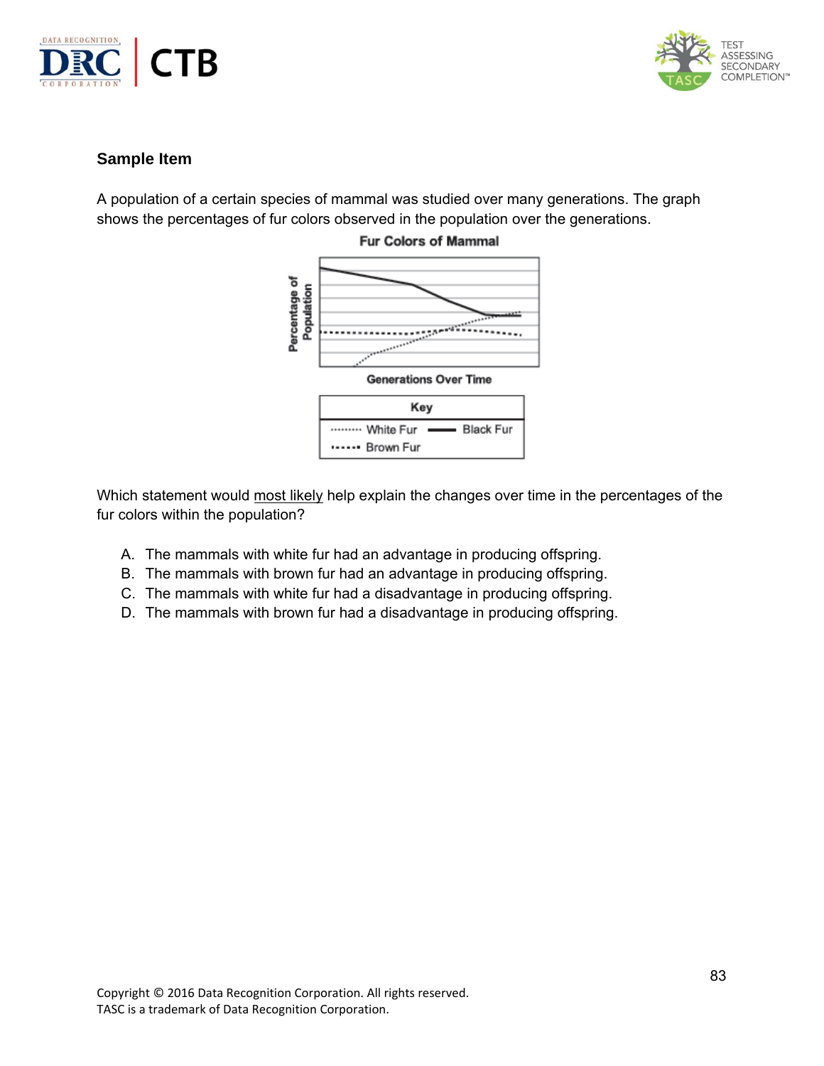



A population of a certain species of mammal was studied over many generations. The graph shows the percentages of fur colors observed in the population over the generations.



**Fur Colors of Mammal** 

Which statement would most likely help explain the changes over time in the percentages of the fur colors within the population?

- A. The mammals with white fur had an advantage in producing offspring.
- B. The mammals with brown fur had an advantage in producing offspring.
- C. The mammals with white fur had a disadvantage in producing offspring.
- D. The mammals with brown fur had a disadvantage in producing offspring.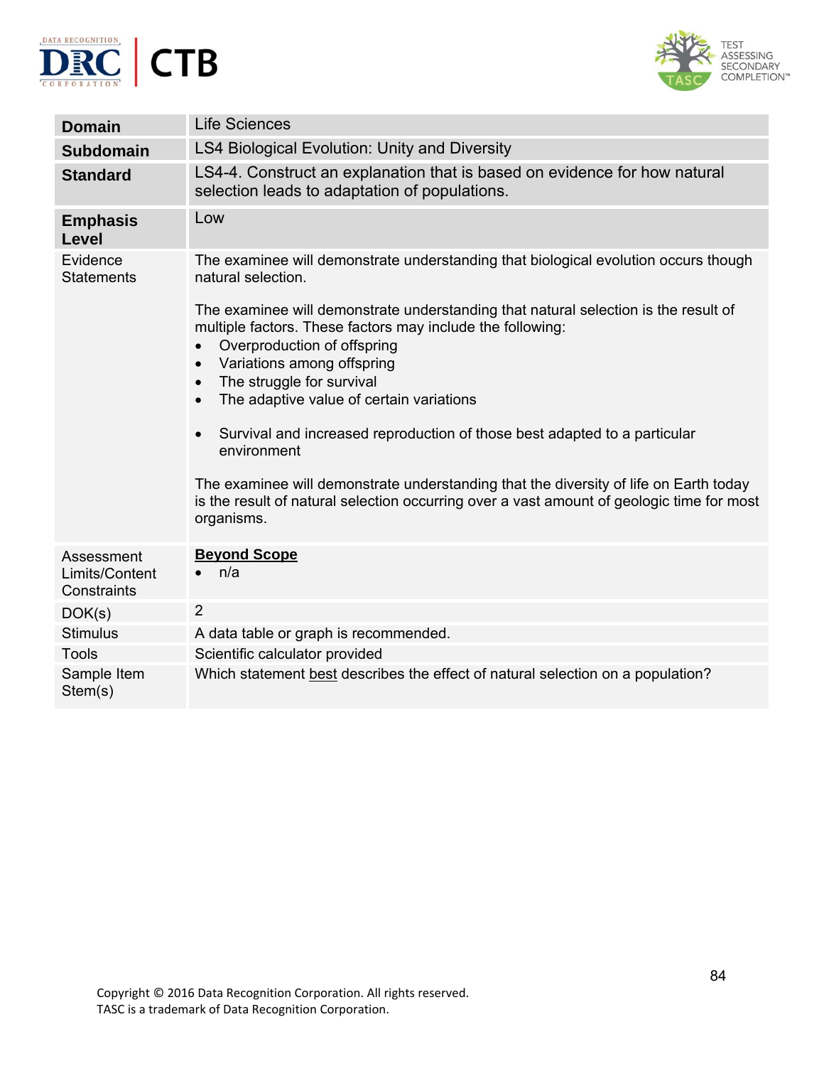



| <b>Domain</b>                               | <b>Life Sciences</b>                                                                                                                                                                                                                                                                                                                                                                                                                                                                                                                                                                                              |
|---------------------------------------------|-------------------------------------------------------------------------------------------------------------------------------------------------------------------------------------------------------------------------------------------------------------------------------------------------------------------------------------------------------------------------------------------------------------------------------------------------------------------------------------------------------------------------------------------------------------------------------------------------------------------|
| <b>Subdomain</b>                            | LS4 Biological Evolution: Unity and Diversity                                                                                                                                                                                                                                                                                                                                                                                                                                                                                                                                                                     |
| <b>Standard</b>                             | LS4-4. Construct an explanation that is based on evidence for how natural<br>selection leads to adaptation of populations.                                                                                                                                                                                                                                                                                                                                                                                                                                                                                        |
| <b>Emphasis</b><br><b>Level</b>             | Low                                                                                                                                                                                                                                                                                                                                                                                                                                                                                                                                                                                                               |
| Evidence<br><b>Statements</b>               | The examinee will demonstrate understanding that biological evolution occurs though<br>natural selection.                                                                                                                                                                                                                                                                                                                                                                                                                                                                                                         |
|                                             | The examinee will demonstrate understanding that natural selection is the result of<br>multiple factors. These factors may include the following:<br>Overproduction of offspring<br>Variations among offspring<br>The struggle for survival<br>$\bullet$<br>The adaptive value of certain variations<br>$\bullet$<br>Survival and increased reproduction of those best adapted to a particular<br>environment<br>The examinee will demonstrate understanding that the diversity of life on Earth today<br>is the result of natural selection occurring over a vast amount of geologic time for most<br>organisms. |
| Assessment<br>Limits/Content<br>Constraints | <b>Beyond Scope</b><br>n/a                                                                                                                                                                                                                                                                                                                                                                                                                                                                                                                                                                                        |
| DOK(s)                                      | $\overline{2}$                                                                                                                                                                                                                                                                                                                                                                                                                                                                                                                                                                                                    |
| <b>Stimulus</b>                             | A data table or graph is recommended.                                                                                                                                                                                                                                                                                                                                                                                                                                                                                                                                                                             |
| <b>Tools</b>                                | Scientific calculator provided                                                                                                                                                                                                                                                                                                                                                                                                                                                                                                                                                                                    |
| Sample Item<br>Stem(s)                      | Which statement best describes the effect of natural selection on a population?                                                                                                                                                                                                                                                                                                                                                                                                                                                                                                                                   |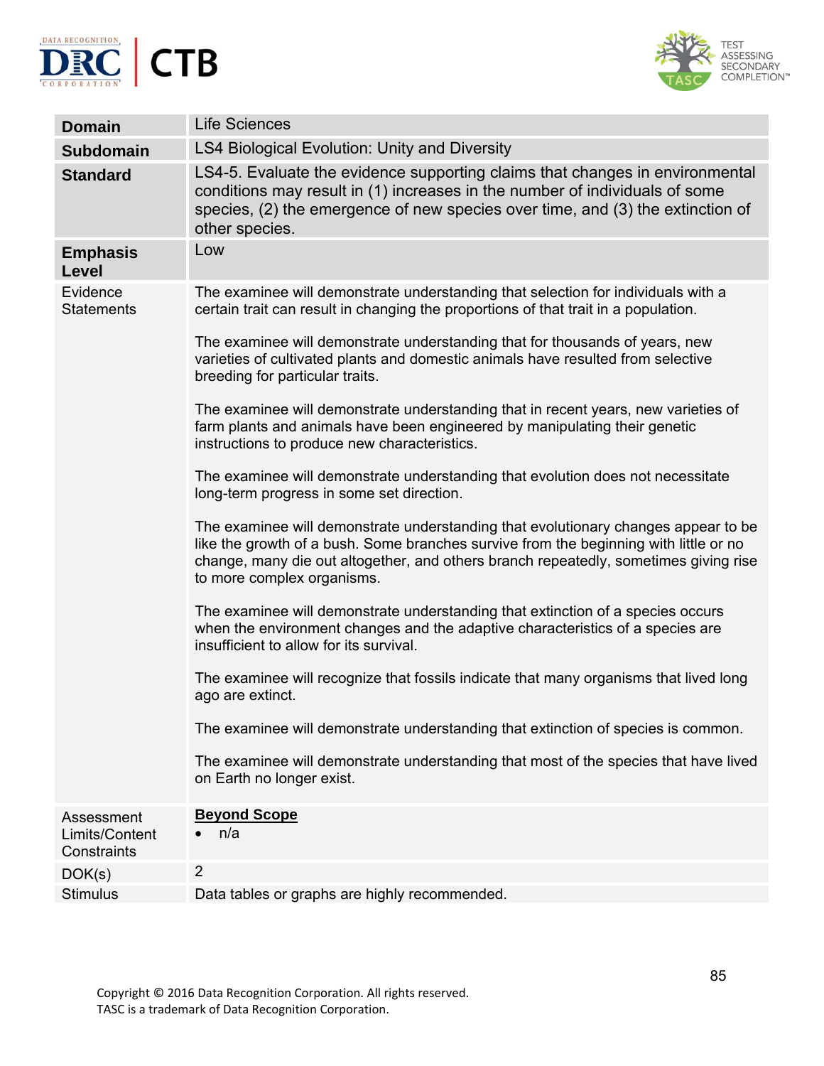



| <b>LS4 Biological Evolution: Unity and Diversity</b><br><b>Subdomain</b><br>LS4-5. Evaluate the evidence supporting claims that changes in environmental<br><b>Standard</b><br>conditions may result in (1) increases in the number of individuals of some<br>species, (2) the emergence of new species over time, and (3) the extinction of<br>other species.<br>Low<br><b>Emphasis</b><br>Level<br>Evidence<br>The examinee will demonstrate understanding that selection for individuals with a<br>certain trait can result in changing the proportions of that trait in a population.<br><b>Statements</b><br>The examinee will demonstrate understanding that for thousands of years, new<br>varieties of cultivated plants and domestic animals have resulted from selective<br>breeding for particular traits.<br>The examinee will demonstrate understanding that in recent years, new varieties of<br>farm plants and animals have been engineered by manipulating their genetic<br>instructions to produce new characteristics.<br>The examinee will demonstrate understanding that evolution does not necessitate<br>long-term progress in some set direction.<br>The examinee will demonstrate understanding that evolutionary changes appear to be<br>like the growth of a bush. Some branches survive from the beginning with little or no<br>change, many die out altogether, and others branch repeatedly, sometimes giving rise<br>to more complex organisms.<br>The examinee will demonstrate understanding that extinction of a species occurs<br>when the environment changes and the adaptive characteristics of a species are<br>insufficient to allow for its survival. |
|------------------------------------------------------------------------------------------------------------------------------------------------------------------------------------------------------------------------------------------------------------------------------------------------------------------------------------------------------------------------------------------------------------------------------------------------------------------------------------------------------------------------------------------------------------------------------------------------------------------------------------------------------------------------------------------------------------------------------------------------------------------------------------------------------------------------------------------------------------------------------------------------------------------------------------------------------------------------------------------------------------------------------------------------------------------------------------------------------------------------------------------------------------------------------------------------------------------------------------------------------------------------------------------------------------------------------------------------------------------------------------------------------------------------------------------------------------------------------------------------------------------------------------------------------------------------------------------------------------------------------------------------------------------------------------------------|
|                                                                                                                                                                                                                                                                                                                                                                                                                                                                                                                                                                                                                                                                                                                                                                                                                                                                                                                                                                                                                                                                                                                                                                                                                                                                                                                                                                                                                                                                                                                                                                                                                                                                                                |
|                                                                                                                                                                                                                                                                                                                                                                                                                                                                                                                                                                                                                                                                                                                                                                                                                                                                                                                                                                                                                                                                                                                                                                                                                                                                                                                                                                                                                                                                                                                                                                                                                                                                                                |
|                                                                                                                                                                                                                                                                                                                                                                                                                                                                                                                                                                                                                                                                                                                                                                                                                                                                                                                                                                                                                                                                                                                                                                                                                                                                                                                                                                                                                                                                                                                                                                                                                                                                                                |
|                                                                                                                                                                                                                                                                                                                                                                                                                                                                                                                                                                                                                                                                                                                                                                                                                                                                                                                                                                                                                                                                                                                                                                                                                                                                                                                                                                                                                                                                                                                                                                                                                                                                                                |
|                                                                                                                                                                                                                                                                                                                                                                                                                                                                                                                                                                                                                                                                                                                                                                                                                                                                                                                                                                                                                                                                                                                                                                                                                                                                                                                                                                                                                                                                                                                                                                                                                                                                                                |
|                                                                                                                                                                                                                                                                                                                                                                                                                                                                                                                                                                                                                                                                                                                                                                                                                                                                                                                                                                                                                                                                                                                                                                                                                                                                                                                                                                                                                                                                                                                                                                                                                                                                                                |
|                                                                                                                                                                                                                                                                                                                                                                                                                                                                                                                                                                                                                                                                                                                                                                                                                                                                                                                                                                                                                                                                                                                                                                                                                                                                                                                                                                                                                                                                                                                                                                                                                                                                                                |
|                                                                                                                                                                                                                                                                                                                                                                                                                                                                                                                                                                                                                                                                                                                                                                                                                                                                                                                                                                                                                                                                                                                                                                                                                                                                                                                                                                                                                                                                                                                                                                                                                                                                                                |
|                                                                                                                                                                                                                                                                                                                                                                                                                                                                                                                                                                                                                                                                                                                                                                                                                                                                                                                                                                                                                                                                                                                                                                                                                                                                                                                                                                                                                                                                                                                                                                                                                                                                                                |
| The examinee will recognize that fossils indicate that many organisms that lived long<br>ago are extinct.                                                                                                                                                                                                                                                                                                                                                                                                                                                                                                                                                                                                                                                                                                                                                                                                                                                                                                                                                                                                                                                                                                                                                                                                                                                                                                                                                                                                                                                                                                                                                                                      |
| The examinee will demonstrate understanding that extinction of species is common.                                                                                                                                                                                                                                                                                                                                                                                                                                                                                                                                                                                                                                                                                                                                                                                                                                                                                                                                                                                                                                                                                                                                                                                                                                                                                                                                                                                                                                                                                                                                                                                                              |
| The examinee will demonstrate understanding that most of the species that have lived<br>on Earth no longer exist.                                                                                                                                                                                                                                                                                                                                                                                                                                                                                                                                                                                                                                                                                                                                                                                                                                                                                                                                                                                                                                                                                                                                                                                                                                                                                                                                                                                                                                                                                                                                                                              |
| <b>Beyond Scope</b><br>Assessment<br>n/a<br>Limits/Content<br>Constraints                                                                                                                                                                                                                                                                                                                                                                                                                                                                                                                                                                                                                                                                                                                                                                                                                                                                                                                                                                                                                                                                                                                                                                                                                                                                                                                                                                                                                                                                                                                                                                                                                      |
| $\overline{2}$<br>DOK(s)                                                                                                                                                                                                                                                                                                                                                                                                                                                                                                                                                                                                                                                                                                                                                                                                                                                                                                                                                                                                                                                                                                                                                                                                                                                                                                                                                                                                                                                                                                                                                                                                                                                                       |
| <b>Stimulus</b><br>Data tables or graphs are highly recommended.                                                                                                                                                                                                                                                                                                                                                                                                                                                                                                                                                                                                                                                                                                                                                                                                                                                                                                                                                                                                                                                                                                                                                                                                                                                                                                                                                                                                                                                                                                                                                                                                                               |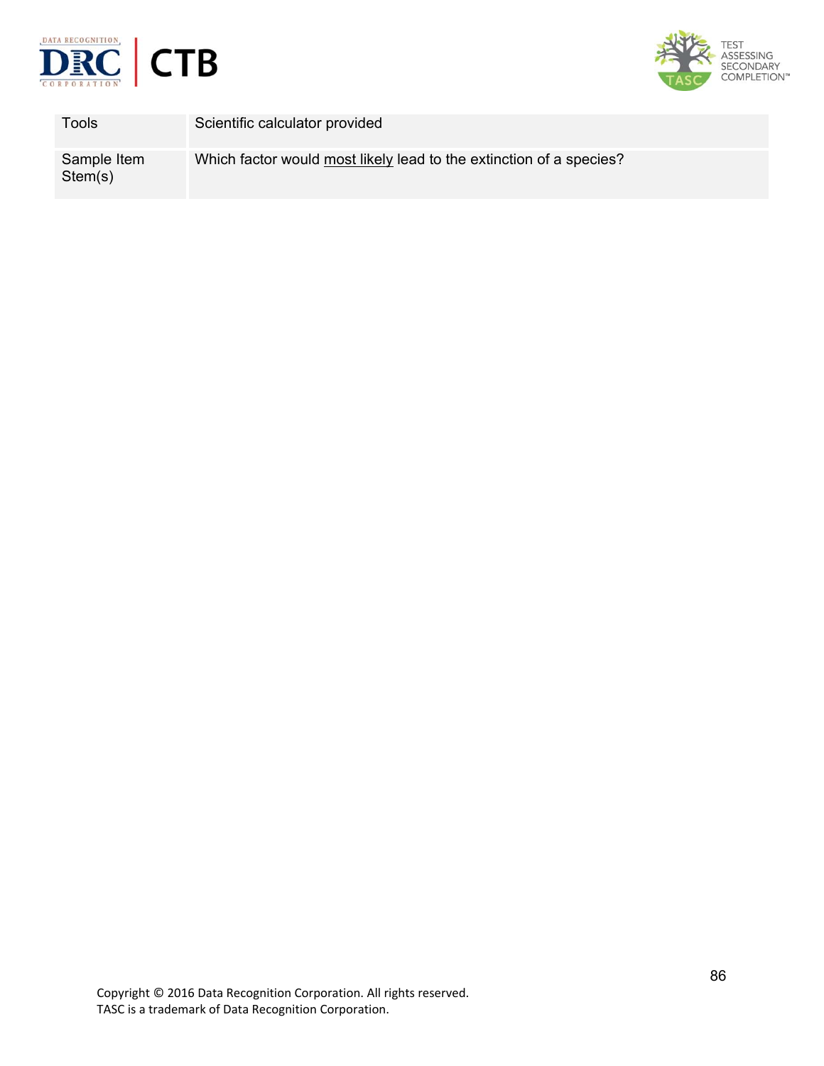



| Tools                  | Scientific calculator provided                                      |
|------------------------|---------------------------------------------------------------------|
| Sample Item<br>Stem(s) | Which factor would most likely lead to the extinction of a species? |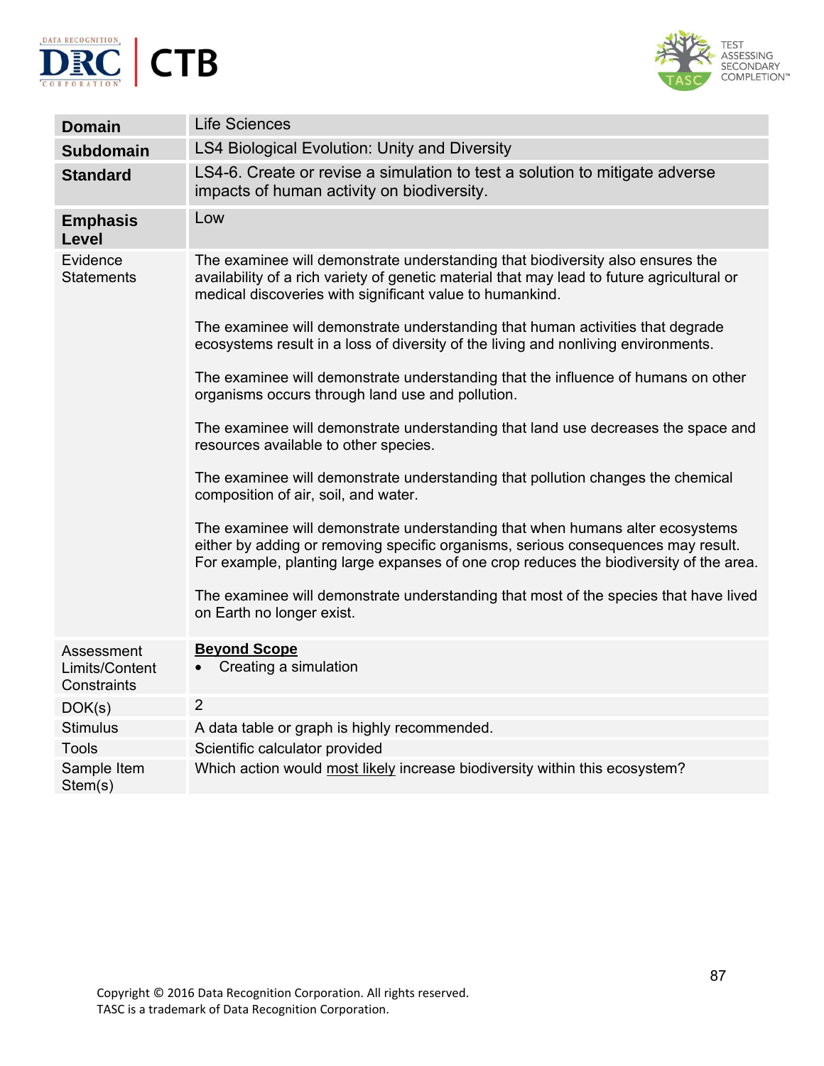



| <b>Domain</b>                               | <b>Life Sciences</b>                                                                                                                                                                                                                                         |
|---------------------------------------------|--------------------------------------------------------------------------------------------------------------------------------------------------------------------------------------------------------------------------------------------------------------|
| <b>Subdomain</b>                            | <b>LS4 Biological Evolution: Unity and Diversity</b>                                                                                                                                                                                                         |
| <b>Standard</b>                             | LS4-6. Create or revise a simulation to test a solution to mitigate adverse<br>impacts of human activity on biodiversity.                                                                                                                                    |
| <b>Emphasis</b><br>Level                    | Low                                                                                                                                                                                                                                                          |
| Evidence<br><b>Statements</b>               | The examinee will demonstrate understanding that biodiversity also ensures the<br>availability of a rich variety of genetic material that may lead to future agricultural or<br>medical discoveries with significant value to humankind.                     |
|                                             | The examinee will demonstrate understanding that human activities that degrade<br>ecosystems result in a loss of diversity of the living and nonliving environments.                                                                                         |
|                                             | The examinee will demonstrate understanding that the influence of humans on other<br>organisms occurs through land use and pollution.                                                                                                                        |
|                                             | The examinee will demonstrate understanding that land use decreases the space and<br>resources available to other species.                                                                                                                                   |
|                                             | The examinee will demonstrate understanding that pollution changes the chemical<br>composition of air, soil, and water.                                                                                                                                      |
|                                             | The examinee will demonstrate understanding that when humans alter ecosystems<br>either by adding or removing specific organisms, serious consequences may result.<br>For example, planting large expanses of one crop reduces the biodiversity of the area. |
|                                             | The examinee will demonstrate understanding that most of the species that have lived<br>on Earth no longer exist.                                                                                                                                            |
| Assessment<br>Limits/Content<br>Constraints | <b>Beyond Scope</b><br>Creating a simulation                                                                                                                                                                                                                 |
| DOK(s)                                      | $\overline{2}$                                                                                                                                                                                                                                               |
| <b>Stimulus</b>                             | A data table or graph is highly recommended.                                                                                                                                                                                                                 |
| <b>Tools</b>                                | Scientific calculator provided                                                                                                                                                                                                                               |
| Sample Item<br>Stem(s)                      | Which action would most likely increase biodiversity within this ecosystem?                                                                                                                                                                                  |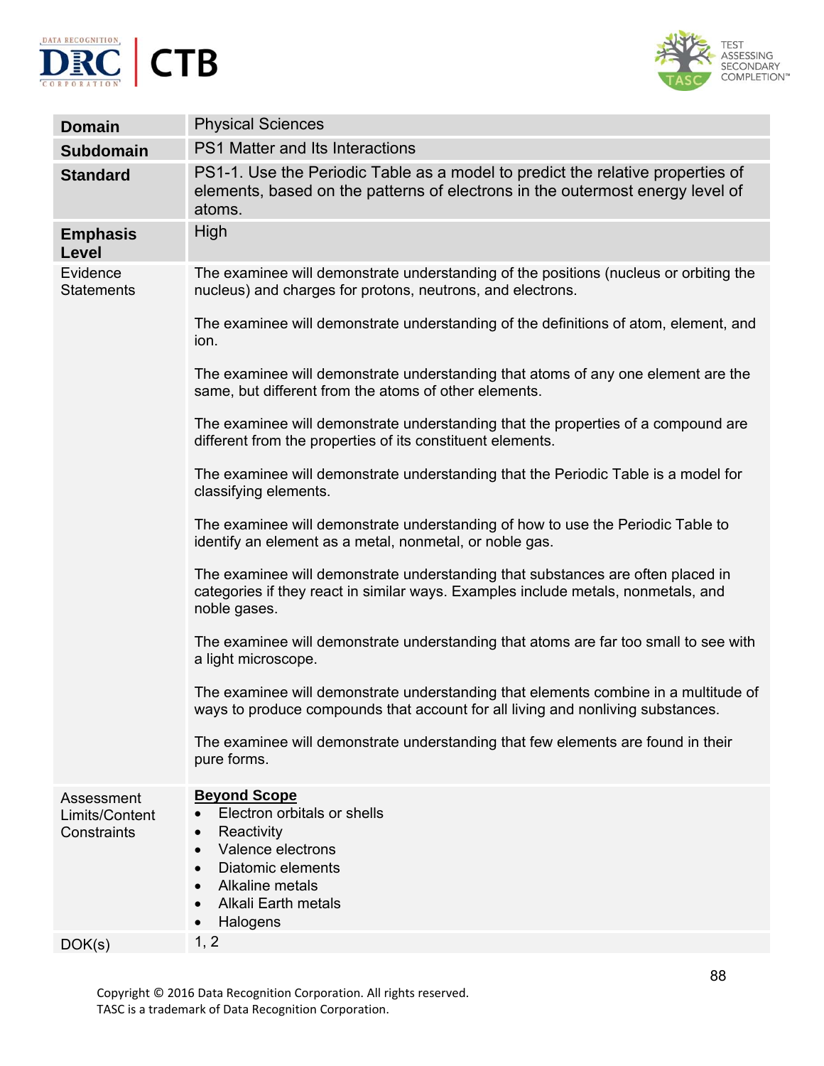



| <b>Domain</b>                               | <b>Physical Sciences</b>                                                                                                                                                                                                    |
|---------------------------------------------|-----------------------------------------------------------------------------------------------------------------------------------------------------------------------------------------------------------------------------|
| <b>Subdomain</b>                            | <b>PS1 Matter and Its Interactions</b>                                                                                                                                                                                      |
| <b>Standard</b>                             | PS1-1. Use the Periodic Table as a model to predict the relative properties of<br>elements, based on the patterns of electrons in the outermost energy level of<br>atoms.                                                   |
| <b>Emphasis</b><br>Level                    | High                                                                                                                                                                                                                        |
| Evidence<br><b>Statements</b>               | The examinee will demonstrate understanding of the positions (nucleus or orbiting the<br>nucleus) and charges for protons, neutrons, and electrons.                                                                         |
|                                             | The examinee will demonstrate understanding of the definitions of atom, element, and<br>ion.                                                                                                                                |
|                                             | The examinee will demonstrate understanding that atoms of any one element are the<br>same, but different from the atoms of other elements.                                                                                  |
|                                             | The examinee will demonstrate understanding that the properties of a compound are<br>different from the properties of its constituent elements.                                                                             |
|                                             | The examinee will demonstrate understanding that the Periodic Table is a model for<br>classifying elements.                                                                                                                 |
|                                             | The examinee will demonstrate understanding of how to use the Periodic Table to<br>identify an element as a metal, nonmetal, or noble gas.                                                                                  |
|                                             | The examinee will demonstrate understanding that substances are often placed in<br>categories if they react in similar ways. Examples include metals, nonmetals, and<br>noble gases.                                        |
|                                             | The examinee will demonstrate understanding that atoms are far too small to see with<br>a light microscope.                                                                                                                 |
|                                             | The examinee will demonstrate understanding that elements combine in a multitude of<br>ways to produce compounds that account for all living and nonliving substances.                                                      |
|                                             | The examinee will demonstrate understanding that few elements are found in their<br>pure forms.                                                                                                                             |
| Assessment<br>Limits/Content<br>Constraints | <b>Beyond Scope</b><br>Electron orbitals or shells<br>Reactivity<br>$\bullet$<br>Valence electrons<br>$\bullet$<br>Diatomic elements<br>$\bullet$<br>Alkaline metals<br>$\bullet$<br><b>Alkali Earth metals</b><br>Halogens |
| DOK(s)                                      | 1, 2                                                                                                                                                                                                                        |

Copyright © 2016 Data Recognition Corporation. All rights reserved. TASC is a trademark of Data Recognition Corporation.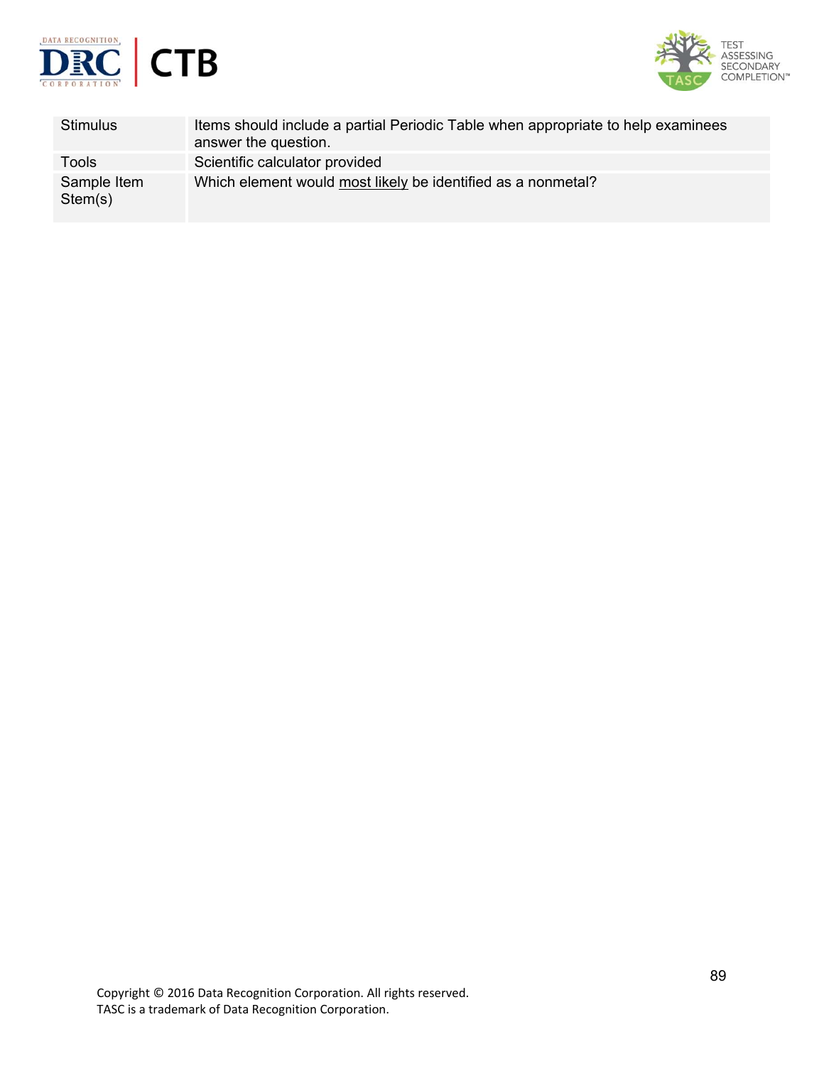



| <b>Stimulus</b>        | Items should include a partial Periodic Table when appropriate to help examinees<br>answer the question. |
|------------------------|----------------------------------------------------------------------------------------------------------|
| Tools                  | Scientific calculator provided                                                                           |
| Sample Item<br>Stem(s) | Which element would most likely be identified as a nonmetal?                                             |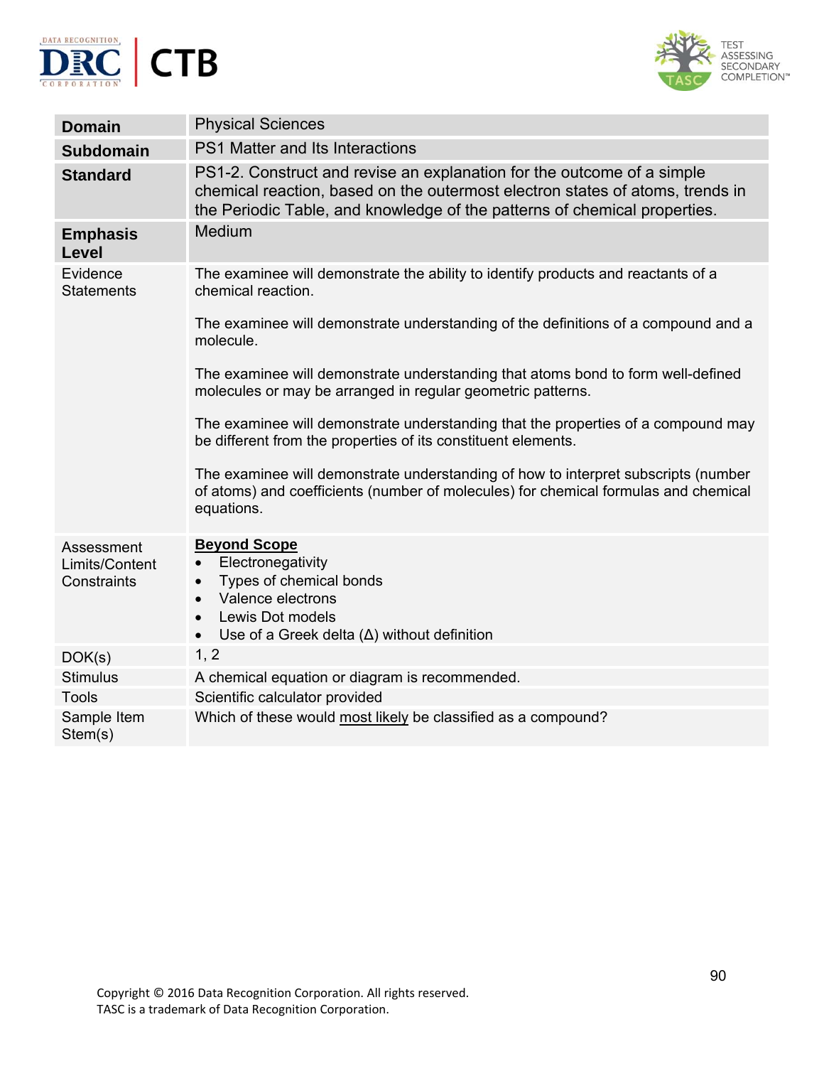



| <b>Domain</b>                               | <b>Physical Sciences</b>                                                                                                                                                                                                             |
|---------------------------------------------|--------------------------------------------------------------------------------------------------------------------------------------------------------------------------------------------------------------------------------------|
| <b>Subdomain</b>                            | PS1 Matter and Its Interactions                                                                                                                                                                                                      |
| <b>Standard</b>                             | PS1-2. Construct and revise an explanation for the outcome of a simple<br>chemical reaction, based on the outermost electron states of atoms, trends in<br>the Periodic Table, and knowledge of the patterns of chemical properties. |
| <b>Emphasis</b><br>Level                    | Medium                                                                                                                                                                                                                               |
| Evidence<br><b>Statements</b>               | The examinee will demonstrate the ability to identify products and reactants of a<br>chemical reaction.                                                                                                                              |
|                                             | The examinee will demonstrate understanding of the definitions of a compound and a<br>molecule.                                                                                                                                      |
|                                             | The examinee will demonstrate understanding that atoms bond to form well-defined<br>molecules or may be arranged in regular geometric patterns.                                                                                      |
|                                             | The examinee will demonstrate understanding that the properties of a compound may<br>be different from the properties of its constituent elements.                                                                                   |
|                                             | The examinee will demonstrate understanding of how to interpret subscripts (number<br>of atoms) and coefficients (number of molecules) for chemical formulas and chemical<br>equations.                                              |
| Assessment<br>Limits/Content<br>Constraints | <b>Beyond Scope</b><br>Electronegativity<br>$\bullet$<br>Types of chemical bonds<br>$\bullet$<br>Valence electrons<br>$\bullet$<br>Lewis Dot models<br>$\bullet$<br>Use of a Greek delta $(\Delta)$ without definition<br>$\bullet$  |
| DOK(s)                                      | 1, 2                                                                                                                                                                                                                                 |
| <b>Stimulus</b>                             | A chemical equation or diagram is recommended.                                                                                                                                                                                       |
| <b>Tools</b>                                | Scientific calculator provided                                                                                                                                                                                                       |
| Sample Item<br>Stem(s)                      | Which of these would most likely be classified as a compound?                                                                                                                                                                        |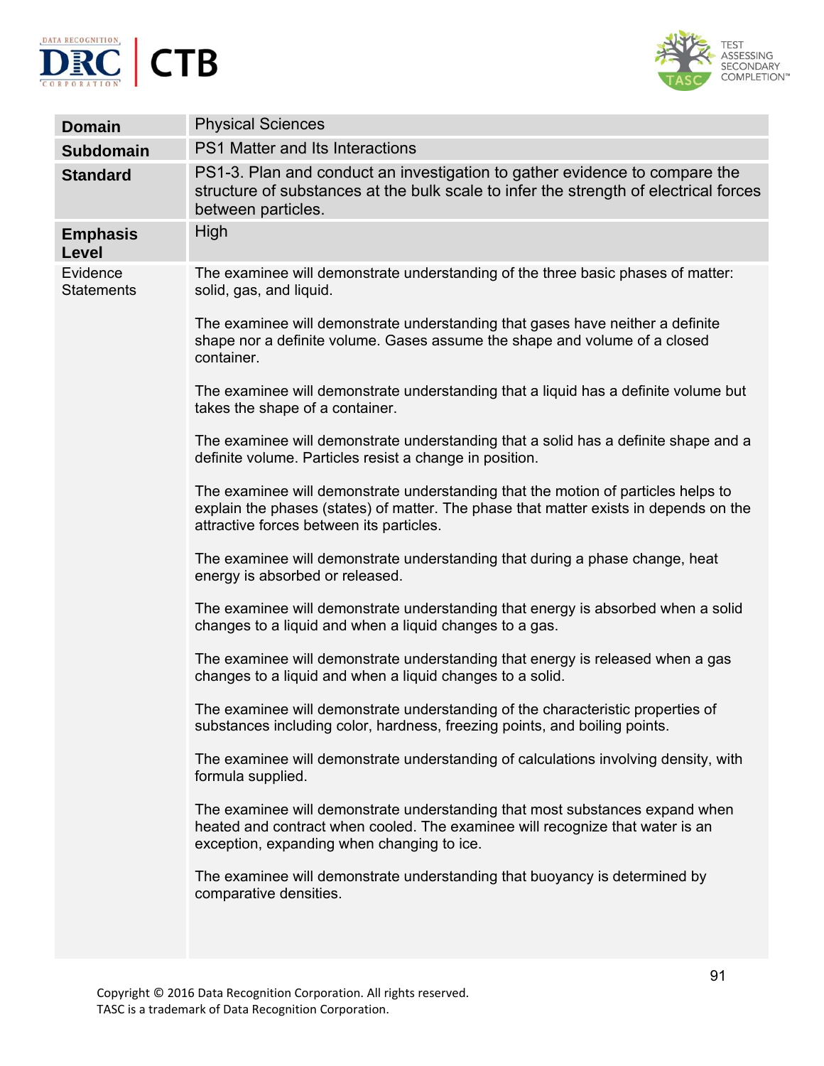



| <b>Domain</b>                   | <b>Physical Sciences</b>                                                                                                                                                                                               |
|---------------------------------|------------------------------------------------------------------------------------------------------------------------------------------------------------------------------------------------------------------------|
| <b>Subdomain</b>                | <b>PS1 Matter and Its Interactions</b>                                                                                                                                                                                 |
| <b>Standard</b>                 | PS1-3. Plan and conduct an investigation to gather evidence to compare the<br>structure of substances at the bulk scale to infer the strength of electrical forces<br>between particles.                               |
| <b>Emphasis</b><br><b>Level</b> | High                                                                                                                                                                                                                   |
| Evidence<br><b>Statements</b>   | The examinee will demonstrate understanding of the three basic phases of matter:<br>solid, gas, and liquid.                                                                                                            |
|                                 | The examinee will demonstrate understanding that gases have neither a definite<br>shape nor a definite volume. Gases assume the shape and volume of a closed<br>container.                                             |
|                                 | The examinee will demonstrate understanding that a liquid has a definite volume but<br>takes the shape of a container.                                                                                                 |
|                                 | The examinee will demonstrate understanding that a solid has a definite shape and a<br>definite volume. Particles resist a change in position.                                                                         |
|                                 | The examinee will demonstrate understanding that the motion of particles helps to<br>explain the phases (states) of matter. The phase that matter exists in depends on the<br>attractive forces between its particles. |
|                                 | The examinee will demonstrate understanding that during a phase change, heat<br>energy is absorbed or released.                                                                                                        |
|                                 | The examinee will demonstrate understanding that energy is absorbed when a solid<br>changes to a liquid and when a liquid changes to a gas.                                                                            |
|                                 | The examinee will demonstrate understanding that energy is released when a gas<br>changes to a liquid and when a liquid changes to a solid.                                                                            |
|                                 | The examinee will demonstrate understanding of the characteristic properties of<br>substances including color, hardness, freezing points, and boiling points.                                                          |
|                                 | The examinee will demonstrate understanding of calculations involving density, with<br>formula supplied.                                                                                                               |
|                                 | The examinee will demonstrate understanding that most substances expand when<br>heated and contract when cooled. The examinee will recognize that water is an<br>exception, expanding when changing to ice.            |
|                                 | The examinee will demonstrate understanding that buoyancy is determined by<br>comparative densities.                                                                                                                   |
|                                 |                                                                                                                                                                                                                        |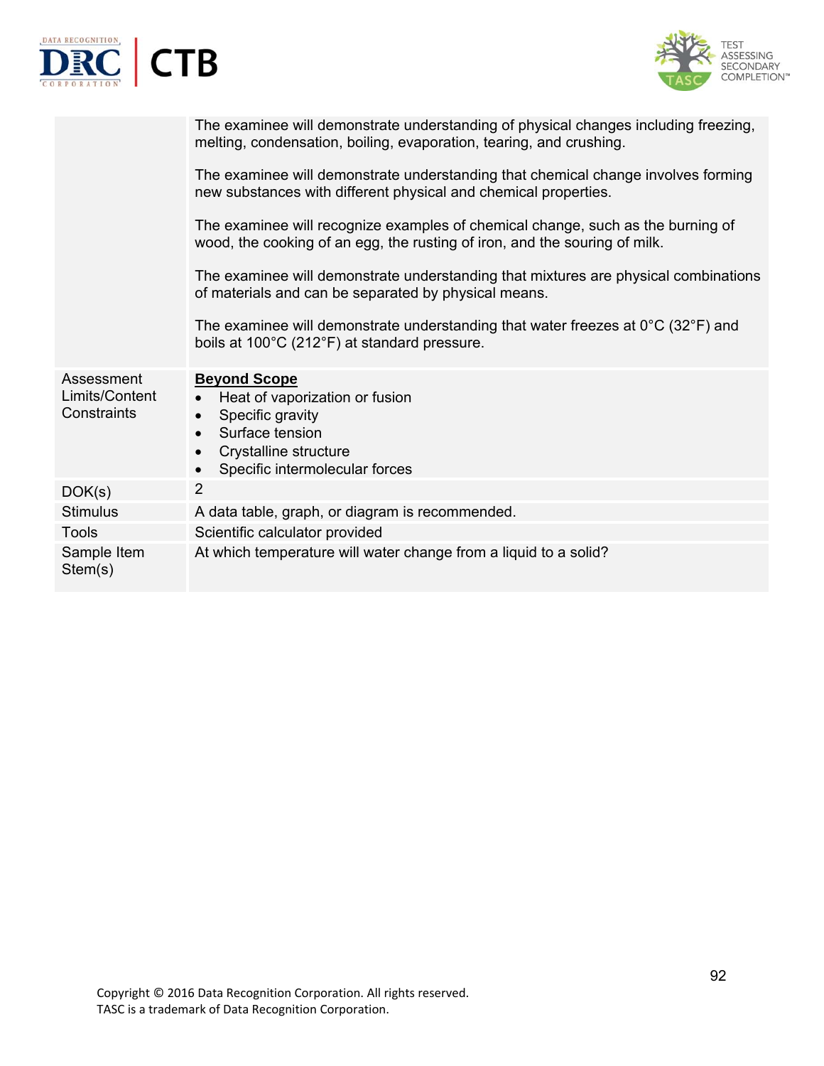



|                                             | The examinee will demonstrate understanding of physical changes including freezing,<br>melting, condensation, boiling, evaporation, tearing, and crushing.           |
|---------------------------------------------|----------------------------------------------------------------------------------------------------------------------------------------------------------------------|
|                                             | The examinee will demonstrate understanding that chemical change involves forming<br>new substances with different physical and chemical properties.                 |
|                                             | The examinee will recognize examples of chemical change, such as the burning of<br>wood, the cooking of an egg, the rusting of iron, and the souring of milk.        |
|                                             | The examinee will demonstrate understanding that mixtures are physical combinations<br>of materials and can be separated by physical means.                          |
|                                             | The examinee will demonstrate understanding that water freezes at $0^{\circ}$ C (32 $^{\circ}$ F) and<br>boils at 100°C (212°F) at standard pressure.                |
| Assessment<br>Limits/Content<br>Constraints | <b>Beyond Scope</b><br>Heat of vaporization or fusion<br>$\bullet$<br>Specific gravity<br>Surface tension<br>Crystalline structure<br>Specific intermolecular forces |
| DOK(s)                                      | $\overline{2}$                                                                                                                                                       |
| <b>Stimulus</b>                             | A data table, graph, or diagram is recommended.                                                                                                                      |
| <b>Tools</b>                                | Scientific calculator provided                                                                                                                                       |
| Sample Item<br>Stem(s)                      | At which temperature will water change from a liquid to a solid?                                                                                                     |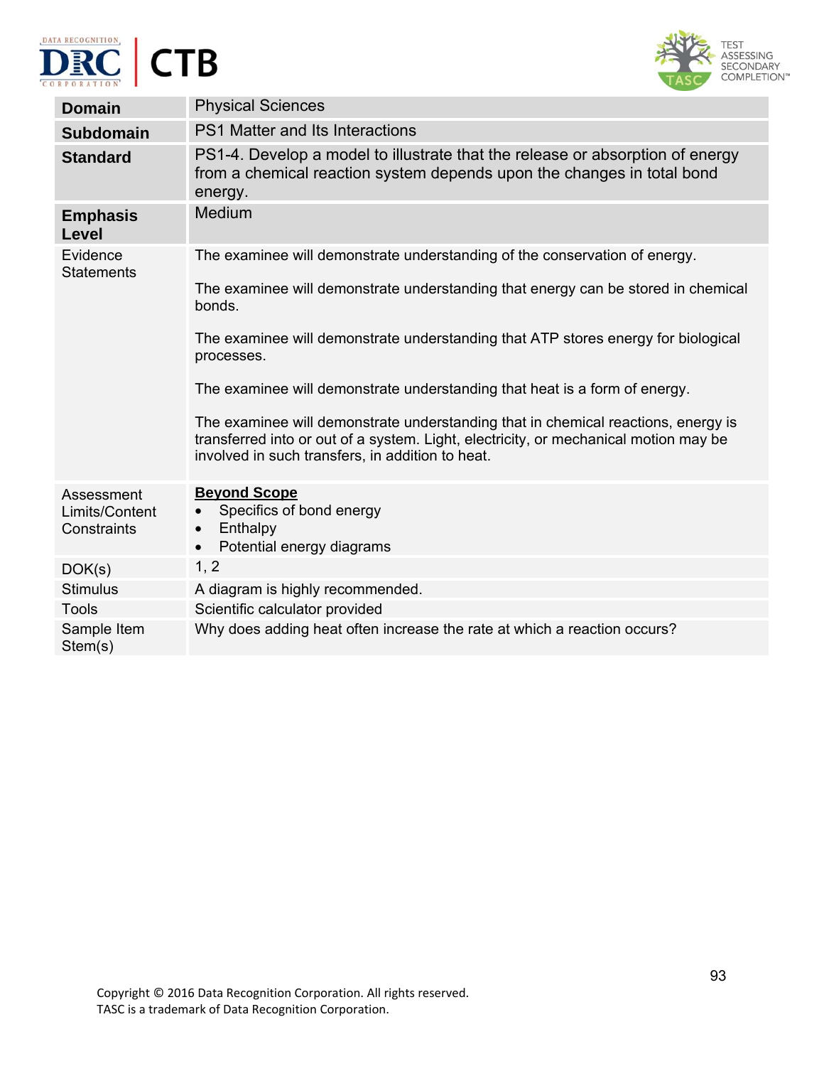



| <b>Domain</b>                               | <b>Physical Sciences</b>                                                                                                                                                                                                      |
|---------------------------------------------|-------------------------------------------------------------------------------------------------------------------------------------------------------------------------------------------------------------------------------|
| <b>Subdomain</b>                            | <b>PS1 Matter and Its Interactions</b>                                                                                                                                                                                        |
| <b>Standard</b>                             | PS1-4. Develop a model to illustrate that the release or absorption of energy<br>from a chemical reaction system depends upon the changes in total bond<br>energy.                                                            |
| <b>Emphasis</b><br>Level                    | Medium                                                                                                                                                                                                                        |
| Evidence<br><b>Statements</b>               | The examinee will demonstrate understanding of the conservation of energy.                                                                                                                                                    |
|                                             | The examinee will demonstrate understanding that energy can be stored in chemical<br>bonds.                                                                                                                                   |
|                                             | The examinee will demonstrate understanding that ATP stores energy for biological<br>processes.                                                                                                                               |
|                                             | The examinee will demonstrate understanding that heat is a form of energy.                                                                                                                                                    |
|                                             | The examinee will demonstrate understanding that in chemical reactions, energy is<br>transferred into or out of a system. Light, electricity, or mechanical motion may be<br>involved in such transfers, in addition to heat. |
| Assessment<br>Limits/Content<br>Constraints | <b>Beyond Scope</b><br>Specifics of bond energy<br>$\bullet$<br>Enthalpy<br>$\bullet$<br>Potential energy diagrams<br>$\bullet$                                                                                               |
| DOK(s)                                      | 1, 2                                                                                                                                                                                                                          |
| <b>Stimulus</b>                             | A diagram is highly recommended.                                                                                                                                                                                              |
| <b>Tools</b>                                | Scientific calculator provided                                                                                                                                                                                                |
| Sample Item<br>Stem(s)                      | Why does adding heat often increase the rate at which a reaction occurs?                                                                                                                                                      |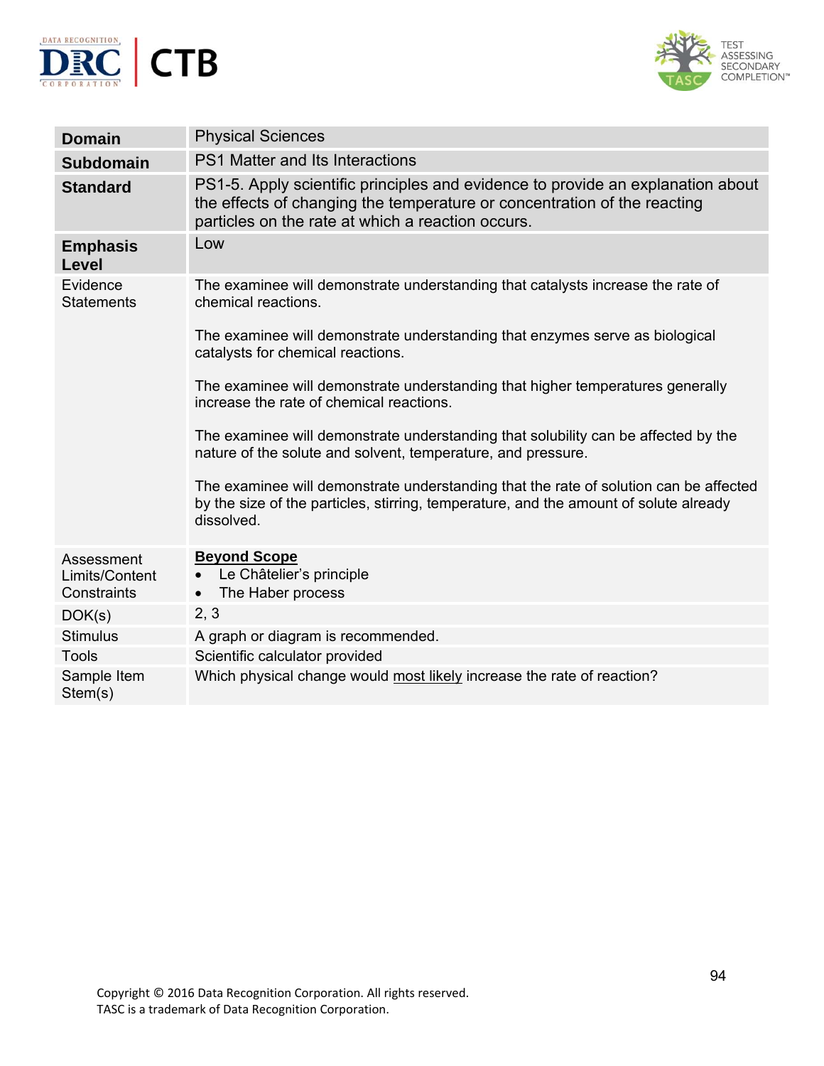



| <b>Domain</b>                               | <b>Physical Sciences</b>                                                                                                                                                                                         |
|---------------------------------------------|------------------------------------------------------------------------------------------------------------------------------------------------------------------------------------------------------------------|
| <b>Subdomain</b>                            | <b>PS1 Matter and Its Interactions</b>                                                                                                                                                                           |
| <b>Standard</b>                             | PS1-5. Apply scientific principles and evidence to provide an explanation about<br>the effects of changing the temperature or concentration of the reacting<br>particles on the rate at which a reaction occurs. |
| <b>Emphasis</b><br>Level                    | Low                                                                                                                                                                                                              |
| Evidence<br><b>Statements</b>               | The examinee will demonstrate understanding that catalysts increase the rate of<br>chemical reactions.                                                                                                           |
|                                             | The examinee will demonstrate understanding that enzymes serve as biological<br>catalysts for chemical reactions.                                                                                                |
|                                             | The examinee will demonstrate understanding that higher temperatures generally<br>increase the rate of chemical reactions.                                                                                       |
|                                             | The examinee will demonstrate understanding that solubility can be affected by the<br>nature of the solute and solvent, temperature, and pressure.                                                               |
|                                             | The examinee will demonstrate understanding that the rate of solution can be affected<br>by the size of the particles, stirring, temperature, and the amount of solute already<br>dissolved.                     |
| Assessment<br>Limits/Content<br>Constraints | <b>Beyond Scope</b><br>Le Châtelier's principle<br>The Haber process<br>$\bullet$                                                                                                                                |
| DOK(s)                                      | 2, 3                                                                                                                                                                                                             |
| <b>Stimulus</b>                             | A graph or diagram is recommended.                                                                                                                                                                               |
| <b>Tools</b>                                | Scientific calculator provided                                                                                                                                                                                   |
| Sample Item<br>Stem(s)                      | Which physical change would most likely increase the rate of reaction?                                                                                                                                           |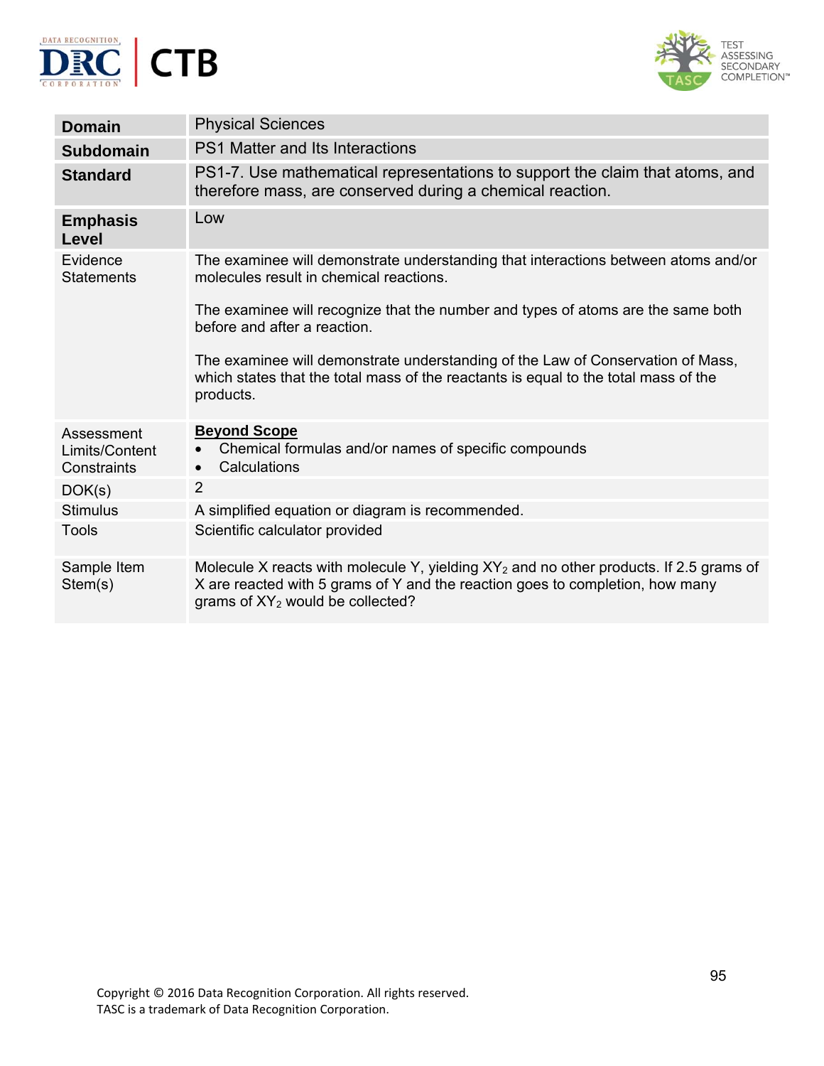



| <b>Domain</b>                               | <b>Physical Sciences</b>                                                                                                                                                                                          |
|---------------------------------------------|-------------------------------------------------------------------------------------------------------------------------------------------------------------------------------------------------------------------|
| <b>Subdomain</b>                            | PS1 Matter and Its Interactions                                                                                                                                                                                   |
| <b>Standard</b>                             | PS1-7. Use mathematical representations to support the claim that atoms, and<br>therefore mass, are conserved during a chemical reaction.                                                                         |
| <b>Emphasis</b><br><b>Level</b>             | Low                                                                                                                                                                                                               |
| Evidence<br><b>Statements</b>               | The examinee will demonstrate understanding that interactions between atoms and/or<br>molecules result in chemical reactions.                                                                                     |
|                                             | The examinee will recognize that the number and types of atoms are the same both<br>before and after a reaction.                                                                                                  |
|                                             | The examinee will demonstrate understanding of the Law of Conservation of Mass,<br>which states that the total mass of the reactants is equal to the total mass of the<br>products.                               |
| Assessment<br>Limits/Content<br>Constraints | <b>Beyond Scope</b><br>Chemical formulas and/or names of specific compounds<br>Calculations<br>$\bullet$                                                                                                          |
| DOK(s)                                      | $\overline{2}$                                                                                                                                                                                                    |
| <b>Stimulus</b>                             | A simplified equation or diagram is recommended.                                                                                                                                                                  |
| <b>Tools</b>                                | Scientific calculator provided                                                                                                                                                                                    |
| Sample Item<br>Stem(s)                      | Molecule X reacts with molecule Y, yielding $XY_2$ and no other products. If 2.5 grams of<br>X are reacted with 5 grams of Y and the reaction goes to completion, how many<br>grams of $XY_2$ would be collected? |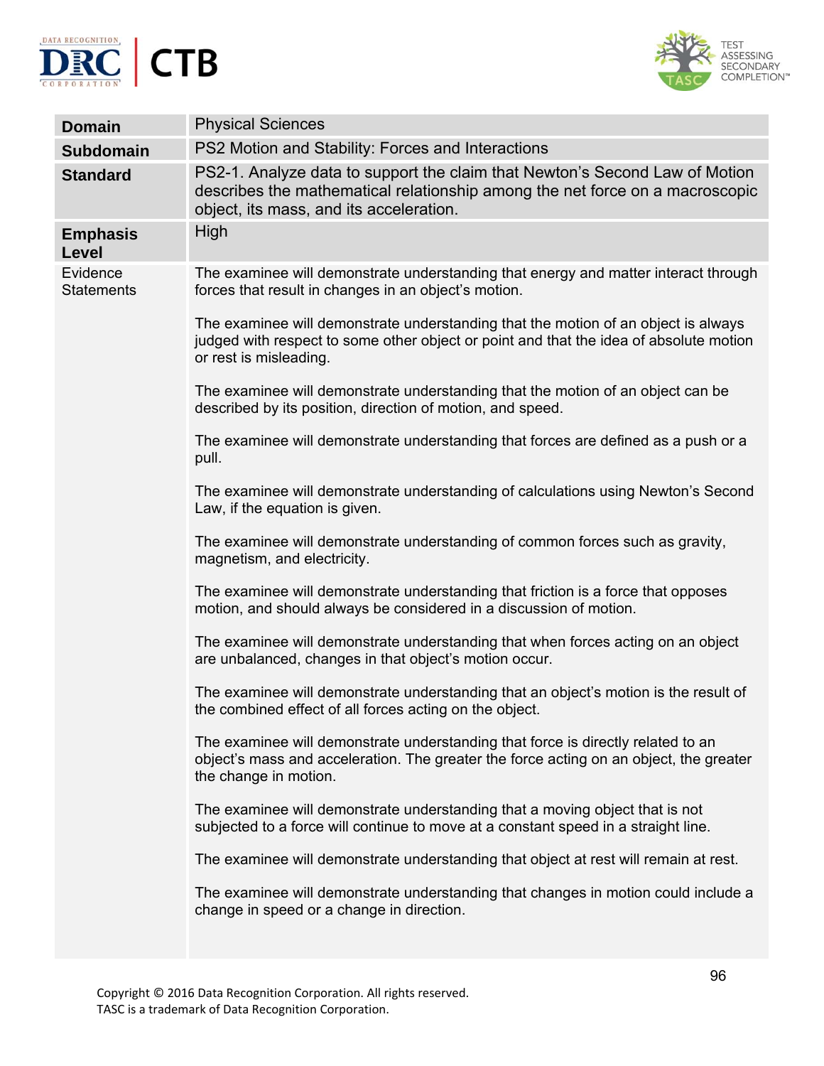



| <b>Domain</b>                 | <b>Physical Sciences</b>                                                                                                                                                                               |
|-------------------------------|--------------------------------------------------------------------------------------------------------------------------------------------------------------------------------------------------------|
| <b>Subdomain</b>              | PS2 Motion and Stability: Forces and Interactions                                                                                                                                                      |
| <b>Standard</b>               | PS2-1. Analyze data to support the claim that Newton's Second Law of Motion<br>describes the mathematical relationship among the net force on a macroscopic<br>object, its mass, and its acceleration. |
| <b>Emphasis</b><br>Level      | High                                                                                                                                                                                                   |
| Evidence<br><b>Statements</b> | The examinee will demonstrate understanding that energy and matter interact through<br>forces that result in changes in an object's motion.                                                            |
|                               | The examinee will demonstrate understanding that the motion of an object is always<br>judged with respect to some other object or point and that the idea of absolute motion<br>or rest is misleading. |
|                               | The examinee will demonstrate understanding that the motion of an object can be<br>described by its position, direction of motion, and speed.                                                          |
|                               | The examinee will demonstrate understanding that forces are defined as a push or a<br>pull.                                                                                                            |
|                               | The examinee will demonstrate understanding of calculations using Newton's Second<br>Law, if the equation is given.                                                                                    |
|                               | The examinee will demonstrate understanding of common forces such as gravity,<br>magnetism, and electricity.                                                                                           |
|                               | The examinee will demonstrate understanding that friction is a force that opposes<br>motion, and should always be considered in a discussion of motion.                                                |
|                               | The examinee will demonstrate understanding that when forces acting on an object<br>are unbalanced, changes in that object's motion occur.                                                             |
|                               | The examinee will demonstrate understanding that an object's motion is the result of<br>the combined effect of all forces acting on the object.                                                        |
|                               | The examinee will demonstrate understanding that force is directly related to an<br>object's mass and acceleration. The greater the force acting on an object, the greater<br>the change in motion.    |
|                               | The examinee will demonstrate understanding that a moving object that is not<br>subjected to a force will continue to move at a constant speed in a straight line.                                     |
|                               | The examinee will demonstrate understanding that object at rest will remain at rest.                                                                                                                   |
|                               | The examinee will demonstrate understanding that changes in motion could include a<br>change in speed or a change in direction.                                                                        |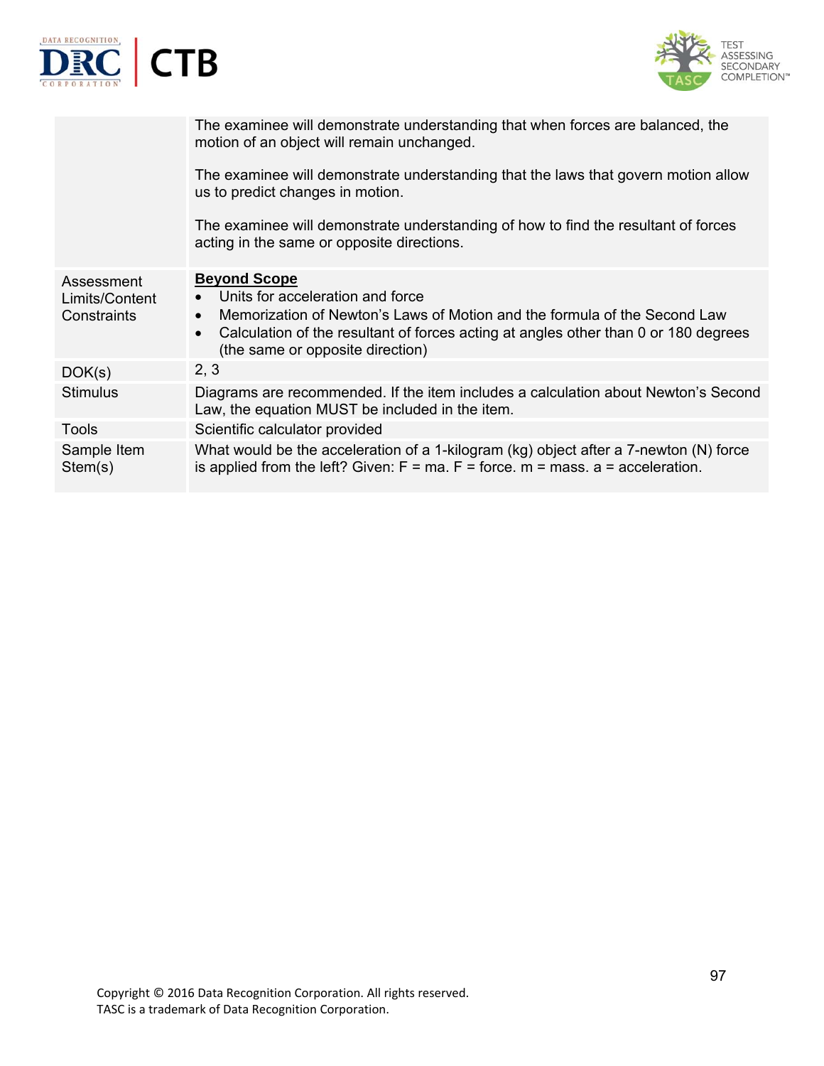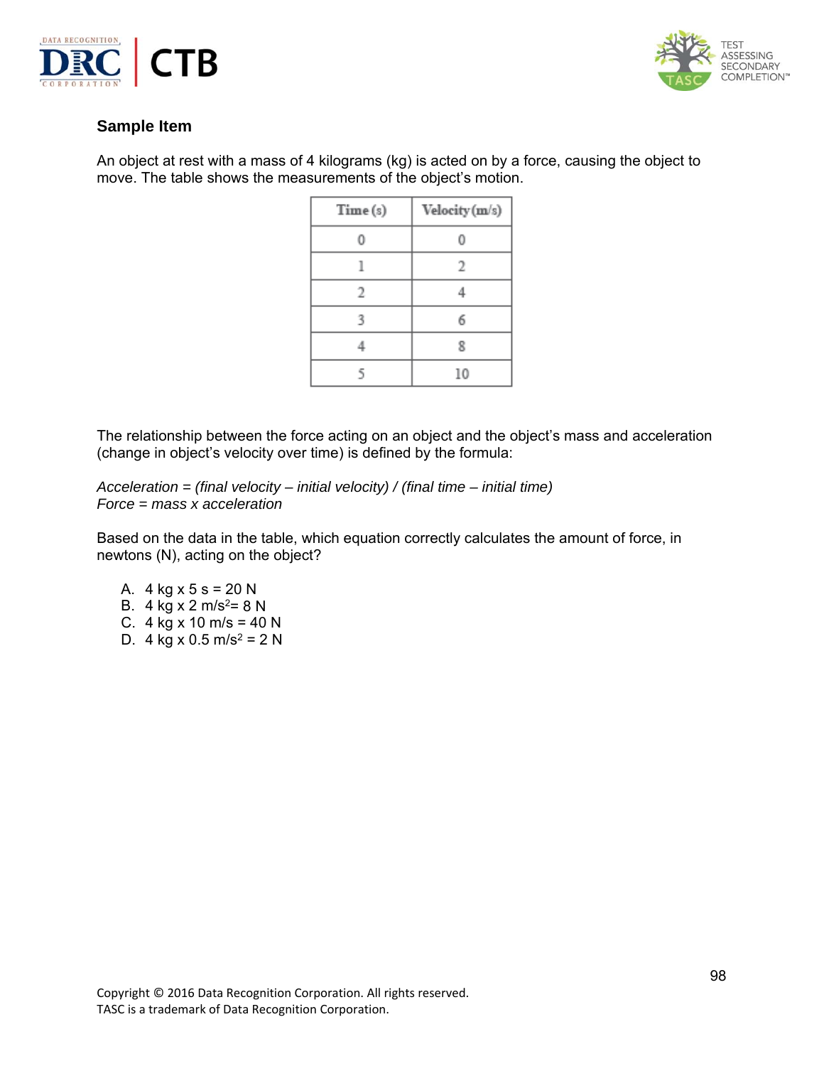



An object at rest with a mass of 4 kilograms (kg) is acted on by a force, causing the object to move. The table shows the measurements of the object's motion.

| Time (s) | Velocity (m/s) |
|----------|----------------|
|          |                |
|          | 2              |
| 2        |                |
| 3        |                |
|          | 욧              |
| ۲        | 10             |

The relationship between the force acting on an object and the object's mass and acceleration (change in object's velocity over time) is defined by the formula:

*Acceleration = (final velocity – initial velocity) / (final time – initial time) Force = mass x acceleration* 

Based on the data in the table, which equation correctly calculates the amount of force, in newtons (N), acting on the object?

A.  $4 \text{ kg} \times 5 \text{ s} = 20 \text{ N}$ B. 4 kg x 2 m/s<sup>2</sup>= 8 N C.  $4 \text{ kg} \times 10 \text{ m/s} = 40 \text{ N}$ D. 4 kg x 0.5 m/s<sup>2</sup> = 2 N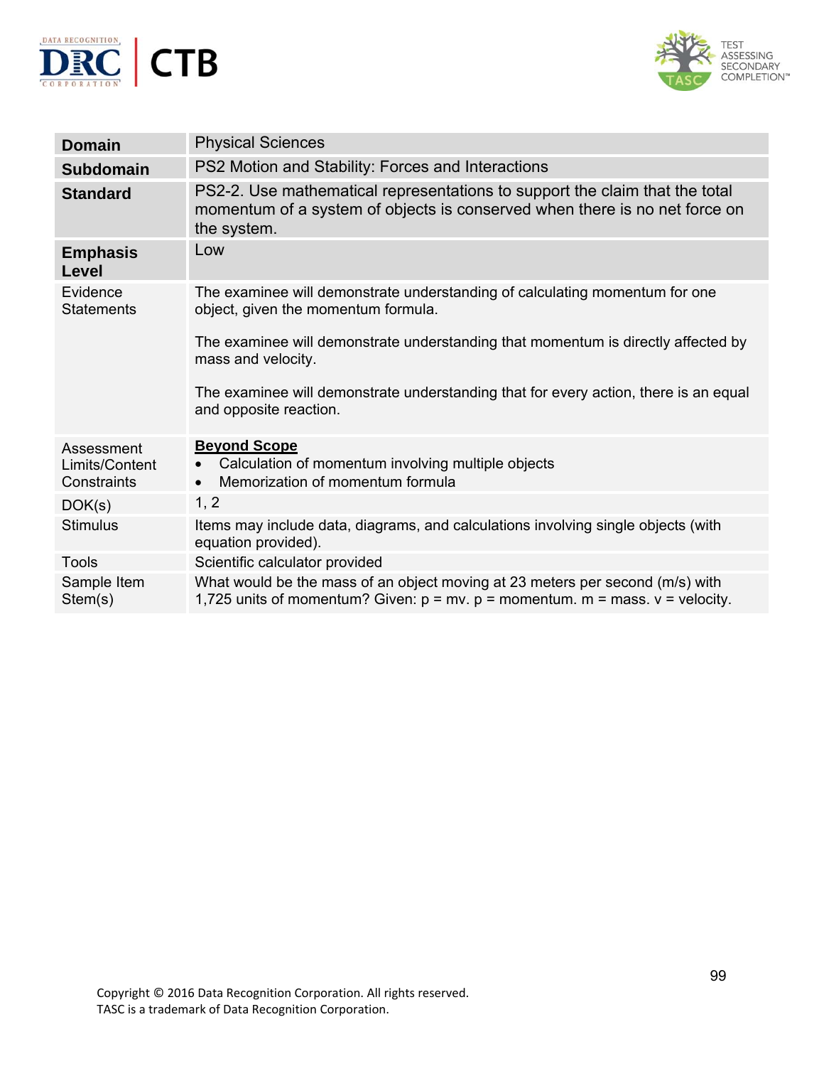



| <b>Domain</b>                               | <b>Physical Sciences</b>                                                                                                                                                 |
|---------------------------------------------|--------------------------------------------------------------------------------------------------------------------------------------------------------------------------|
| <b>Subdomain</b>                            | PS2 Motion and Stability: Forces and Interactions                                                                                                                        |
| <b>Standard</b>                             | PS2-2. Use mathematical representations to support the claim that the total<br>momentum of a system of objects is conserved when there is no net force on<br>the system. |
| <b>Emphasis</b><br>Level                    | Low                                                                                                                                                                      |
| Evidence<br><b>Statements</b>               | The examinee will demonstrate understanding of calculating momentum for one<br>object, given the momentum formula.                                                       |
|                                             | The examinee will demonstrate understanding that momentum is directly affected by<br>mass and velocity.                                                                  |
|                                             | The examinee will demonstrate understanding that for every action, there is an equal<br>and opposite reaction.                                                           |
| Assessment<br>Limits/Content<br>Constraints | <b>Beyond Scope</b><br>Calculation of momentum involving multiple objects<br>$\bullet$<br>Memorization of momentum formula<br>$\bullet$                                  |
| DOK(s)                                      | 1, 2                                                                                                                                                                     |
| <b>Stimulus</b>                             | Items may include data, diagrams, and calculations involving single objects (with<br>equation provided).                                                                 |
| <b>Tools</b>                                | Scientific calculator provided                                                                                                                                           |
| Sample Item<br>Stem(s)                      | What would be the mass of an object moving at 23 meters per second (m/s) with<br>1,725 units of momentum? Given: $p = mv$ . $p =$ momentum. $m =$ mass. $v =$ velocity.  |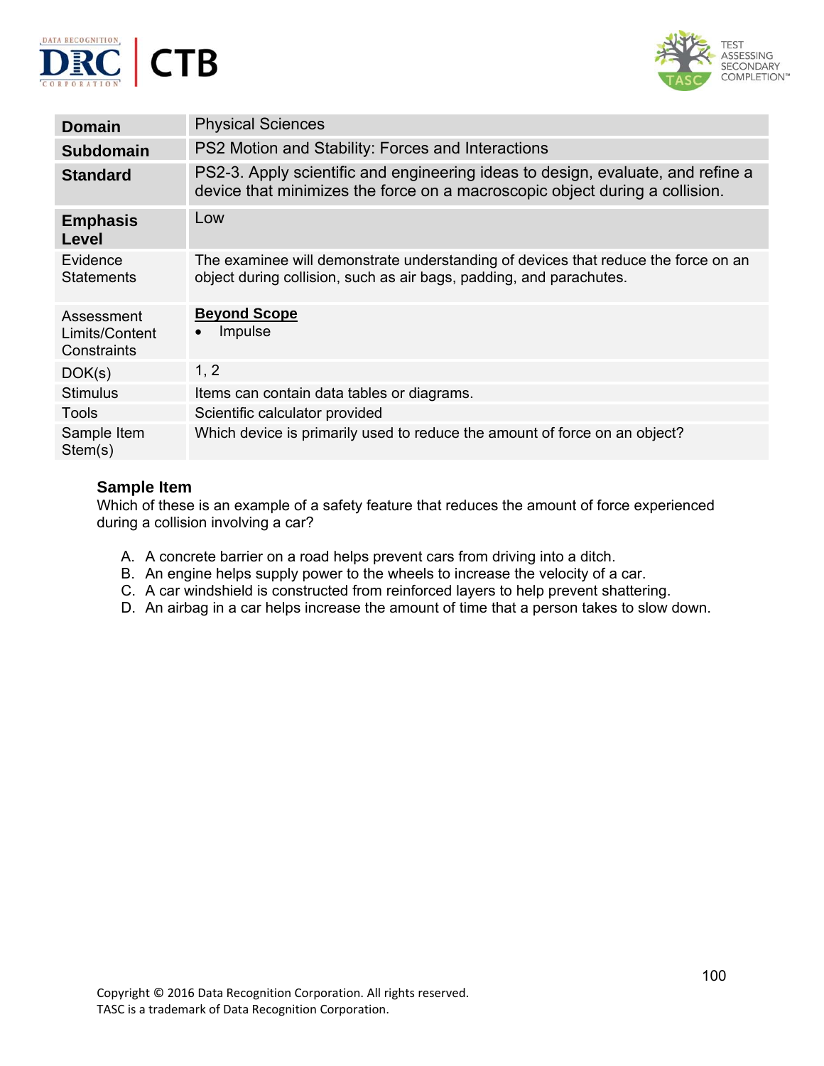



| <b>Domain</b>                               | <b>Physical Sciences</b>                                                                                                                                       |
|---------------------------------------------|----------------------------------------------------------------------------------------------------------------------------------------------------------------|
| <b>Subdomain</b>                            | PS2 Motion and Stability: Forces and Interactions                                                                                                              |
| <b>Standard</b>                             | PS2-3. Apply scientific and engineering ideas to design, evaluate, and refine a<br>device that minimizes the force on a macroscopic object during a collision. |
| <b>Emphasis</b><br>Level                    | Low                                                                                                                                                            |
| Evidence<br><b>Statements</b>               | The examinee will demonstrate understanding of devices that reduce the force on an<br>object during collision, such as air bags, padding, and parachutes.      |
| Assessment<br>Limits/Content<br>Constraints | <b>Beyond Scope</b><br><b>Impulse</b>                                                                                                                          |
| DOK(s)                                      | 1, 2                                                                                                                                                           |
| <b>Stimulus</b>                             | Items can contain data tables or diagrams.                                                                                                                     |
| Tools                                       | Scientific calculator provided                                                                                                                                 |
| Sample Item<br>Stem(s)                      | Which device is primarily used to reduce the amount of force on an object?                                                                                     |

Which of these is an example of a safety feature that reduces the amount of force experienced during a collision involving a car?

- A. A concrete barrier on a road helps prevent cars from driving into a ditch.
- B. An engine helps supply power to the wheels to increase the velocity of a car.
- C. A car windshield is constructed from reinforced layers to help prevent shattering.
- D. An airbag in a car helps increase the amount of time that a person takes to slow down.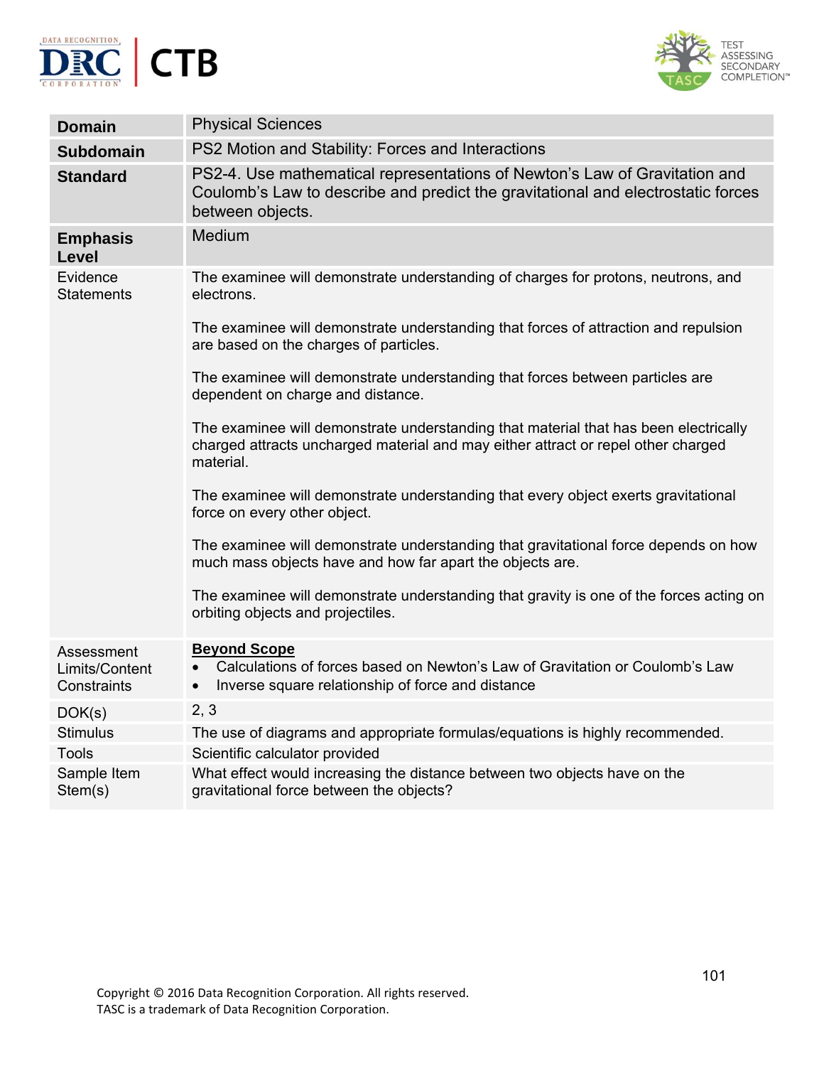



| <b>Domain</b>                               | <b>Physical Sciences</b>                                                                                                                                                               |
|---------------------------------------------|----------------------------------------------------------------------------------------------------------------------------------------------------------------------------------------|
| <b>Subdomain</b>                            | PS2 Motion and Stability: Forces and Interactions                                                                                                                                      |
| <b>Standard</b>                             | PS2-4. Use mathematical representations of Newton's Law of Gravitation and<br>Coulomb's Law to describe and predict the gravitational and electrostatic forces<br>between objects.     |
| <b>Emphasis</b><br><b>Level</b>             | Medium                                                                                                                                                                                 |
| Evidence<br><b>Statements</b>               | The examinee will demonstrate understanding of charges for protons, neutrons, and<br>electrons.                                                                                        |
|                                             | The examinee will demonstrate understanding that forces of attraction and repulsion<br>are based on the charges of particles.                                                          |
|                                             | The examinee will demonstrate understanding that forces between particles are<br>dependent on charge and distance.                                                                     |
|                                             | The examinee will demonstrate understanding that material that has been electrically<br>charged attracts uncharged material and may either attract or repel other charged<br>material. |
|                                             | The examinee will demonstrate understanding that every object exerts gravitational<br>force on every other object.                                                                     |
|                                             | The examinee will demonstrate understanding that gravitational force depends on how<br>much mass objects have and how far apart the objects are.                                       |
|                                             | The examinee will demonstrate understanding that gravity is one of the forces acting on<br>orbiting objects and projectiles.                                                           |
| Assessment<br>Limits/Content<br>Constraints | <b>Beyond Scope</b><br>Calculations of forces based on Newton's Law of Gravitation or Coulomb's Law<br>Inverse square relationship of force and distance<br>$\bullet$                  |
| DOK(s)                                      | 2, 3                                                                                                                                                                                   |
| <b>Stimulus</b>                             | The use of diagrams and appropriate formulas/equations is highly recommended.                                                                                                          |
| <b>Tools</b>                                | Scientific calculator provided                                                                                                                                                         |
| Sample Item<br>Stem(s)                      | What effect would increasing the distance between two objects have on the<br>gravitational force between the objects?                                                                  |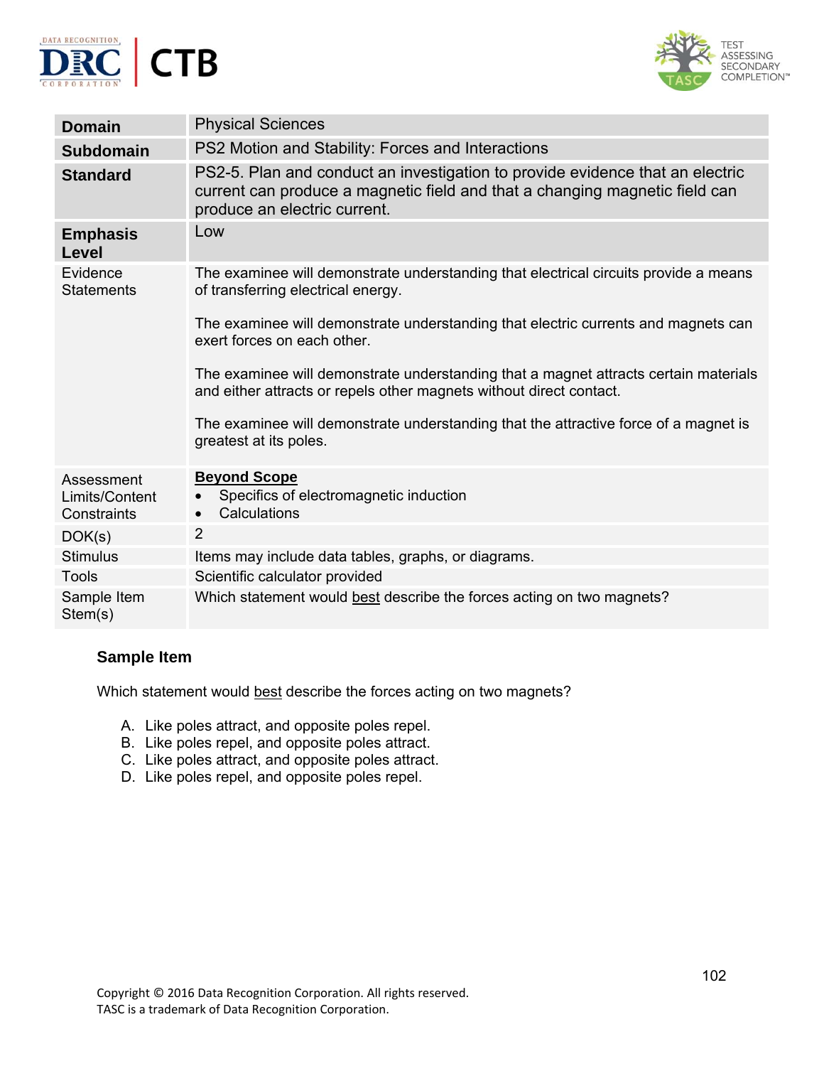



| <b>Domain</b>                               | <b>Physical Sciences</b>                                                                                                                                                                     |
|---------------------------------------------|----------------------------------------------------------------------------------------------------------------------------------------------------------------------------------------------|
| <b>Subdomain</b>                            | PS2 Motion and Stability: Forces and Interactions                                                                                                                                            |
| <b>Standard</b>                             | PS2-5. Plan and conduct an investigation to provide evidence that an electric<br>current can produce a magnetic field and that a changing magnetic field can<br>produce an electric current. |
| <b>Emphasis</b><br>Level                    | Low                                                                                                                                                                                          |
| Evidence<br><b>Statements</b>               | The examinee will demonstrate understanding that electrical circuits provide a means<br>of transferring electrical energy.                                                                   |
|                                             | The examinee will demonstrate understanding that electric currents and magnets can<br>exert forces on each other.                                                                            |
|                                             | The examinee will demonstrate understanding that a magnet attracts certain materials<br>and either attracts or repels other magnets without direct contact.                                  |
|                                             | The examinee will demonstrate understanding that the attractive force of a magnet is<br>greatest at its poles.                                                                               |
| Assessment<br>Limits/Content<br>Constraints | <b>Beyond Scope</b><br>Specifics of electromagnetic induction<br>Calculations<br>$\bullet$                                                                                                   |
| DOK(s)                                      | $\overline{2}$                                                                                                                                                                               |
| <b>Stimulus</b>                             | Items may include data tables, graphs, or diagrams.                                                                                                                                          |
| <b>Tools</b>                                | Scientific calculator provided                                                                                                                                                               |
| Sample Item<br>Stem(s)                      | Which statement would best describe the forces acting on two magnets?                                                                                                                        |

Which statement would best describe the forces acting on two magnets?

- A. Like poles attract, and opposite poles repel.
- B. Like poles repel, and opposite poles attract.
- C. Like poles attract, and opposite poles attract.
- D. Like poles repel, and opposite poles repel.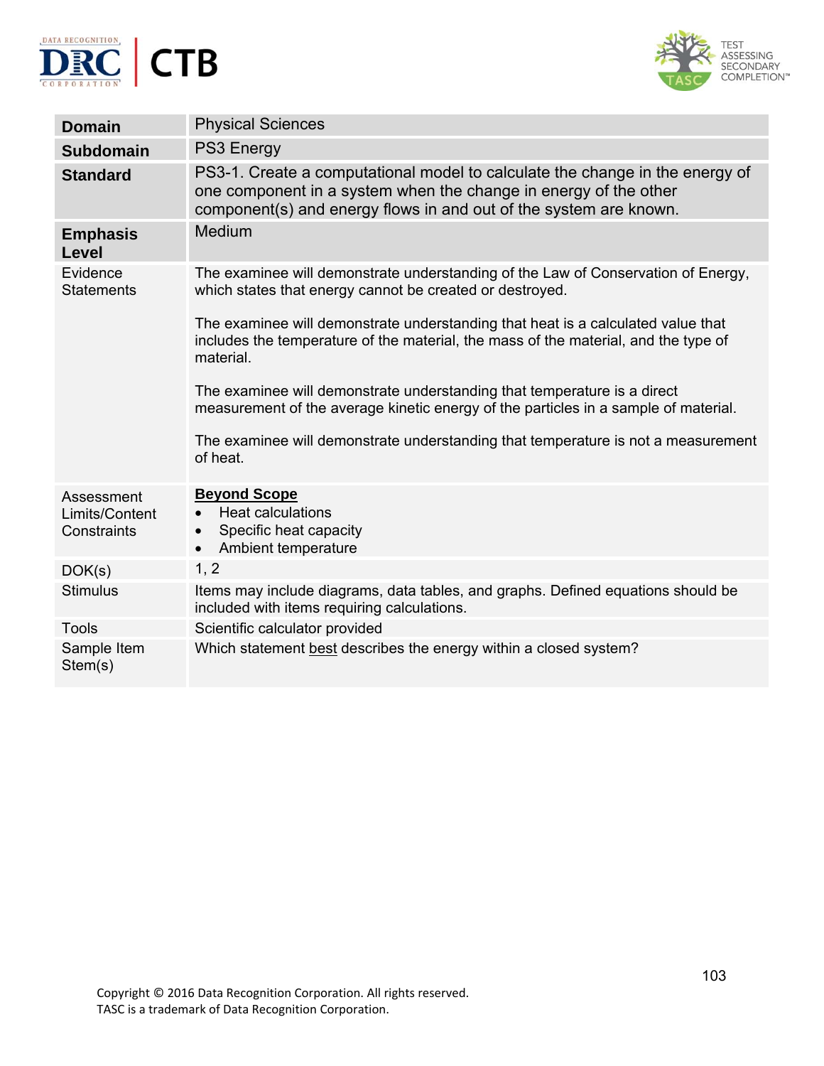



| <b>Domain</b>                               | <b>Physical Sciences</b>                                                                                                                                                                                              |
|---------------------------------------------|-----------------------------------------------------------------------------------------------------------------------------------------------------------------------------------------------------------------------|
| <b>Subdomain</b>                            | PS3 Energy                                                                                                                                                                                                            |
| <b>Standard</b>                             | PS3-1. Create a computational model to calculate the change in the energy of<br>one component in a system when the change in energy of the other<br>component(s) and energy flows in and out of the system are known. |
| <b>Emphasis</b><br><b>Level</b>             | Medium                                                                                                                                                                                                                |
| Evidence<br><b>Statements</b>               | The examinee will demonstrate understanding of the Law of Conservation of Energy,<br>which states that energy cannot be created or destroyed.                                                                         |
|                                             | The examinee will demonstrate understanding that heat is a calculated value that<br>includes the temperature of the material, the mass of the material, and the type of<br>material.                                  |
|                                             | The examinee will demonstrate understanding that temperature is a direct<br>measurement of the average kinetic energy of the particles in a sample of material.                                                       |
|                                             | The examinee will demonstrate understanding that temperature is not a measurement<br>of heat.                                                                                                                         |
| Assessment<br>Limits/Content<br>Constraints | <b>Beyond Scope</b><br><b>Heat calculations</b><br>$\bullet$<br>Specific heat capacity<br>Ambient temperature<br>$\bullet$                                                                                            |
| DOK(s)                                      | 1, 2                                                                                                                                                                                                                  |
| <b>Stimulus</b>                             | Items may include diagrams, data tables, and graphs. Defined equations should be<br>included with items requiring calculations.                                                                                       |
| <b>Tools</b>                                | Scientific calculator provided                                                                                                                                                                                        |
| Sample Item<br>Stem(s)                      | Which statement best describes the energy within a closed system?                                                                                                                                                     |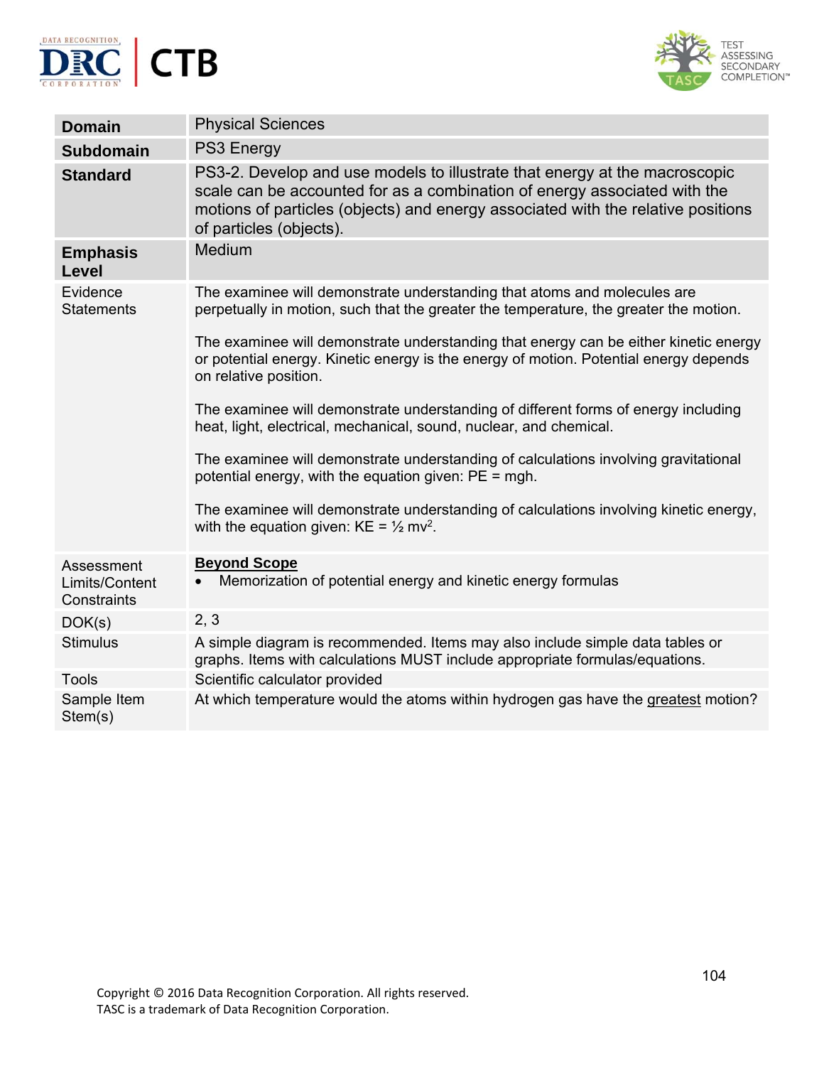



| <b>Physical Sciences</b>                                                                                                                                                                                                                                               |
|------------------------------------------------------------------------------------------------------------------------------------------------------------------------------------------------------------------------------------------------------------------------|
| PS3 Energy                                                                                                                                                                                                                                                             |
| PS3-2. Develop and use models to illustrate that energy at the macroscopic<br>scale can be accounted for as a combination of energy associated with the<br>motions of particles (objects) and energy associated with the relative positions<br>of particles (objects). |
| Medium                                                                                                                                                                                                                                                                 |
| The examinee will demonstrate understanding that atoms and molecules are<br>perpetually in motion, such that the greater the temperature, the greater the motion.                                                                                                      |
| The examinee will demonstrate understanding that energy can be either kinetic energy<br>or potential energy. Kinetic energy is the energy of motion. Potential energy depends<br>on relative position.                                                                 |
| The examinee will demonstrate understanding of different forms of energy including<br>heat, light, electrical, mechanical, sound, nuclear, and chemical.                                                                                                               |
| The examinee will demonstrate understanding of calculations involving gravitational<br>potential energy, with the equation given: $PE = mgh$ .                                                                                                                         |
| The examinee will demonstrate understanding of calculations involving kinetic energy,<br>with the equation given: $KE = \frac{1}{2}$ mv <sup>2</sup> .                                                                                                                 |
| <b>Beyond Scope</b><br>Memorization of potential energy and kinetic energy formulas                                                                                                                                                                                    |
| 2, 3                                                                                                                                                                                                                                                                   |
| A simple diagram is recommended. Items may also include simple data tables or<br>graphs. Items with calculations MUST include appropriate formulas/equations.                                                                                                          |
| Scientific calculator provided                                                                                                                                                                                                                                         |
| At which temperature would the atoms within hydrogen gas have the greatest motion?                                                                                                                                                                                     |
|                                                                                                                                                                                                                                                                        |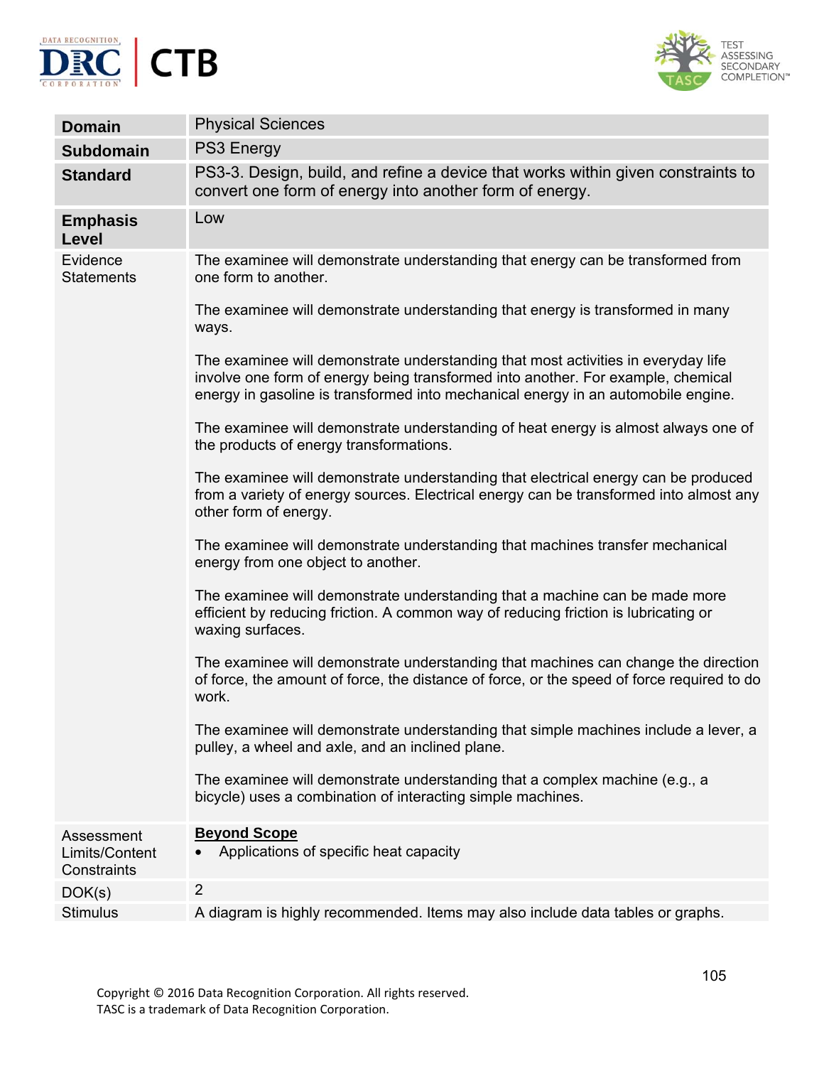



| <b>Domain</b>                               | <b>Physical Sciences</b>                                                                                                                                                                                                                                   |
|---------------------------------------------|------------------------------------------------------------------------------------------------------------------------------------------------------------------------------------------------------------------------------------------------------------|
| <b>Subdomain</b>                            | <b>PS3 Energy</b>                                                                                                                                                                                                                                          |
| <b>Standard</b>                             | PS3-3. Design, build, and refine a device that works within given constraints to<br>convert one form of energy into another form of energy.                                                                                                                |
| <b>Emphasis</b><br>Level                    | Low                                                                                                                                                                                                                                                        |
| Evidence<br><b>Statements</b>               | The examinee will demonstrate understanding that energy can be transformed from<br>one form to another.                                                                                                                                                    |
|                                             | The examinee will demonstrate understanding that energy is transformed in many<br>ways.                                                                                                                                                                    |
|                                             | The examinee will demonstrate understanding that most activities in everyday life<br>involve one form of energy being transformed into another. For example, chemical<br>energy in gasoline is transformed into mechanical energy in an automobile engine. |
|                                             | The examinee will demonstrate understanding of heat energy is almost always one of<br>the products of energy transformations.                                                                                                                              |
|                                             | The examinee will demonstrate understanding that electrical energy can be produced<br>from a variety of energy sources. Electrical energy can be transformed into almost any<br>other form of energy.                                                      |
|                                             | The examinee will demonstrate understanding that machines transfer mechanical<br>energy from one object to another.                                                                                                                                        |
|                                             | The examinee will demonstrate understanding that a machine can be made more<br>efficient by reducing friction. A common way of reducing friction is lubricating or<br>waxing surfaces.                                                                     |
|                                             | The examinee will demonstrate understanding that machines can change the direction<br>of force, the amount of force, the distance of force, or the speed of force required to do<br>work.                                                                  |
|                                             | The examinee will demonstrate understanding that simple machines include a lever, a<br>pulley, a wheel and axle, and an inclined plane.                                                                                                                    |
|                                             | The examinee will demonstrate understanding that a complex machine (e.g., a<br>bicycle) uses a combination of interacting simple machines.                                                                                                                 |
| Assessment<br>Limits/Content<br>Constraints | <b>Beyond Scope</b><br>Applications of specific heat capacity                                                                                                                                                                                              |
| DOK(s)                                      | $\overline{2}$                                                                                                                                                                                                                                             |
| <b>Stimulus</b>                             | A diagram is highly recommended. Items may also include data tables or graphs.                                                                                                                                                                             |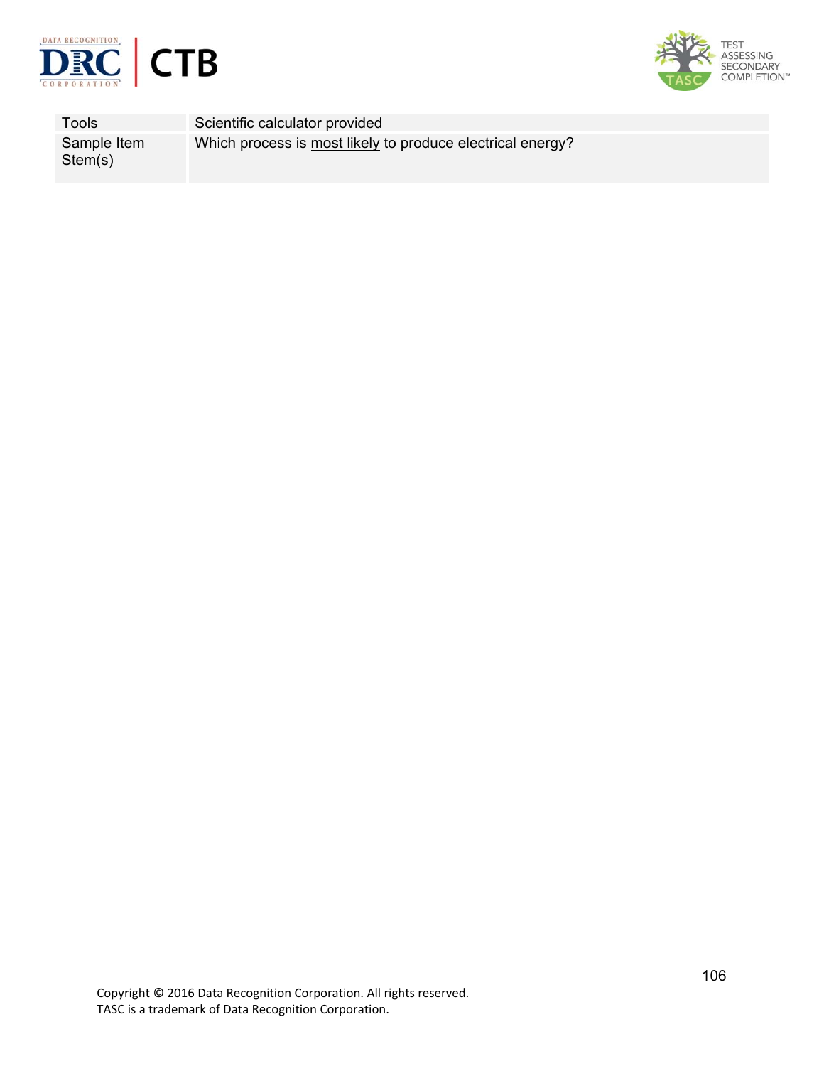



Tools Scientific calculator provided Sample Item Stem(s) Which process is most likely to produce electrical energy?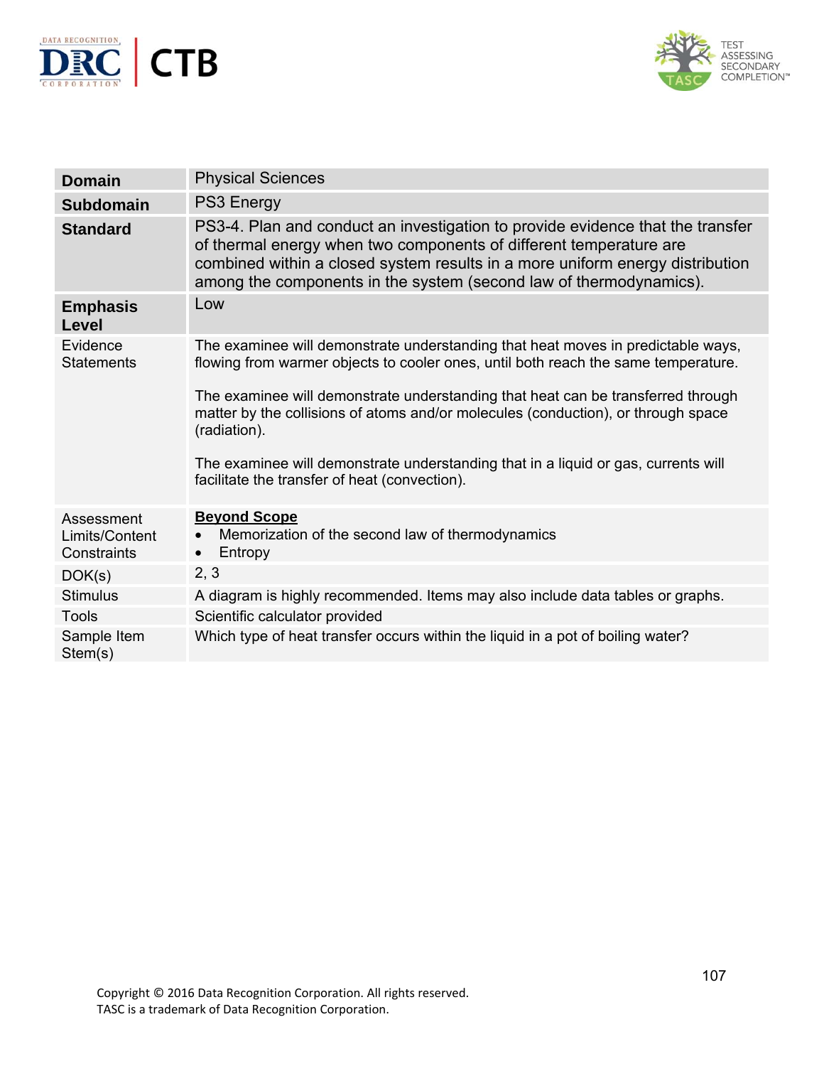



| <b>Domain</b>                               | <b>Physical Sciences</b>                                                                                                                                                                                                                                                                                    |
|---------------------------------------------|-------------------------------------------------------------------------------------------------------------------------------------------------------------------------------------------------------------------------------------------------------------------------------------------------------------|
| <b>Subdomain</b>                            | PS3 Energy                                                                                                                                                                                                                                                                                                  |
| <b>Standard</b>                             | PS3-4. Plan and conduct an investigation to provide evidence that the transfer<br>of thermal energy when two components of different temperature are<br>combined within a closed system results in a more uniform energy distribution<br>among the components in the system (second law of thermodynamics). |
| <b>Emphasis</b><br>Level                    | Low                                                                                                                                                                                                                                                                                                         |
| Evidence<br><b>Statements</b>               | The examinee will demonstrate understanding that heat moves in predictable ways,<br>flowing from warmer objects to cooler ones, until both reach the same temperature.                                                                                                                                      |
|                                             | The examinee will demonstrate understanding that heat can be transferred through<br>matter by the collisions of atoms and/or molecules (conduction), or through space<br>(radiation).                                                                                                                       |
|                                             | The examinee will demonstrate understanding that in a liquid or gas, currents will<br>facilitate the transfer of heat (convection).                                                                                                                                                                         |
| Assessment<br>Limits/Content<br>Constraints | <b>Beyond Scope</b><br>Memorization of the second law of thermodynamics<br>Entropy                                                                                                                                                                                                                          |
| DOK(s)                                      | 2, 3                                                                                                                                                                                                                                                                                                        |
| <b>Stimulus</b>                             | A diagram is highly recommended. Items may also include data tables or graphs.                                                                                                                                                                                                                              |
| <b>Tools</b>                                | Scientific calculator provided                                                                                                                                                                                                                                                                              |
| Sample Item<br>Stem(s)                      | Which type of heat transfer occurs within the liquid in a pot of boiling water?                                                                                                                                                                                                                             |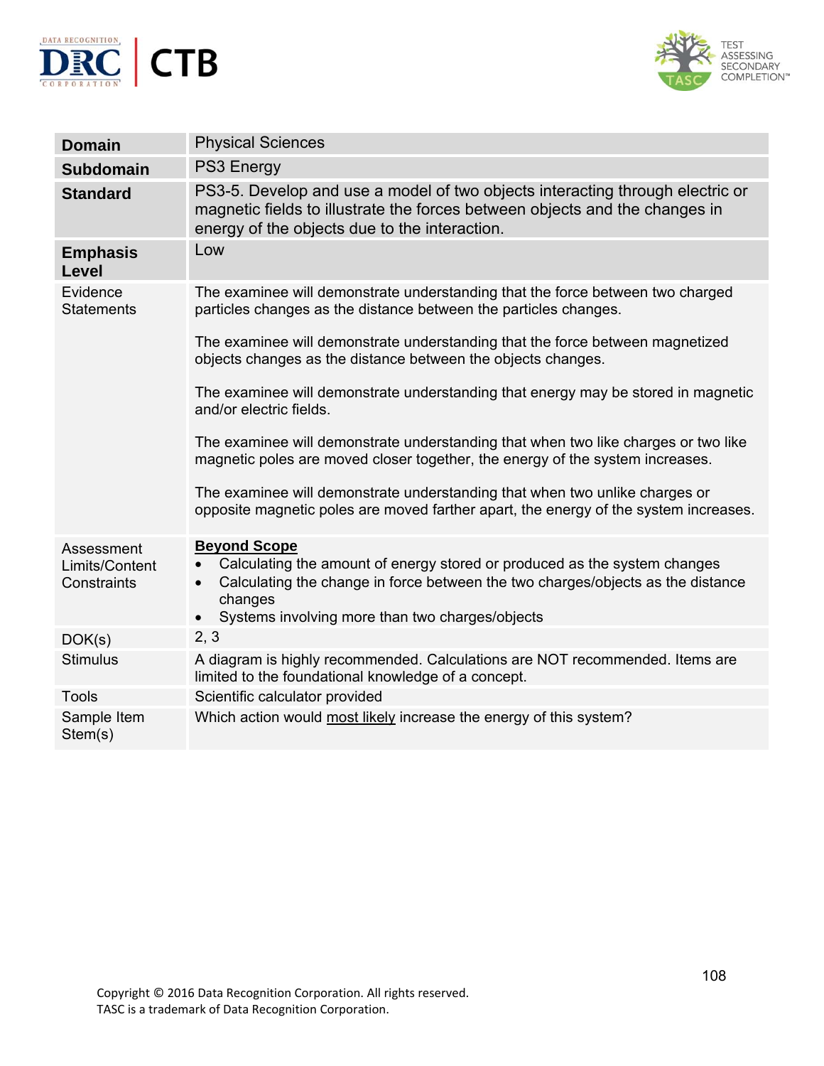



| <b>Domain</b>                 | <b>Physical Sciences</b>                                                                                                                                                                                      |
|-------------------------------|---------------------------------------------------------------------------------------------------------------------------------------------------------------------------------------------------------------|
| <b>Subdomain</b>              | <b>PS3 Energy</b>                                                                                                                                                                                             |
| <b>Standard</b>               | PS3-5. Develop and use a model of two objects interacting through electric or<br>magnetic fields to illustrate the forces between objects and the changes in<br>energy of the objects due to the interaction. |
| <b>Emphasis</b><br>Level      | Low                                                                                                                                                                                                           |
| Evidence<br><b>Statements</b> | The examinee will demonstrate understanding that the force between two charged<br>particles changes as the distance between the particles changes.                                                            |
|                               | The examinee will demonstrate understanding that the force between magnetized<br>objects changes as the distance between the objects changes.                                                                 |
|                               | The examinee will demonstrate understanding that energy may be stored in magnetic<br>and/or electric fields.                                                                                                  |
|                               | The examinee will demonstrate understanding that when two like charges or two like<br>magnetic poles are moved closer together, the energy of the system increases.                                           |
|                               | The examinee will demonstrate understanding that when two unlike charges or<br>opposite magnetic poles are moved farther apart, the energy of the system increases.                                           |
| Assessment<br>Limits/Content  | <b>Beyond Scope</b><br>Calculating the amount of energy stored or produced as the system changes<br>$\bullet$                                                                                                 |
| Constraints                   | Calculating the change in force between the two charges/objects as the distance<br>$\bullet$<br>changes<br>• Systems involving more than two charges/objects                                                  |
| DOK(s)                        | 2, 3                                                                                                                                                                                                          |
| <b>Stimulus</b>               | A diagram is highly recommended. Calculations are NOT recommended. Items are<br>limited to the foundational knowledge of a concept.                                                                           |
| <b>Tools</b>                  | Scientific calculator provided                                                                                                                                                                                |
| Sample Item<br>Stem(s)        | Which action would most likely increase the energy of this system?                                                                                                                                            |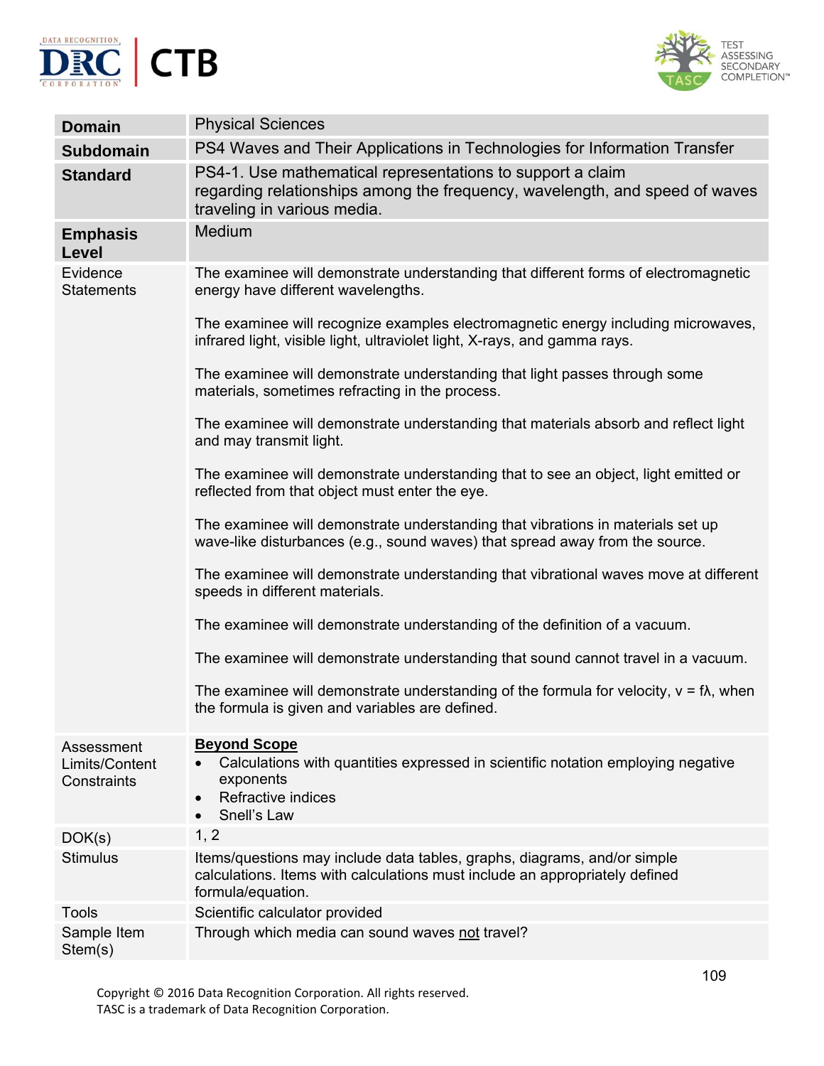



| <b>Domain</b>                               | <b>Physical Sciences</b>                                                                                                                                                     |
|---------------------------------------------|------------------------------------------------------------------------------------------------------------------------------------------------------------------------------|
| <b>Subdomain</b>                            | PS4 Waves and Their Applications in Technologies for Information Transfer                                                                                                    |
| <b>Standard</b>                             | PS4-1. Use mathematical representations to support a claim<br>regarding relationships among the frequency, wavelength, and speed of waves<br>traveling in various media.     |
| <b>Emphasis</b><br>Level                    | Medium                                                                                                                                                                       |
| Evidence<br><b>Statements</b>               | The examinee will demonstrate understanding that different forms of electromagnetic<br>energy have different wavelengths.                                                    |
|                                             | The examinee will recognize examples electromagnetic energy including microwaves,<br>infrared light, visible light, ultraviolet light, X-rays, and gamma rays.               |
|                                             | The examinee will demonstrate understanding that light passes through some<br>materials, sometimes refracting in the process.                                                |
|                                             | The examinee will demonstrate understanding that materials absorb and reflect light<br>and may transmit light.                                                               |
|                                             | The examinee will demonstrate understanding that to see an object, light emitted or<br>reflected from that object must enter the eye.                                        |
|                                             | The examinee will demonstrate understanding that vibrations in materials set up<br>wave-like disturbances (e.g., sound waves) that spread away from the source.              |
|                                             | The examinee will demonstrate understanding that vibrational waves move at different<br>speeds in different materials.                                                       |
|                                             | The examinee will demonstrate understanding of the definition of a vacuum.                                                                                                   |
|                                             | The examinee will demonstrate understanding that sound cannot travel in a vacuum.                                                                                            |
|                                             | The examinee will demonstrate understanding of the formula for velocity, $v = f\lambda$ , when<br>the formula is given and variables are defined.                            |
| Assessment<br>Limits/Content<br>Constraints | <b>Beyond Scope</b><br>Calculations with quantities expressed in scientific notation employing negative<br>exponents<br>Refractive indices<br>Snell's Law<br>$\bullet$       |
| DOK(s)                                      | 1, 2                                                                                                                                                                         |
| <b>Stimulus</b>                             | Items/questions may include data tables, graphs, diagrams, and/or simple<br>calculations. Items with calculations must include an appropriately defined<br>formula/equation. |
| <b>Tools</b>                                | Scientific calculator provided                                                                                                                                               |
| Sample Item<br>Stem(s)                      | Through which media can sound waves not travel?                                                                                                                              |

Copyright © 2016 Data Recognition Corporation. All rights reserved. TASC is a trademark of Data Recognition Corporation.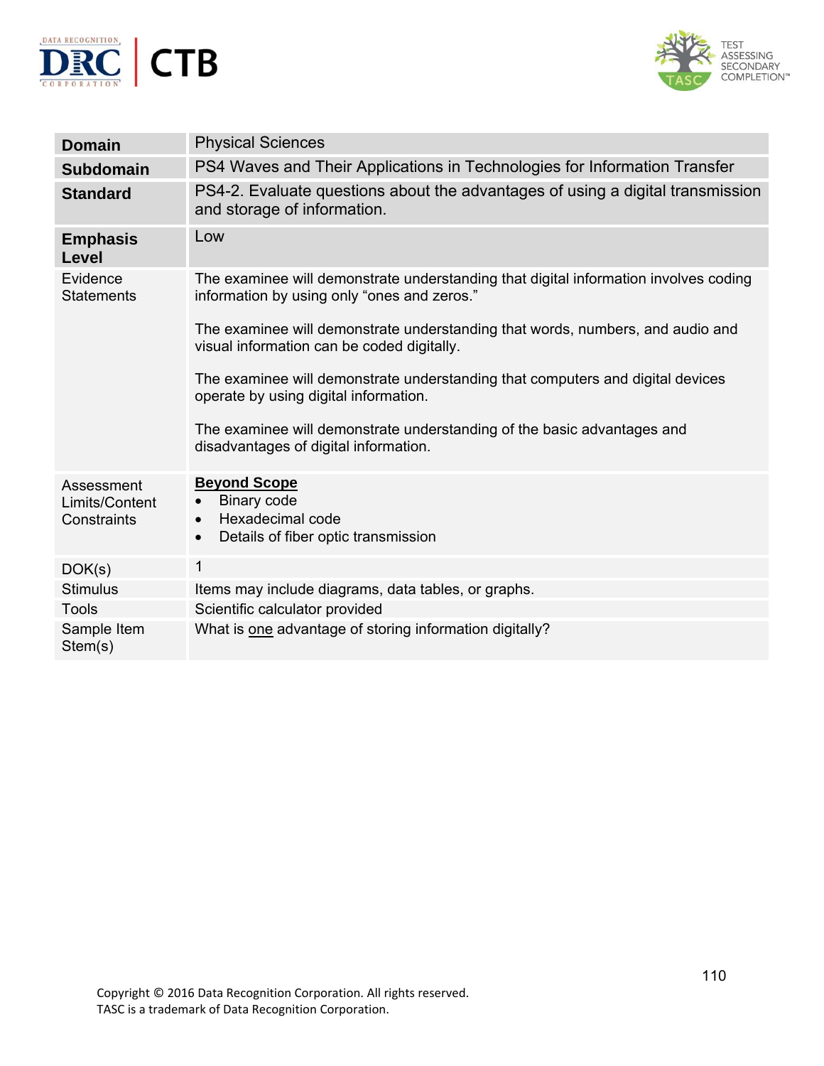



| <b>Domain</b>                               | <b>Physical Sciences</b>                                                                                                            |
|---------------------------------------------|-------------------------------------------------------------------------------------------------------------------------------------|
| <b>Subdomain</b>                            | PS4 Waves and Their Applications in Technologies for Information Transfer                                                           |
| <b>Standard</b>                             | PS4-2. Evaluate questions about the advantages of using a digital transmission<br>and storage of information.                       |
| <b>Emphasis</b><br>Level                    | Low                                                                                                                                 |
| Evidence<br><b>Statements</b>               | The examinee will demonstrate understanding that digital information involves coding<br>information by using only "ones and zeros." |
|                                             | The examinee will demonstrate understanding that words, numbers, and audio and<br>visual information can be coded digitally.        |
|                                             | The examinee will demonstrate understanding that computers and digital devices<br>operate by using digital information.             |
|                                             | The examinee will demonstrate understanding of the basic advantages and<br>disadvantages of digital information.                    |
| Assessment<br>Limits/Content<br>Constraints | <b>Beyond Scope</b><br>Binary code<br>$\bullet$<br>Hexadecimal code<br>$\bullet$<br>Details of fiber optic transmission             |
| DOK(s)                                      | 1                                                                                                                                   |
| <b>Stimulus</b>                             | Items may include diagrams, data tables, or graphs.                                                                                 |
| <b>Tools</b>                                | Scientific calculator provided                                                                                                      |
| Sample Item<br>Stem(s)                      | What is one advantage of storing information digitally?                                                                             |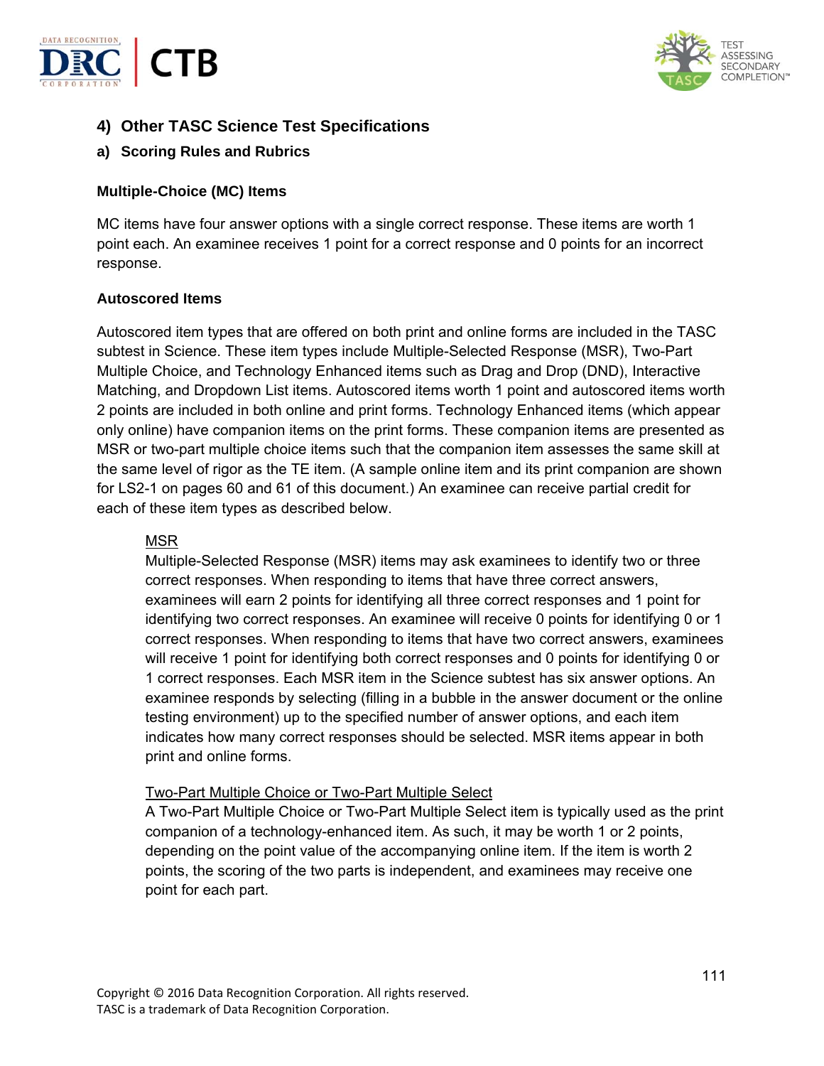



# **4) Other TASC Science Test Specifications**

## **a) Scoring Rules and Rubrics**

#### **Multiple-Choice (MC) Items**

MC items have four answer options with a single correct response. These items are worth 1 point each. An examinee receives 1 point for a correct response and 0 points for an incorrect response.

#### **Autoscored Items**

Autoscored item types that are offered on both print and online forms are included in the TASC subtest in Science. These item types include Multiple-Selected Response (MSR), Two-Part Multiple Choice, and Technology Enhanced items such as Drag and Drop (DND), Interactive Matching, and Dropdown List items. Autoscored items worth 1 point and autoscored items worth 2 points are included in both online and print forms. Technology Enhanced items (which appear only online) have companion items on the print forms. These companion items are presented as MSR or two-part multiple choice items such that the companion item assesses the same skill at the same level of rigor as the TE item. (A sample online item and its print companion are shown for LS2-1 on pages 60 and 61 of this document.) An examinee can receive partial credit for each of these item types as described below.

#### MSR

Multiple-Selected Response (MSR) items may ask examinees to identify two or three correct responses. When responding to items that have three correct answers, examinees will earn 2 points for identifying all three correct responses and 1 point for identifying two correct responses. An examinee will receive 0 points for identifying 0 or 1 correct responses. When responding to items that have two correct answers, examinees will receive 1 point for identifying both correct responses and 0 points for identifying 0 or 1 correct responses. Each MSR item in the Science subtest has six answer options. An examinee responds by selecting (filling in a bubble in the answer document or the online testing environment) up to the specified number of answer options, and each item indicates how many correct responses should be selected. MSR items appear in both print and online forms.

### Two-Part Multiple Choice or Two-Part Multiple Select

A Two-Part Multiple Choice or Two-Part Multiple Select item is typically used as the print companion of a technology-enhanced item. As such, it may be worth 1 or 2 points, depending on the point value of the accompanying online item. If the item is worth 2 points, the scoring of the two parts is independent, and examinees may receive one point for each part.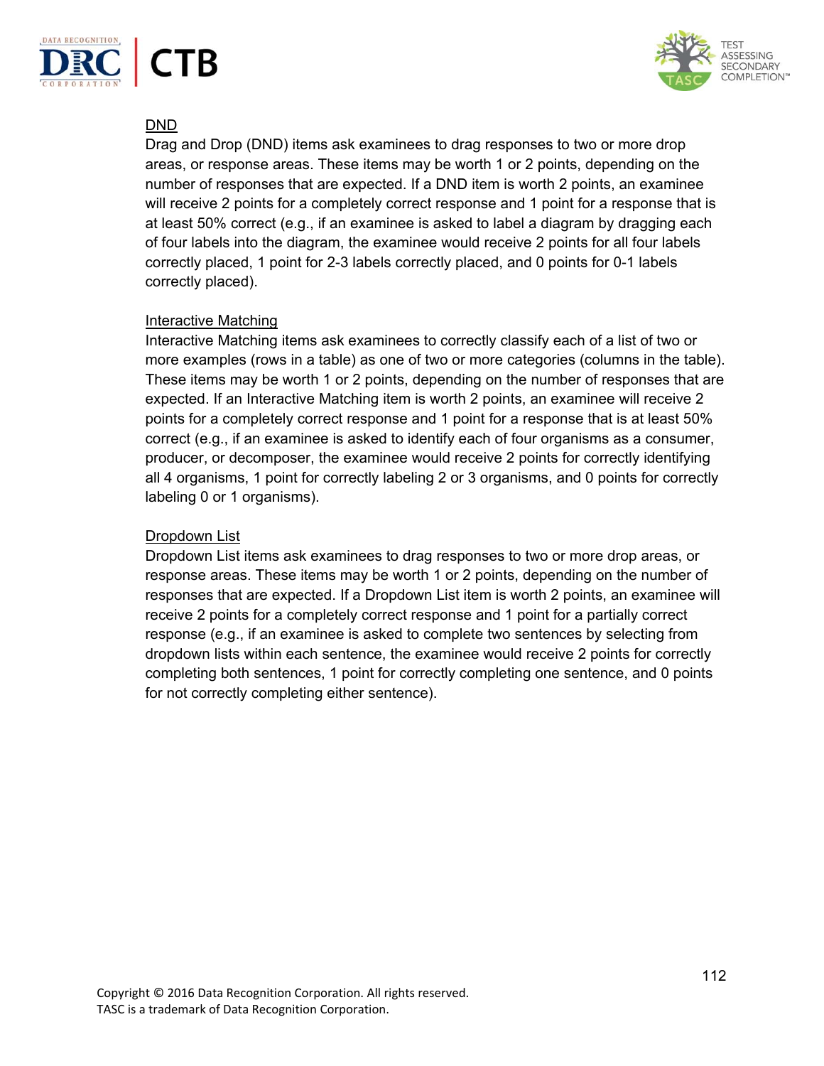



## DND

Drag and Drop (DND) items ask examinees to drag responses to two or more drop areas, or response areas. These items may be worth 1 or 2 points, depending on the number of responses that are expected. If a DND item is worth 2 points, an examinee will receive 2 points for a completely correct response and 1 point for a response that is at least 50% correct (e.g., if an examinee is asked to label a diagram by dragging each of four labels into the diagram, the examinee would receive 2 points for all four labels correctly placed, 1 point for 2-3 labels correctly placed, and 0 points for 0-1 labels correctly placed).

### Interactive Matching

Interactive Matching items ask examinees to correctly classify each of a list of two or more examples (rows in a table) as one of two or more categories (columns in the table). These items may be worth 1 or 2 points, depending on the number of responses that are expected. If an Interactive Matching item is worth 2 points, an examinee will receive 2 points for a completely correct response and 1 point for a response that is at least 50% correct (e.g., if an examinee is asked to identify each of four organisms as a consumer, producer, or decomposer, the examinee would receive 2 points for correctly identifying all 4 organisms, 1 point for correctly labeling 2 or 3 organisms, and 0 points for correctly labeling 0 or 1 organisms).

## Dropdown List

Dropdown List items ask examinees to drag responses to two or more drop areas, or response areas. These items may be worth 1 or 2 points, depending on the number of responses that are expected. If a Dropdown List item is worth 2 points, an examinee will receive 2 points for a completely correct response and 1 point for a partially correct response (e.g., if an examinee is asked to complete two sentences by selecting from dropdown lists within each sentence, the examinee would receive 2 points for correctly completing both sentences, 1 point for correctly completing one sentence, and 0 points for not correctly completing either sentence).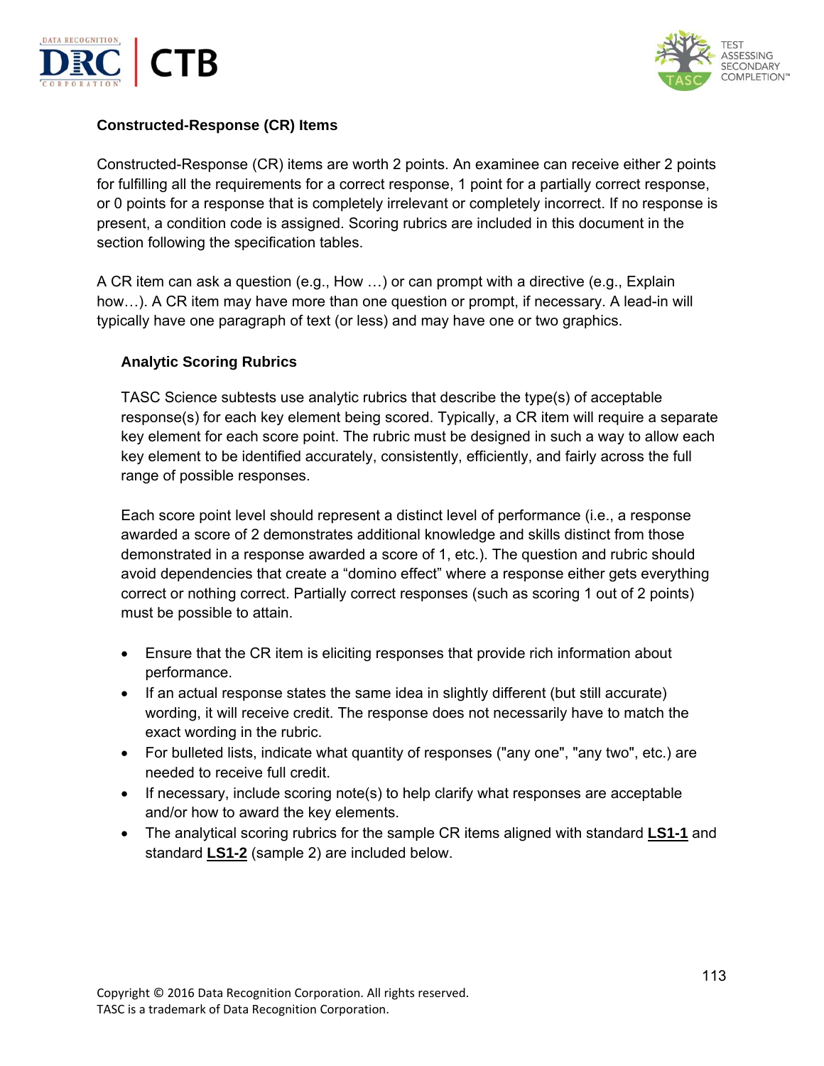



### **Constructed-Response (CR) Items**

Constructed-Response (CR) items are worth 2 points. An examinee can receive either 2 points for fulfilling all the requirements for a correct response, 1 point for a partially correct response, or 0 points for a response that is completely irrelevant or completely incorrect. If no response is present, a condition code is assigned. Scoring rubrics are included in this document in the section following the specification tables.

A CR item can ask a question (e.g., How …) or can prompt with a directive (e.g., Explain how…). A CR item may have more than one question or prompt, if necessary. A lead-in will typically have one paragraph of text (or less) and may have one or two graphics.

#### **Analytic Scoring Rubrics**

TASC Science subtests use analytic rubrics that describe the type(s) of acceptable response(s) for each key element being scored. Typically, a CR item will require a separate key element for each score point. The rubric must be designed in such a way to allow each key element to be identified accurately, consistently, efficiently, and fairly across the full range of possible responses.

Each score point level should represent a distinct level of performance (i.e., a response awarded a score of 2 demonstrates additional knowledge and skills distinct from those demonstrated in a response awarded a score of 1, etc.). The question and rubric should avoid dependencies that create a "domino effect" where a response either gets everything correct or nothing correct. Partially correct responses (such as scoring 1 out of 2 points) must be possible to attain.

- Ensure that the CR item is eliciting responses that provide rich information about performance.
- If an actual response states the same idea in slightly different (but still accurate) wording, it will receive credit. The response does not necessarily have to match the exact wording in the rubric.
- For bulleted lists, indicate what quantity of responses ("any one", "any two", etc.) are needed to receive full credit.
- If necessary, include scoring note(s) to help clarify what responses are acceptable and/or how to award the key elements.
- The analytical scoring rubrics for the sample CR items aligned with standard **LS1-1** and standard **LS1-2** (sample 2) are included below.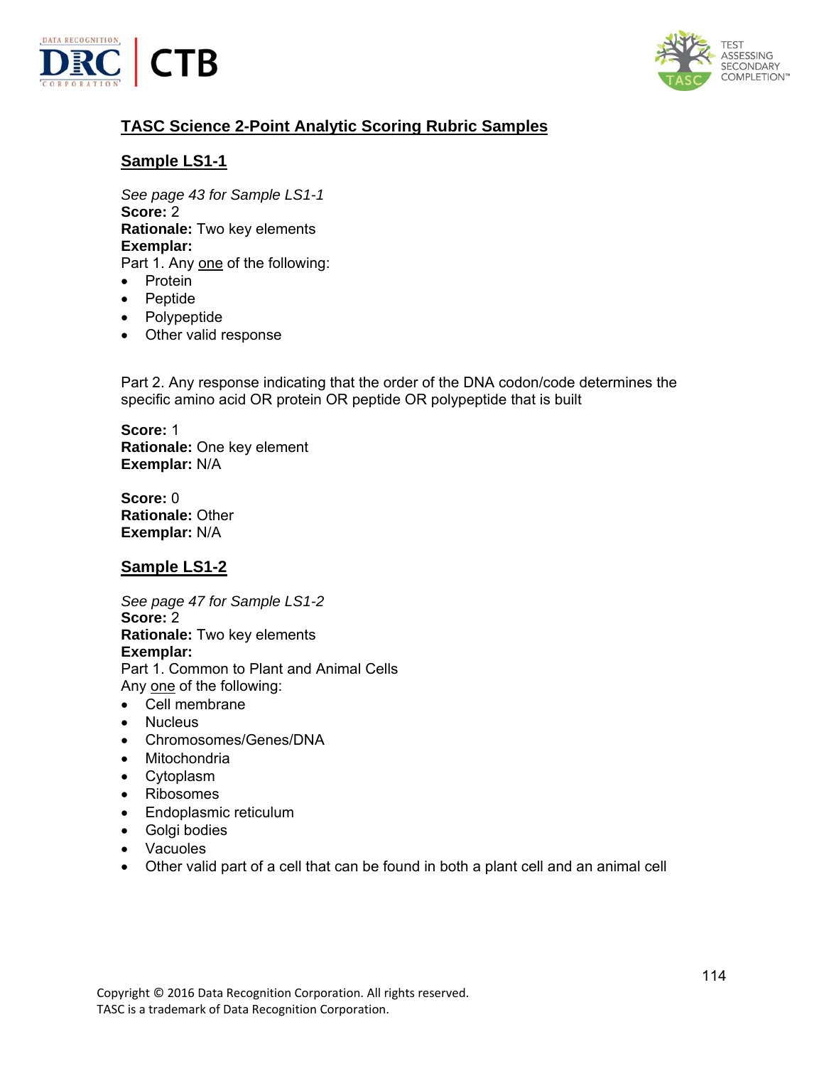



# **TASC Science 2-Point Analytic Scoring Rubric Samples**

# **Sample LS1-1**

*See page 43 for Sample LS1-1*  **Score:** 2 **Rationale:** Two key elements **Exemplar:**  Part 1. Any one of the following:

- Protein
- Peptide
- Polypeptide
- Other valid response

Part 2. Any response indicating that the order of the DNA codon/code determines the specific amino acid OR protein OR peptide OR polypeptide that is built

**Score:** 1 **Rationale:** One key element **Exemplar:** N/A

**Score:** 0 **Rationale:** Other **Exemplar:** N/A

## **Sample LS1-2**

*See page 47 for Sample LS1-2*  **Score:** 2 **Rationale:** Two key elements **Exemplar:** Part 1. Common to Plant and Animal Cells Any one of the following:

- Cell membrane
- Nucleus
- Chromosomes/Genes/DNA
- Mitochondria
- Cytoplasm
- Ribosomes
- Endoplasmic reticulum
- Golgi bodies
- Vacuoles
- Other valid part of a cell that can be found in both a plant cell and an animal cell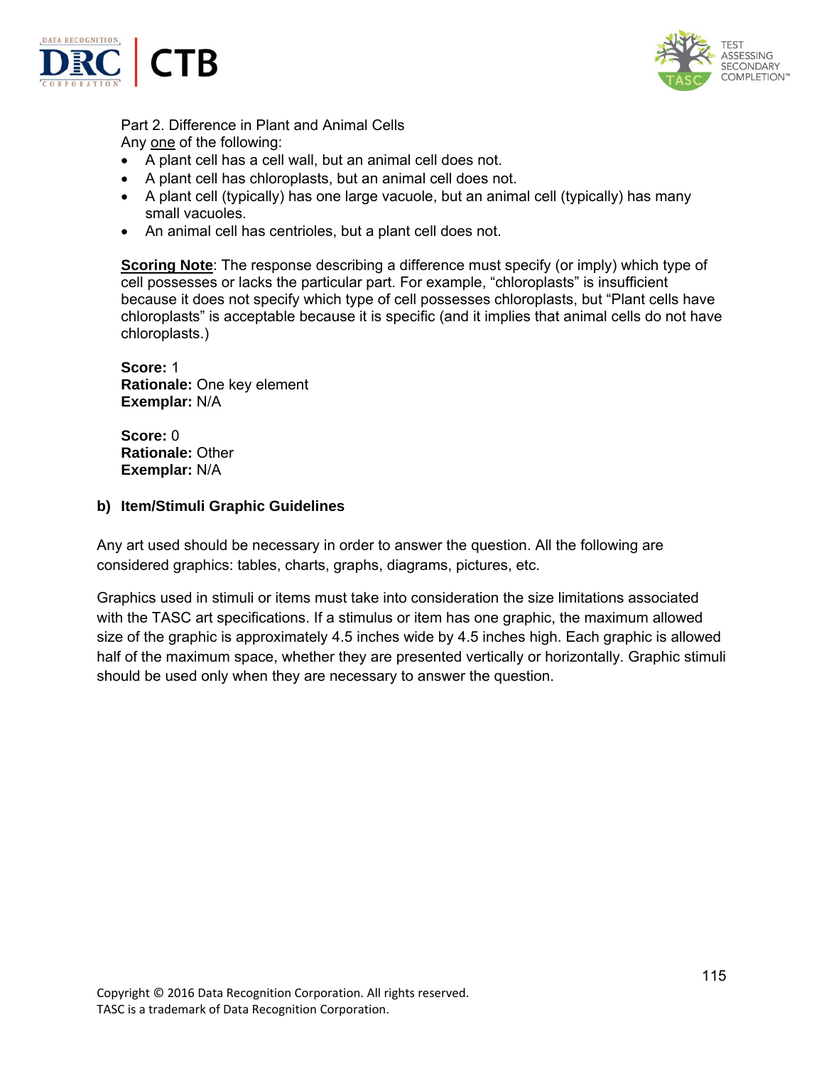



Part 2. Difference in Plant and Animal Cells Any one of the following:

- A plant cell has a cell wall, but an animal cell does not.
- A plant cell has chloroplasts, but an animal cell does not.
- A plant cell (typically) has one large vacuole, but an animal cell (typically) has many small vacuoles.
- An animal cell has centrioles, but a plant cell does not.

**Scoring Note**: The response describing a difference must specify (or imply) which type of cell possesses or lacks the particular part. For example, "chloroplasts" is insufficient because it does not specify which type of cell possesses chloroplasts, but "Plant cells have chloroplasts" is acceptable because it is specific (and it implies that animal cells do not have chloroplasts.)

**Score:** 1 **Rationale:** One key element **Exemplar:** N/A

**Score:** 0 **Rationale:** Other **Exemplar:** N/A

#### **b) Item/Stimuli Graphic Guidelines**

Any art used should be necessary in order to answer the question. All the following are considered graphics: tables, charts, graphs, diagrams, pictures, etc.

Graphics used in stimuli or items must take into consideration the size limitations associated with the TASC art specifications. If a stimulus or item has one graphic, the maximum allowed size of the graphic is approximately 4.5 inches wide by 4.5 inches high. Each graphic is allowed half of the maximum space, whether they are presented vertically or horizontally. Graphic stimuli should be used only when they are necessary to answer the question.